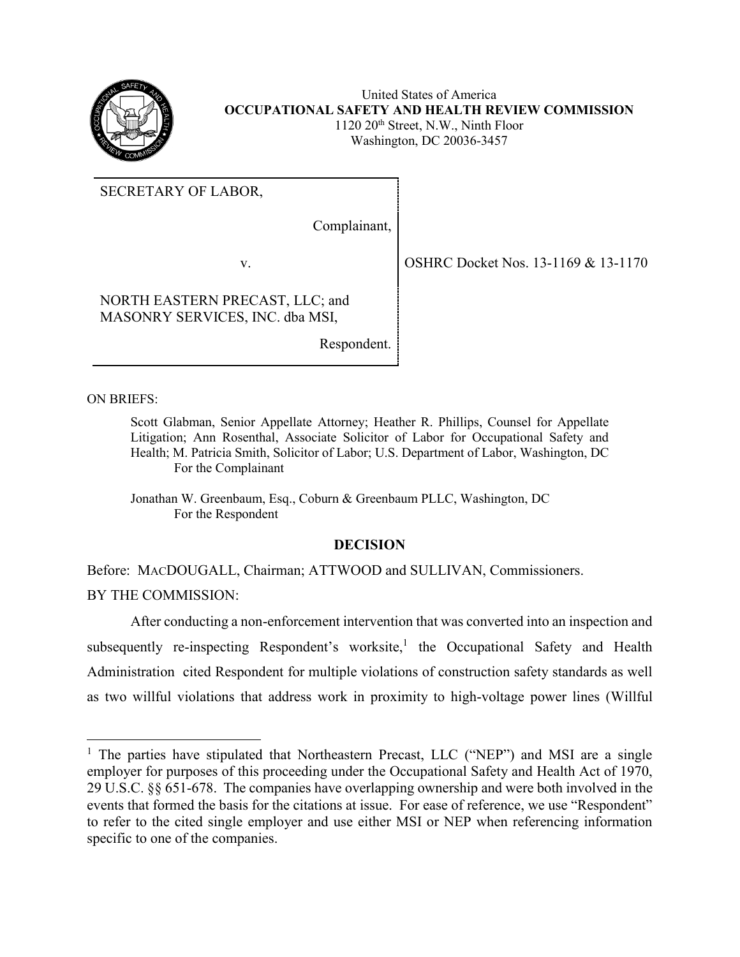

United States of America **OCCUPATIONAL SAFETY AND HEALTH REVIEW COMMISSION** 1120 20<sup>th</sup> Street, N.W., Ninth Floor Washington, DC 20036-3457

SECRETARY OF LABOR,

Complainant,

NORTH EASTERN PRECAST, LLC; and MASONRY SERVICES, INC. dba MSI,

Respondent.

ON BRIEFS:

 $\overline{a}$ 

Scott Glabman, Senior Appellate Attorney; Heather R. Phillips, Counsel for Appellate Litigation; Ann Rosenthal, Associate Solicitor of Labor for Occupational Safety and Health; M. Patricia Smith, Solicitor of Labor; U.S. Department of Labor, Washington, DC For the Complainant

Jonathan W. Greenbaum, Esq., Coburn & Greenbaum PLLC, Washington, DC For the Respondent

# **DECISION**

Before: MACDOUGALL, Chairman; ATTWOOD and SULLIVAN, Commissioners. BY THE COMMISSION:

After conducting a non-enforcement intervention that was converted into an inspection and subsequently re-inspecting Respondent's worksite,<sup>1</sup> the Occupational Safety and Health Administration cited Respondent for multiple violations of construction safety standards as well as two willful violations that address work in proximity to high-voltage power lines (Willful

v. 0SHRC Docket Nos. 13-1169 & 13-1170

<sup>&</sup>lt;sup>1</sup> The parties have stipulated that Northeastern Precast, LLC ("NEP") and MSI are a single employer for purposes of this proceeding under the Occupational Safety and Health Act of 1970, 29 U.S.C. §§ 651-678. The companies have overlapping ownership and were both involved in the events that formed the basis for the citations at issue. For ease of reference, we use "Respondent" to refer to the cited single employer and use either MSI or NEP when referencing information specific to one of the companies.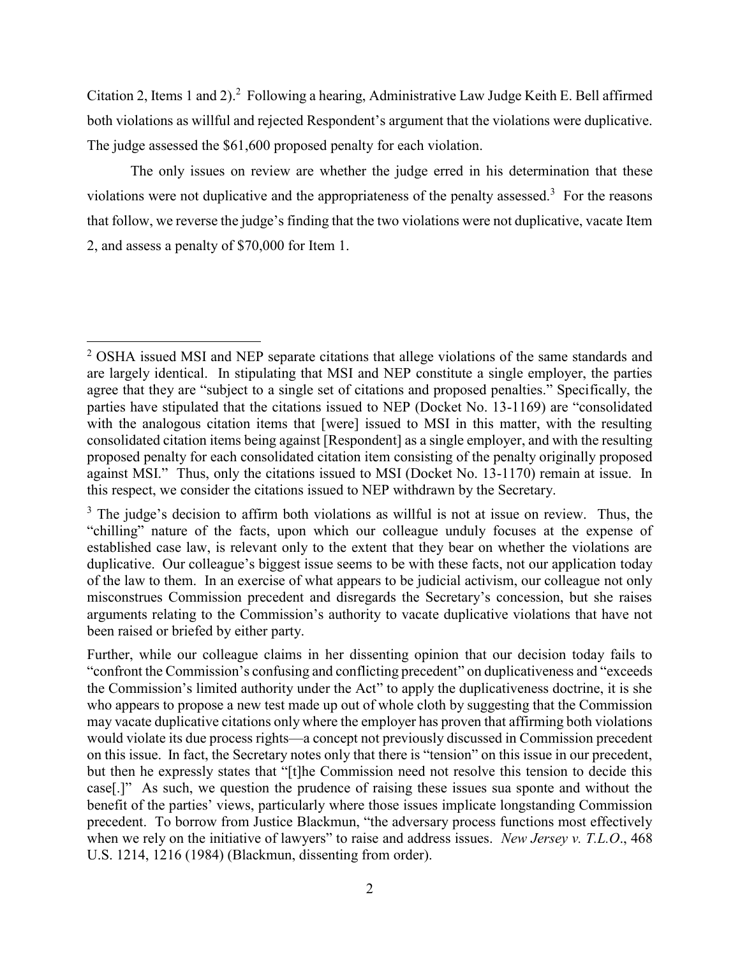Citation 2, Items 1 and 2).<sup>2</sup> Following a hearing, Administrative Law Judge Keith E. Bell affirmed both violations as willful and rejected Respondent's argument that the violations were duplicative. The judge assessed the \$61,600 proposed penalty for each violation.

The only issues on review are whether the judge erred in his determination that these violations were not duplicative and the appropriateness of the penalty assessed.<sup>3</sup> For the reasons that follow, we reverse the judge's finding that the two violations were not duplicative, vacate Item 2, and assess a penalty of \$70,000 for Item 1.

<sup>&</sup>lt;sup>2</sup> OSHA issued MSI and NEP separate citations that allege violations of the same standards and are largely identical. In stipulating that MSI and NEP constitute a single employer, the parties agree that they are "subject to a single set of citations and proposed penalties." Specifically, the parties have stipulated that the citations issued to NEP (Docket No. 13-1169) are "consolidated with the analogous citation items that [were] issued to MSI in this matter, with the resulting consolidated citation items being against [Respondent] as a single employer, and with the resulting proposed penalty for each consolidated citation item consisting of the penalty originally proposed against MSI." Thus, only the citations issued to MSI (Docket No. 13-1170) remain at issue. In this respect, we consider the citations issued to NEP withdrawn by the Secretary.

 $3$  The judge's decision to affirm both violations as willful is not at issue on review. Thus, the "chilling" nature of the facts, upon which our colleague unduly focuses at the expense of established case law, is relevant only to the extent that they bear on whether the violations are duplicative. Our colleague's biggest issue seems to be with these facts, not our application today of the law to them. In an exercise of what appears to be judicial activism, our colleague not only misconstrues Commission precedent and disregards the Secretary's concession, but she raises arguments relating to the Commission's authority to vacate duplicative violations that have not been raised or briefed by either party.

Further, while our colleague claims in her dissenting opinion that our decision today fails to "confront the Commission's confusing and conflicting precedent" on duplicativeness and "exceeds the Commission's limited authority under the Act" to apply the duplicativeness doctrine, it is she who appears to propose a new test made up out of whole cloth by suggesting that the Commission may vacate duplicative citations only where the employer has proven that affirming both violations would violate its due process rights—a concept not previously discussed in Commission precedent on this issue. In fact, the Secretary notes only that there is "tension" on this issue in our precedent, but then he expressly states that "[t]he Commission need not resolve this tension to decide this case[.]" As such, we question the prudence of raising these issues sua sponte and without the benefit of the parties' views, particularly where those issues implicate longstanding Commission precedent. To borrow from Justice Blackmun, "the adversary process functions most effectively when we rely on the initiative of lawyers" to raise and address issues. *New Jersey v. T.L.O*., 468 U.S. 1214, 1216 (1984) (Blackmun, dissenting from order).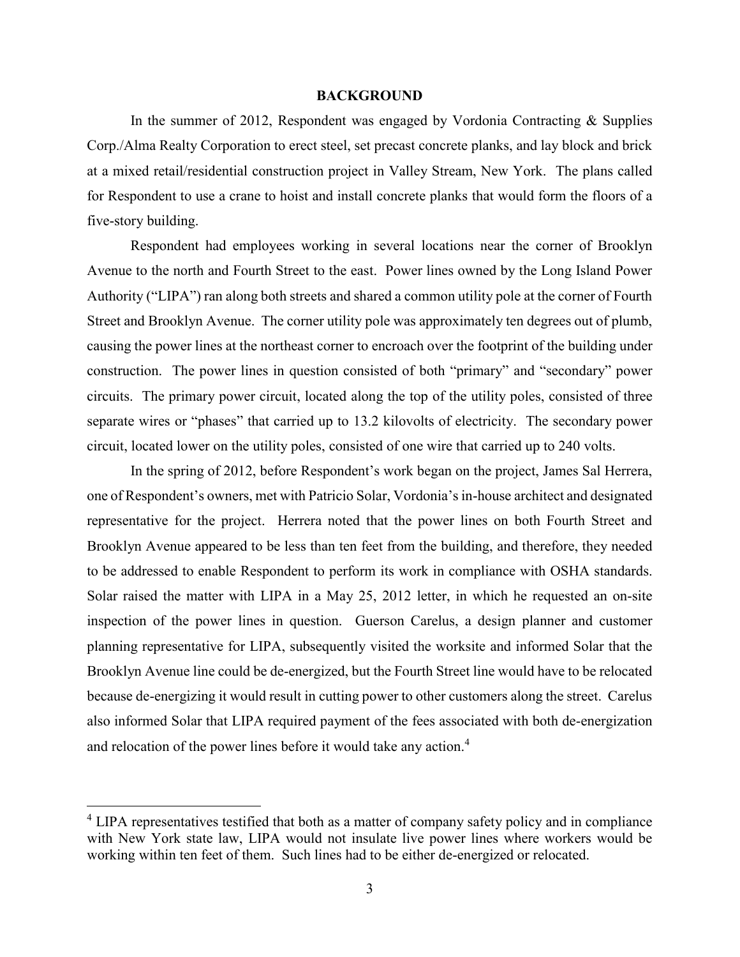#### **BACKGROUND**

In the summer of 2012, Respondent was engaged by Vordonia Contracting  $\&$  Supplies Corp./Alma Realty Corporation to erect steel, set precast concrete planks, and lay block and brick at a mixed retail/residential construction project in Valley Stream, New York. The plans called for Respondent to use a crane to hoist and install concrete planks that would form the floors of a five-story building.

Respondent had employees working in several locations near the corner of Brooklyn Avenue to the north and Fourth Street to the east. Power lines owned by the Long Island Power Authority ("LIPA") ran along both streets and shared a common utility pole at the corner of Fourth Street and Brooklyn Avenue. The corner utility pole was approximately ten degrees out of plumb, causing the power lines at the northeast corner to encroach over the footprint of the building under construction. The power lines in question consisted of both "primary" and "secondary" power circuits. The primary power circuit, located along the top of the utility poles, consisted of three separate wires or "phases" that carried up to 13.2 kilovolts of electricity. The secondary power circuit, located lower on the utility poles, consisted of one wire that carried up to 240 volts.

In the spring of 2012, before Respondent's work began on the project, James Sal Herrera, one of Respondent's owners, met with Patricio Solar, Vordonia's in-house architect and designated representative for the project. Herrera noted that the power lines on both Fourth Street and Brooklyn Avenue appeared to be less than ten feet from the building, and therefore, they needed to be addressed to enable Respondent to perform its work in compliance with OSHA standards. Solar raised the matter with LIPA in a May 25, 2012 letter, in which he requested an on-site inspection of the power lines in question. Guerson Carelus, a design planner and customer planning representative for LIPA, subsequently visited the worksite and informed Solar that the Brooklyn Avenue line could be de-energized, but the Fourth Street line would have to be relocated because de-energizing it would result in cutting power to other customers along the street. Carelus also informed Solar that LIPA required payment of the fees associated with both de-energization and relocation of the power lines before it would take any action.<sup>4</sup>

<sup>&</sup>lt;sup>4</sup> LIPA representatives testified that both as a matter of company safety policy and in compliance with New York state law, LIPA would not insulate live power lines where workers would be working within ten feet of them. Such lines had to be either de-energized or relocated.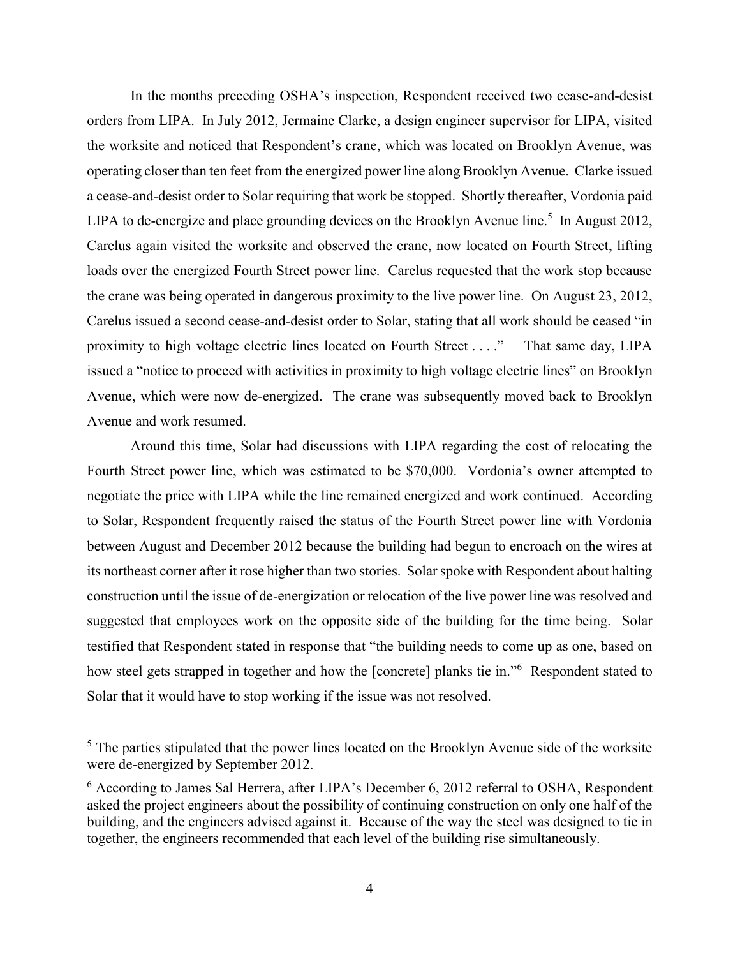In the months preceding OSHA's inspection, Respondent received two cease-and-desist orders from LIPA. In July 2012, Jermaine Clarke, a design engineer supervisor for LIPA, visited the worksite and noticed that Respondent's crane, which was located on Brooklyn Avenue, was operating closer than ten feet from the energized power line along Brooklyn Avenue. Clarke issued a cease-and-desist order to Solar requiring that work be stopped. Shortly thereafter, Vordonia paid LIPA to de-energize and place grounding devices on the Brooklyn Avenue line.<sup>5</sup> In August 2012, Carelus again visited the worksite and observed the crane, now located on Fourth Street, lifting loads over the energized Fourth Street power line. Carelus requested that the work stop because the crane was being operated in dangerous proximity to the live power line. On August 23, 2012, Carelus issued a second cease-and-desist order to Solar, stating that all work should be ceased "in proximity to high voltage electric lines located on Fourth Street . . . ." That same day, LIPA issued a "notice to proceed with activities in proximity to high voltage electric lines" on Brooklyn Avenue, which were now de-energized. The crane was subsequently moved back to Brooklyn Avenue and work resumed.

Around this time, Solar had discussions with LIPA regarding the cost of relocating the Fourth Street power line, which was estimated to be \$70,000. Vordonia's owner attempted to negotiate the price with LIPA while the line remained energized and work continued. According to Solar, Respondent frequently raised the status of the Fourth Street power line with Vordonia between August and December 2012 because the building had begun to encroach on the wires at its northeast corner after it rose higher than two stories. Solar spoke with Respondent about halting construction until the issue of de-energization or relocation of the live power line was resolved and suggested that employees work on the opposite side of the building for the time being. Solar testified that Respondent stated in response that "the building needs to come up as one, based on how steel gets strapped in together and how the [concrete] planks tie in."<sup>6</sup> Respondent stated to Solar that it would have to stop working if the issue was not resolved.

 $<sup>5</sup>$  The parties stipulated that the power lines located on the Brooklyn Avenue side of the worksite</sup> were de-energized by September 2012.

<sup>6</sup> According to James Sal Herrera, after LIPA's December 6, 2012 referral to OSHA, Respondent asked the project engineers about the possibility of continuing construction on only one half of the building, and the engineers advised against it. Because of the way the steel was designed to tie in together, the engineers recommended that each level of the building rise simultaneously.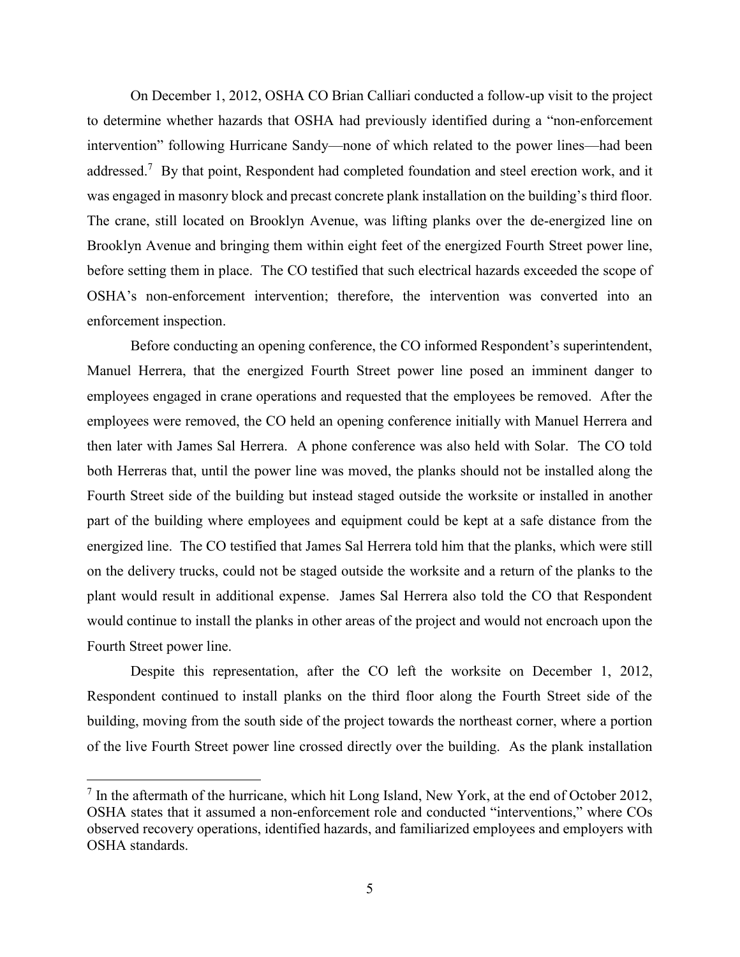On December 1, 2012, OSHA CO Brian Calliari conducted a follow-up visit to the project to determine whether hazards that OSHA had previously identified during a "non-enforcement intervention" following Hurricane Sandy—none of which related to the power lines—had been addressed.<sup>7</sup> By that point, Respondent had completed foundation and steel erection work, and it was engaged in masonry block and precast concrete plank installation on the building's third floor. The crane, still located on Brooklyn Avenue, was lifting planks over the de-energized line on Brooklyn Avenue and bringing them within eight feet of the energized Fourth Street power line, before setting them in place. The CO testified that such electrical hazards exceeded the scope of OSHA's non-enforcement intervention; therefore, the intervention was converted into an enforcement inspection.

Before conducting an opening conference, the CO informed Respondent's superintendent, Manuel Herrera, that the energized Fourth Street power line posed an imminent danger to employees engaged in crane operations and requested that the employees be removed. After the employees were removed, the CO held an opening conference initially with Manuel Herrera and then later with James Sal Herrera. A phone conference was also held with Solar. The CO told both Herreras that, until the power line was moved, the planks should not be installed along the Fourth Street side of the building but instead staged outside the worksite or installed in another part of the building where employees and equipment could be kept at a safe distance from the energized line. The CO testified that James Sal Herrera told him that the planks, which were still on the delivery trucks, could not be staged outside the worksite and a return of the planks to the plant would result in additional expense. James Sal Herrera also told the CO that Respondent would continue to install the planks in other areas of the project and would not encroach upon the Fourth Street power line.

Despite this representation, after the CO left the worksite on December 1, 2012, Respondent continued to install planks on the third floor along the Fourth Street side of the building, moving from the south side of the project towards the northeast corner, where a portion of the live Fourth Street power line crossed directly over the building. As the plank installation

 $<sup>7</sup>$  In the aftermath of the hurricane, which hit Long Island, New York, at the end of October 2012,</sup> OSHA states that it assumed a non-enforcement role and conducted "interventions," where COs observed recovery operations, identified hazards, and familiarized employees and employers with OSHA standards.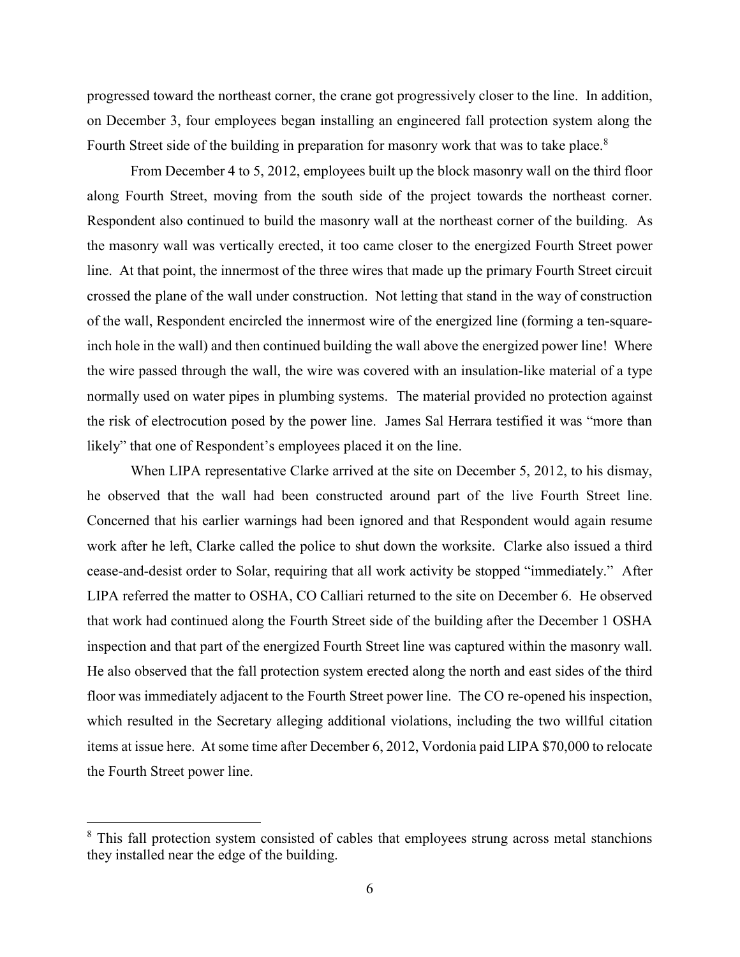progressed toward the northeast corner, the crane got progressively closer to the line. In addition, on December 3, four employees began installing an engineered fall protection system along the Fourth Street side of the building in preparation for masonry work that was to take place.<sup>8</sup>

From December 4 to 5, 2012, employees built up the block masonry wall on the third floor along Fourth Street, moving from the south side of the project towards the northeast corner. Respondent also continued to build the masonry wall at the northeast corner of the building. As the masonry wall was vertically erected, it too came closer to the energized Fourth Street power line. At that point, the innermost of the three wires that made up the primary Fourth Street circuit crossed the plane of the wall under construction. Not letting that stand in the way of construction of the wall, Respondent encircled the innermost wire of the energized line (forming a ten-squareinch hole in the wall) and then continued building the wall above the energized power line! Where the wire passed through the wall, the wire was covered with an insulation-like material of a type normally used on water pipes in plumbing systems. The material provided no protection against the risk of electrocution posed by the power line. James Sal Herrara testified it was "more than likely" that one of Respondent's employees placed it on the line.

When LIPA representative Clarke arrived at the site on December 5, 2012, to his dismay, he observed that the wall had been constructed around part of the live Fourth Street line. Concerned that his earlier warnings had been ignored and that Respondent would again resume work after he left, Clarke called the police to shut down the worksite. Clarke also issued a third cease-and-desist order to Solar, requiring that all work activity be stopped "immediately." After LIPA referred the matter to OSHA, CO Calliari returned to the site on December 6. He observed that work had continued along the Fourth Street side of the building after the December 1 OSHA inspection and that part of the energized Fourth Street line was captured within the masonry wall. He also observed that the fall protection system erected along the north and east sides of the third floor was immediately adjacent to the Fourth Street power line. The CO re-opened his inspection, which resulted in the Secretary alleging additional violations, including the two willful citation items at issue here. At some time after December 6, 2012, Vordonia paid LIPA \$70,000 to relocate the Fourth Street power line.

<sup>&</sup>lt;sup>8</sup> This fall protection system consisted of cables that employees strung across metal stanchions they installed near the edge of the building.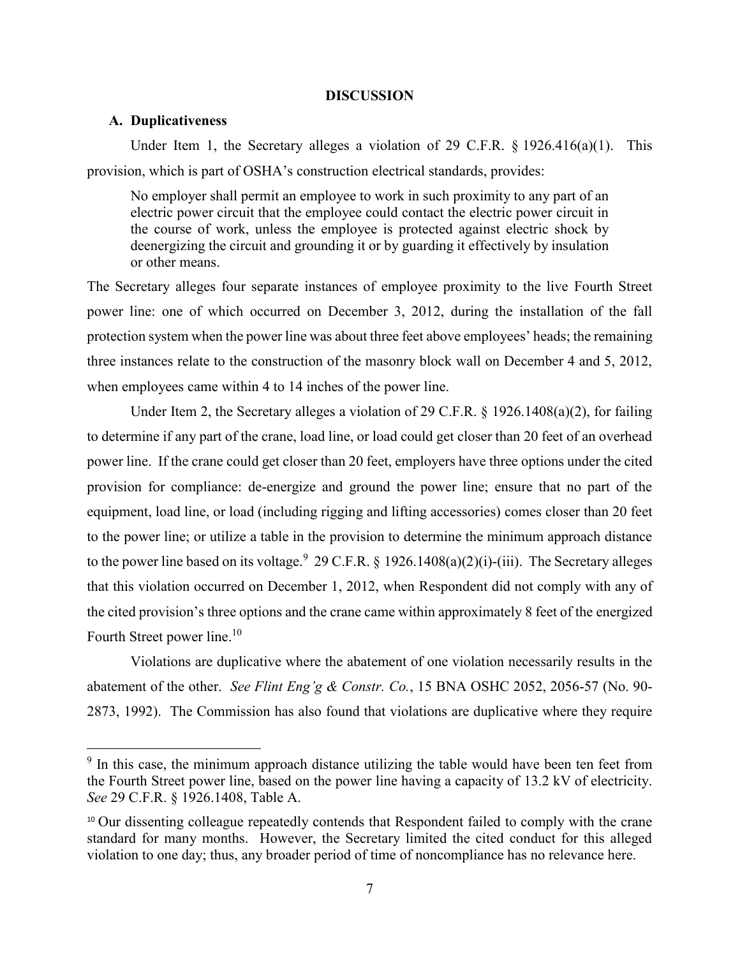#### **DISCUSSION**

#### **A. Duplicativeness**

 $\overline{a}$ 

Under Item 1, the Secretary alleges a violation of 29 C.F.R. § 1926.416(a)(1). This provision, which is part of OSHA's construction electrical standards, provides:

No employer shall permit an employee to work in such proximity to any part of an electric power circuit that the employee could contact the electric power circuit in the course of work, unless the employee is protected against electric shock by deenergizing the circuit and grounding it or by guarding it effectively by insulation or other means.

The Secretary alleges four separate instances of employee proximity to the live Fourth Street power line: one of which occurred on December 3, 2012, during the installation of the fall protection system when the power line was about three feet above employees' heads; the remaining three instances relate to the construction of the masonry block wall on December 4 and 5, 2012, when employees came within 4 to 14 inches of the power line.

Under Item 2, the Secretary alleges a violation of 29 C.F.R.  $\S$  1926.1408(a)(2), for failing to determine if any part of the crane, load line, or load could get closer than 20 feet of an overhead power line. If the crane could get closer than 20 feet, employers have three options under the cited provision for compliance: de-energize and ground the power line; ensure that no part of the equipment, load line, or load (including rigging and lifting accessories) comes closer than 20 feet to the power line; or utilize a table in the provision to determine the minimum approach distance to the power line based on its voltage.<sup>9</sup> 29 C.F.R. § 1926.1408(a)(2)(i)-(iii). The Secretary alleges that this violation occurred on December 1, 2012, when Respondent did not comply with any of the cited provision's three options and the crane came within approximately 8 feet of the energized Fourth Street power line.<sup>10</sup>

Violations are duplicative where the abatement of one violation necessarily results in the abatement of the other. *See Flint Eng'g & Constr. Co.*, 15 BNA OSHC 2052, 2056-57 (No. 90- 2873, 1992). The Commission has also found that violations are duplicative where they require

<sup>&</sup>lt;sup>9</sup> In this case, the minimum approach distance utilizing the table would have been ten feet from the Fourth Street power line, based on the power line having a capacity of 13.2 kV of electricity. *See* 29 C.F.R. § 1926.1408, Table A.

<sup>&</sup>lt;sup>10</sup> Our dissenting colleague repeatedly contends that Respondent failed to comply with the crane standard for many months. However, the Secretary limited the cited conduct for this alleged violation to one day; thus, any broader period of time of noncompliance has no relevance here.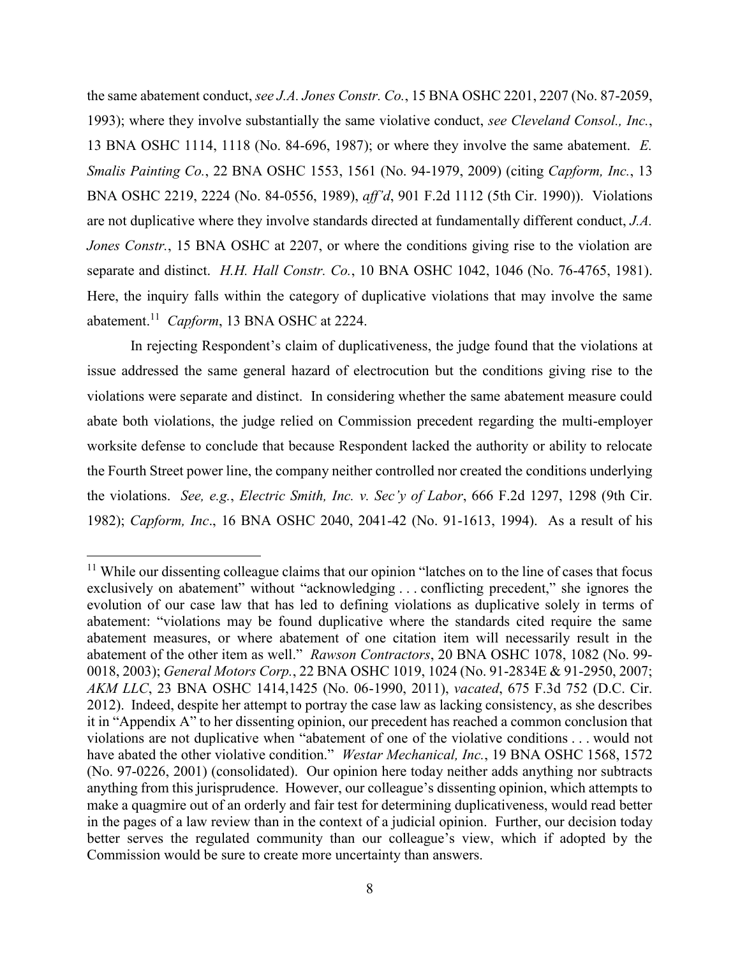the same abatement conduct, *see J.A. Jones Constr. Co.*, 15 BNA OSHC 2201, 2207 (No. 87-2059, 1993); where they involve substantially the same violative conduct, *see Cleveland Consol., Inc.*, 13 BNA OSHC 1114, 1118 (No. 84-696, 1987); or where they involve the same abatement. *E. Smalis Painting Co.*, 22 BNA OSHC 1553, 1561 (No. 94-1979, 2009) (citing *Capform, Inc.*, 13 BNA OSHC 2219, 2224 (No. 84-0556, 1989), *aff'd*, 901 F.2d 1112 (5th Cir. 1990)). Violations are not duplicative where they involve standards directed at fundamentally different conduct, *J.A. Jones Constr.*, 15 BNA OSHC at 2207, or where the conditions giving rise to the violation are separate and distinct. *H.H. Hall Constr. Co.*, 10 BNA OSHC 1042, 1046 (No. 76-4765, 1981). Here, the inquiry falls within the category of duplicative violations that may involve the same abatement.<sup>11</sup> *Capform*, 13 BNA OSHC at 2224.

In rejecting Respondent's claim of duplicativeness, the judge found that the violations at issue addressed the same general hazard of electrocution but the conditions giving rise to the violations were separate and distinct. In considering whether the same abatement measure could abate both violations, the judge relied on Commission precedent regarding the multi-employer worksite defense to conclude that because Respondent lacked the authority or ability to relocate the Fourth Street power line, the company neither controlled nor created the conditions underlying the violations. *See, e.g.*, *Electric Smith, Inc. v. Sec'y of Labor*, 666 F.2d 1297, 1298 (9th Cir. 1982); *Capform, Inc*., 16 BNA OSHC 2040, 2041-42 (No. 91-1613, 1994). As a result of his

<sup>&</sup>lt;sup>11</sup> While our dissenting colleague claims that our opinion "latches on to the line of cases that focus exclusively on abatement" without "acknowledging . . . conflicting precedent," she ignores the evolution of our case law that has led to defining violations as duplicative solely in terms of abatement: "violations may be found duplicative where the standards cited require the same abatement measures, or where abatement of one citation item will necessarily result in the abatement of the other item as well." *Rawson Contractors*, 20 BNA OSHC 1078, 1082 (No. 99- 0018, 2003); *General Motors Corp.*, 22 BNA OSHC 1019, 1024 (No. 91-2834E & 91-2950, 2007; *AKM LLC*, 23 BNA OSHC 1414,1425 (No. 06-1990, 2011), *vacated*, 675 F.3d 752 (D.C. Cir. 2012). Indeed, despite her attempt to portray the case law as lacking consistency, as she describes it in "Appendix A" to her dissenting opinion, our precedent has reached a common conclusion that violations are not duplicative when "abatement of one of the violative conditions . . . would not have abated the other violative condition." *Westar Mechanical, Inc.*, 19 BNA OSHC 1568, 1572 (No. 97-0226, 2001) (consolidated). Our opinion here today neither adds anything nor subtracts anything from this jurisprudence. However, our colleague's dissenting opinion, which attempts to make a quagmire out of an orderly and fair test for determining duplicativeness, would read better in the pages of a law review than in the context of a judicial opinion. Further, our decision today better serves the regulated community than our colleague's view, which if adopted by the Commission would be sure to create more uncertainty than answers.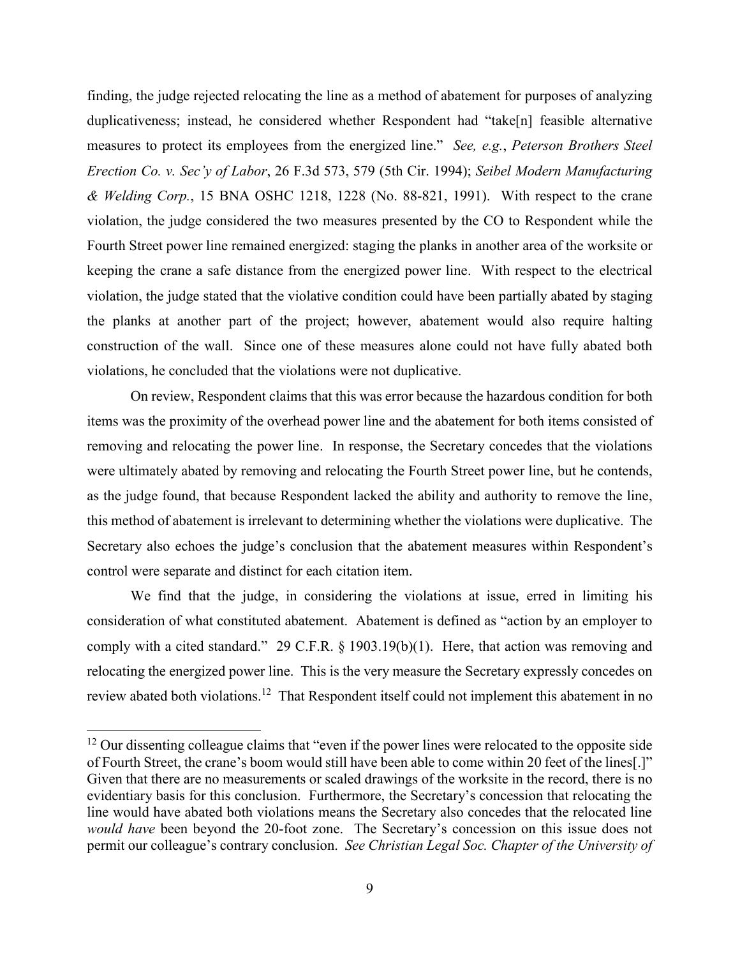finding, the judge rejected relocating the line as a method of abatement for purposes of analyzing duplicativeness; instead, he considered whether Respondent had "take[n] feasible alternative measures to protect its employees from the energized line." *See, e.g.*, *Peterson Brothers Steel Erection Co. v. Sec'y of Labor*, 26 F.3d 573, 579 (5th Cir. 1994); *Seibel Modern Manufacturing & Welding Corp.*, 15 BNA OSHC 1218, 1228 (No. 88-821, 1991). With respect to the crane violation, the judge considered the two measures presented by the CO to Respondent while the Fourth Street power line remained energized: staging the planks in another area of the worksite or keeping the crane a safe distance from the energized power line. With respect to the electrical violation, the judge stated that the violative condition could have been partially abated by staging the planks at another part of the project; however, abatement would also require halting construction of the wall. Since one of these measures alone could not have fully abated both violations, he concluded that the violations were not duplicative.

On review, Respondent claims that this was error because the hazardous condition for both items was the proximity of the overhead power line and the abatement for both items consisted of removing and relocating the power line. In response, the Secretary concedes that the violations were ultimately abated by removing and relocating the Fourth Street power line, but he contends, as the judge found, that because Respondent lacked the ability and authority to remove the line, this method of abatement is irrelevant to determining whether the violations were duplicative. The Secretary also echoes the judge's conclusion that the abatement measures within Respondent's control were separate and distinct for each citation item.

We find that the judge, in considering the violations at issue, erred in limiting his consideration of what constituted abatement. Abatement is defined as "action by an employer to comply with a cited standard." 29 C.F.R. § 1903.19(b)(1). Here, that action was removing and relocating the energized power line. This is the very measure the Secretary expressly concedes on review abated both violations.<sup>12</sup> That Respondent itself could not implement this abatement in no

 $12$  Our dissenting colleague claims that "even if the power lines were relocated to the opposite side of Fourth Street, the crane's boom would still have been able to come within 20 feet of the lines[.]" Given that there are no measurements or scaled drawings of the worksite in the record, there is no evidentiary basis for this conclusion. Furthermore, the Secretary's concession that relocating the line would have abated both violations means the Secretary also concedes that the relocated line *would have* been beyond the 20-foot zone. The Secretary's concession on this issue does not permit our colleague's contrary conclusion. *See Christian Legal Soc. Chapter of the University of*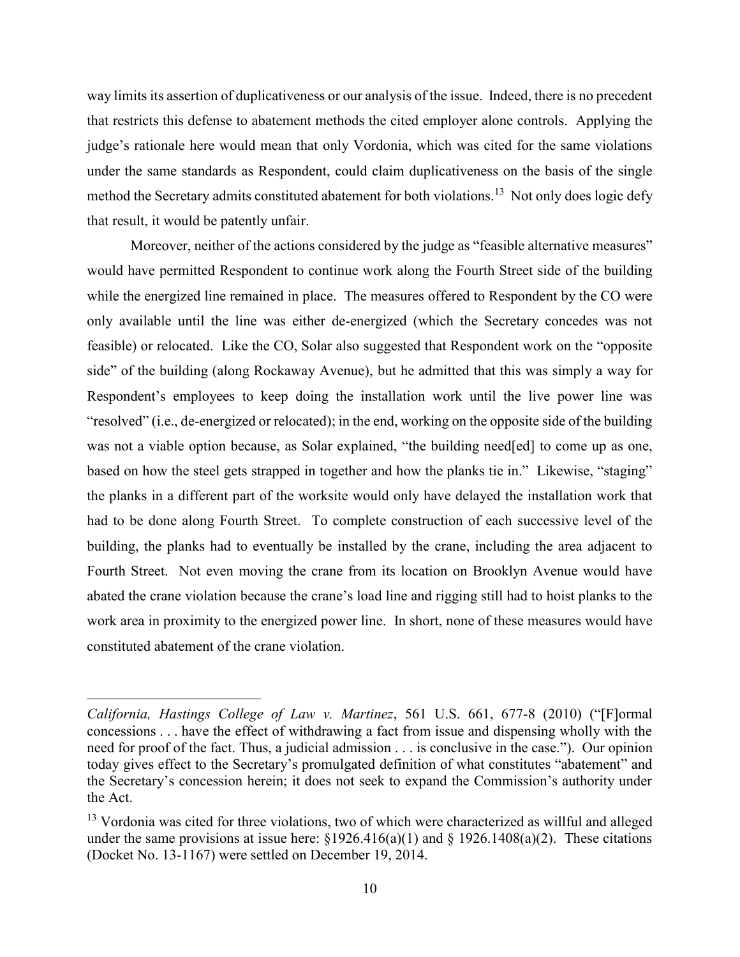way limits its assertion of duplicativeness or our analysis of the issue. Indeed, there is no precedent that restricts this defense to abatement methods the cited employer alone controls. Applying the judge's rationale here would mean that only Vordonia, which was cited for the same violations under the same standards as Respondent, could claim duplicativeness on the basis of the single method the Secretary admits constituted abatement for both violations.<sup>13</sup> Not only does logic defy that result, it would be patently unfair.

Moreover, neither of the actions considered by the judge as "feasible alternative measures" would have permitted Respondent to continue work along the Fourth Street side of the building while the energized line remained in place. The measures offered to Respondent by the CO were only available until the line was either de-energized (which the Secretary concedes was not feasible) or relocated. Like the CO, Solar also suggested that Respondent work on the "opposite side" of the building (along Rockaway Avenue), but he admitted that this was simply a way for Respondent's employees to keep doing the installation work until the live power line was "resolved" (i.e., de-energized or relocated); in the end, working on the opposite side of the building was not a viable option because, as Solar explained, "the building need[ed] to come up as one, based on how the steel gets strapped in together and how the planks tie in." Likewise, "staging" the planks in a different part of the worksite would only have delayed the installation work that had to be done along Fourth Street. To complete construction of each successive level of the building, the planks had to eventually be installed by the crane, including the area adjacent to Fourth Street. Not even moving the crane from its location on Brooklyn Avenue would have abated the crane violation because the crane's load line and rigging still had to hoist planks to the work area in proximity to the energized power line. In short, none of these measures would have constituted abatement of the crane violation.

*California, Hastings College of Law v. Martinez*, 561 U.S. 661, 677-8 (2010) ("[F]ormal concessions . . . have the effect of withdrawing a fact from issue and dispensing wholly with the need for proof of the fact. Thus, a judicial admission . . . is conclusive in the case."). Our opinion today gives effect to the Secretary's promulgated definition of what constitutes "abatement" and the Secretary's concession herein; it does not seek to expand the Commission's authority under the Act.

<sup>&</sup>lt;sup>13</sup> Vordonia was cited for three violations, two of which were characterized as willful and alleged under the same provisions at issue here:  $\S 1926.416(a)(1)$  and  $\S 1926.1408(a)(2)$ . These citations (Docket No. 13-1167) were settled on December 19, 2014.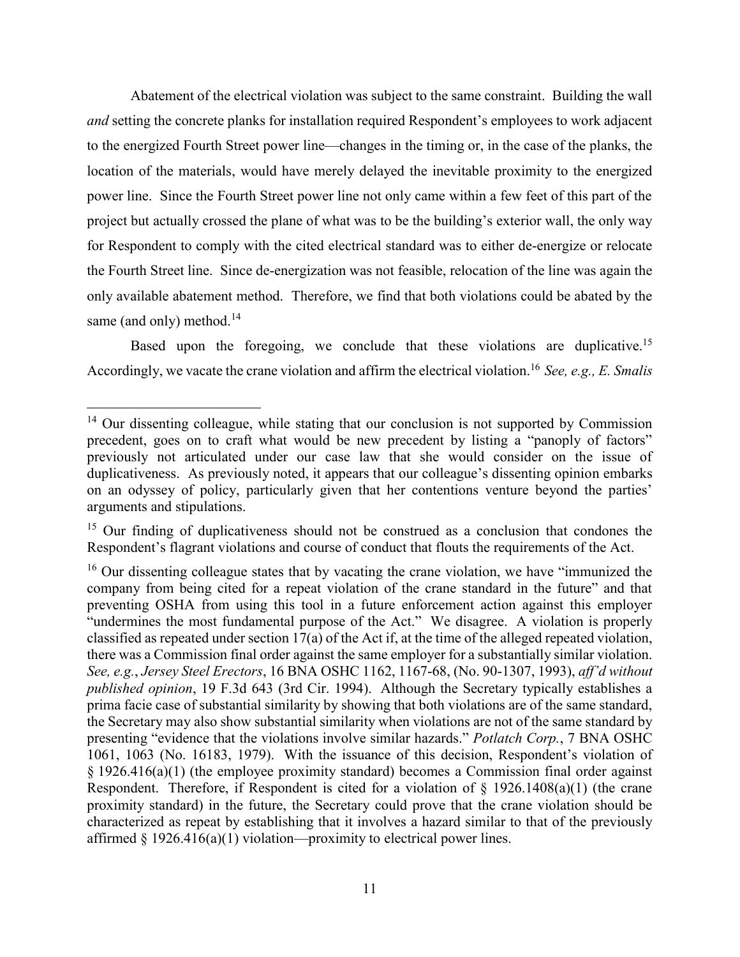Abatement of the electrical violation was subject to the same constraint. Building the wall *and* setting the concrete planks for installation required Respondent's employees to work adjacent to the energized Fourth Street power line—changes in the timing or, in the case of the planks, the location of the materials, would have merely delayed the inevitable proximity to the energized power line. Since the Fourth Street power line not only came within a few feet of this part of the project but actually crossed the plane of what was to be the building's exterior wall, the only way for Respondent to comply with the cited electrical standard was to either de-energize or relocate the Fourth Street line. Since de-energization was not feasible, relocation of the line was again the only available abatement method. Therefore, we find that both violations could be abated by the same (and only) method. $14$ 

Based upon the foregoing, we conclude that these violations are duplicative.<sup>15</sup> Accordingly, we vacate the crane violation and affirm the electrical violation.<sup>16</sup> *See, e.g., E. Smalis* 

<sup>&</sup>lt;sup>14</sup> Our dissenting colleague, while stating that our conclusion is not supported by Commission precedent, goes on to craft what would be new precedent by listing a "panoply of factors" previously not articulated under our case law that she would consider on the issue of duplicativeness. As previously noted, it appears that our colleague's dissenting opinion embarks on an odyssey of policy, particularly given that her contentions venture beyond the parties' arguments and stipulations.

<sup>&</sup>lt;sup>15</sup> Our finding of duplicativeness should not be construed as a conclusion that condones the Respondent's flagrant violations and course of conduct that flouts the requirements of the Act.

 $16$  Our dissenting colleague states that by vacating the crane violation, we have "immunized the company from being cited for a repeat violation of the crane standard in the future" and that preventing OSHA from using this tool in a future enforcement action against this employer "undermines the most fundamental purpose of the Act." We disagree. A violation is properly classified as repeated under section 17(a) of the Act if, at the time of the alleged repeated violation, there was a Commission final order against the same employer for a substantially similar violation. *See, e.g.*, *Jersey Steel Erectors*, 16 BNA OSHC 1162, 1167-68, (No. 90-1307, 1993), *aff'd without published opinion*, 19 F.3d 643 (3rd Cir. 1994). Although the Secretary typically establishes a prima facie case of substantial similarity by showing that both violations are of the same standard, the Secretary may also show substantial similarity when violations are not of the same standard by presenting "evidence that the violations involve similar hazards." *Potlatch Corp.*, 7 BNA OSHC 1061, 1063 (No. 16183, 1979). With the issuance of this decision, Respondent's violation of § 1926.416(a)(1) (the employee proximity standard) becomes a Commission final order against Respondent. Therefore, if Respondent is cited for a violation of  $\S$  1926.1408(a)(1) (the crane proximity standard) in the future, the Secretary could prove that the crane violation should be characterized as repeat by establishing that it involves a hazard similar to that of the previously affirmed  $\S 1926.416(a)(1)$  violation—proximity to electrical power lines.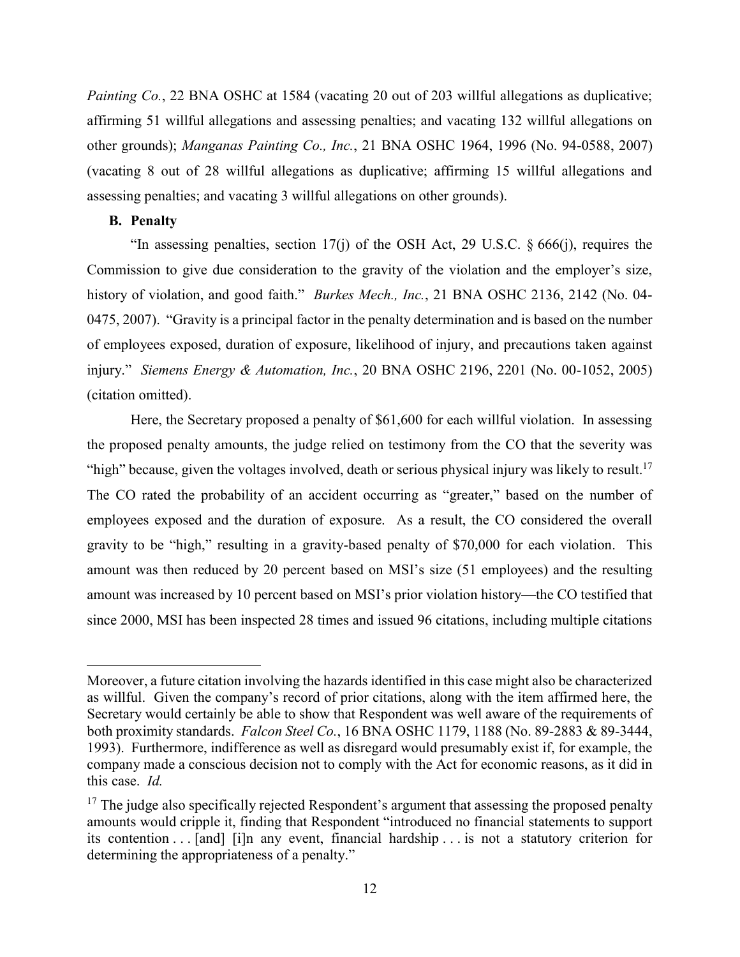*Painting Co.*, 22 BNA OSHC at 1584 (vacating 20 out of 203 willful allegations as duplicative; affirming 51 willful allegations and assessing penalties; and vacating 132 willful allegations on other grounds); *Manganas Painting Co., Inc.*, 21 BNA OSHC 1964, 1996 (No. 94-0588, 2007) (vacating 8 out of 28 willful allegations as duplicative; affirming 15 willful allegations and assessing penalties; and vacating 3 willful allegations on other grounds).

### **B. Penalty**

 $\overline{a}$ 

"In assessing penalties, section 17(j) of the OSH Act, 29 U.S.C.  $\S 666(i)$ , requires the Commission to give due consideration to the gravity of the violation and the employer's size, history of violation, and good faith." *Burkes Mech., Inc.*, 21 BNA OSHC 2136, 2142 (No. 04- 0475, 2007). "Gravity is a principal factor in the penalty determination and is based on the number of employees exposed, duration of exposure, likelihood of injury, and precautions taken against injury." *Siemens Energy & Automation, Inc.*, 20 BNA OSHC 2196, 2201 (No. 00-1052, 2005) (citation omitted).

Here, the Secretary proposed a penalty of \$61,600 for each willful violation. In assessing the proposed penalty amounts, the judge relied on testimony from the CO that the severity was "high" because, given the voltages involved, death or serious physical injury was likely to result.<sup>17</sup> The CO rated the probability of an accident occurring as "greater," based on the number of employees exposed and the duration of exposure. As a result, the CO considered the overall gravity to be "high," resulting in a gravity-based penalty of \$70,000 for each violation. This amount was then reduced by 20 percent based on MSI's size (51 employees) and the resulting amount was increased by 10 percent based on MSI's prior violation history—the CO testified that since 2000, MSI has been inspected 28 times and issued 96 citations, including multiple citations

Moreover, a future citation involving the hazards identified in this case might also be characterized as willful. Given the company's record of prior citations, along with the item affirmed here, the Secretary would certainly be able to show that Respondent was well aware of the requirements of both proximity standards. *Falcon Steel Co.*, 16 BNA OSHC 1179, 1188 (No. 89-2883 & 89-3444, 1993). Furthermore, indifference as well as disregard would presumably exist if, for example, the company made a conscious decision not to comply with the Act for economic reasons, as it did in this case.*Id.*

 $17$  The judge also specifically rejected Respondent's argument that assessing the proposed penalty amounts would cripple it, finding that Respondent "introduced no financial statements to support its contention . . . [and] [i]n any event, financial hardship . . . is not a statutory criterion for determining the appropriateness of a penalty."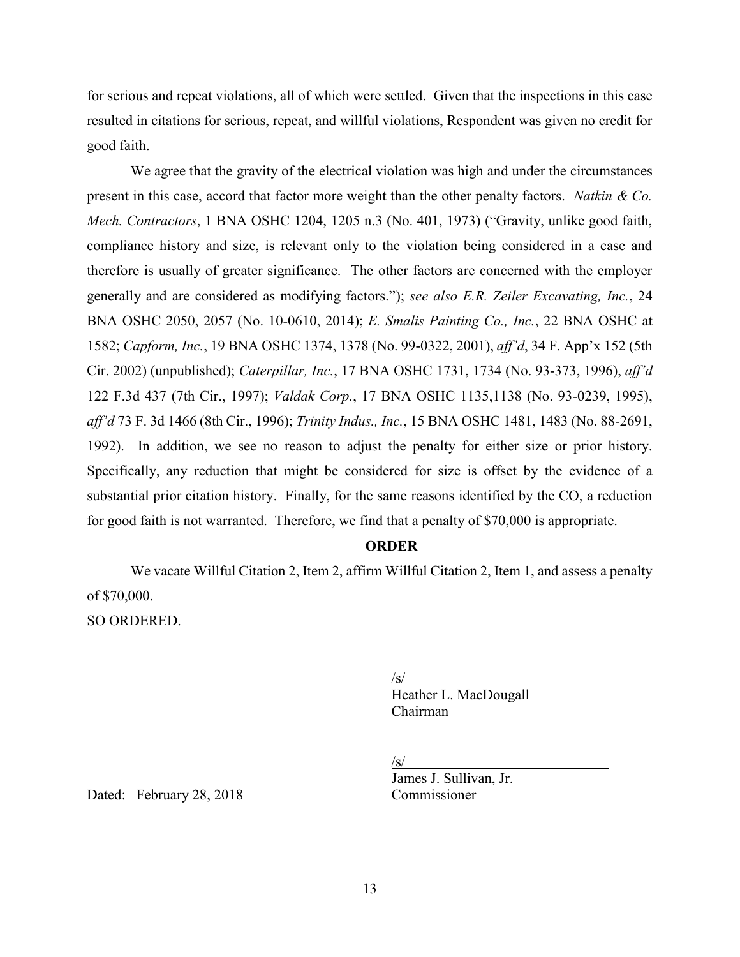for serious and repeat violations, all of which were settled. Given that the inspections in this case resulted in citations for serious, repeat, and willful violations, Respondent was given no credit for good faith.

We agree that the gravity of the electrical violation was high and under the circumstances present in this case, accord that factor more weight than the other penalty factors. *Natkin & Co. Mech. Contractors*, 1 BNA OSHC 1204, 1205 n.3 (No. 401, 1973) ("Gravity, unlike good faith, compliance history and size, is relevant only to the violation being considered in a case and therefore is usually of greater significance. The other factors are concerned with the employer generally and are considered as modifying factors."); *see also E.R. Zeiler Excavating, Inc.*, 24 BNA OSHC 2050, 2057 (No. 10-0610, 2014); *E. Smalis Painting Co., Inc.*, 22 BNA OSHC at 1582; *Capform, Inc.*, 19 BNA OSHC 1374, 1378 (No. 99-0322, 2001), *aff'd*, 34 F. App'x 152 (5th Cir. 2002) (unpublished); *Caterpillar, Inc.*, 17 BNA OSHC 1731, 1734 (No. 93-373, 1996), *aff'd* 122 F.3d 437 (7th Cir., 1997); *Valdak Corp.*, 17 BNA OSHC 1135,1138 (No. 93-0239, 1995), *aff'd* 73 F. 3d 1466 (8th Cir., 1996); *Trinity Indus., Inc.*, 15 BNA OSHC 1481, 1483 (No. 88-2691, 1992). In addition, we see no reason to adjust the penalty for either size or prior history. Specifically, any reduction that might be considered for size is offset by the evidence of a substantial prior citation history. Finally, for the same reasons identified by the CO, a reduction for good faith is not warranted. Therefore, we find that a penalty of \$70,000 is appropriate.

#### **ORDER**

We vacate Willful Citation 2, Item 2, affirm Willful Citation 2, Item 1, and assess a penalty of \$70,000. SO ORDERED.

> $\sqrt{s/}$ Heather L. MacDougall Chairman

 $\sqrt{s/}$ 

James J. Sullivan, Jr.

Dated: February 28, 2018 Commissioner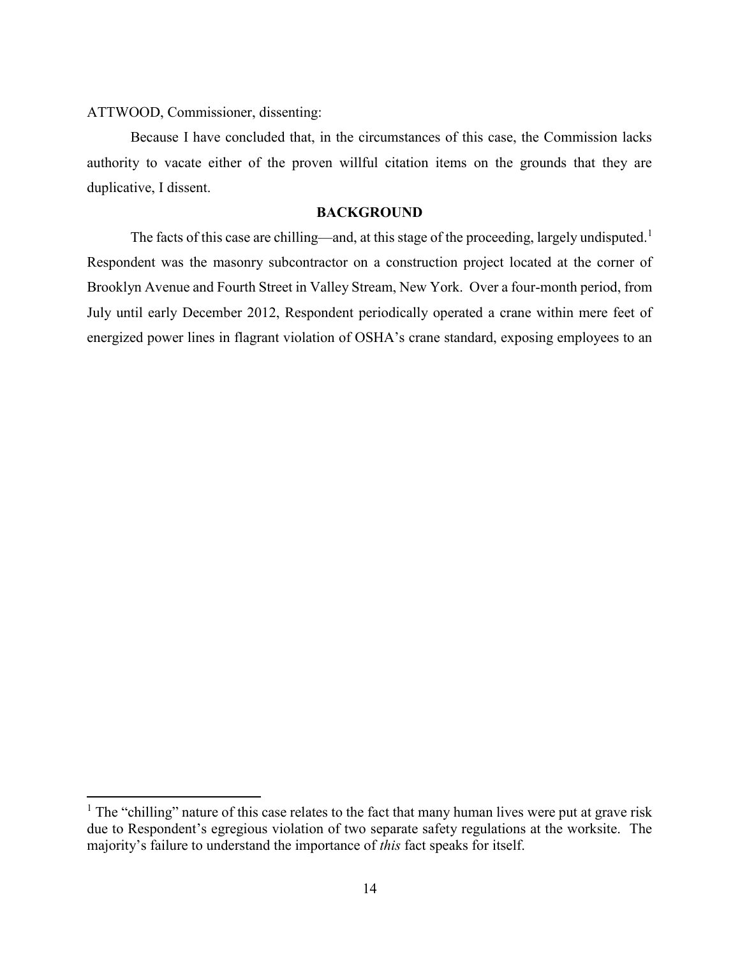ATTWOOD, Commissioner, dissenting:

 $\overline{a}$ 

Because I have concluded that, in the circumstances of this case, the Commission lacks authority to vacate either of the proven willful citation items on the grounds that they are duplicative, I dissent.

# **BACKGROUND**

The facts of this case are chilling—and, at this stage of the proceeding, largely undisputed.<sup>1</sup> Respondent was the masonry subcontractor on a construction project located at the corner of Brooklyn Avenue and Fourth Street in Valley Stream, New York. Over a four-month period, from July until early December 2012, Respondent periodically operated a crane within mere feet of energized power lines in flagrant violation of OSHA's crane standard, exposing employees to an

 $<sup>1</sup>$  The "chilling" nature of this case relates to the fact that many human lives were put at grave risk</sup> due to Respondent's egregious violation of two separate safety regulations at the worksite. The majority's failure to understand the importance of *this* fact speaks for itself.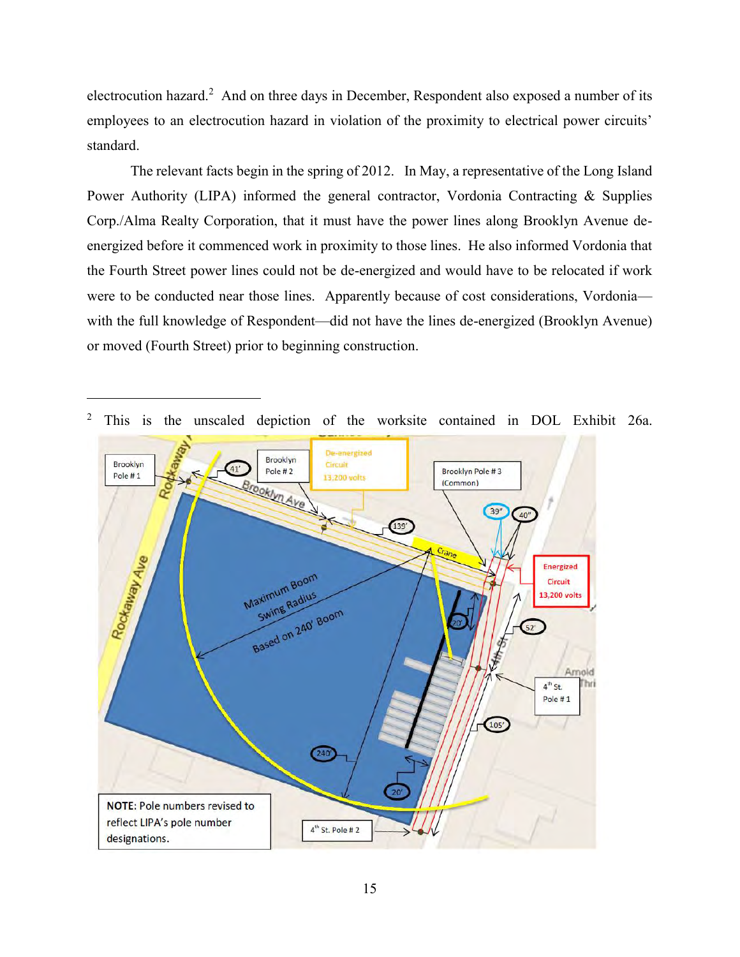electrocution hazard.<sup>2</sup> And on three days in December, Respondent also exposed a number of its employees to an electrocution hazard in violation of the proximity to electrical power circuits' standard.

The relevant facts begin in the spring of 2012. In May, a representative of the Long Island Power Authority (LIPA) informed the general contractor, Vordonia Contracting & Supplies Corp./Alma Realty Corporation, that it must have the power lines along Brooklyn Avenue deenergized before it commenced work in proximity to those lines. He also informed Vordonia that the Fourth Street power lines could not be de-energized and would have to be relocated if work were to be conducted near those lines. Apparently because of cost considerations, Vordonia with the full knowledge of Respondent—did not have the lines de-energized (Brooklyn Avenue) or moved (Fourth Street) prior to beginning construction.



<sup>2</sup> This is the unscaled depiction of the worksite contained in DOL Exhibit 26a.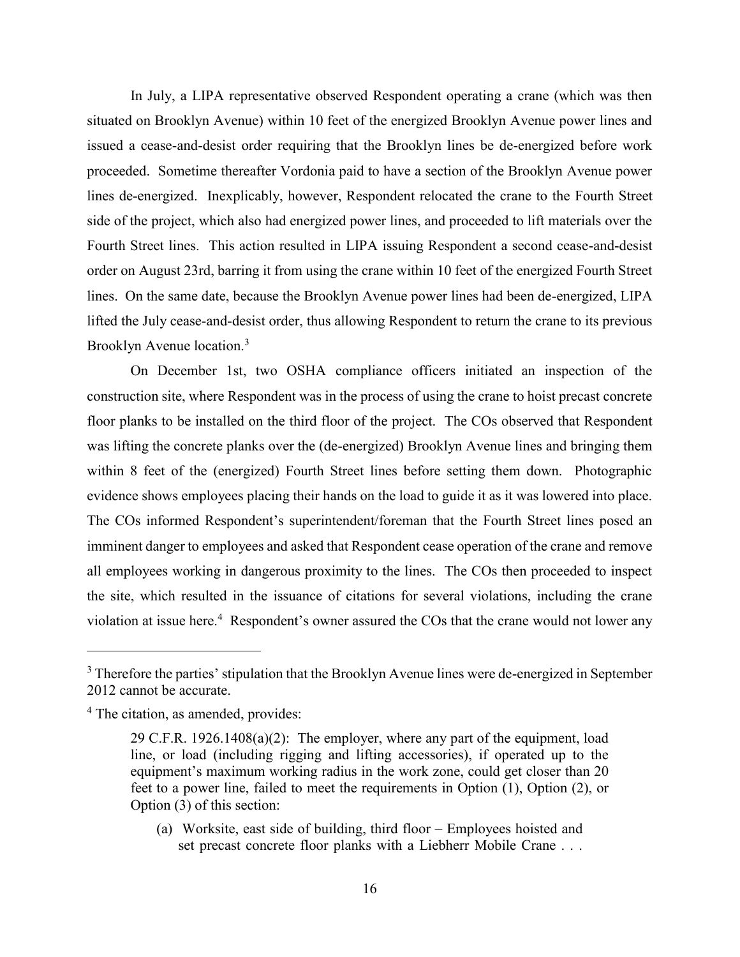In July, a LIPA representative observed Respondent operating a crane (which was then situated on Brooklyn Avenue) within 10 feet of the energized Brooklyn Avenue power lines and issued a cease-and-desist order requiring that the Brooklyn lines be de-energized before work proceeded. Sometime thereafter Vordonia paid to have a section of the Brooklyn Avenue power lines de-energized. Inexplicably, however, Respondent relocated the crane to the Fourth Street side of the project, which also had energized power lines, and proceeded to lift materials over the Fourth Street lines. This action resulted in LIPA issuing Respondent a second cease-and-desist order on August 23rd, barring it from using the crane within 10 feet of the energized Fourth Street lines. On the same date, because the Brooklyn Avenue power lines had been de-energized, LIPA lifted the July cease-and-desist order, thus allowing Respondent to return the crane to its previous Brooklyn Avenue location.<sup>3</sup>

On December 1st, two OSHA compliance officers initiated an inspection of the construction site, where Respondent was in the process of using the crane to hoist precast concrete floor planks to be installed on the third floor of the project. The COs observed that Respondent was lifting the concrete planks over the (de-energized) Brooklyn Avenue lines and bringing them within 8 feet of the (energized) Fourth Street lines before setting them down. Photographic evidence shows employees placing their hands on the load to guide it as it was lowered into place. The COs informed Respondent's superintendent/foreman that the Fourth Street lines posed an imminent danger to employees and asked that Respondent cease operation of the crane and remove all employees working in dangerous proximity to the lines. The COs then proceeded to inspect the site, which resulted in the issuance of citations for several violations, including the crane violation at issue here.<sup>4</sup> Respondent's owner assured the COs that the crane would not lower any

 $\overline{a}$ 

(a) Worksite, east side of building, third floor – Employees hoisted and set precast concrete floor planks with a Liebherr Mobile Crane . . .

<sup>&</sup>lt;sup>3</sup> Therefore the parties' stipulation that the Brooklyn Avenue lines were de-energized in September 2012 cannot be accurate.

<sup>&</sup>lt;sup>4</sup> The citation, as amended, provides:

<sup>29</sup> C.F.R. 1926.1408(a)(2): The employer, where any part of the equipment, load line, or load (including rigging and lifting accessories), if operated up to the equipment's maximum working radius in the work zone, could get closer than 20 feet to a power line, failed to meet the requirements in Option (1), Option (2), or Option (3) of this section: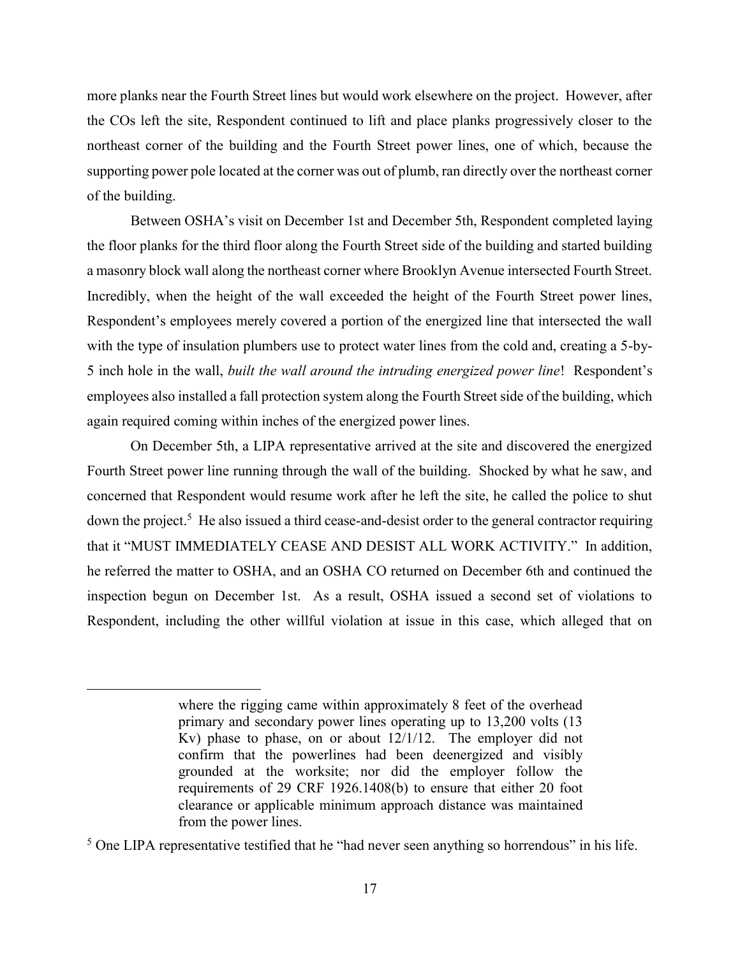more planks near the Fourth Street lines but would work elsewhere on the project. However, after the COs left the site, Respondent continued to lift and place planks progressively closer to the northeast corner of the building and the Fourth Street power lines, one of which, because the supporting power pole located at the corner was out of plumb, ran directly over the northeast corner of the building.

Between OSHA's visit on December 1st and December 5th, Respondent completed laying the floor planks for the third floor along the Fourth Street side of the building and started building a masonry block wall along the northeast corner where Brooklyn Avenue intersected Fourth Street. Incredibly, when the height of the wall exceeded the height of the Fourth Street power lines, Respondent's employees merely covered a portion of the energized line that intersected the wall with the type of insulation plumbers use to protect water lines from the cold and, creating a 5-by-5 inch hole in the wall, *built the wall around the intruding energized power line*! Respondent's employees also installed a fall protection system along the Fourth Street side of the building, which again required coming within inches of the energized power lines.

On December 5th, a LIPA representative arrived at the site and discovered the energized Fourth Street power line running through the wall of the building. Shocked by what he saw, and concerned that Respondent would resume work after he left the site, he called the police to shut down the project.<sup>5</sup> He also issued a third cease-and-desist order to the general contractor requiring that it "MUST IMMEDIATELY CEASE AND DESIST ALL WORK ACTIVITY." In addition, he referred the matter to OSHA, and an OSHA CO returned on December 6th and continued the inspection begun on December 1st. As a result, OSHA issued a second set of violations to Respondent, including the other willful violation at issue in this case, which alleged that on

where the rigging came within approximately 8 feet of the overhead primary and secondary power lines operating up to 13,200 volts (13 Kv) phase to phase, on or about 12/1/12. The employer did not confirm that the powerlines had been deenergized and visibly grounded at the worksite; nor did the employer follow the requirements of 29 CRF 1926.1408(b) to ensure that either 20 foot clearance or applicable minimum approach distance was maintained from the power lines.

 $<sup>5</sup>$  One LIPA representative testified that he "had never seen anything so horrendous" in his life.</sup>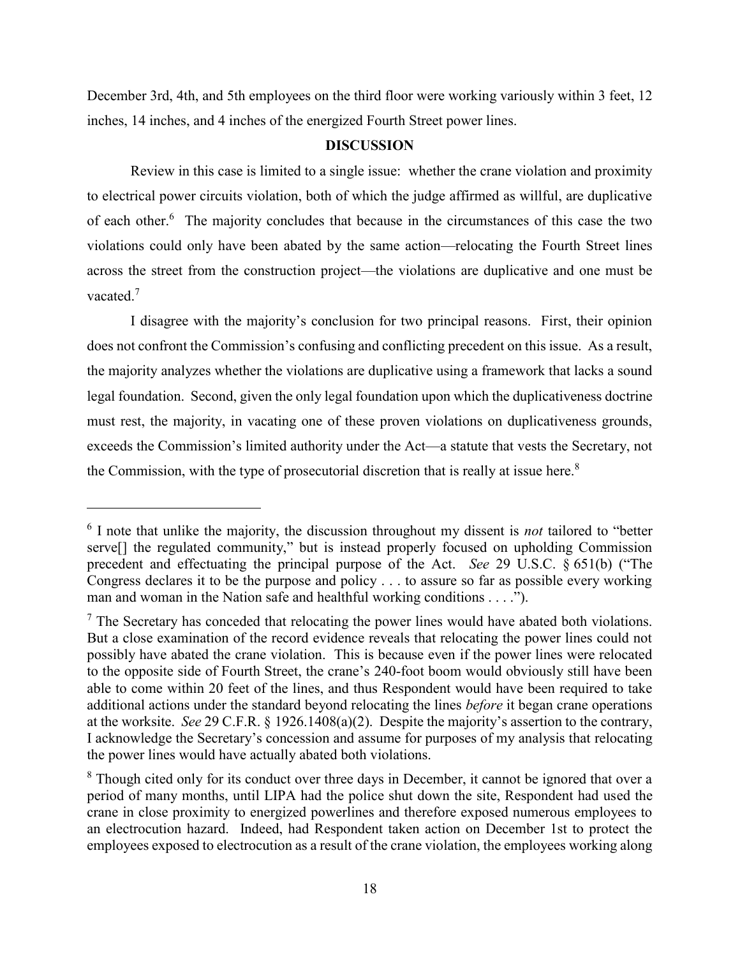December 3rd, 4th, and 5th employees on the third floor were working variously within 3 feet, 12 inches, 14 inches, and 4 inches of the energized Fourth Street power lines.

# **DISCUSSION**

Review in this case is limited to a single issue: whether the crane violation and proximity to electrical power circuits violation, both of which the judge affirmed as willful, are duplicative of each other.<sup>6</sup> The majority concludes that because in the circumstances of this case the two violations could only have been abated by the same action—relocating the Fourth Street lines across the street from the construction project—the violations are duplicative and one must be vacated. $7$ 

I disagree with the majority's conclusion for two principal reasons. First, their opinion does not confront the Commission's confusing and conflicting precedent on this issue. As a result, the majority analyzes whether the violations are duplicative using a framework that lacks a sound legal foundation. Second, given the only legal foundation upon which the duplicativeness doctrine must rest, the majority, in vacating one of these proven violations on duplicativeness grounds, exceeds the Commission's limited authority under the Act—a statute that vests the Secretary, not the Commission, with the type of prosecutorial discretion that is really at issue here.<sup>8</sup>

<sup>6</sup> I note that unlike the majority, the discussion throughout my dissent is *not* tailored to "better serve[] the regulated community," but is instead properly focused on upholding Commission precedent and effectuating the principal purpose of the Act. *See* 29 U.S.C. § 651(b) ("The Congress declares it to be the purpose and policy . . . to assure so far as possible every working man and woman in the Nation safe and healthful working conditions . . . .").

 $<sup>7</sup>$  The Secretary has conceded that relocating the power lines would have abated both violations.</sup> But a close examination of the record evidence reveals that relocating the power lines could not possibly have abated the crane violation. This is because even if the power lines were relocated to the opposite side of Fourth Street, the crane's 240-foot boom would obviously still have been able to come within 20 feet of the lines, and thus Respondent would have been required to take additional actions under the standard beyond relocating the lines *before* it began crane operations at the worksite. *See* 29 C.F.R. § 1926.1408(a)(2). Despite the majority's assertion to the contrary, I acknowledge the Secretary's concession and assume for purposes of my analysis that relocating the power lines would have actually abated both violations.

<sup>&</sup>lt;sup>8</sup> Though cited only for its conduct over three days in December, it cannot be ignored that over a period of many months, until LIPA had the police shut down the site, Respondent had used the crane in close proximity to energized powerlines and therefore exposed numerous employees to an electrocution hazard. Indeed, had Respondent taken action on December 1st to protect the employees exposed to electrocution as a result of the crane violation, the employees working along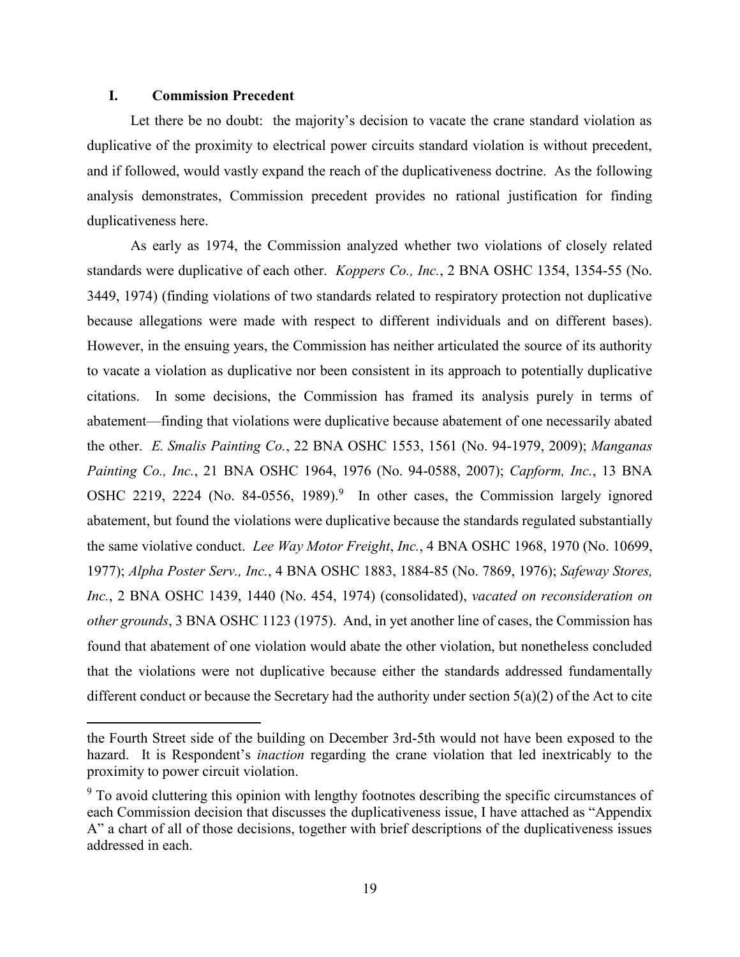### **I. Commission Precedent**

 $\overline{a}$ 

Let there be no doubt: the majority's decision to vacate the crane standard violation as duplicative of the proximity to electrical power circuits standard violation is without precedent, and if followed, would vastly expand the reach of the duplicativeness doctrine. As the following analysis demonstrates, Commission precedent provides no rational justification for finding duplicativeness here.

As early as 1974, the Commission analyzed whether two violations of closely related standards were duplicative of each other. *Koppers Co., Inc.*, 2 BNA OSHC 1354, 1354-55 (No. 3449, 1974) (finding violations of two standards related to respiratory protection not duplicative because allegations were made with respect to different individuals and on different bases). However, in the ensuing years, the Commission has neither articulated the source of its authority to vacate a violation as duplicative nor been consistent in its approach to potentially duplicative citations. In some decisions, the Commission has framed its analysis purely in terms of abatement—finding that violations were duplicative because abatement of one necessarily abated the other. *E. Smalis Painting Co.*, 22 BNA OSHC 1553, 1561 (No. 94-1979, 2009); *Manganas Painting Co., Inc.*, 21 BNA OSHC 1964, 1976 (No. 94-0588, 2007); *Capform, Inc.*, 13 BNA OSHC 2219, 2224 (No. 84-0556, 1989).<sup>9</sup> In other cases, the Commission largely ignored abatement, but found the violations were duplicative because the standards regulated substantially the same violative conduct. *Lee Way Motor Freight*, *Inc.*, 4 BNA OSHC 1968, 1970 (No. 10699, 1977); *Alpha Poster Serv., Inc.*, 4 BNA OSHC 1883, 1884-85 (No. 7869, 1976); *Safeway Stores, Inc.*, 2 BNA OSHC 1439, 1440 (No. 454, 1974) (consolidated), *vacated on reconsideration on other grounds*, 3 BNA OSHC 1123 (1975). And, in yet another line of cases, the Commission has found that abatement of one violation would abate the other violation, but nonetheless concluded that the violations were not duplicative because either the standards addressed fundamentally different conduct or because the Secretary had the authority under section 5(a)(2) of the Act to cite

the Fourth Street side of the building on December 3rd-5th would not have been exposed to the hazard. It is Respondent's *inaction* regarding the crane violation that led inextricably to the proximity to power circuit violation.

<sup>&</sup>lt;sup>9</sup> To avoid cluttering this opinion with lengthy footnotes describing the specific circumstances of each Commission decision that discusses the duplicativeness issue, I have attached as "Appendix A" a chart of all of those decisions, together with brief descriptions of the duplicativeness issues addressed in each.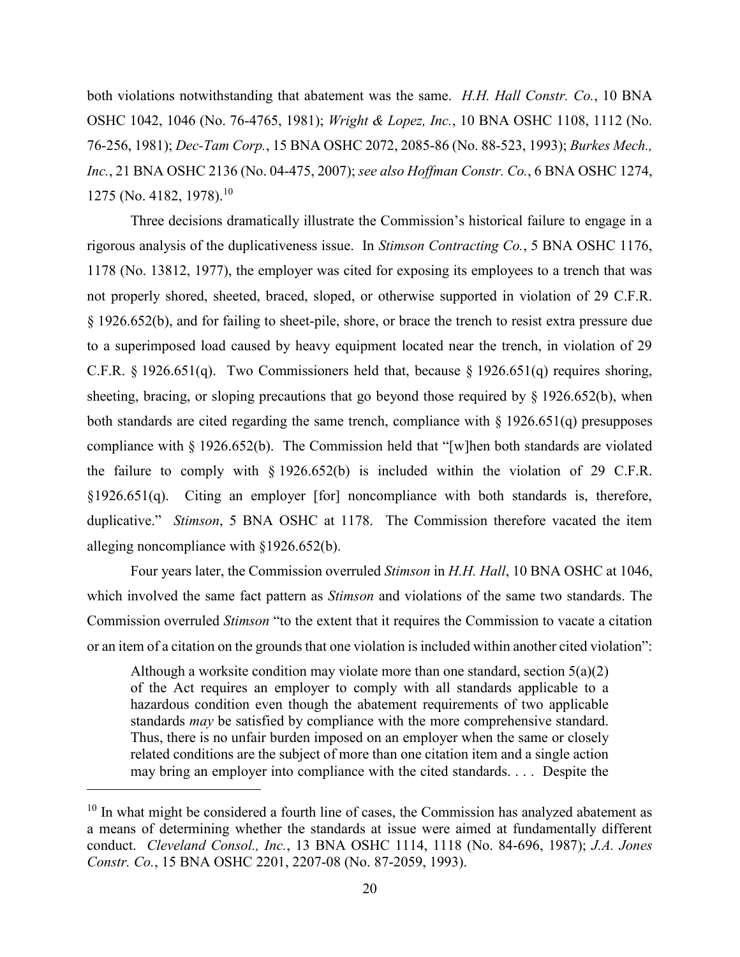both violations notwithstanding that abatement was the same. *H.H. Hall Constr. Co.*, 10 BNA OSHC 1042, 1046 (No. 76-4765, 1981); *Wright & Lopez, Inc.*, 10 BNA OSHC 1108, 1112 (No. 76-256, 1981); *Dec-Tam Corp.*, 15 BNA OSHC 2072, 2085-86 (No. 88-523, 1993); *Burkes Mech., Inc.*, 21 BNA OSHC 2136 (No. 04-475, 2007); *see also Hoffman Constr. Co.*, 6 BNA OSHC 1274, 1275 (No. 4182, 1978).<sup>10</sup>

Three decisions dramatically illustrate the Commission's historical failure to engage in a rigorous analysis of the duplicativeness issue. In *Stimson Contracting Co.*, 5 BNA OSHC 1176, 1178 (No. 13812, 1977), the employer was cited for exposing its employees to a trench that was not properly shored, sheeted, braced, sloped, or otherwise supported in violation of 29 C.F.R. § 1926.652(b), and for failing to sheet-pile, shore, or brace the trench to resist extra pressure due to a superimposed load caused by heavy equipment located near the trench, in violation of 29 C.F.R. § 1926.651(q). Two Commissioners held that, because § 1926.651(q) requires shoring, sheeting, bracing, or sloping precautions that go beyond those required by § 1926.652(b), when both standards are cited regarding the same trench, compliance with  $\S 1926.651(q)$  presupposes compliance with § 1926.652(b). The Commission held that "[w]hen both standards are violated the failure to comply with  $\S 1926.652(b)$  is included within the violation of 29 C.F.R. §1926.651(q). Citing an employer [for] noncompliance with both standards is, therefore, duplicative." *Stimson*, 5 BNA OSHC at 1178. The Commission therefore vacated the item alleging noncompliance with §1926.652(b).

Four years later, the Commission overruled *Stimson* in *H.H. Hall*, 10 BNA OSHC at 1046, which involved the same fact pattern as *Stimson* and violations of the same two standards. The Commission overruled *Stimson* "to the extent that it requires the Commission to vacate a citation or an item of a citation on the grounds that one violation is included within another cited violation":

Although a worksite condition may violate more than one standard, section 5(a)(2) of the Act requires an employer to comply with all standards applicable to a hazardous condition even though the abatement requirements of two applicable standards *may* be satisfied by compliance with the more comprehensive standard. Thus, there is no unfair burden imposed on an employer when the same or closely related conditions are the subject of more than one citation item and a single action may bring an employer into compliance with the cited standards. . . . Despite the

 $10$  In what might be considered a fourth line of cases, the Commission has analyzed abatement as a means of determining whether the standards at issue were aimed at fundamentally different conduct. *Cleveland Consol., Inc.*, 13 BNA OSHC 1114, 1118 (No. 84-696, 1987); *J.A. Jones Constr. Co.*, 15 BNA OSHC 2201, 2207-08 (No. 87-2059, 1993).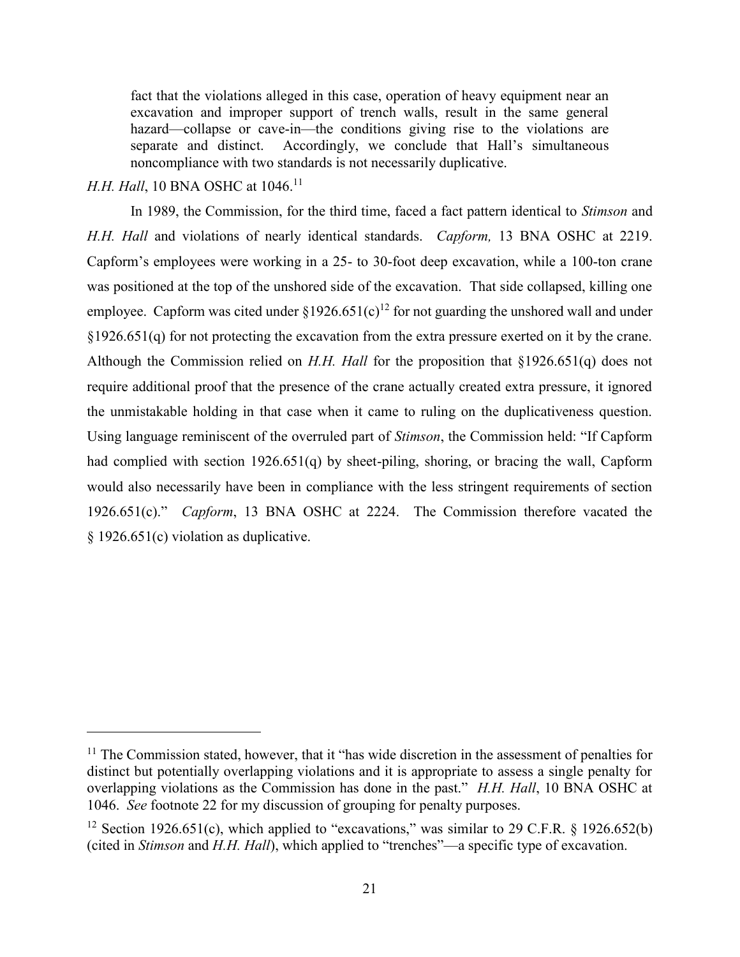fact that the violations alleged in this case, operation of heavy equipment near an excavation and improper support of trench walls, result in the same general hazard—collapse or cave-in—the conditions giving rise to the violations are separate and distinct. Accordingly, we conclude that Hall's simultaneous noncompliance with two standards is not necessarily duplicative.

## *H.H. Hall*, 10 BNA OSHC at 1046.<sup>11</sup>

 $\overline{a}$ 

In 1989, the Commission, for the third time, faced a fact pattern identical to *Stimson* and *H.H. Hall* and violations of nearly identical standards. *Capform,* 13 BNA OSHC at 2219. Capform's employees were working in a 25- to 30-foot deep excavation, while a 100-ton crane was positioned at the top of the unshored side of the excavation. That side collapsed, killing one employee. Capform was cited under  $\S 1926.651(c)^{12}$  for not guarding the unshored wall and under §1926.651(q) for not protecting the excavation from the extra pressure exerted on it by the crane. Although the Commission relied on *H.H. Hall* for the proposition that §1926.651(q) does not require additional proof that the presence of the crane actually created extra pressure, it ignored the unmistakable holding in that case when it came to ruling on the duplicativeness question. Using language reminiscent of the overruled part of *Stimson*, the Commission held: "If Capform had complied with section 1926.651(q) by sheet-piling, shoring, or bracing the wall, Capform would also necessarily have been in compliance with the less stringent requirements of section 1926.651(c)." *Capform*, 13 BNA OSHC at 2224. The Commission therefore vacated the § 1926.651(c) violation as duplicative.

 $11$  The Commission stated, however, that it "has wide discretion in the assessment of penalties for distinct but potentially overlapping violations and it is appropriate to assess a single penalty for overlapping violations as the Commission has done in the past." *H.H. Hall*, 10 BNA OSHC at 1046. *See* footnote 22 for my discussion of grouping for penalty purposes.

<sup>&</sup>lt;sup>12</sup> Section 1926.651(c), which applied to "excavations," was similar to 29 C.F.R. § 1926.652(b) (cited in *Stimson* and *H.H. Hall*), which applied to "trenches"—a specific type of excavation.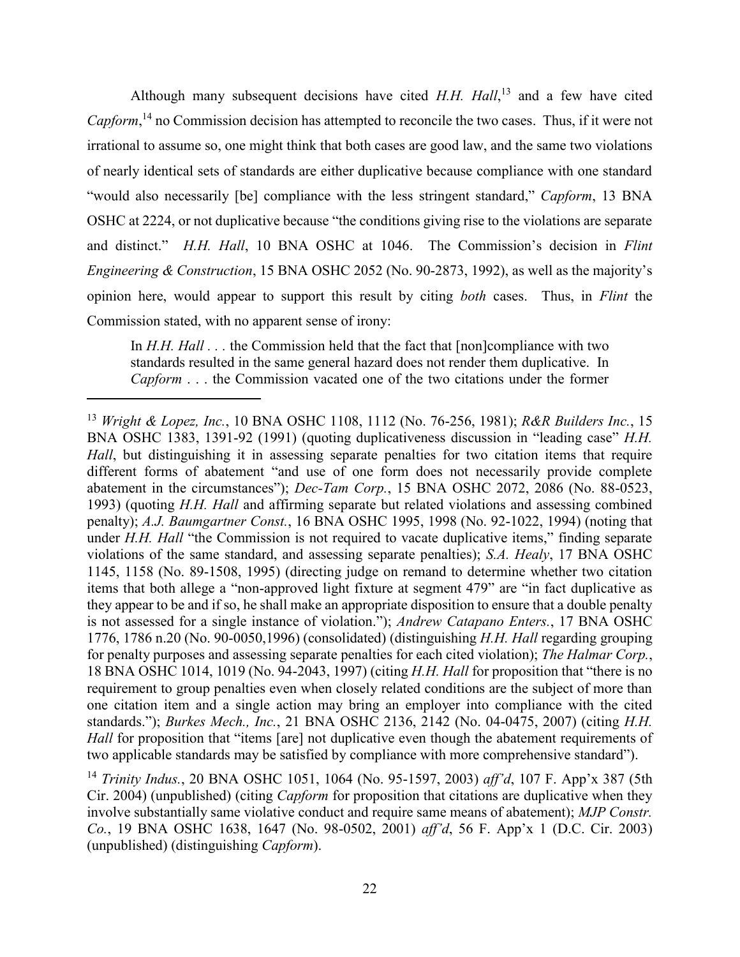Although many subsequent decisions have cited *H.H. Hall*, <sup>13</sup> and a few have cited *Capform*, <sup>14</sup> no Commission decision has attempted to reconcile the two cases. Thus, if it were not irrational to assume so, one might think that both cases are good law, and the same two violations of nearly identical sets of standards are either duplicative because compliance with one standard "would also necessarily [be] compliance with the less stringent standard," *Capform*, 13 BNA OSHC at 2224, or not duplicative because "the conditions giving rise to the violations are separate and distinct." *H.H. Hall*, 10 BNA OSHC at 1046. The Commission's decision in *Flint Engineering & Construction*, 15 BNA OSHC 2052 (No. 90-2873, 1992), as well as the majority's opinion here, would appear to support this result by citing *both* cases. Thus, in *Flint* the Commission stated, with no apparent sense of irony:

In *H.H. Hall* . . . the Commission held that the fact that [non]compliance with two standards resulted in the same general hazard does not render them duplicative. In *Capform* . . . the Commission vacated one of the two citations under the former

<sup>13</sup> *Wright & Lopez, Inc.*, 10 BNA OSHC 1108, 1112 (No. 76-256, 1981); *R&R Builders Inc.*, 15 BNA OSHC 1383, 1391-92 (1991) (quoting duplicativeness discussion in "leading case" *H.H. Hall*, but distinguishing it in assessing separate penalties for two citation items that require different forms of abatement "and use of one form does not necessarily provide complete abatement in the circumstances"); *Dec-Tam Corp.*, 15 BNA OSHC 2072, 2086 (No. 88-0523, 1993) (quoting *H.H. Hall* and affirming separate but related violations and assessing combined penalty); *A.J. Baumgartner Const.*, 16 BNA OSHC 1995, 1998 (No. 92-1022, 1994) (noting that under *H.H. Hall* "the Commission is not required to vacate duplicative items," finding separate violations of the same standard, and assessing separate penalties); *S.A. Healy*, 17 BNA OSHC 1145, 1158 (No. 89-1508, 1995) (directing judge on remand to determine whether two citation items that both allege a "non-approved light fixture at segment 479" are "in fact duplicative as they appear to be and if so, he shall make an appropriate disposition to ensure that a double penalty is not assessed for a single instance of violation."); *Andrew Catapano Enters.*, 17 BNA OSHC 1776, 1786 n.20 (No. 90-0050,1996) (consolidated) (distinguishing *H.H. Hall* regarding grouping for penalty purposes and assessing separate penalties for each cited violation); *The Halmar Corp.*, 18 BNA OSHC 1014, 1019 (No. 94-2043, 1997) (citing *H.H. Hall* for proposition that "there is no requirement to group penalties even when closely related conditions are the subject of more than one citation item and a single action may bring an employer into compliance with the cited standards."); *Burkes Mech., Inc.*, 21 BNA OSHC 2136, 2142 (No. 04-0475, 2007) (citing *H.H. Hall* for proposition that "items [are] not duplicative even though the abatement requirements of two applicable standards may be satisfied by compliance with more comprehensive standard").

<sup>14</sup> *Trinity Indus.*, 20 BNA OSHC 1051, 1064 (No. 95-1597, 2003) *aff'd*, 107 F. App'x 387 (5th Cir. 2004) (unpublished) (citing *Capform* for proposition that citations are duplicative when they involve substantially same violative conduct and require same means of abatement); *MJP Constr. Co.*, 19 BNA OSHC 1638, 1647 (No. 98-0502, 2001) *aff'd*, 56 F. App'x 1 (D.C. Cir. 2003) (unpublished) (distinguishing *Capform*).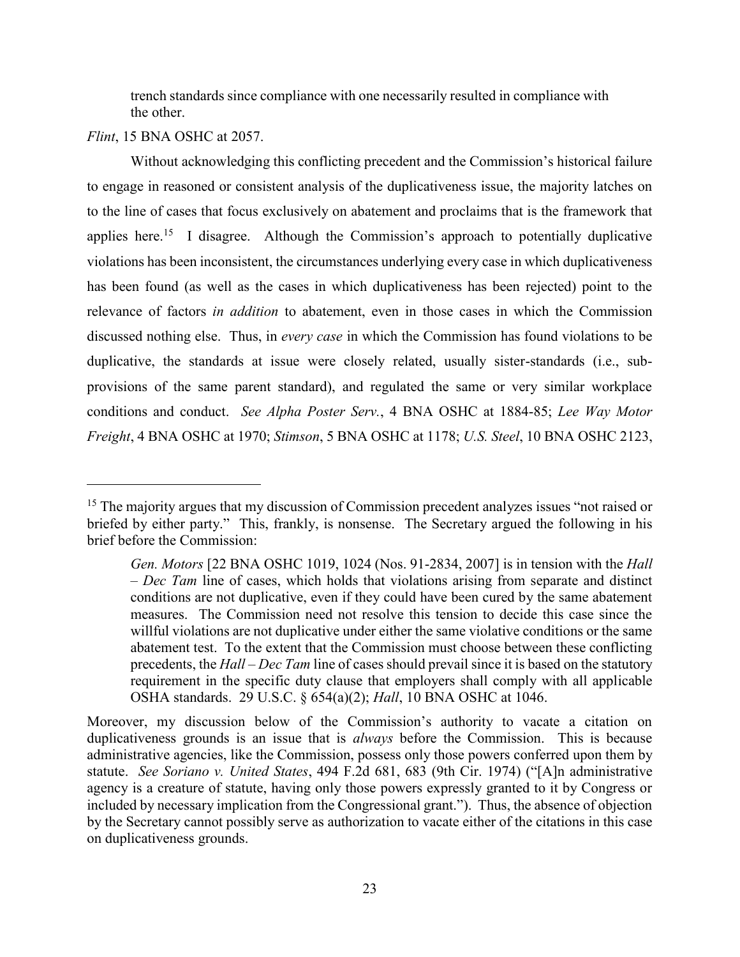trench standards since compliance with one necessarily resulted in compliance with the other.

*Flint*, 15 BNA OSHC at 2057.

 $\overline{a}$ 

Without acknowledging this conflicting precedent and the Commission's historical failure to engage in reasoned or consistent analysis of the duplicativeness issue, the majority latches on to the line of cases that focus exclusively on abatement and proclaims that is the framework that applies here.<sup>15</sup> I disagree. Although the Commission's approach to potentially duplicative violations has been inconsistent, the circumstances underlying every case in which duplicativeness has been found (as well as the cases in which duplicativeness has been rejected) point to the relevance of factors *in addition* to abatement, even in those cases in which the Commission discussed nothing else. Thus, in *every case* in which the Commission has found violations to be duplicative, the standards at issue were closely related, usually sister-standards (i.e., subprovisions of the same parent standard), and regulated the same or very similar workplace conditions and conduct. *See Alpha Poster Serv.*, 4 BNA OSHC at 1884-85; *Lee Way Motor Freight*, 4 BNA OSHC at 1970; *Stimson*, 5 BNA OSHC at 1178; *U.S. Steel*, 10 BNA OSHC 2123,

<sup>&</sup>lt;sup>15</sup> The majority argues that my discussion of Commission precedent analyzes issues "not raised or briefed by either party." This, frankly, is nonsense. The Secretary argued the following in his brief before the Commission:

*Gen. Motors* [22 BNA OSHC 1019, 1024 (Nos. 91-2834, 2007] is in tension with the *Hall – Dec Tam* line of cases, which holds that violations arising from separate and distinct conditions are not duplicative, even if they could have been cured by the same abatement measures. The Commission need not resolve this tension to decide this case since the willful violations are not duplicative under either the same violative conditions or the same abatement test. To the extent that the Commission must choose between these conflicting precedents, the *Hall – Dec Tam* line of cases should prevail since it is based on the statutory requirement in the specific duty clause that employers shall comply with all applicable OSHA standards. 29 U.S.C. § 654(a)(2); *Hall*, 10 BNA OSHC at 1046.

Moreover, my discussion below of the Commission's authority to vacate a citation on duplicativeness grounds is an issue that is *always* before the Commission. This is because administrative agencies, like the Commission, possess only those powers conferred upon them by statute. *See Soriano v. United States*, 494 F.2d 681, 683 (9th Cir. 1974) ("[A]n administrative agency is a creature of statute, having only those powers expressly granted to it by Congress or included by necessary implication from the Congressional grant."). Thus, the absence of objection by the Secretary cannot possibly serve as authorization to vacate either of the citations in this case on duplicativeness grounds.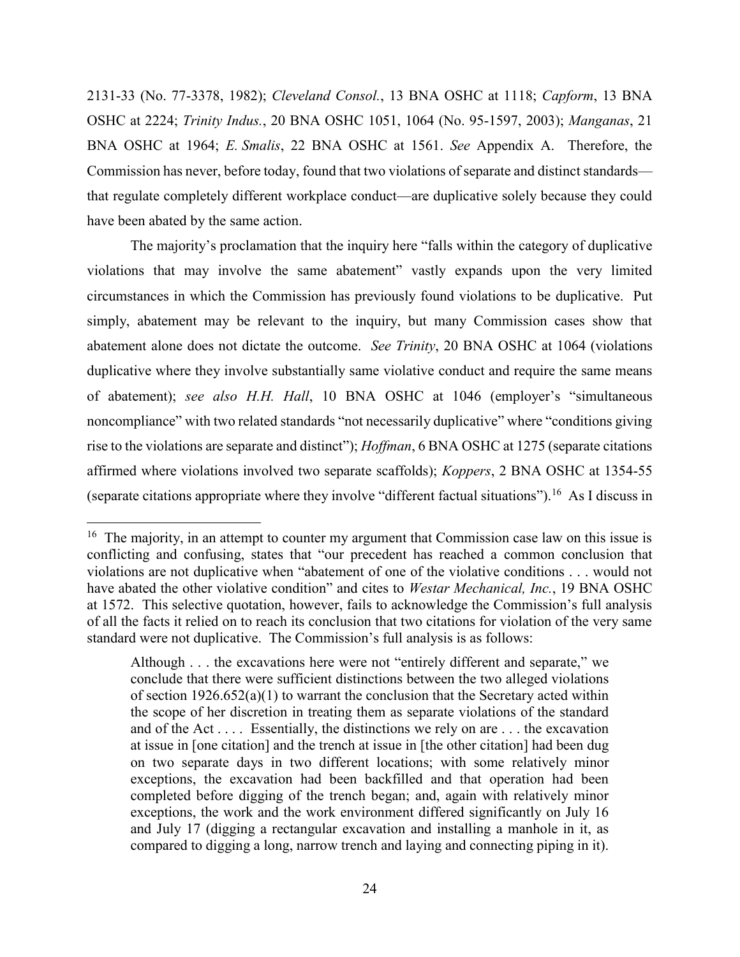2131-33 (No. 77-3378, 1982); *Cleveland Consol.*, 13 BNA OSHC at 1118; *Capform*, 13 BNA OSHC at 2224; *Trinity Indus.*, 20 BNA OSHC 1051, 1064 (No. 95-1597, 2003); *Manganas*, 21 BNA OSHC at 1964; *E. Smalis*, 22 BNA OSHC at 1561. *See* Appendix A. Therefore, the Commission has never, before today, found that two violations of separate and distinct standards that regulate completely different workplace conduct—are duplicative solely because they could have been abated by the same action.

The majority's proclamation that the inquiry here "falls within the category of duplicative violations that may involve the same abatement" vastly expands upon the very limited circumstances in which the Commission has previously found violations to be duplicative. Put simply, abatement may be relevant to the inquiry, but many Commission cases show that abatement alone does not dictate the outcome. *See Trinity*, 20 BNA OSHC at 1064 (violations duplicative where they involve substantially same violative conduct and require the same means of abatement); *see also H.H. Hall*, 10 BNA OSHC at 1046 (employer's "simultaneous noncompliance" with two related standards "not necessarily duplicative" where "conditions giving rise to the violations are separate and distinct"); *Hoffman*, 6 BNA OSHC at 1275 (separate citations affirmed where violations involved two separate scaffolds); *Koppers*, 2 BNA OSHC at 1354-55 (separate citations appropriate where they involve "different factual situations").<sup>16</sup> As I discuss in

<sup>&</sup>lt;sup>16</sup> The majority, in an attempt to counter my argument that Commission case law on this issue is conflicting and confusing, states that "our precedent has reached a common conclusion that violations are not duplicative when "abatement of one of the violative conditions . . . would not have abated the other violative condition" and cites to *Westar Mechanical, Inc.*, 19 BNA OSHC at 1572. This selective quotation, however, fails to acknowledge the Commission's full analysis of all the facts it relied on to reach its conclusion that two citations for violation of the very same standard were not duplicative. The Commission's full analysis is as follows:

Although . . . the excavations here were not "entirely different and separate," we conclude that there were sufficient distinctions between the two alleged violations of section  $1926.652(a)(1)$  to warrant the conclusion that the Secretary acted within the scope of her discretion in treating them as separate violations of the standard and of the Act  $\dots$ . Essentially, the distinctions we rely on are  $\dots$  the excavation at issue in [one citation] and the trench at issue in [the other citation] had been dug on two separate days in two different locations; with some relatively minor exceptions, the excavation had been backfilled and that operation had been completed before digging of the trench began; and, again with relatively minor exceptions, the work and the work environment differed significantly on July 16 and July 17 (digging a rectangular excavation and installing a manhole in it, as compared to digging a long, narrow trench and laying and connecting piping in it).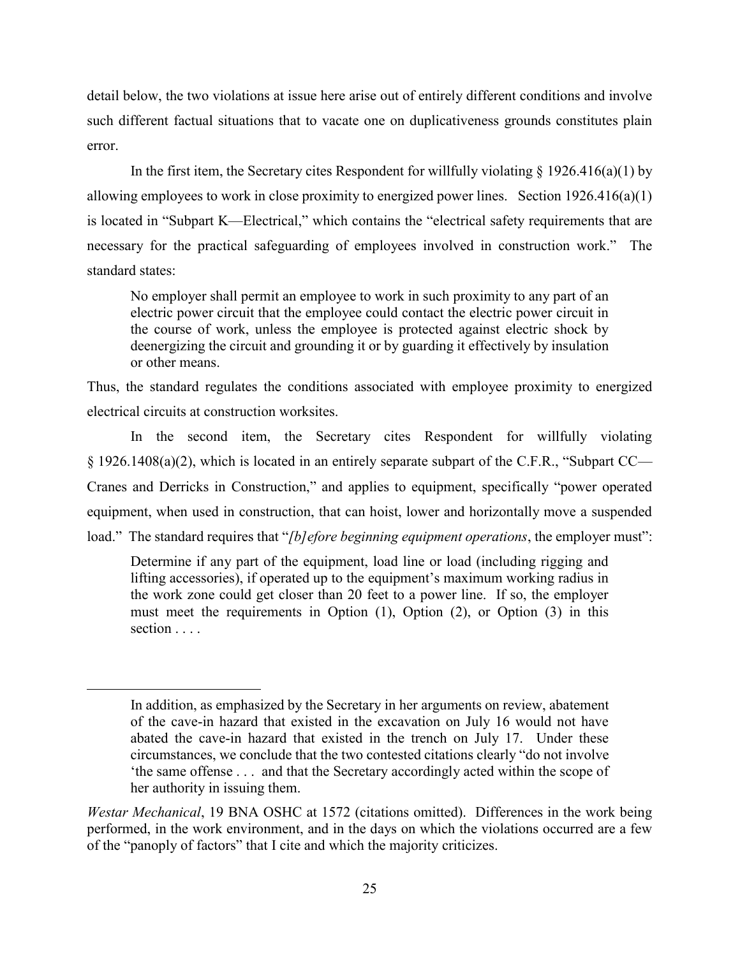detail below, the two violations at issue here arise out of entirely different conditions and involve such different factual situations that to vacate one on duplicativeness grounds constitutes plain error.

In the first item, the Secretary cites Respondent for willfully violating  $\S 1926.416(a)(1)$  by allowing employees to work in close proximity to energized power lines. Section 1926.416(a)(1) is located in "Subpart K—Electrical," which contains the "electrical safety requirements that are necessary for the practical safeguarding of employees involved in construction work." The standard states:

No employer shall permit an employee to work in such proximity to any part of an electric power circuit that the employee could contact the electric power circuit in the course of work, unless the employee is protected against electric shock by deenergizing the circuit and grounding it or by guarding it effectively by insulation or other means.

Thus, the standard regulates the conditions associated with employee proximity to energized electrical circuits at construction worksites.

In the second item, the Secretary cites Respondent for willfully violating § 1926.1408(a)(2), which is located in an entirely separate subpart of the C.F.R., "Subpart CC— Cranes and Derricks in Construction," and applies to equipment, specifically "power operated equipment, when used in construction, that can hoist, lower and horizontally move a suspended load." The standard requires that "*[b]efore beginning equipment operations*, the employer must":

Determine if any part of the equipment, load line or load (including rigging and lifting accessories), if operated up to the equipment's maximum working radius in the work zone could get closer than 20 feet to a power line. If so, the employer must meet the requirements in Option (1), Option (2), or Option (3) in this section . . . .

In addition, as emphasized by the Secretary in her arguments on review, abatement of the cave-in hazard that existed in the excavation on July 16 would not have abated the cave-in hazard that existed in the trench on July 17. Under these circumstances, we conclude that the two contested citations clearly "do not involve 'the same offense . . . and that the Secretary accordingly acted within the scope of her authority in issuing them.

*Westar Mechanical*, 19 BNA OSHC at 1572 (citations omitted). Differences in the work being performed, in the work environment, and in the days on which the violations occurred are a few of the "panoply of factors" that I cite and which the majority criticizes.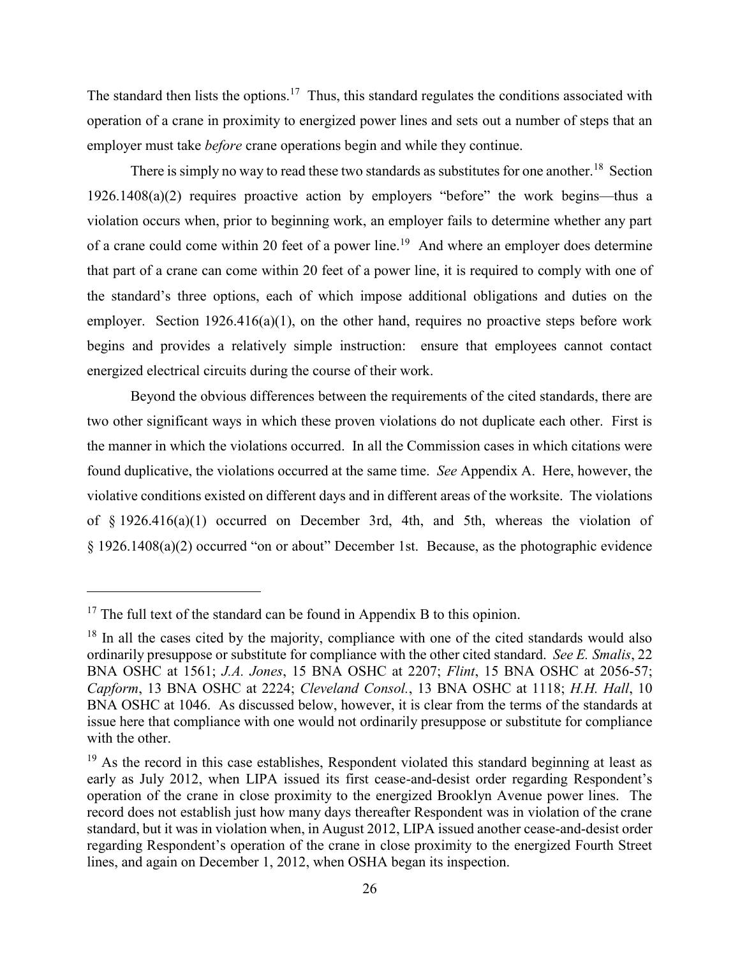The standard then lists the options.<sup>17</sup> Thus, this standard regulates the conditions associated with operation of a crane in proximity to energized power lines and sets out a number of steps that an employer must take *before* crane operations begin and while they continue.

There is simply no way to read these two standards as substitutes for one another.<sup>18</sup> Section 1926.1408(a)(2) requires proactive action by employers "before" the work begins—thus a violation occurs when, prior to beginning work, an employer fails to determine whether any part of a crane could come within 20 feet of a power line.<sup>19</sup> And where an employer does determine that part of a crane can come within 20 feet of a power line, it is required to comply with one of the standard's three options, each of which impose additional obligations and duties on the employer. Section 1926.416(a)(1), on the other hand, requires no proactive steps before work begins and provides a relatively simple instruction: ensure that employees cannot contact energized electrical circuits during the course of their work.

Beyond the obvious differences between the requirements of the cited standards, there are two other significant ways in which these proven violations do not duplicate each other. First is the manner in which the violations occurred. In all the Commission cases in which citations were found duplicative, the violations occurred at the same time. *See* Appendix A. Here, however, the violative conditions existed on different days and in different areas of the worksite. The violations of § 1926.416(a)(1) occurred on December 3rd, 4th, and 5th, whereas the violation of § 1926.1408(a)(2) occurred "on or about" December 1st. Because, as the photographic evidence

 $17$  The full text of the standard can be found in Appendix B to this opinion.

<sup>&</sup>lt;sup>18</sup> In all the cases cited by the majority, compliance with one of the cited standards would also ordinarily presuppose or substitute for compliance with the other cited standard. *See E. Smalis*, 22 BNA OSHC at 1561; *J.A. Jones*, 15 BNA OSHC at 2207; *Flint*, 15 BNA OSHC at 2056-57; *Capform*, 13 BNA OSHC at 2224; *Cleveland Consol.*, 13 BNA OSHC at 1118; *H.H. Hall*, 10 BNA OSHC at 1046. As discussed below, however, it is clear from the terms of the standards at issue here that compliance with one would not ordinarily presuppose or substitute for compliance with the other.

 $19$  As the record in this case establishes, Respondent violated this standard beginning at least as early as July 2012, when LIPA issued its first cease-and-desist order regarding Respondent's operation of the crane in close proximity to the energized Brooklyn Avenue power lines. The record does not establish just how many days thereafter Respondent was in violation of the crane standard, but it was in violation when, in August 2012, LIPA issued another cease-and-desist order regarding Respondent's operation of the crane in close proximity to the energized Fourth Street lines, and again on December 1, 2012, when OSHA began its inspection.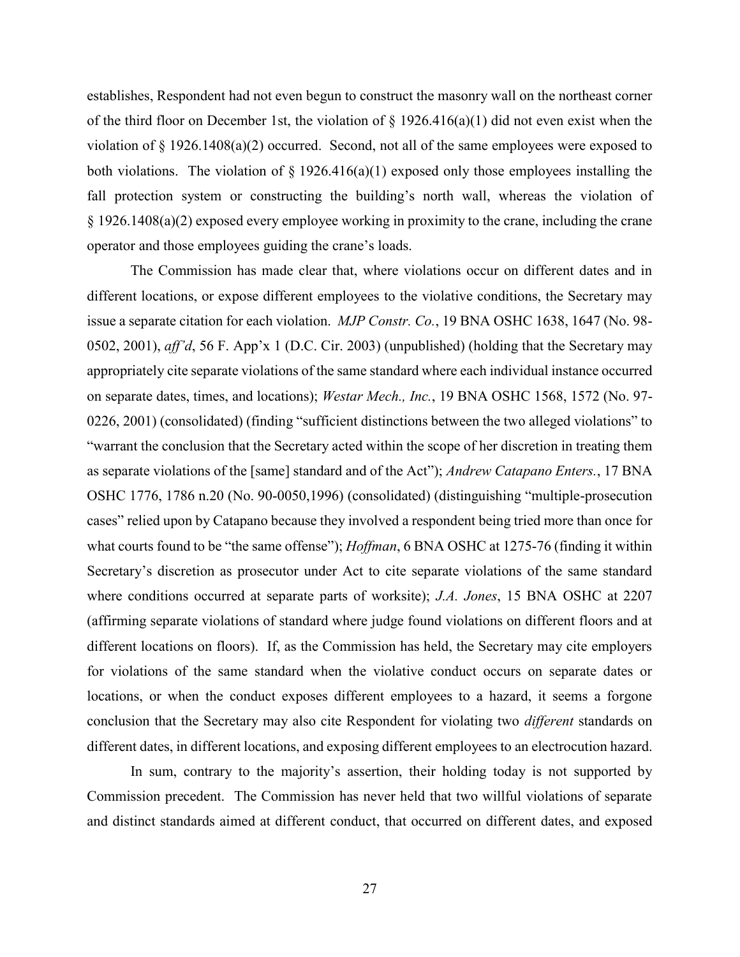establishes, Respondent had not even begun to construct the masonry wall on the northeast corner of the third floor on December 1st, the violation of  $\S$  1926.416(a)(1) did not even exist when the violation of § 1926.1408(a)(2) occurred. Second, not all of the same employees were exposed to both violations. The violation of  $\S 1926.416(a)(1)$  exposed only those employees installing the fall protection system or constructing the building's north wall, whereas the violation of § 1926.1408(a)(2) exposed every employee working in proximity to the crane, including the crane operator and those employees guiding the crane's loads.

The Commission has made clear that, where violations occur on different dates and in different locations, or expose different employees to the violative conditions, the Secretary may issue a separate citation for each violation. *MJP Constr. Co.*, 19 BNA OSHC 1638, 1647 (No. 98- 0502, 2001), *aff'd*, 56 F. App'x 1 (D.C. Cir. 2003) (unpublished) (holding that the Secretary may appropriately cite separate violations of the same standard where each individual instance occurred on separate dates, times, and locations); *Westar Mech., Inc.*, 19 BNA OSHC 1568, 1572 (No. 97- 0226, 2001) (consolidated) (finding "sufficient distinctions between the two alleged violations" to "warrant the conclusion that the Secretary acted within the scope of her discretion in treating them as separate violations of the [same] standard and of the Act"); *Andrew Catapano Enters.*, 17 BNA OSHC 1776, 1786 n.20 (No. 90-0050,1996) (consolidated) (distinguishing "multiple-prosecution cases" relied upon by Catapano because they involved a respondent being tried more than once for what courts found to be "the same offense"); *Hoffman*, 6 BNA OSHC at 1275-76 (finding it within Secretary's discretion as prosecutor under Act to cite separate violations of the same standard where conditions occurred at separate parts of worksite); *J.A. Jones*, 15 BNA OSHC at 2207 (affirming separate violations of standard where judge found violations on different floors and at different locations on floors). If, as the Commission has held, the Secretary may cite employers for violations of the same standard when the violative conduct occurs on separate dates or locations, or when the conduct exposes different employees to a hazard, it seems a forgone conclusion that the Secretary may also cite Respondent for violating two *different* standards on different dates, in different locations, and exposing different employees to an electrocution hazard.

In sum, contrary to the majority's assertion, their holding today is not supported by Commission precedent. The Commission has never held that two willful violations of separate and distinct standards aimed at different conduct, that occurred on different dates, and exposed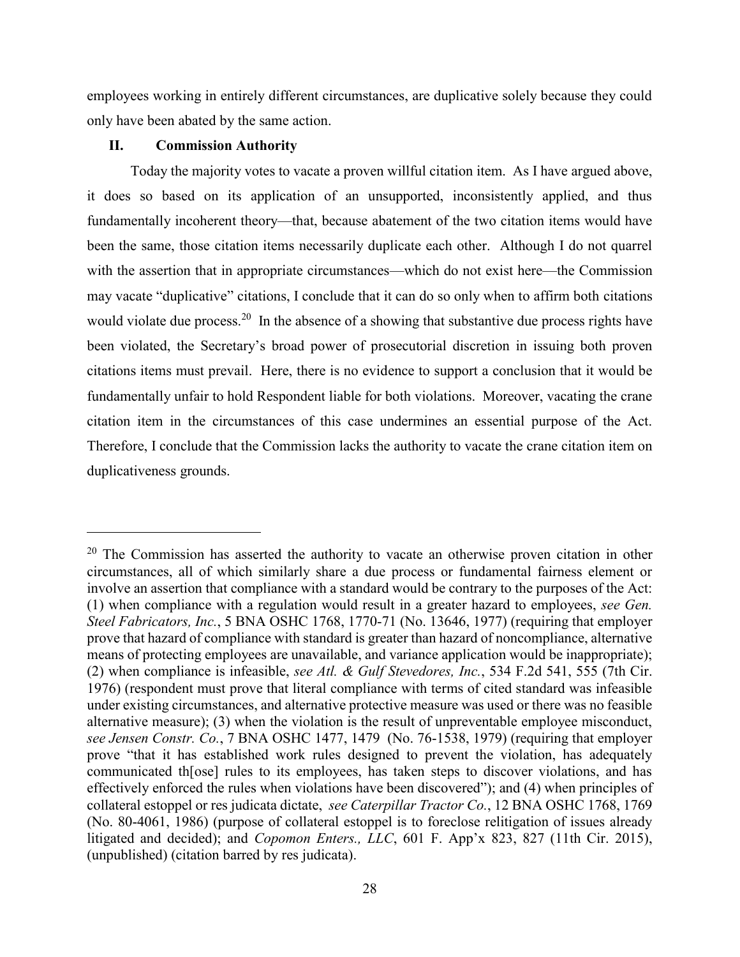employees working in entirely different circumstances, are duplicative solely because they could only have been abated by the same action.

# **II. Commission Authority**

 $\overline{a}$ 

Today the majority votes to vacate a proven willful citation item. As I have argued above, it does so based on its application of an unsupported, inconsistently applied, and thus fundamentally incoherent theory—that, because abatement of the two citation items would have been the same, those citation items necessarily duplicate each other. Although I do not quarrel with the assertion that in appropriate circumstances—which do not exist here—the Commission may vacate "duplicative" citations, I conclude that it can do so only when to affirm both citations would violate due process.<sup>20</sup> In the absence of a showing that substantive due process rights have been violated, the Secretary's broad power of prosecutorial discretion in issuing both proven citations items must prevail. Here, there is no evidence to support a conclusion that it would be fundamentally unfair to hold Respondent liable for both violations. Moreover, vacating the crane citation item in the circumstances of this case undermines an essential purpose of the Act. Therefore, I conclude that the Commission lacks the authority to vacate the crane citation item on duplicativeness grounds.

 $20$  The Commission has asserted the authority to vacate an otherwise proven citation in other circumstances, all of which similarly share a due process or fundamental fairness element or involve an assertion that compliance with a standard would be contrary to the purposes of the Act: (1) when compliance with a regulation would result in a greater hazard to employees, *see Gen. Steel Fabricators, Inc.*, 5 BNA OSHC 1768, 1770-71 (No. 13646, 1977) (requiring that employer prove that hazard of compliance with standard is greater than hazard of noncompliance, alternative means of protecting employees are unavailable, and variance application would be inappropriate); (2) when compliance is infeasible, *see Atl. & Gulf Stevedores, Inc.*, 534 F.2d 541, 555 (7th Cir. 1976) (respondent must prove that literal compliance with terms of cited standard was infeasible under existing circumstances, and alternative protective measure was used or there was no feasible alternative measure); (3) when the violation is the result of unpreventable employee misconduct, *see Jensen Constr. Co.*, 7 BNA OSHC 1477, 1479 (No. 76-1538, 1979) (requiring that employer prove "that it has established work rules designed to prevent the violation, has adequately communicated th[ose] rules to its employees, has taken steps to discover violations, and has effectively enforced the rules when violations have been discovered"); and (4) when principles of collateral estoppel or res judicata dictate, *see Caterpillar Tractor Co.*, 12 BNA OSHC 1768, 1769 (No. 80-4061, 1986) (purpose of collateral estoppel is to foreclose relitigation of issues already litigated and decided); and *Copomon Enters., LLC*, 601 F. App'x 823, 827 (11th Cir. 2015), (unpublished) (citation barred by res judicata).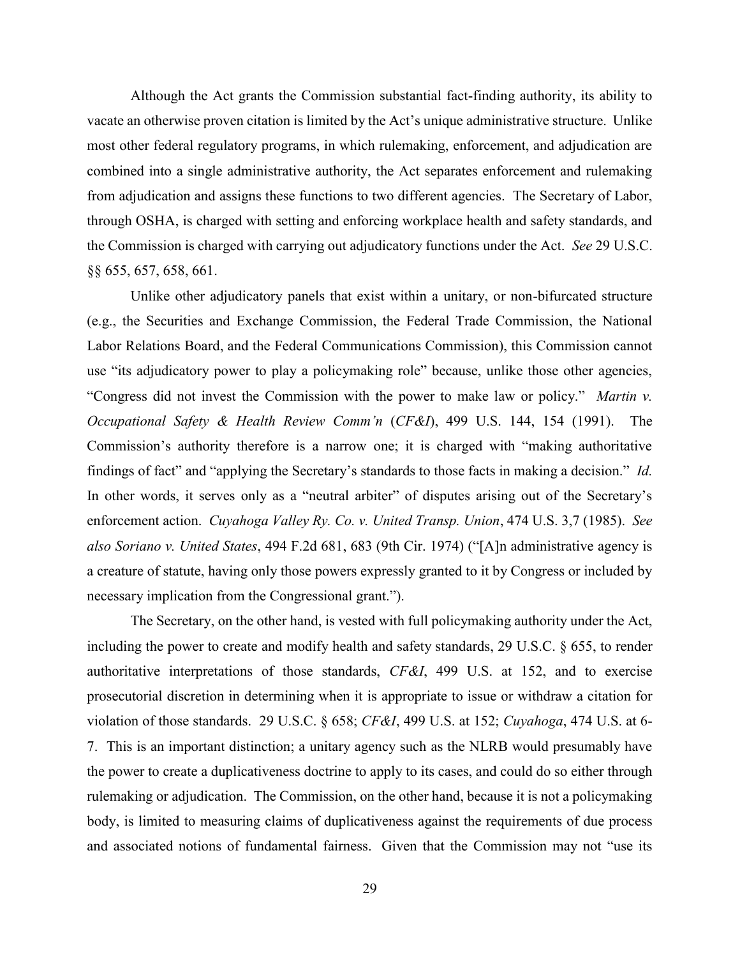Although the Act grants the Commission substantial fact-finding authority, its ability to vacate an otherwise proven citation is limited by the Act's unique administrative structure. Unlike most other federal regulatory programs, in which rulemaking, enforcement, and adjudication are combined into a single administrative authority, the Act separates enforcement and rulemaking from adjudication and assigns these functions to two different agencies. The Secretary of Labor, through OSHA, is charged with setting and enforcing workplace health and safety standards, and the Commission is charged with carrying out adjudicatory functions under the Act. *See* 29 U.S.C. §§ 655, 657, 658, 661.

Unlike other adjudicatory panels that exist within a unitary, or non-bifurcated structure (e.g., the Securities and Exchange Commission, the Federal Trade Commission, the National Labor Relations Board, and the Federal Communications Commission), this Commission cannot use "its adjudicatory power to play a policymaking role" because, unlike those other agencies, "Congress did not invest the Commission with the power to make law or policy." *Martin v. Occupational Safety & Health Review Comm'n* (*CF&I*), 499 U.S. 144, 154 (1991). The Commission's authority therefore is a narrow one; it is charged with "making authoritative findings of fact" and "applying the Secretary's standards to those facts in making a decision." *Id.*  In other words, it serves only as a "neutral arbiter" of disputes arising out of the Secretary's enforcement action. *Cuyahoga Valley Ry. Co. v. United Transp. Union*, 474 U.S. 3,7 (1985). *See also Soriano v. United States*, 494 F.2d 681, 683 (9th Cir. 1974) ("[A]n administrative agency is a creature of statute, having only those powers expressly granted to it by Congress or included by necessary implication from the Congressional grant.").

The Secretary, on the other hand, is vested with full policymaking authority under the Act, including the power to create and modify health and safety standards, 29 U.S.C. § 655, to render authoritative interpretations of those standards, *CF&I*, 499 U.S. at 152, and to exercise prosecutorial discretion in determining when it is appropriate to issue or withdraw a citation for violation of those standards. 29 U.S.C. § 658; *CF&I*, 499 U.S. at 152; *Cuyahoga*, 474 U.S. at 6- 7. This is an important distinction; a unitary agency such as the NLRB would presumably have the power to create a duplicativeness doctrine to apply to its cases, and could do so either through rulemaking or adjudication. The Commission, on the other hand, because it is not a policymaking body, is limited to measuring claims of duplicativeness against the requirements of due process and associated notions of fundamental fairness. Given that the Commission may not "use its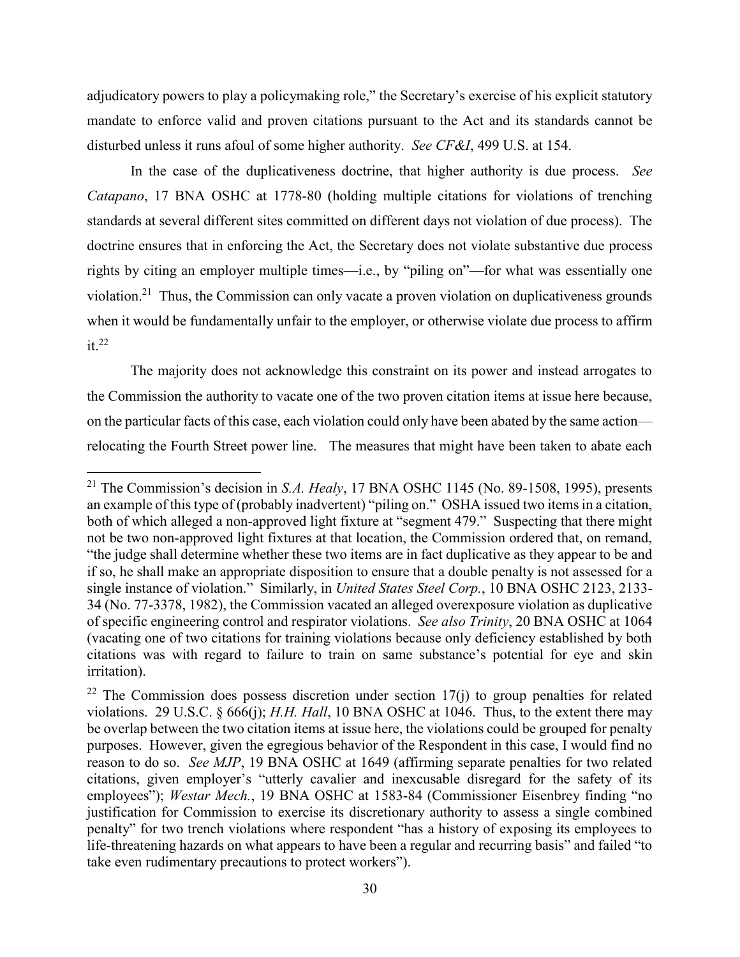adjudicatory powers to play a policymaking role," the Secretary's exercise of his explicit statutory mandate to enforce valid and proven citations pursuant to the Act and its standards cannot be disturbed unless it runs afoul of some higher authority. *See CF&I*, 499 U.S. at 154.

In the case of the duplicativeness doctrine, that higher authority is due process. *See Catapano*, 17 BNA OSHC at 1778-80 (holding multiple citations for violations of trenching standards at several different sites committed on different days not violation of due process). The doctrine ensures that in enforcing the Act, the Secretary does not violate substantive due process rights by citing an employer multiple times—i.e., by "piling on"—for what was essentially one violation.<sup>21</sup> Thus, the Commission can only vacate a proven violation on duplicativeness grounds when it would be fundamentally unfair to the employer, or otherwise violate due process to affirm it. $^{22}$ 

The majority does not acknowledge this constraint on its power and instead arrogates to the Commission the authority to vacate one of the two proven citation items at issue here because, on the particular facts of this case, each violation could only have been abated by the same action relocating the Fourth Street power line. The measures that might have been taken to abate each

<sup>21</sup> The Commission's decision in *S.A. Healy*, 17 BNA OSHC 1145 (No. 89-1508, 1995), presents an example of this type of (probably inadvertent) "piling on." OSHA issued two items in a citation, both of which alleged a non-approved light fixture at "segment 479." Suspecting that there might not be two non-approved light fixtures at that location, the Commission ordered that, on remand, "the judge shall determine whether these two items are in fact duplicative as they appear to be and if so, he shall make an appropriate disposition to ensure that a double penalty is not assessed for a single instance of violation." Similarly, in *United States Steel Corp.*, 10 BNA OSHC 2123, 2133- 34 (No. 77-3378, 1982), the Commission vacated an alleged overexposure violation as duplicative of specific engineering control and respirator violations. *See also Trinity*, 20 BNA OSHC at 1064 (vacating one of two citations for training violations because only deficiency established by both citations was with regard to failure to train on same substance's potential for eye and skin irritation).

 $22$  The Commission does possess discretion under section 17(j) to group penalties for related violations. 29 U.S.C. § 666(j); *H.H. Hall*, 10 BNA OSHC at 1046. Thus, to the extent there may be overlap between the two citation items at issue here, the violations could be grouped for penalty purposes. However, given the egregious behavior of the Respondent in this case, I would find no reason to do so. *See MJP*, 19 BNA OSHC at 1649 (affirming separate penalties for two related citations, given employer's "utterly cavalier and inexcusable disregard for the safety of its employees"); *Westar Mech.*, 19 BNA OSHC at 1583-84 (Commissioner Eisenbrey finding "no justification for Commission to exercise its discretionary authority to assess a single combined penalty" for two trench violations where respondent "has a history of exposing its employees to life-threatening hazards on what appears to have been a regular and recurring basis" and failed "to take even rudimentary precautions to protect workers").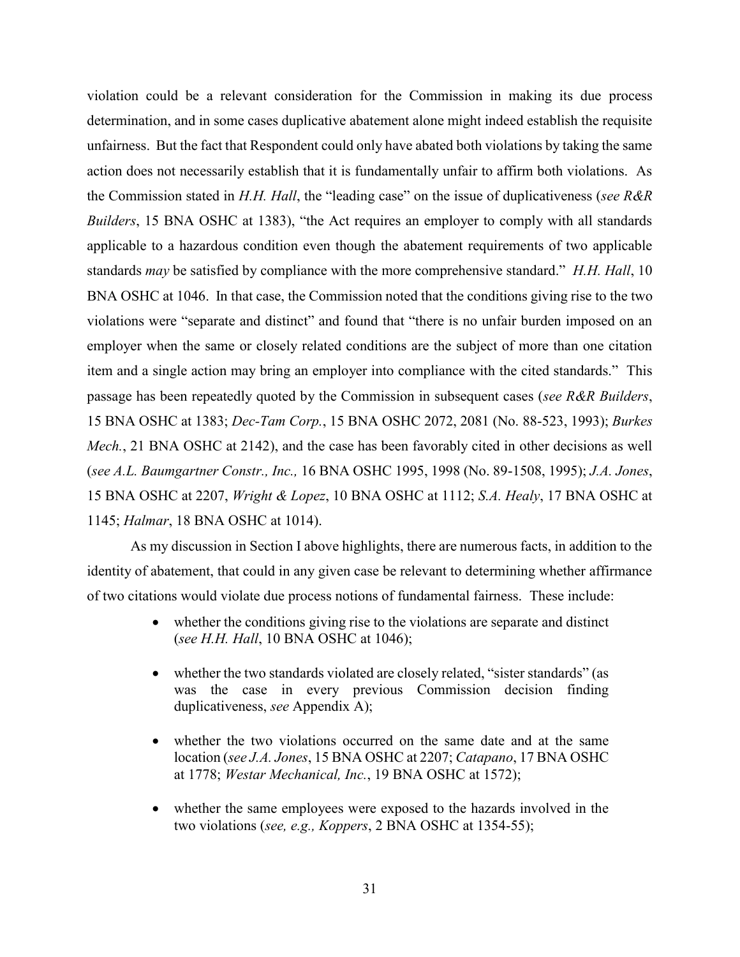violation could be a relevant consideration for the Commission in making its due process determination, and in some cases duplicative abatement alone might indeed establish the requisite unfairness. But the fact that Respondent could only have abated both violations by taking the same action does not necessarily establish that it is fundamentally unfair to affirm both violations. As the Commission stated in *H.H. Hall*, the "leading case" on the issue of duplicativeness (*see R&R Builders*, 15 BNA OSHC at 1383), "the Act requires an employer to comply with all standards applicable to a hazardous condition even though the abatement requirements of two applicable standards *may* be satisfied by compliance with the more comprehensive standard." *H.H. Hall*, 10 BNA OSHC at 1046. In that case, the Commission noted that the conditions giving rise to the two violations were "separate and distinct" and found that "there is no unfair burden imposed on an employer when the same or closely related conditions are the subject of more than one citation item and a single action may bring an employer into compliance with the cited standards." This passage has been repeatedly quoted by the Commission in subsequent cases (*see R&R Builders*, 15 BNA OSHC at 1383; *Dec-Tam Corp.*, 15 BNA OSHC 2072, 2081 (No. 88-523, 1993); *Burkes Mech.*, 21 BNA OSHC at 2142), and the case has been favorably cited in other decisions as well (*see A.L. Baumgartner Constr., Inc.,* 16 BNA OSHC 1995, 1998 (No. 89-1508, 1995); *J.A. Jones*, 15 BNA OSHC at 2207, *Wright & Lopez*, 10 BNA OSHC at 1112; *S.A. Healy*, 17 BNA OSHC at 1145; *Halmar*, 18 BNA OSHC at 1014).

As my discussion in Section I above highlights, there are numerous facts, in addition to the identity of abatement, that could in any given case be relevant to determining whether affirmance of two citations would violate due process notions of fundamental fairness. These include:

- whether the conditions giving rise to the violations are separate and distinct (*see H.H. Hall*, 10 BNA OSHC at 1046);
- whether the two standards violated are closely related, "sister standards" (as was the case in every previous Commission decision finding duplicativeness, *see* Appendix A);
- whether the two violations occurred on the same date and at the same location (*see J.A. Jones*, 15 BNA OSHC at 2207; *Catapano*, 17 BNA OSHC at 1778; *Westar Mechanical, Inc.*, 19 BNA OSHC at 1572);
- whether the same employees were exposed to the hazards involved in the two violations (*see, e.g., Koppers*, 2 BNA OSHC at 1354-55);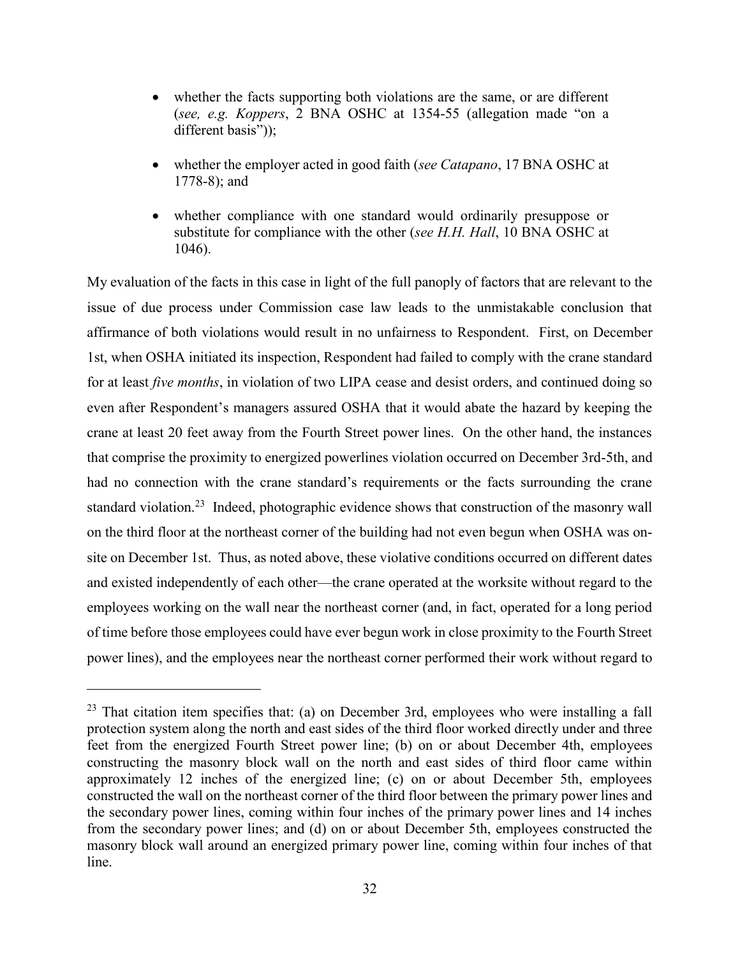- whether the facts supporting both violations are the same, or are different (*see, e.g. Koppers*, 2 BNA OSHC at 1354-55 (allegation made "on a different basis"));
- whether the employer acted in good faith (*see Catapano*, 17 BNA OSHC at 1778-8); and
- whether compliance with one standard would ordinarily presuppose or substitute for compliance with the other (*see H.H. Hall*, 10 BNA OSHC at 1046).

My evaluation of the facts in this case in light of the full panoply of factors that are relevant to the issue of due process under Commission case law leads to the unmistakable conclusion that affirmance of both violations would result in no unfairness to Respondent. First, on December 1st, when OSHA initiated its inspection, Respondent had failed to comply with the crane standard for at least *five months*, in violation of two LIPA cease and desist orders, and continued doing so even after Respondent's managers assured OSHA that it would abate the hazard by keeping the crane at least 20 feet away from the Fourth Street power lines. On the other hand, the instances that comprise the proximity to energized powerlines violation occurred on December 3rd-5th, and had no connection with the crane standard's requirements or the facts surrounding the crane standard violation.<sup>23</sup> Indeed, photographic evidence shows that construction of the masonry wall on the third floor at the northeast corner of the building had not even begun when OSHA was onsite on December 1st. Thus, as noted above, these violative conditions occurred on different dates and existed independently of each other—the crane operated at the worksite without regard to the employees working on the wall near the northeast corner (and, in fact, operated for a long period of time before those employees could have ever begun work in close proximity to the Fourth Street power lines), and the employees near the northeast corner performed their work without regard to

 $23$  That citation item specifies that: (a) on December 3rd, employees who were installing a fall protection system along the north and east sides of the third floor worked directly under and three feet from the energized Fourth Street power line; (b) on or about December 4th, employees constructing the masonry block wall on the north and east sides of third floor came within approximately 12 inches of the energized line; (c) on or about December 5th, employees constructed the wall on the northeast corner of the third floor between the primary power lines and the secondary power lines, coming within four inches of the primary power lines and 14 inches from the secondary power lines; and (d) on or about December 5th, employees constructed the masonry block wall around an energized primary power line, coming within four inches of that line.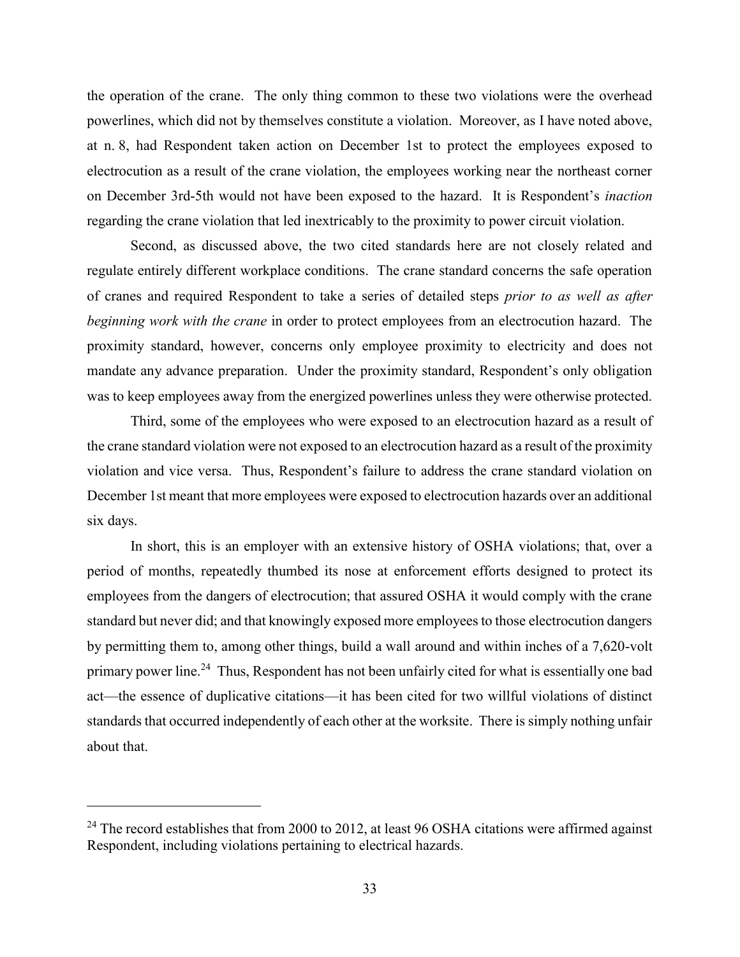the operation of the crane. The only thing common to these two violations were the overhead powerlines, which did not by themselves constitute a violation. Moreover, as I have noted above, at n. 8, had Respondent taken action on December 1st to protect the employees exposed to electrocution as a result of the crane violation, the employees working near the northeast corner on December 3rd-5th would not have been exposed to the hazard. It is Respondent's *inaction* regarding the crane violation that led inextricably to the proximity to power circuit violation.

Second, as discussed above, the two cited standards here are not closely related and regulate entirely different workplace conditions. The crane standard concerns the safe operation of cranes and required Respondent to take a series of detailed steps *prior to as well as after beginning work with the crane* in order to protect employees from an electrocution hazard. The proximity standard, however, concerns only employee proximity to electricity and does not mandate any advance preparation. Under the proximity standard, Respondent's only obligation was to keep employees away from the energized powerlines unless they were otherwise protected.

Third, some of the employees who were exposed to an electrocution hazard as a result of the crane standard violation were not exposed to an electrocution hazard as a result of the proximity violation and vice versa. Thus, Respondent's failure to address the crane standard violation on December 1st meant that more employees were exposed to electrocution hazards over an additional six days.

In short, this is an employer with an extensive history of OSHA violations; that, over a period of months, repeatedly thumbed its nose at enforcement efforts designed to protect its employees from the dangers of electrocution; that assured OSHA it would comply with the crane standard but never did; and that knowingly exposed more employees to those electrocution dangers by permitting them to, among other things, build a wall around and within inches of a 7,620-volt primary power line.<sup>24</sup> Thus, Respondent has not been unfairly cited for what is essentially one bad act—the essence of duplicative citations—it has been cited for two willful violations of distinct standards that occurred independently of each other at the worksite. There is simply nothing unfair about that.

<sup>&</sup>lt;sup>24</sup> The record establishes that from 2000 to 2012, at least 96 OSHA citations were affirmed against Respondent, including violations pertaining to electrical hazards.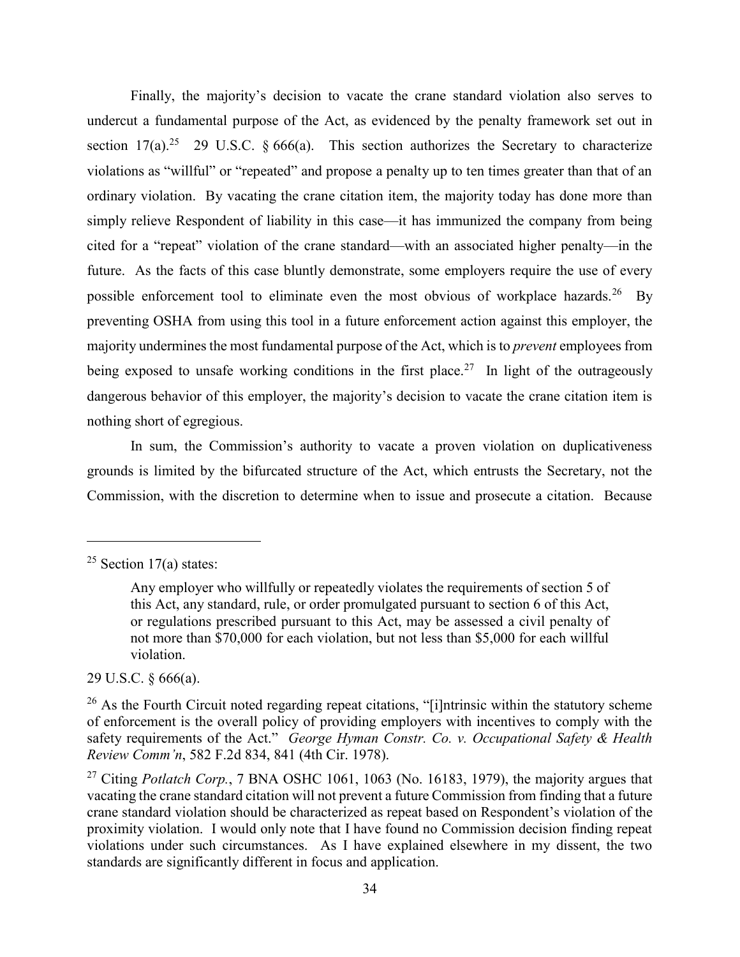Finally, the majority's decision to vacate the crane standard violation also serves to undercut a fundamental purpose of the Act, as evidenced by the penalty framework set out in section  $17(a)$ .<sup>25</sup> 29 U.S.C. § 666(a). This section authorizes the Secretary to characterize violations as "willful" or "repeated" and propose a penalty up to ten times greater than that of an ordinary violation. By vacating the crane citation item, the majority today has done more than simply relieve Respondent of liability in this case—it has immunized the company from being cited for a "repeat" violation of the crane standard—with an associated higher penalty—in the future. As the facts of this case bluntly demonstrate, some employers require the use of every possible enforcement tool to eliminate even the most obvious of workplace hazards.<sup>26</sup> By preventing OSHA from using this tool in a future enforcement action against this employer, the majority undermines the most fundamental purpose of the Act, which is to *prevent* employees from being exposed to unsafe working conditions in the first place.<sup>27</sup> In light of the outrageously dangerous behavior of this employer, the majority's decision to vacate the crane citation item is nothing short of egregious.

In sum, the Commission's authority to vacate a proven violation on duplicativeness grounds is limited by the bifurcated structure of the Act, which entrusts the Secretary, not the Commission, with the discretion to determine when to issue and prosecute a citation. Because

 $\overline{a}$ 

29 U.S.C. § 666(a).

<sup>&</sup>lt;sup>25</sup> Section 17(a) states:

Any employer who willfully or repeatedly violates the requirements of section 5 of this Act, any standard, rule, or order promulgated pursuant to section 6 of this Act, or regulations prescribed pursuant to this Act, may be assessed a civil penalty of not more than \$70,000 for each violation, but not less than \$5,000 for each willful violation.

 $26$  As the Fourth Circuit noted regarding repeat citations, "[i]ntrinsic within the statutory scheme of enforcement is the overall policy of providing employers with incentives to comply with the safety requirements of the Act." *George Hyman Constr. Co. v. Occupational Safety & Health Review Comm'n*, 582 F.2d 834, 841 (4th Cir. 1978).

<sup>&</sup>lt;sup>27</sup> Citing *Potlatch Corp.*, 7 BNA OSHC 1061, 1063 (No. 16183, 1979), the majority argues that vacating the crane standard citation will not prevent a future Commission from finding that a future crane standard violation should be characterized as repeat based on Respondent's violation of the proximity violation. I would only note that I have found no Commission decision finding repeat violations under such circumstances. As I have explained elsewhere in my dissent, the two standards are significantly different in focus and application.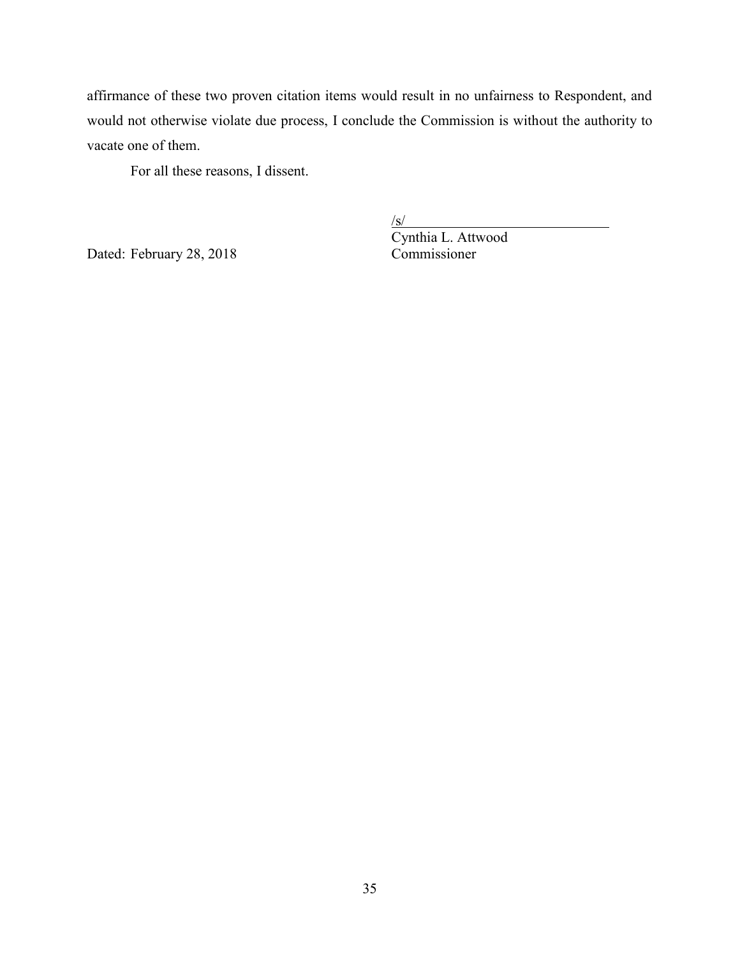affirmance of these two proven citation items would result in no unfairness to Respondent, and would not otherwise violate due process, I conclude the Commission is without the authority to vacate one of them.

For all these reasons, I dissent.

Dated: February 28, 2018 Commissioner

 $\sqrt{s/}$ Cynthia L. Attwood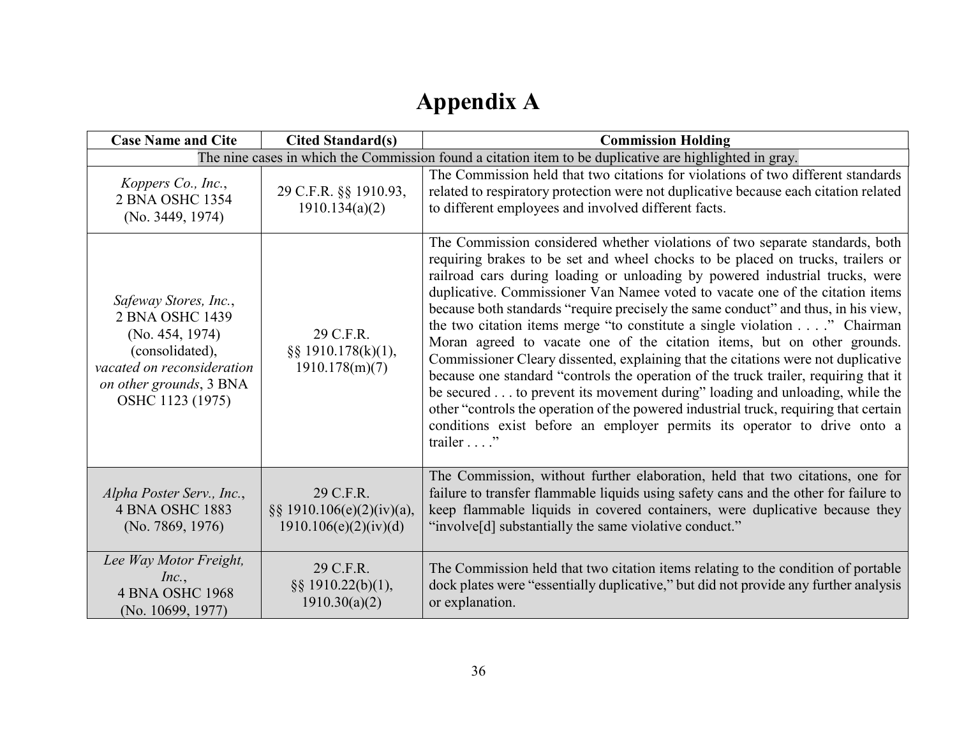# **Appendix A**

| <b>Case Name and Cite</b>                                                                                                                                   | <b>Cited Standard(s)</b>                                            | <b>Commission Holding</b>                                                                                                                                                                                                                                                                                                                                                                                                                                                                                                                                                                                                                                                                                                                                                                                                                                                                                                                                                                                                  |
|-------------------------------------------------------------------------------------------------------------------------------------------------------------|---------------------------------------------------------------------|----------------------------------------------------------------------------------------------------------------------------------------------------------------------------------------------------------------------------------------------------------------------------------------------------------------------------------------------------------------------------------------------------------------------------------------------------------------------------------------------------------------------------------------------------------------------------------------------------------------------------------------------------------------------------------------------------------------------------------------------------------------------------------------------------------------------------------------------------------------------------------------------------------------------------------------------------------------------------------------------------------------------------|
| The nine cases in which the Commission found a citation item to be duplicative are highlighted in gray.                                                     |                                                                     |                                                                                                                                                                                                                                                                                                                                                                                                                                                                                                                                                                                                                                                                                                                                                                                                                                                                                                                                                                                                                            |
| Koppers Co., Inc.,<br>2 BNA OSHC 1354<br>(No. 3449, 1974)                                                                                                   | 29 C.F.R. §§ 1910.93,<br>1910.134(a)(2)                             | The Commission held that two citations for violations of two different standards<br>related to respiratory protection were not duplicative because each citation related<br>to different employees and involved different facts.                                                                                                                                                                                                                                                                                                                                                                                                                                                                                                                                                                                                                                                                                                                                                                                           |
| Safeway Stores, Inc.,<br>2 BNA OSHC 1439<br>(No. 454, 1974)<br>(consolidated),<br>vacated on reconsideration<br>on other grounds, 3 BNA<br>OSHC 1123 (1975) | 29 C.F.R.<br>$\S$ § 1910.178(k)(1),<br>1910.178(m)(7)               | The Commission considered whether violations of two separate standards, both<br>requiring brakes to be set and wheel chocks to be placed on trucks, trailers or<br>railroad cars during loading or unloading by powered industrial trucks, were<br>duplicative. Commissioner Van Namee voted to vacate one of the citation items<br>because both standards "require precisely the same conduct" and thus, in his view,<br>the two citation items merge "to constitute a single violation" Chairman<br>Moran agreed to vacate one of the citation items, but on other grounds.<br>Commissioner Cleary dissented, explaining that the citations were not duplicative<br>because one standard "controls the operation of the truck trailer, requiring that it<br>be secured to prevent its movement during" loading and unloading, while the<br>other "controls the operation of the powered industrial truck, requiring that certain<br>conditions exist before an employer permits its operator to drive onto a<br>trailer" |
| Alpha Poster Serv., Inc.,<br><b>4 BNA OSHC 1883</b><br>(No. 7869, 1976)                                                                                     | 29 C.F.R.<br>$\S\S 1910.106(e)(2)(iv)(a),$<br>1910.106(e)(2)(iv)(d) | The Commission, without further elaboration, held that two citations, one for<br>failure to transfer flammable liquids using safety cans and the other for failure to<br>keep flammable liquids in covered containers, were duplicative because they<br>"involve <sup>[d]</sup> substantially the same violative conduct."                                                                                                                                                                                                                                                                                                                                                                                                                                                                                                                                                                                                                                                                                                 |
| Lee Way Motor Freight,<br>Inc.,<br><b>4 BNA OSHC 1968</b><br>(No. 10699, 1977)                                                                              | 29 C.F.R.<br>$\S$ § 1910.22(b)(1),<br>1910.30(a)(2)                 | The Commission held that two citation items relating to the condition of portable<br>dock plates were "essentially duplicative," but did not provide any further analysis<br>or explanation.                                                                                                                                                                                                                                                                                                                                                                                                                                                                                                                                                                                                                                                                                                                                                                                                                               |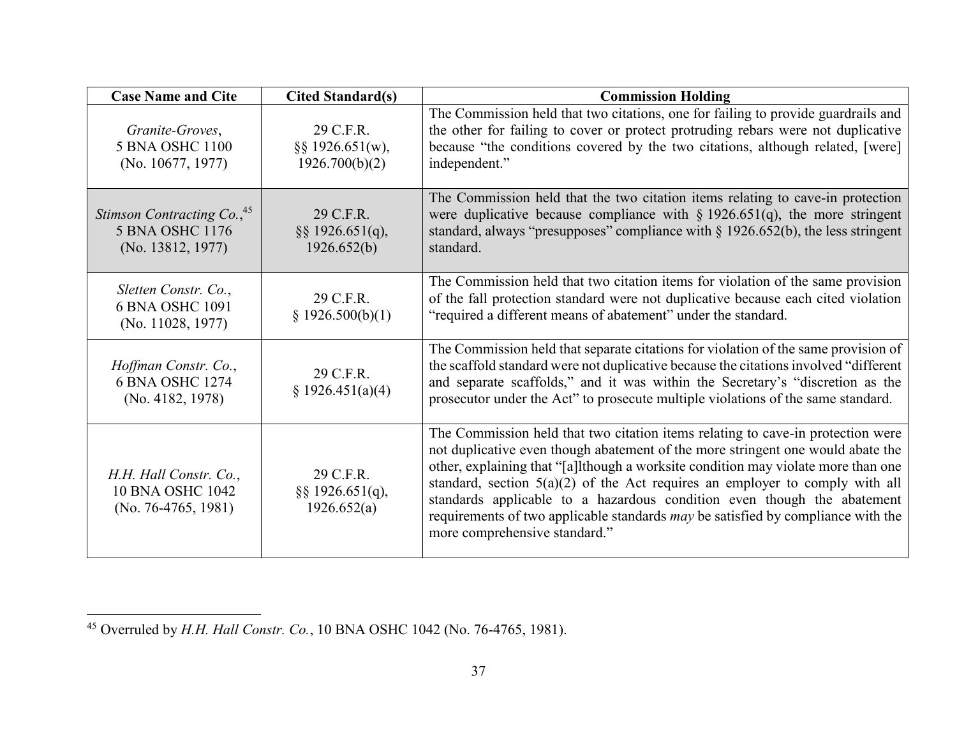| <b>Case Name and Cite</b>                                                      | <b>Cited Standard(s)</b>                        | <b>Commission Holding</b>                                                                                                                                                                                                                                                                                                                                                                                                                                                                                                                        |  |
|--------------------------------------------------------------------------------|-------------------------------------------------|--------------------------------------------------------------------------------------------------------------------------------------------------------------------------------------------------------------------------------------------------------------------------------------------------------------------------------------------------------------------------------------------------------------------------------------------------------------------------------------------------------------------------------------------------|--|
| Granite-Groves,<br>5 BNA OSHC 1100<br>(No. 10677, 1977)                        | 29 C.F.R.<br>§§ 1926.651(w),<br>1926.700(b)(2)  | The Commission held that two citations, one for failing to provide guardrails and<br>the other for failing to cover or protect protruding rebars were not duplicative<br>because "the conditions covered by the two citations, although related, [were]<br>independent."                                                                                                                                                                                                                                                                         |  |
| Stimson Contracting Co., <sup>45</sup><br>5 BNA OSHC 1176<br>(No. 13812, 1977) | 29 C.F.R.<br>$\S$ § 1926.651(q),<br>1926.652(b) | The Commission held that the two citation items relating to cave-in protection<br>were duplicative because compliance with $\S 1926.651(q)$ , the more stringent<br>standard, always "presupposes" compliance with $\S$ 1926.652(b), the less stringent<br>standard.                                                                                                                                                                                                                                                                             |  |
| Sletten Constr. Co.,<br>6 BNA OSHC 1091<br>(No. 11028, 1977)                   | 29 C.F.R.<br>§ 1926.500(b)(1)                   | The Commission held that two citation items for violation of the same provision<br>of the fall protection standard were not duplicative because each cited violation<br>"required a different means of abatement" under the standard.                                                                                                                                                                                                                                                                                                            |  |
| Hoffman Constr. Co.,<br>6 BNA OSHC 1274<br>(No. 4182, 1978)                    | 29 C.F.R.<br>\$1926.451(a)(4)                   | The Commission held that separate citations for violation of the same provision of<br>the scaffold standard were not duplicative because the citations involved "different"<br>and separate scaffolds," and it was within the Secretary's "discretion as the<br>prosecutor under the Act" to prosecute multiple violations of the same standard.                                                                                                                                                                                                 |  |
| H.H. Hall Constr. Co.,<br><b>10 BNA OSHC 1042</b><br>(No. 76-4765, 1981)       | 29 C.F.R.<br>$\S$ § 1926.651(q),<br>1926.652(a) | The Commission held that two citation items relating to cave-in protection were<br>not duplicative even though abatement of the more stringent one would abate the<br>other, explaining that "[a]lthough a worksite condition may violate more than one<br>standard, section $5(a)(2)$ of the Act requires an employer to comply with all<br>standards applicable to a hazardous condition even though the abatement<br>requirements of two applicable standards <i>may</i> be satisfied by compliance with the<br>more comprehensive standard." |  |

 $\overline{a}$ <sup>45</sup> Overruled by *H.H. Hall Constr. Co.*, 10 BNA OSHC 1042 (No. 76-4765, 1981).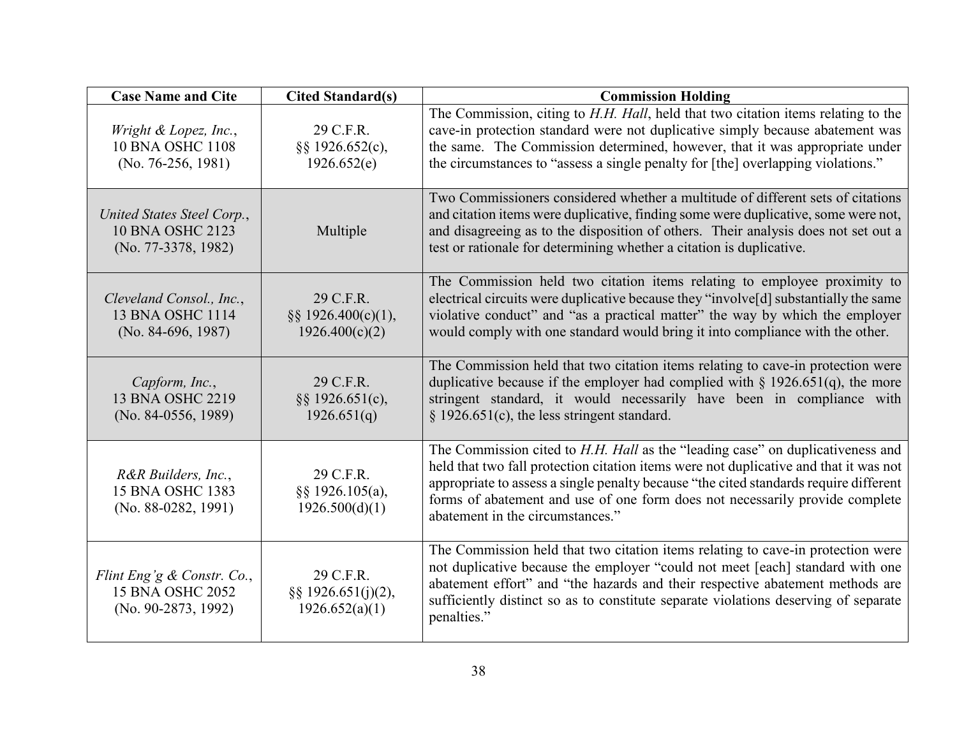| <b>Case Name and Cite</b>                                              | <b>Cited Standard(s)</b>                              | <b>Commission Holding</b>                                                                                                                                                                                                                                                                                                                                                                   |  |
|------------------------------------------------------------------------|-------------------------------------------------------|---------------------------------------------------------------------------------------------------------------------------------------------------------------------------------------------------------------------------------------------------------------------------------------------------------------------------------------------------------------------------------------------|--|
| Wright & Lopez, Inc.,<br><b>10 BNA OSHC 1108</b><br>(No. 76-256, 1981) | 29 C.F.R.<br>§§ 1926.652(c),<br>1926.652(e)           | The Commission, citing to H.H. Hall, held that two citation items relating to the<br>cave-in protection standard were not duplicative simply because abatement was<br>the same. The Commission determined, however, that it was appropriate under<br>the circumstances to "assess a single penalty for [the] overlapping violations."                                                       |  |
| United States Steel Corp.,<br>10 BNA OSHC 2123<br>(No. 77-3378, 1982)  | Multiple                                              | Two Commissioners considered whether a multitude of different sets of citations<br>and citation items were duplicative, finding some were duplicative, some were not,<br>and disagreeing as to the disposition of others. Their analysis does not set out a<br>test or rationale for determining whether a citation is duplicative.                                                         |  |
| Cleveland Consol., Inc.,<br>13 BNA OSHC 1114<br>$(No. 84-696, 1987)$   | 29 C.F.R.<br>§§ 1926.400(c)(1),<br>1926.400(c)(2)     | The Commission held two citation items relating to employee proximity to<br>electrical circuits were duplicative because they "involve[d] substantially the same<br>violative conduct" and "as a practical matter" the way by which the employer<br>would comply with one standard would bring it into compliance with the other.                                                           |  |
| Capform, Inc.,<br>13 BNA OSHC 2219<br>(No. 84-0556, 1989)              | 29 C.F.R.<br>§§ 1926.651(c),<br>1926.651(q)           | The Commission held that two citation items relating to cave-in protection were<br>duplicative because if the employer had complied with $\S 1926.651(q)$ , the more<br>stringent standard, it would necessarily have been in compliance with<br>$\S$ 1926.651(c), the less stringent standard.                                                                                             |  |
| R&R Builders, Inc.,<br>15 BNA OSHC 1383<br>(No. 88-0282, 1991)         | 29 C.F.R.<br>§§ 1926.105(a),<br>1926.500(d)(1)        | The Commission cited to <i>H.H. Hall</i> as the "leading case" on duplicativeness and<br>held that two fall protection citation items were not duplicative and that it was not<br>appropriate to assess a single penalty because "the cited standards require different<br>forms of abatement and use of one form does not necessarily provide complete<br>abatement in the circumstances." |  |
| Flint Eng'g & Constr. Co.,<br>15 BNA OSHC 2052<br>(No. 90-2873, 1992)  | 29 C.F.R.<br>$\S$ § 1926.651(j)(2),<br>1926.652(a)(1) | The Commission held that two citation items relating to cave-in protection were<br>not duplicative because the employer "could not meet [each] standard with one<br>abatement effort" and "the hazards and their respective abatement methods are<br>sufficiently distinct so as to constitute separate violations deserving of separate<br>penalties."                                     |  |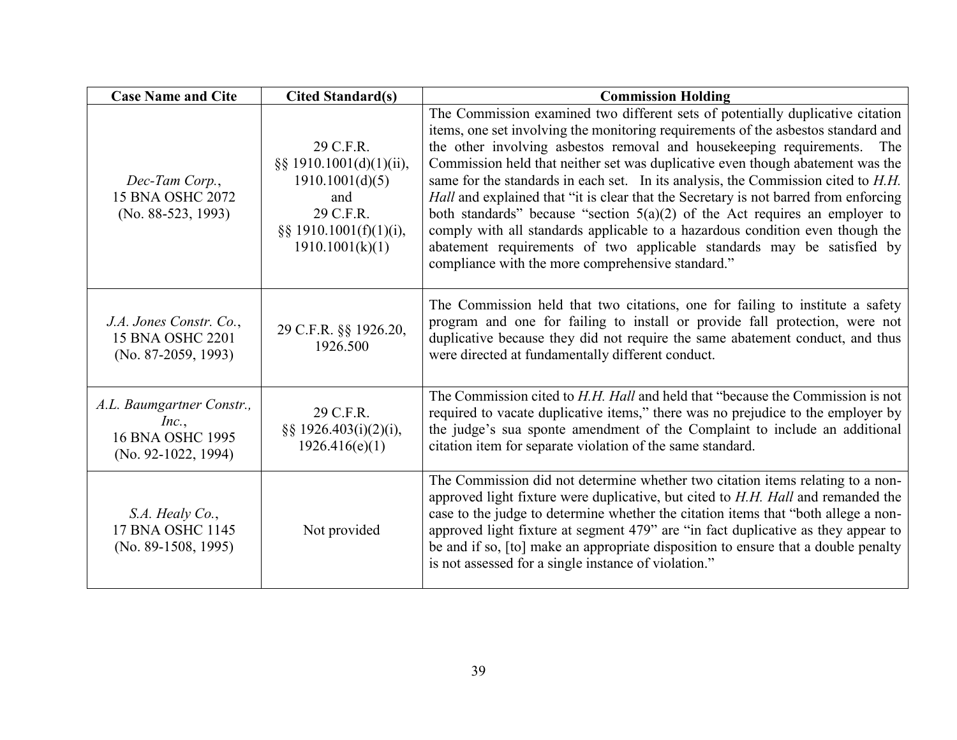| <b>Case Name and Cite</b>                                                       | <b>Cited Standard(s)</b>                                                                                                     | <b>Commission Holding</b>                                                                                                                                                                                                                                                                                                                                                                                                                                                                                                                                                                                                                                                                                                                                                                                      |  |
|---------------------------------------------------------------------------------|------------------------------------------------------------------------------------------------------------------------------|----------------------------------------------------------------------------------------------------------------------------------------------------------------------------------------------------------------------------------------------------------------------------------------------------------------------------------------------------------------------------------------------------------------------------------------------------------------------------------------------------------------------------------------------------------------------------------------------------------------------------------------------------------------------------------------------------------------------------------------------------------------------------------------------------------------|--|
| Dec-Tam Corp.,<br>15 BNA OSHC 2072<br>(No. 88-523, 1993)                        | 29 C.F.R.<br>§§ 1910.1001(d)(1)(ii),<br>1910.1001(d)(5)<br>and<br>29 C.F.R.<br>$\S$ § 1910.1001(f)(1)(i),<br>1910.1001(k)(1) | The Commission examined two different sets of potentially duplicative citation<br>items, one set involving the monitoring requirements of the asbestos standard and<br>the other involving asbestos removal and housekeeping requirements. The<br>Commission held that neither set was duplicative even though abatement was the<br>same for the standards in each set. In its analysis, the Commission cited to H.H.<br>Hall and explained that "it is clear that the Secretary is not barred from enforcing<br>both standards" because "section $5(a)(2)$ of the Act requires an employer to<br>comply with all standards applicable to a hazardous condition even though the<br>abatement requirements of two applicable standards may be satisfied by<br>compliance with the more comprehensive standard." |  |
| J.A. Jones Constr. Co.,<br>15 BNA OSHC 2201<br>$(No. 87-2059, 1993)$            | 29 C.F.R. §§ 1926.20,<br>1926.500                                                                                            | The Commission held that two citations, one for failing to institute a safety<br>program and one for failing to install or provide fall protection, were not<br>duplicative because they did not require the same abatement conduct, and thus<br>were directed at fundamentally different conduct.                                                                                                                                                                                                                                                                                                                                                                                                                                                                                                             |  |
| A.L. Baumgartner Constr.,<br>Inc.,<br>16 BNA OSHC 1995<br>$(No. 92-1022, 1994)$ | 29 C.F.R.<br>§§ 1926.403(i)(2)(i),<br>1926.416(e)(1)                                                                         | The Commission cited to H.H. Hall and held that "because the Commission is not<br>required to vacate duplicative items," there was no prejudice to the employer by<br>the judge's sua sponte amendment of the Complaint to include an additional<br>citation item for separate violation of the same standard.                                                                                                                                                                                                                                                                                                                                                                                                                                                                                                 |  |
| S.A. Healy Co.,<br>17 BNA OSHC 1145<br>$(No. 89-1508, 1995)$                    | Not provided                                                                                                                 | The Commission did not determine whether two citation items relating to a non-<br>approved light fixture were duplicative, but cited to H.H. Hall and remanded the<br>case to the judge to determine whether the citation items that "both allege a non-<br>approved light fixture at segment 479" are "in fact duplicative as they appear to<br>be and if so, [to] make an appropriate disposition to ensure that a double penalty<br>is not assessed for a single instance of violation."                                                                                                                                                                                                                                                                                                                    |  |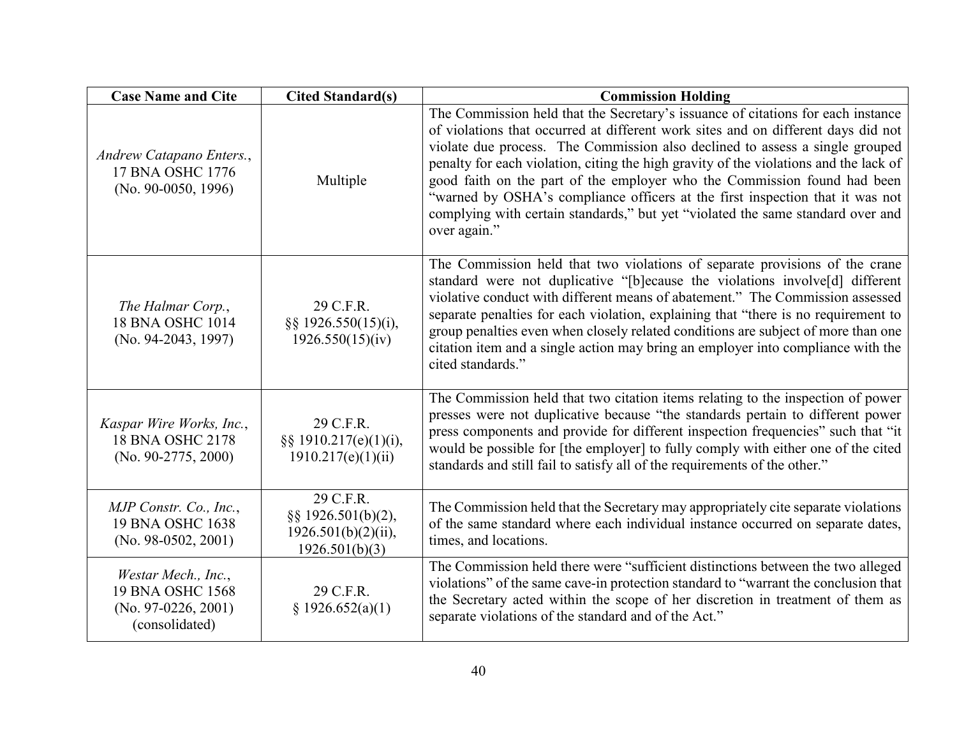| <b>Case Name and Cite</b>                                                          | <b>Cited Standard(s)</b>                                                    | <b>Commission Holding</b>                                                                                                                                                                                                                                                                                                                                                                                                                                                                                                                                                                                      |  |
|------------------------------------------------------------------------------------|-----------------------------------------------------------------------------|----------------------------------------------------------------------------------------------------------------------------------------------------------------------------------------------------------------------------------------------------------------------------------------------------------------------------------------------------------------------------------------------------------------------------------------------------------------------------------------------------------------------------------------------------------------------------------------------------------------|--|
| Andrew Catapano Enters.,<br>17 BNA OSHC 1776<br>(No. 90-0050, 1996)                | Multiple                                                                    | The Commission held that the Secretary's issuance of citations for each instance<br>of violations that occurred at different work sites and on different days did not<br>violate due process. The Commission also declined to assess a single grouped<br>penalty for each violation, citing the high gravity of the violations and the lack of<br>good faith on the part of the employer who the Commission found had been<br>"warned by OSHA's compliance officers at the first inspection that it was not<br>complying with certain standards," but yet "violated the same standard over and<br>over again." |  |
| The Halmar Corp.,<br>18 BNA OSHC 1014<br>(No. 94-2043, 1997)                       | 29 C.F.R.<br>§§ 1926.550(15)(i),<br>1926.550(15)(iv)                        | The Commission held that two violations of separate provisions of the crane<br>standard were not duplicative "[b]ecause the violations involve[d] different<br>violative conduct with different means of abatement." The Commission assessed<br>separate penalties for each violation, explaining that "there is no requirement to<br>group penalties even when closely related conditions are subject of more than one<br>citation item and a single action may bring an employer into compliance with the<br>cited standards."                                                                               |  |
| Kaspar Wire Works, Inc.,<br>18 BNA OSHC 2178<br>(No. 90-2775, 2000)                | 29 C.F.R.<br>§§ 1910.217(e)(1)(i),<br>1910.217(e)(1)(ii)                    | The Commission held that two citation items relating to the inspection of power<br>presses were not duplicative because "the standards pertain to different power<br>press components and provide for different inspection frequencies" such that "it<br>would be possible for [the employer] to fully comply with either one of the cited<br>standards and still fail to satisfy all of the requirements of the other."                                                                                                                                                                                       |  |
| MJP Constr. Co., Inc.,<br>19 BNA OSHC 1638<br>$(No. 98-0502, 2001)$                | 29 C.F.R.<br>§§ 1926.501(b)(2),<br>$1926.501(b)(2)(ii)$ ,<br>1926.501(b)(3) | The Commission held that the Secretary may appropriately cite separate violations<br>of the same standard where each individual instance occurred on separate dates,<br>times, and locations.                                                                                                                                                                                                                                                                                                                                                                                                                  |  |
| Westar Mech., Inc.,<br>19 BNA OSHC 1568<br>$(No. 97-0226, 2001)$<br>(consolidated) | 29 C.F.R.<br>§ 1926.652(a)(1)                                               | The Commission held there were "sufficient distinctions between the two alleged<br>violations" of the same cave-in protection standard to "warrant the conclusion that<br>the Secretary acted within the scope of her discretion in treatment of them as<br>separate violations of the standard and of the Act."                                                                                                                                                                                                                                                                                               |  |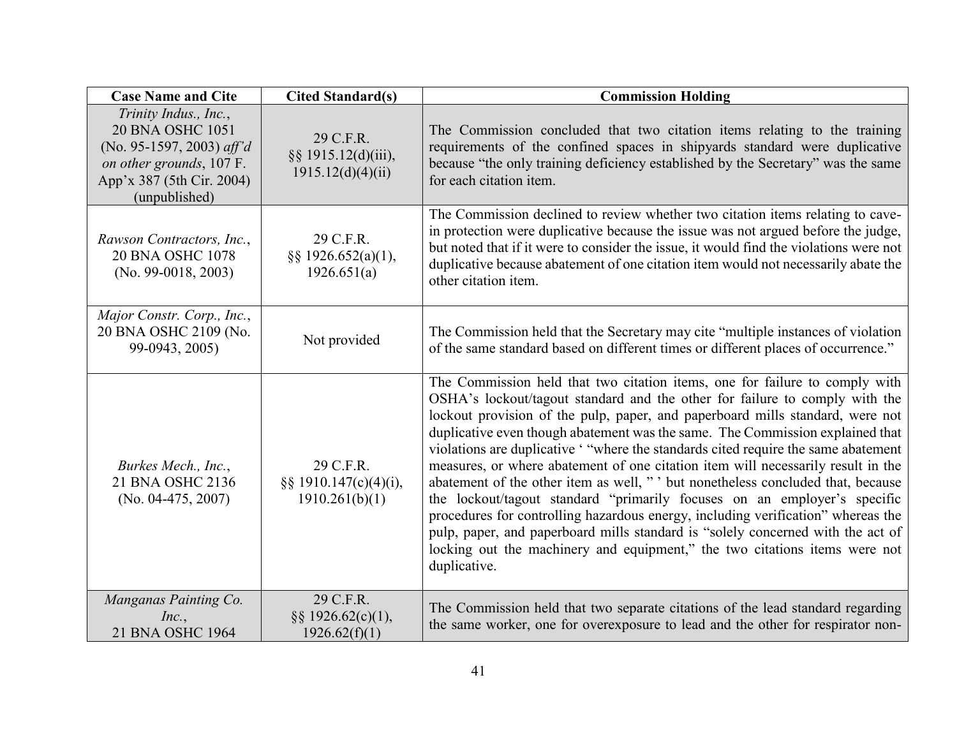| <b>Case Name and Cite</b>                                                                                                                        | <b>Cited Standard(s)</b>                              | <b>Commission Holding</b>                                                                                                                                                                                                                                                                                                                                                                                                                                                                                                                                                                                                                                                                                                                                                                                                                                                                                                                   |  |
|--------------------------------------------------------------------------------------------------------------------------------------------------|-------------------------------------------------------|---------------------------------------------------------------------------------------------------------------------------------------------------------------------------------------------------------------------------------------------------------------------------------------------------------------------------------------------------------------------------------------------------------------------------------------------------------------------------------------------------------------------------------------------------------------------------------------------------------------------------------------------------------------------------------------------------------------------------------------------------------------------------------------------------------------------------------------------------------------------------------------------------------------------------------------------|--|
| Trinity Indus., Inc.,<br>20 BNA OSHC 1051<br>(No. 95-1597, 2003) aff'd<br>on other grounds, 107 F.<br>App'x 387 (5th Cir. 2004)<br>(unpublished) | 29 C.F.R.<br>§§ 1915.12(d)(iii),<br>1915.12(d)(4)(ii) | The Commission concluded that two citation items relating to the training<br>requirements of the confined spaces in shipyards standard were duplicative<br>because "the only training deficiency established by the Secretary" was the same<br>for each citation item.                                                                                                                                                                                                                                                                                                                                                                                                                                                                                                                                                                                                                                                                      |  |
| Rawson Contractors, Inc.,<br>20 BNA OSHC 1078<br>$(No. 99-0018, 2003)$                                                                           | 29 C.F.R.<br>§§ 1926.652(a)(1),<br>1926.651(a)        | The Commission declined to review whether two citation items relating to cave-<br>in protection were duplicative because the issue was not argued before the judge,<br>but noted that if it were to consider the issue, it would find the violations were not<br>duplicative because abatement of one citation item would not necessarily abate the<br>other citation item.                                                                                                                                                                                                                                                                                                                                                                                                                                                                                                                                                                 |  |
| Major Constr. Corp., Inc.,<br>20 BNA OSHC 2109 (No.<br>99-0943, 2005)                                                                            | Not provided                                          | The Commission held that the Secretary may cite "multiple instances of violation"<br>of the same standard based on different times or different places of occurrence."                                                                                                                                                                                                                                                                                                                                                                                                                                                                                                                                                                                                                                                                                                                                                                      |  |
| Burkes Mech., Inc.,<br>21 BNA OSHC 2136<br>(No. 04-475, 2007)                                                                                    | 29 C.F.R.<br>§§ 1910.147(c)(4)(i),<br>1910.261(b)(1)  | The Commission held that two citation items, one for failure to comply with<br>OSHA's lockout/tagout standard and the other for failure to comply with the<br>lockout provision of the pulp, paper, and paperboard mills standard, were not<br>duplicative even though abatement was the same. The Commission explained that<br>violations are duplicative ' "where the standards cited require the same abatement<br>measures, or where abatement of one citation item will necessarily result in the<br>abatement of the other item as well, " ' but nonetheless concluded that, because<br>the lockout/tagout standard "primarily focuses on an employer's specific<br>procedures for controlling hazardous energy, including verification" whereas the<br>pulp, paper, and paperboard mills standard is "solely concerned with the act of<br>locking out the machinery and equipment," the two citations items were not<br>duplicative. |  |
| Manganas Painting Co.<br>Inc.,<br>21 BNA OSHC 1964                                                                                               | 29 C.F.R.<br>§§ 1926.62(c)(1),<br>1926.62(f)(1)       | The Commission held that two separate citations of the lead standard regarding<br>the same worker, one for overexposure to lead and the other for respirator non-                                                                                                                                                                                                                                                                                                                                                                                                                                                                                                                                                                                                                                                                                                                                                                           |  |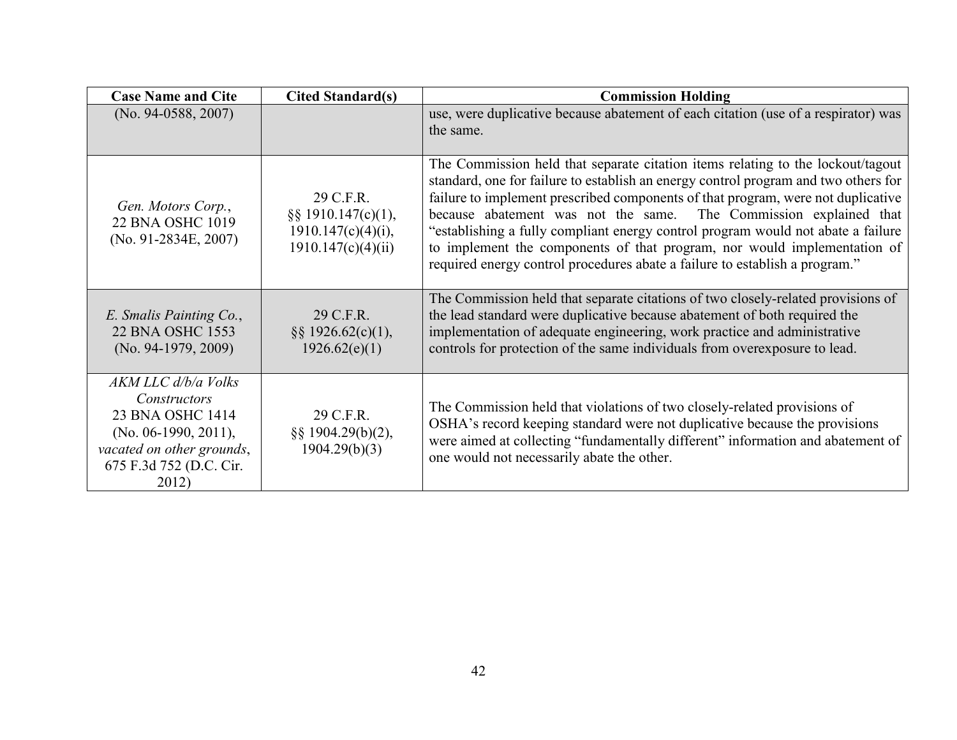| <b>Case Name and Cite</b>                                                                                                                        | <b>Cited Standard(s)</b>                                                       | <b>Commission Holding</b>                                                                                                                                                                                                                                                                                                                                                                                                                                                                                                                                                      |  |
|--------------------------------------------------------------------------------------------------------------------------------------------------|--------------------------------------------------------------------------------|--------------------------------------------------------------------------------------------------------------------------------------------------------------------------------------------------------------------------------------------------------------------------------------------------------------------------------------------------------------------------------------------------------------------------------------------------------------------------------------------------------------------------------------------------------------------------------|--|
| $(No. 94-0588, 2007)$                                                                                                                            |                                                                                | use, were duplicative because abatement of each citation (use of a respirator) was                                                                                                                                                                                                                                                                                                                                                                                                                                                                                             |  |
|                                                                                                                                                  |                                                                                | the same.                                                                                                                                                                                                                                                                                                                                                                                                                                                                                                                                                                      |  |
| Gen. Motors Corp.,<br>22 BNA OSHC 1019<br>$(No. 91-2834E, 2007)$                                                                                 | 29 C.F.R.<br>§§ 1910.147(c)(1),<br>$1910.147(c)(4)(i)$ ,<br>1910.147(c)(4)(ii) | The Commission held that separate citation items relating to the lockout/tagout<br>standard, one for failure to establish an energy control program and two others for<br>failure to implement prescribed components of that program, were not duplicative<br>because abatement was not the same. The Commission explained that<br>"establishing a fully compliant energy control program would not abate a failure<br>to implement the components of that program, nor would implementation of<br>required energy control procedures abate a failure to establish a program." |  |
| E. Smalis Painting Co.,<br>22 BNA OSHC 1553<br>$(No. 94-1979, 2009)$                                                                             | 29 C.F.R.<br>$\S$ § 1926.62(c)(1),<br>1926.62(e)(1)                            | The Commission held that separate citations of two closely-related provisions of<br>the lead standard were duplicative because abatement of both required the<br>implementation of adequate engineering, work practice and administrative<br>controls for protection of the same individuals from overexposure to lead.                                                                                                                                                                                                                                                        |  |
| AKM LLC d/b/a Volks<br>Constructors<br>23 BNA OSHC 1414<br>(No. 06-1990, 2011),<br>vacated on other grounds,<br>675 F.3d 752 (D.C. Cir.<br>2012) | 29 C.F.R.<br>§§ 1904.29(b)(2),<br>1904.29(b)(3)                                | The Commission held that violations of two closely-related provisions of<br>OSHA's record keeping standard were not duplicative because the provisions<br>were aimed at collecting "fundamentally different" information and abatement of<br>one would not necessarily abate the other.                                                                                                                                                                                                                                                                                        |  |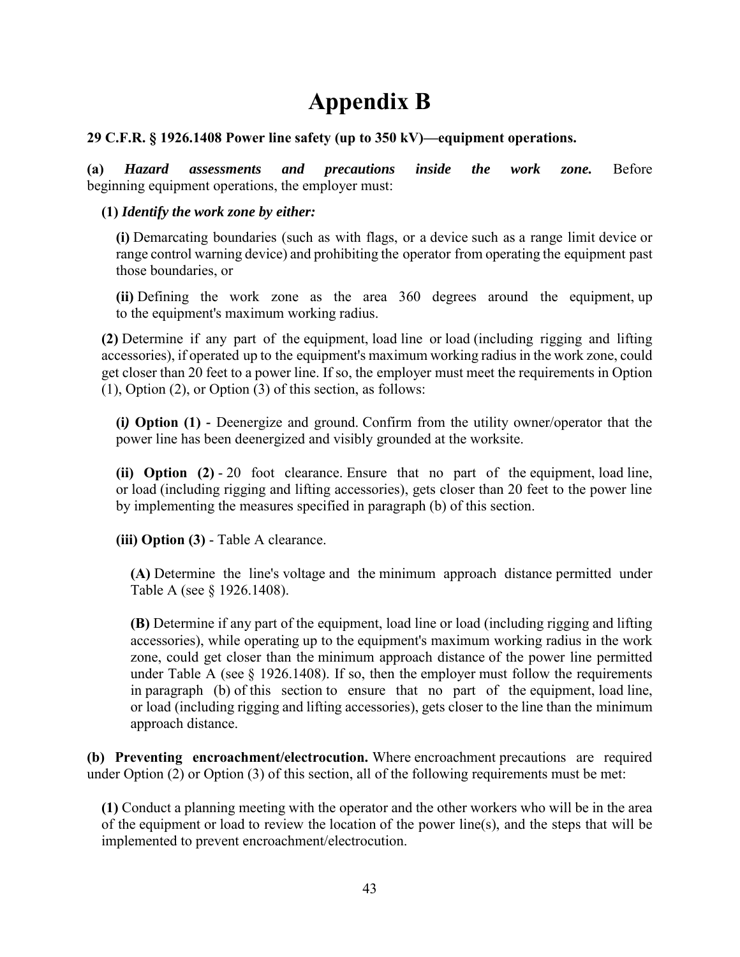# **Appendix B**

# **29 C.F.R. § 1926.1408 Power line safety (up to 350 kV)—equipment operations.**

**(a)** *Hazard assessments and precautions inside the work zone.* Before beginning equipment operations, the employer must:

# **(1)** *Identify the work zone by either:*

**(i)** Demarcating boundaries (such as with flags, or a device such as a range limit device or range control warning device) and prohibiting the [operator](https://www.law.cornell.edu/definitions/index.php?width=840&height=800&iframe=true&def_id=0ae790fae0aa86b6abfc656e7868d05a&term_occur=1&term_src=Title:29:Subtitle:B:Chapter:XVII:Part:1926:Subpart:CC:1926.1408) from operating the equipment past those boundaries, or

**(ii)** Defining the work zone as the area 360 degrees around the equipment, up to the equipment's maximum working radius.

**(2)** Determine if any part of the equipment, load line or load (including rigging and lifting accessories), if operated up to the equipment's maximum working radius in the work zone, could get closer than 20 feet to a power line. If so, the employer must meet the requirements in Option (1), Option (2), or Option (3) of this section, as follows:

**(i***)* **Option (1)** *-* Deenergize and ground. Confirm from the utility owner/operator that the power line has been deenergized and visibly grounded at the worksite.

**(ii) Option (2)** - 20 foot clearance. Ensure that no part of the equipment, load line, or load (including rigging and lifting accessories), gets closer than 20 feet to the power line by implementing the measures specified in paragraph (b) of this section.

**(iii) Option (3)** - Table A clearance.

**(A)** Determine the line's voltage and the minimum approach distance permitted under Table A (see § 1926.1408).

**(B)** Determine if any part of the equipment, load line or load (including rigging and lifting accessories), while operating up to the equipment's maximum working radius in the work zone, could get closer than the minimum approach distance of the power line permitted under Table A (see  $\S$  1926.1408). If so, then the employer must follow the requirements in paragraph (b) of this section to ensure that no part of the equipment, load line, or load (including rigging and lifting accessories), gets closer to the line than the minimum approach distance.

**(b) Preventing encroachment/electrocution.** Where encroachment precautions are required under Option (2) or Option (3) of this section, all of the following requirements must be met:

**(1)** Conduct a planning meeting with the operator and the other workers who will be in the area of the equipment or load to review the location of the power line(s), and the steps that will be implemented to prevent encroachment/electrocution.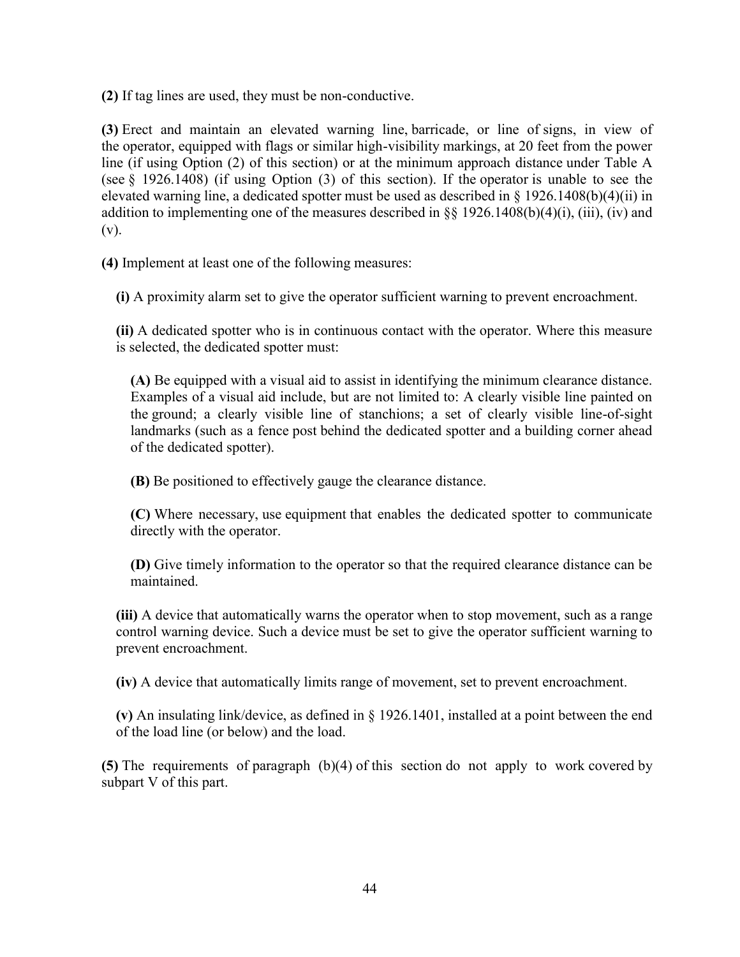**(2)** If tag lines are used, they must be non-conductive.

**(3)** Erect and maintain an elevated warning line, barricade, or line of signs, in view of the operator, equipped with flags or similar high-visibility markings, at 20 feet from the power line (if using Option (2) of this section) or at the minimum approach distance under Table A (see § 1926.1408) (if using Option (3) of this section). If the operator is unable to see the elevated warning line, a dedicated spotter must be used as described in § 1926.1408(b)(4)(ii) in addition to implementing one of the measures described in §§ 1926.1408(b)(4)(i), (iii), (iv) and (v).

**(4)** Implement at least one of the following measures:

**(i)** A proximity alarm set to give the operator sufficient warning to prevent encroachment.

**(ii)** A dedicated spotter who is in continuous contact with the operator. Where this measure is selected, the dedicated spotter must:

**(A)** Be equipped with a visual aid to assist in identifying the minimum clearance distance. Examples of a visual aid include, but are not limited to: A clearly visible line painted on the ground; a clearly visible line of stanchions; a set of clearly visible line-of-sight landmarks (such as a fence post behind the dedicated spotter and a building corner ahead of the dedicated spotter).

**(B)** Be positioned to effectively gauge the clearance distance.

**(C)** Where necessary, use equipment that enables the dedicated spotter to communicate directly with the operator.

**(D)** Give timely information to the operator so that the required clearance distance can be maintained.

**(iii)** A device that automatically warns the operator when to stop movement, such as a range control warning device. Such a device must be set to give the operator sufficient warning to prevent encroachment.

**(iv)** A device that automatically limits range of movement, set to prevent encroachment.

**(v)** An insulating link/device, as defined in § 1926.1401, installed at a point between the end of the load line (or below) and the load.

**(5)** The requirements of paragraph (b)(4) of this section do not apply to work covered by subpart V of this part.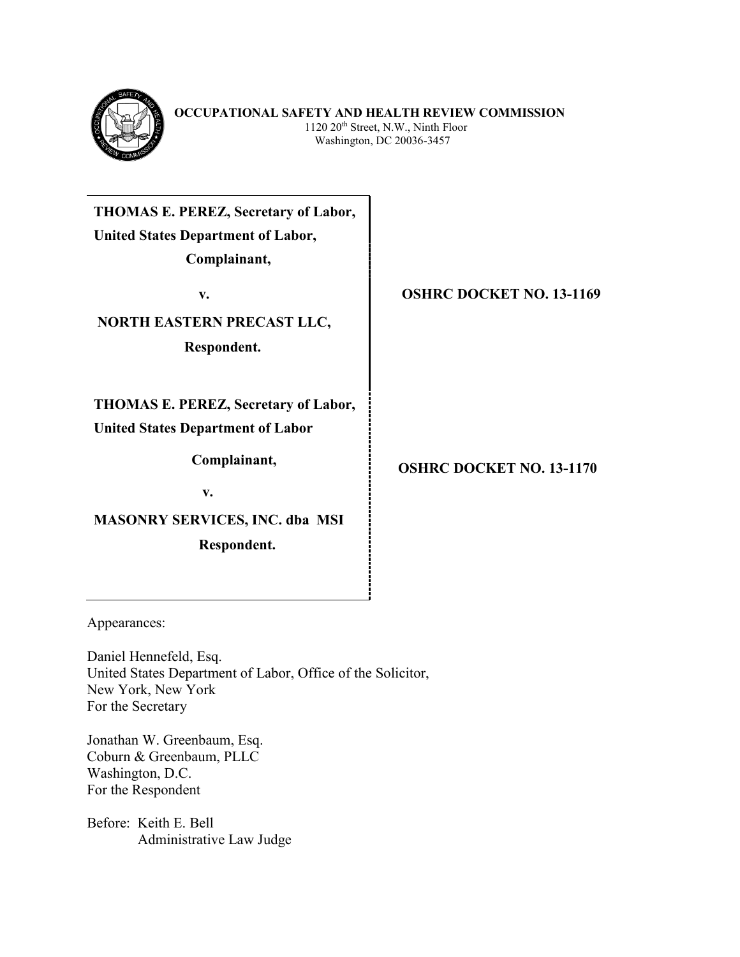

**THOMAS E. PEREZ, Secretary of Labor, United States Department of Labor, Complainant,**

**NORTH EASTERN PRECAST LLC,**

 **Respondent.**

**THOMAS E. PEREZ, Secretary of Labor,**

**United States Department of Labor**

**Complainant,**

**v.**

**MASONRY SERVICES, INC. dba MSI Respondent.**

**v. 13-1169** 

 **OSHRC DOCKET NO. 13-1170**

Appearances:

Daniel Hennefeld, Esq. United States Department of Labor, Office of the Solicitor, New York, New York For the Secretary

Jonathan W. Greenbaum, Esq. Coburn & Greenbaum, PLLC Washington, D.C. For the Respondent

Before: Keith E. Bell Administrative Law Judge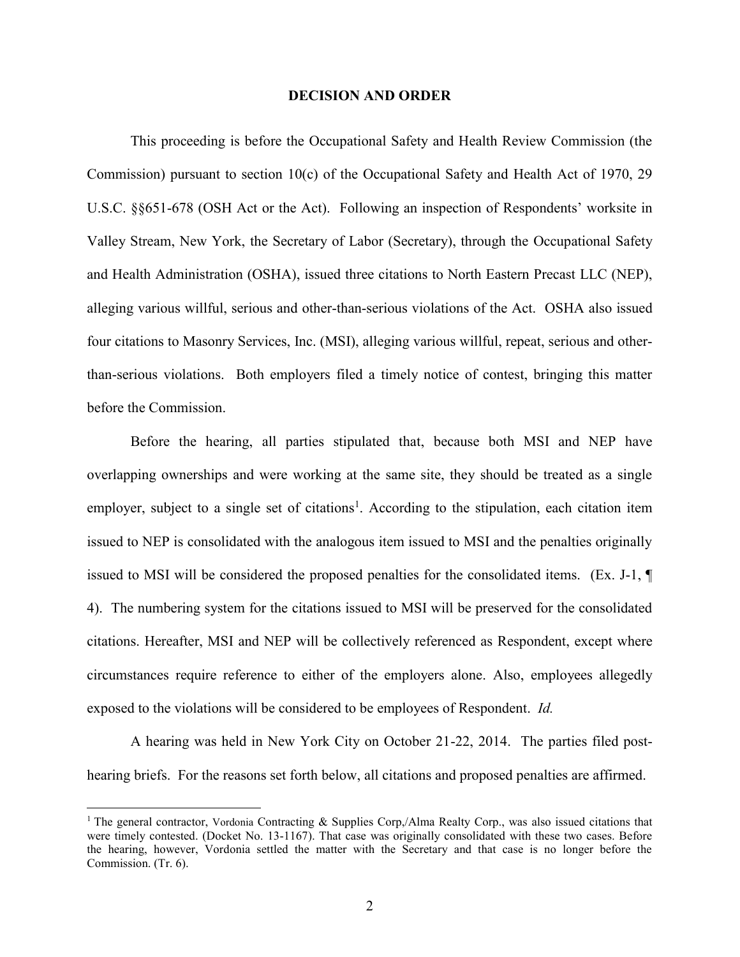# **DECISION AND ORDER**

This proceeding is before the Occupational Safety and Health Review Commission (the Commission) pursuant to section 10(c) of the Occupational Safety and Health Act of 1970, 29 U.S.C. §§651-678 (OSH Act or the Act). Following an inspection of Respondents' worksite in Valley Stream, New York, the Secretary of Labor (Secretary), through the Occupational Safety and Health Administration (OSHA), issued three citations to North Eastern Precast LLC (NEP), alleging various willful, serious and other-than-serious violations of the Act. OSHA also issued four citations to Masonry Services, Inc. (MSI), alleging various willful, repeat, serious and otherthan-serious violations. Both employers filed a timely notice of contest, bringing this matter before the Commission.

Before the hearing, all parties stipulated that, because both MSI and NEP have overlapping ownerships and were working at the same site, they should be treated as a single employer, subject to a single set of citations<sup>1</sup>. According to the stipulation, each citation item issued to NEP is consolidated with the analogous item issued to MSI and the penalties originally issued to MSI will be considered the proposed penalties for the consolidated items. (Ex. J-1, ¶ 4). The numbering system for the citations issued to MSI will be preserved for the consolidated citations. Hereafter, MSI and NEP will be collectively referenced as Respondent, except where circumstances require reference to either of the employers alone. Also, employees allegedly exposed to the violations will be considered to be employees of Respondent. *Id.*

A hearing was held in New York City on October 21-22, 2014. The parties filed posthearing briefs. For the reasons set forth below, all citations and proposed penalties are affirmed.

 $\overline{a}$ 

<sup>&</sup>lt;sup>1</sup> The general contractor, Vordonia Contracting & Supplies Corp,/Alma Realty Corp., was also issued citations that were timely contested. (Docket No. 13-1167). That case was originally consolidated with these two cases. Before the hearing, however, Vordonia settled the matter with the Secretary and that case is no longer before the Commission. (Tr. 6).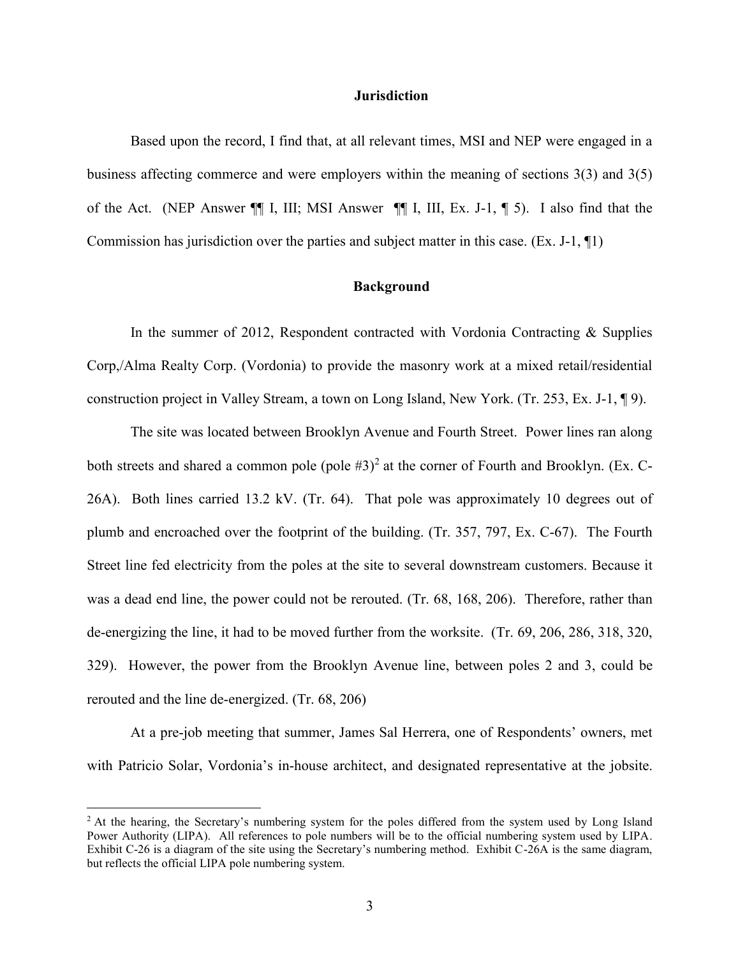# **Jurisdiction**

Based upon the record, I find that, at all relevant times, MSI and NEP were engaged in a business affecting commerce and were employers within the meaning of sections 3(3) and 3(5) of the Act. (NEP Answer ¶¶ I, III; MSI Answer ¶¶ I, III, Ex. J-1, ¶ 5). I also find that the Commission has jurisdiction over the parties and subject matter in this case. (Ex. J-1, ¶1)

# **Background**

In the summer of 2012, Respondent contracted with Vordonia Contracting & Supplies Corp,/Alma Realty Corp. (Vordonia) to provide the masonry work at a mixed retail/residential construction project in Valley Stream, a town on Long Island, New York. (Tr. 253, Ex. J-1, ¶ 9).

The site was located between Brooklyn Avenue and Fourth Street. Power lines ran along both streets and shared a common pole (pole  $#3$ )<sup>2</sup> at the corner of Fourth and Brooklyn. (Ex. C-26A). Both lines carried 13.2 kV. (Tr. 64). That pole was approximately 10 degrees out of plumb and encroached over the footprint of the building. (Tr. 357, 797, Ex. C-67). The Fourth Street line fed electricity from the poles at the site to several downstream customers. Because it was a dead end line, the power could not be rerouted. (Tr. 68, 168, 206). Therefore, rather than de-energizing the line, it had to be moved further from the worksite. (Tr. 69, 206, 286, 318, 320, 329). However, the power from the Brooklyn Avenue line, between poles 2 and 3, could be rerouted and the line de-energized. (Tr. 68, 206)

At a pre-job meeting that summer, James Sal Herrera, one of Respondents' owners, met with Patricio Solar, Vordonia's in-house architect, and designated representative at the jobsite.

 $\overline{a}$ 

<sup>&</sup>lt;sup>2</sup> At the hearing, the Secretary's numbering system for the poles differed from the system used by Long Island Power Authority (LIPA). All references to pole numbers will be to the official numbering system used by LIPA. Exhibit C-26 is a diagram of the site using the Secretary's numbering method. Exhibit C-26A is the same diagram, but reflects the official LIPA pole numbering system.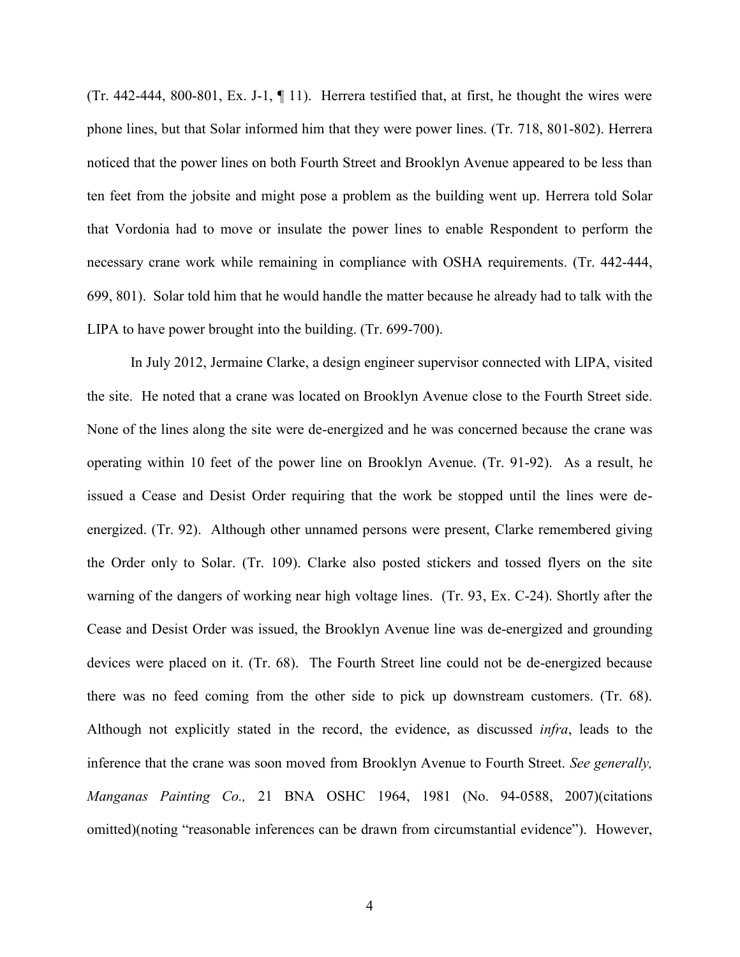(Tr. 442-444, 800-801, Ex. J-1,  $\P$  11). Herrera testified that, at first, he thought the wires were phone lines, but that Solar informed him that they were power lines. (Tr. 718, 801-802). Herrera noticed that the power lines on both Fourth Street and Brooklyn Avenue appeared to be less than ten feet from the jobsite and might pose a problem as the building went up. Herrera told Solar that Vordonia had to move or insulate the power lines to enable Respondent to perform the necessary crane work while remaining in compliance with OSHA requirements. (Tr. 442-444, 699, 801). Solar told him that he would handle the matter because he already had to talk with the LIPA to have power brought into the building. (Tr. 699-700).

In July 2012, Jermaine Clarke, a design engineer supervisor connected with LIPA, visited the site. He noted that a crane was located on Brooklyn Avenue close to the Fourth Street side. None of the lines along the site were de-energized and he was concerned because the crane was operating within 10 feet of the power line on Brooklyn Avenue. (Tr. 91-92). As a result, he issued a Cease and Desist Order requiring that the work be stopped until the lines were deenergized. (Tr. 92). Although other unnamed persons were present, Clarke remembered giving the Order only to Solar. (Tr. 109). Clarke also posted stickers and tossed flyers on the site warning of the dangers of working near high voltage lines. (Tr. 93, Ex. C-24). Shortly after the Cease and Desist Order was issued, the Brooklyn Avenue line was de-energized and grounding devices were placed on it. (Tr. 68). The Fourth Street line could not be de-energized because there was no feed coming from the other side to pick up downstream customers. (Tr. 68). Although not explicitly stated in the record, the evidence, as discussed *infra*, leads to the inference that the crane was soon moved from Brooklyn Avenue to Fourth Street. *See generally, Manganas Painting Co.,* 21 BNA OSHC 1964, 1981 (No. 94-0588, 2007)(citations omitted)(noting "reasonable inferences can be drawn from circumstantial evidence"). However,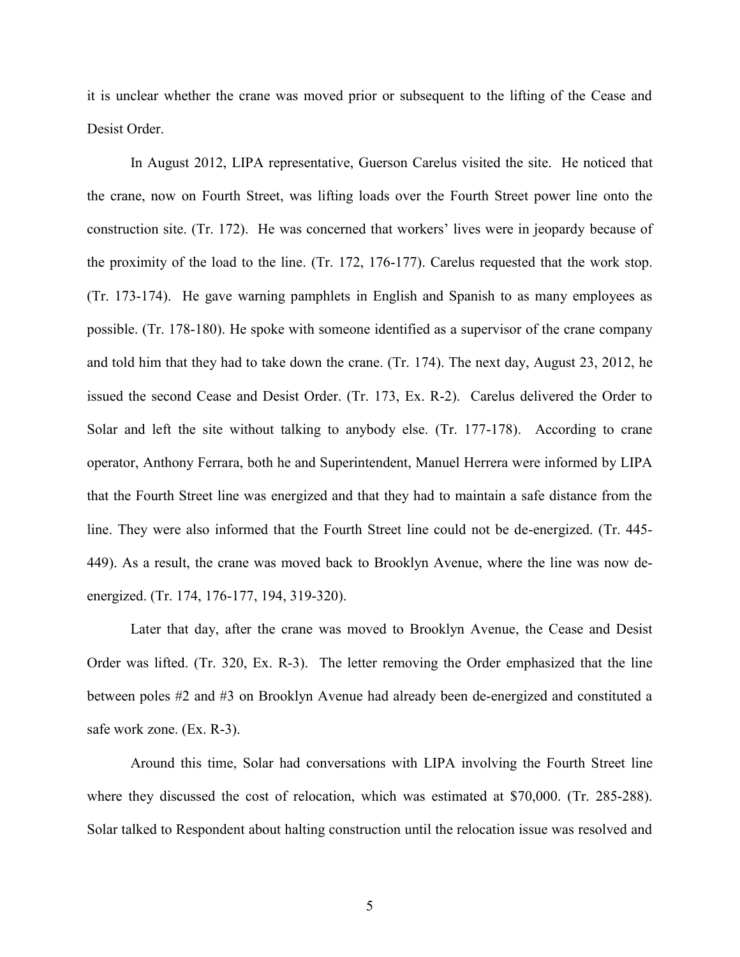it is unclear whether the crane was moved prior or subsequent to the lifting of the Cease and Desist Order.

In August 2012, LIPA representative, Guerson Carelus visited the site. He noticed that the crane, now on Fourth Street, was lifting loads over the Fourth Street power line onto the construction site. (Tr. 172). He was concerned that workers' lives were in jeopardy because of the proximity of the load to the line. (Tr. 172, 176-177). Carelus requested that the work stop. (Tr. 173-174). He gave warning pamphlets in English and Spanish to as many employees as possible. (Tr. 178-180). He spoke with someone identified as a supervisor of the crane company and told him that they had to take down the crane. (Tr. 174). The next day, August 23, 2012, he issued the second Cease and Desist Order. (Tr. 173, Ex. R-2). Carelus delivered the Order to Solar and left the site without talking to anybody else. (Tr. 177-178). According to crane operator, Anthony Ferrara, both he and Superintendent, Manuel Herrera were informed by LIPA that the Fourth Street line was energized and that they had to maintain a safe distance from the line. They were also informed that the Fourth Street line could not be de-energized. (Tr. 445- 449). As a result, the crane was moved back to Brooklyn Avenue, where the line was now deenergized. (Tr. 174, 176-177, 194, 319-320).

Later that day, after the crane was moved to Brooklyn Avenue, the Cease and Desist Order was lifted. (Tr. 320, Ex. R-3). The letter removing the Order emphasized that the line between poles #2 and #3 on Brooklyn Avenue had already been de-energized and constituted a safe work zone. (Ex. R-3).

Around this time, Solar had conversations with LIPA involving the Fourth Street line where they discussed the cost of relocation, which was estimated at \$70,000. (Tr. 285-288). Solar talked to Respondent about halting construction until the relocation issue was resolved and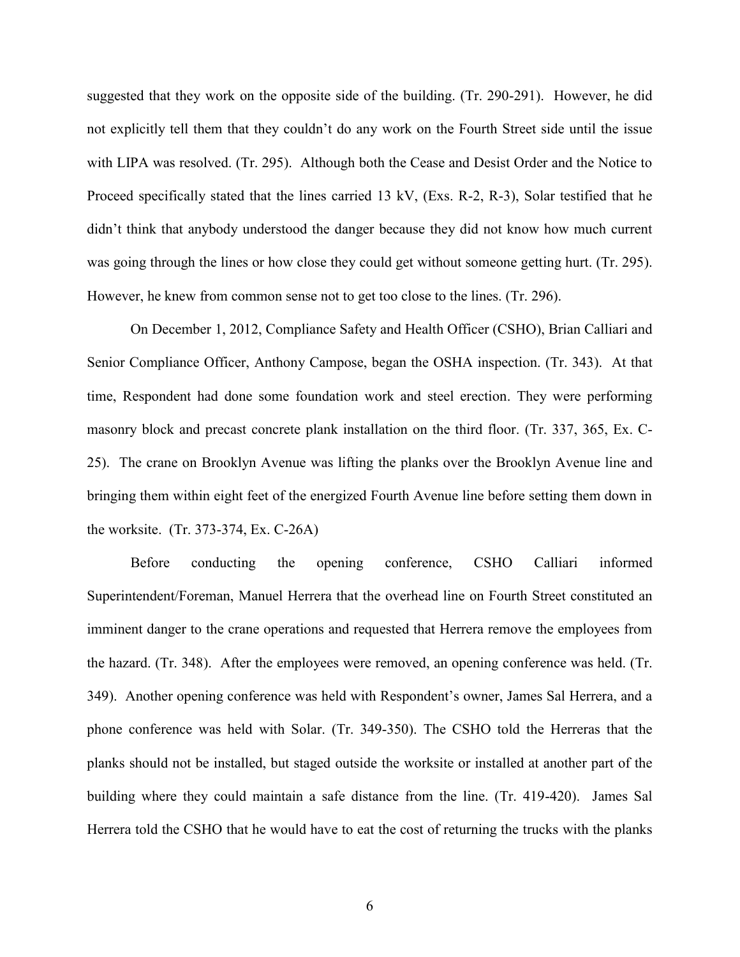suggested that they work on the opposite side of the building. (Tr. 290-291). However, he did not explicitly tell them that they couldn't do any work on the Fourth Street side until the issue with LIPA was resolved. (Tr. 295). Although both the Cease and Desist Order and the Notice to Proceed specifically stated that the lines carried 13 kV, (Exs. R-2, R-3), Solar testified that he didn't think that anybody understood the danger because they did not know how much current was going through the lines or how close they could get without someone getting hurt. (Tr. 295). However, he knew from common sense not to get too close to the lines. (Tr. 296).

On December 1, 2012, Compliance Safety and Health Officer (CSHO), Brian Calliari and Senior Compliance Officer, Anthony Campose, began the OSHA inspection. (Tr. 343). At that time, Respondent had done some foundation work and steel erection. They were performing masonry block and precast concrete plank installation on the third floor. (Tr. 337, 365, Ex. C-25). The crane on Brooklyn Avenue was lifting the planks over the Brooklyn Avenue line and bringing them within eight feet of the energized Fourth Avenue line before setting them down in the worksite. (Tr. 373-374, Ex. C-26A)

Before conducting the opening conference, CSHO Calliari informed Superintendent/Foreman, Manuel Herrera that the overhead line on Fourth Street constituted an imminent danger to the crane operations and requested that Herrera remove the employees from the hazard. (Tr. 348). After the employees were removed, an opening conference was held. (Tr. 349). Another opening conference was held with Respondent's owner, James Sal Herrera, and a phone conference was held with Solar. (Tr. 349-350). The CSHO told the Herreras that the planks should not be installed, but staged outside the worksite or installed at another part of the building where they could maintain a safe distance from the line. (Tr. 419-420). James Sal Herrera told the CSHO that he would have to eat the cost of returning the trucks with the planks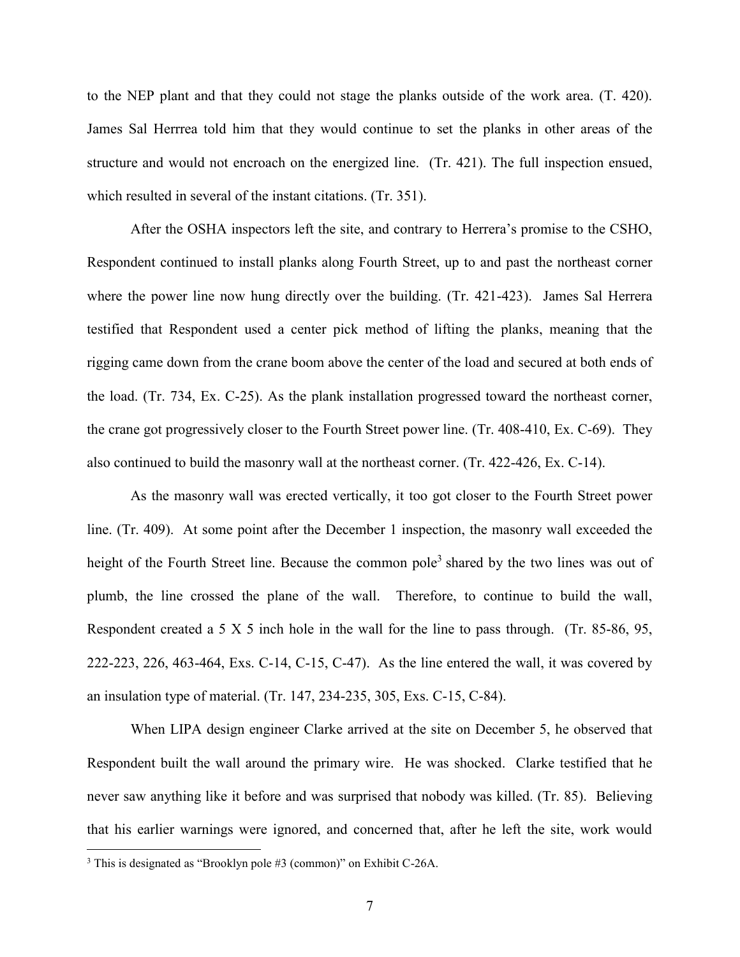to the NEP plant and that they could not stage the planks outside of the work area. (T. 420). James Sal Herrrea told him that they would continue to set the planks in other areas of the structure and would not encroach on the energized line. (Tr. 421). The full inspection ensued, which resulted in several of the instant citations. (Tr. 351).

After the OSHA inspectors left the site, and contrary to Herrera's promise to the CSHO, Respondent continued to install planks along Fourth Street, up to and past the northeast corner where the power line now hung directly over the building. (Tr. 421-423). James Sal Herrera testified that Respondent used a center pick method of lifting the planks, meaning that the rigging came down from the crane boom above the center of the load and secured at both ends of the load. (Tr. 734, Ex. C-25). As the plank installation progressed toward the northeast corner, the crane got progressively closer to the Fourth Street power line. (Tr. 408-410, Ex. C-69). They also continued to build the masonry wall at the northeast corner. (Tr. 422-426, Ex. C-14).

As the masonry wall was erected vertically, it too got closer to the Fourth Street power line. (Tr. 409). At some point after the December 1 inspection, the masonry wall exceeded the height of the Fourth Street line. Because the common pole<sup>3</sup> shared by the two lines was out of plumb, the line crossed the plane of the wall. Therefore, to continue to build the wall, Respondent created a 5 X 5 inch hole in the wall for the line to pass through. (Tr. 85-86, 95, 222-223, 226, 463-464, Exs. C-14, C-15, C-47). As the line entered the wall, it was covered by an insulation type of material. (Tr. 147, 234-235, 305, Exs. C-15, C-84).

When LIPA design engineer Clarke arrived at the site on December 5, he observed that Respondent built the wall around the primary wire. He was shocked. Clarke testified that he never saw anything like it before and was surprised that nobody was killed. (Tr. 85). Believing that his earlier warnings were ignored, and concerned that, after he left the site, work would

 $\overline{\phantom{a}}$ 

<sup>3</sup> This is designated as "Brooklyn pole #3 (common)" on Exhibit C-26A.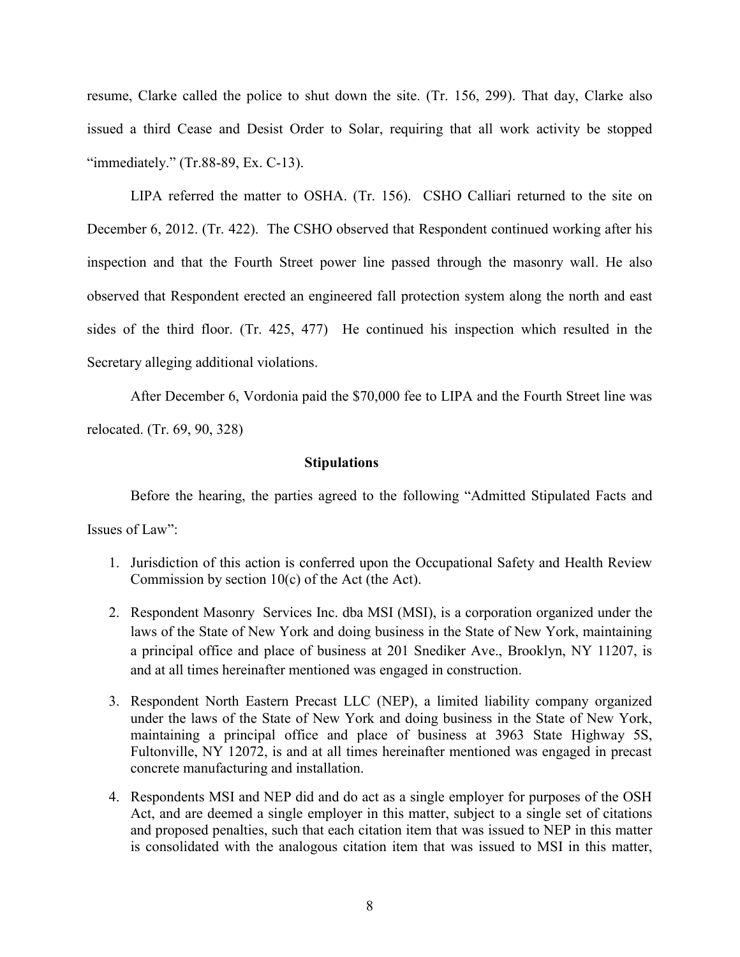resume, Clarke called the police to shut down the site. (Tr. 156, 299). That day, Clarke also issued a third Cease and Desist Order to Solar, requiring that all work activity be stopped "immediately." (Tr.88-89, Ex. C-13).

LIPA referred the matter to OSHA. (Tr. 156). CSHO Calliari returned to the site on December 6, 2012. (Tr. 422). The CSHO observed that Respondent continued working after his inspection and that the Fourth Street power line passed through the masonry wall. He also observed that Respondent erected an engineered fall protection system along the north and east sides of the third floor. (Tr. 425, 477) He continued his inspection which resulted in the Secretary alleging additional violations.

After December 6, Vordonia paid the \$70,000 fee to LIPA and the Fourth Street line was relocated. (Tr. 69, 90, 328)

# **Stipulations**

Before the hearing, the parties agreed to the following "Admitted Stipulated Facts and Issues of Law":

- 1. Jurisdiction of this action is conferred upon the Occupational Safety and Health Review Commission by section  $10(c)$  of the Act (the Act).
- 2. Respondent Masonry Services Inc. dba MSI (MSI), is a corporation organized under the laws of the State of New York and doing business in the State of New York, maintaining a principal office and place of business at 201 Snediker Ave., Brooklyn, NY 11207, is and at all times hereinafter mentioned was engaged in construction.
- 3. Respondent North Eastern Precast LLC (NEP), a limited liability company organized under the laws of the State of New York and doing business in the State of New York, maintaining a principal office and place of business at 3963 State Highway 5S, Fultonville, NY 12072, is and at all times hereinafter mentioned was engaged in precast concrete manufacturing and installation.
- 4. Respondents MSI and NEP did and do act as a single employer for purposes of the OSH Act, and are deemed a single employer in this matter, subject to a single set of citations and proposed penalties, such that each citation item that was issued to NEP in this matter is consolidated with the analogous citation item that was issued to MSI in this matter,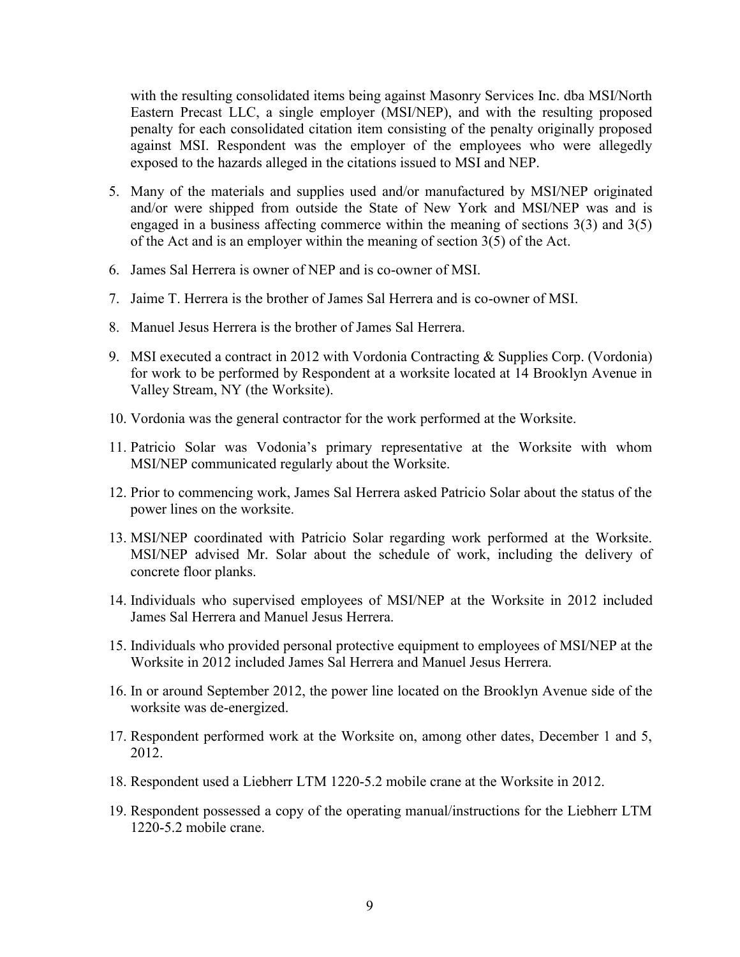with the resulting consolidated items being against Masonry Services Inc. dba MSI/North Eastern Precast LLC, a single employer (MSI/NEP), and with the resulting proposed penalty for each consolidated citation item consisting of the penalty originally proposed against MSI. Respondent was the employer of the employees who were allegedly exposed to the hazards alleged in the citations issued to MSI and NEP.

- 5. Many of the materials and supplies used and/or manufactured by MSI/NEP originated and/or were shipped from outside the State of New York and MSI/NEP was and is engaged in a business affecting commerce within the meaning of sections 3(3) and 3(5) of the Act and is an employer within the meaning of section 3(5) of the Act.
- 6. James Sal Herrera is owner of NEP and is co-owner of MSI.
- 7. Jaime T. Herrera is the brother of James Sal Herrera and is co-owner of MSI.
- 8. Manuel Jesus Herrera is the brother of James Sal Herrera.
- 9. MSI executed a contract in 2012 with Vordonia Contracting & Supplies Corp. (Vordonia) for work to be performed by Respondent at a worksite located at 14 Brooklyn Avenue in Valley Stream, NY (the Worksite).
- 10. Vordonia was the general contractor for the work performed at the Worksite.
- 11. Patricio Solar was Vodonia's primary representative at the Worksite with whom MSI/NEP communicated regularly about the Worksite.
- 12. Prior to commencing work, James Sal Herrera asked Patricio Solar about the status of the power lines on the worksite.
- 13. MSI/NEP coordinated with Patricio Solar regarding work performed at the Worksite. MSI/NEP advised Mr. Solar about the schedule of work, including the delivery of concrete floor planks.
- 14. Individuals who supervised employees of MSI/NEP at the Worksite in 2012 included James Sal Herrera and Manuel Jesus Herrera.
- 15. Individuals who provided personal protective equipment to employees of MSI/NEP at the Worksite in 2012 included James Sal Herrera and Manuel Jesus Herrera.
- 16. In or around September 2012, the power line located on the Brooklyn Avenue side of the worksite was de-energized.
- 17. Respondent performed work at the Worksite on, among other dates, December 1 and 5, 2012.
- 18. Respondent used a Liebherr LTM 1220-5.2 mobile crane at the Worksite in 2012.
- 19. Respondent possessed a copy of the operating manual/instructions for the Liebherr LTM 1220-5.2 mobile crane.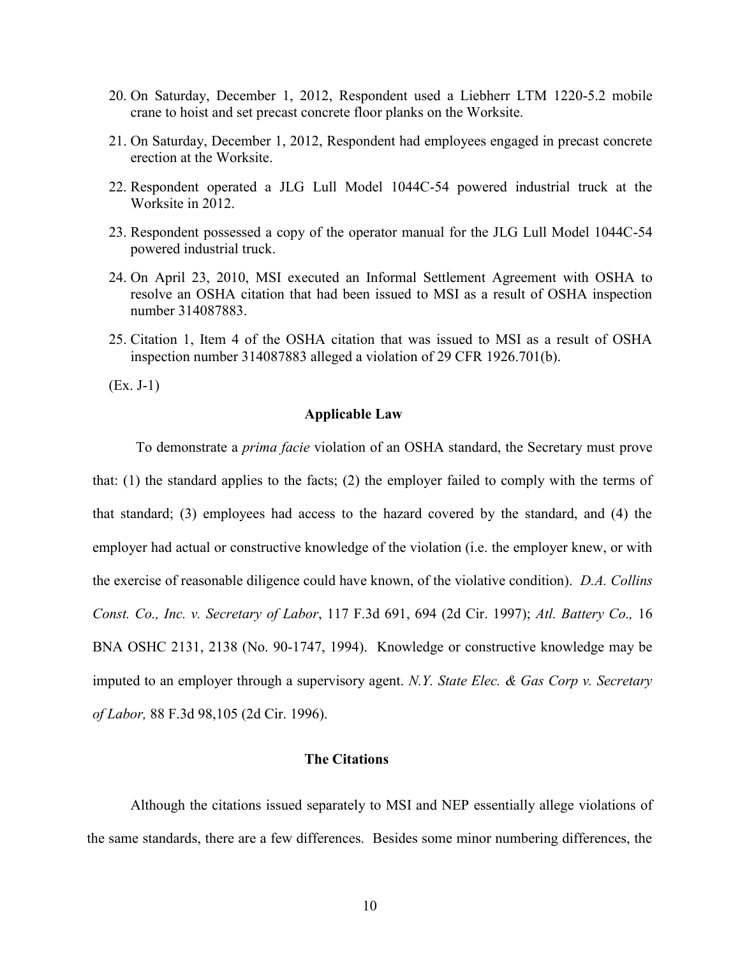- 20. On Saturday, December 1, 2012, Respondent used a Liebherr LTM 1220-5.2 mobile crane to hoist and set precast concrete floor planks on the Worksite.
- 21. On Saturday, December 1, 2012, Respondent had employees engaged in precast concrete erection at the Worksite.
- 22. Respondent operated a JLG Lull Model 1044C-54 powered industrial truck at the Worksite in 2012.
- 23. Respondent possessed a copy of the operator manual for the JLG Lull Model 1044C-54 powered industrial truck.
- 24. On April 23, 2010, MSI executed an Informal Settlement Agreement with OSHA to resolve an OSHA citation that had been issued to MSI as a result of OSHA inspection number 314087883.
- 25. Citation 1, Item 4 of the OSHA citation that was issued to MSI as a result of OSHA inspection number 314087883 alleged a violation of 29 CFR 1926.701(b).

(Ex. J-1)

# **Applicable Law**

To demonstrate a *prima facie* violation of an OSHA standard, the Secretary must prove that: (1) the standard applies to the facts; (2) the employer failed to comply with the terms of that standard; (3) employees had access to the hazard covered by the standard, and (4) the employer had actual or constructive knowledge of the violation (i.e. the employer knew, or with the exercise of reasonable diligence could have known, of the violative condition). *D.A. Collins Const. Co., Inc. v. Secretary of Labor*, 117 F.3d 691, 694 (2d Cir. 1997); *Atl. Battery Co.,* 16 BNA OSHC 2131, 2138 (No. 90-1747, 1994). Knowledge or constructive knowledge may be imputed to an employer through a supervisory agent. *N.Y. State Elec. & Gas Corp v. Secretary of Labor,* 88 F.3d 98,105 (2d Cir. 1996).

# **The Citations**

Although the citations issued separately to MSI and NEP essentially allege violations of the same standards, there are a few differences. Besides some minor numbering differences, the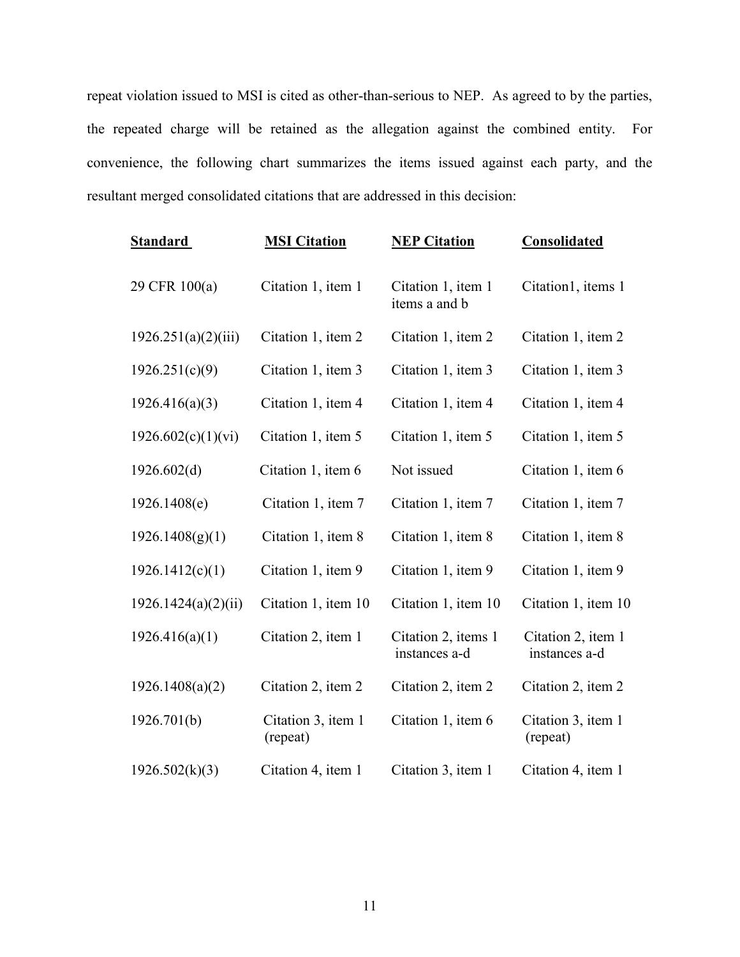repeat violation issued to MSI is cited as other-than-serious to NEP. As agreed to by the parties, the repeated charge will be retained as the allegation against the combined entity. For convenience, the following chart summarizes the items issued against each party, and the resultant merged consolidated citations that are addressed in this decision:

| <b>Standard</b>     | <b>MSI Citation</b>            | <b>NEP Citation</b>                  | <b>Consolidated</b>                 |
|---------------------|--------------------------------|--------------------------------------|-------------------------------------|
| 29 CFR 100(a)       | Citation 1, item 1             | Citation 1, item 1<br>items a and b  | Citation1, items 1                  |
| 1926.251(a)(2)(iii) | Citation 1, item 2             | Citation 1, item 2                   | Citation 1, item 2                  |
| 1926.251(c)(9)      | Citation 1, item 3             | Citation 1, item 3                   | Citation 1, item 3                  |
| 1926.416(a)(3)      | Citation 1, item 4             | Citation 1, item 4                   | Citation 1, item 4                  |
| 1926.602(c)(1)(vi)  | Citation 1, item 5             | Citation 1, item 5                   | Citation 1, item 5                  |
| 1926.602(d)         | Citation 1, item 6             | Not issued                           | Citation 1, item 6                  |
| 1926.1408(e)        | Citation 1, item 7             | Citation 1, item 7                   | Citation 1, item 7                  |
| 1926.1408(g)(1)     | Citation 1, item 8             | Citation 1, item 8                   | Citation 1, item 8                  |
| 1926.1412(c)(1)     | Citation 1, item 9             | Citation 1, item 9                   | Citation 1, item 9                  |
| 1926.1424(a)(2)(ii) | Citation 1, item 10            | Citation 1, item 10                  | Citation 1, item 10                 |
| 1926.416(a)(1)      | Citation 2, item 1             | Citation 2, items 1<br>instances a-d | Citation 2, item 1<br>instances a-d |
| 1926.1408(a)(2)     | Citation 2, item 2             | Citation 2, item 2                   | Citation 2, item 2                  |
| 1926.701(b)         | Citation 3, item 1<br>(repeat) | Citation 1, item 6                   | Citation 3, item 1<br>(repeat)      |
| 1926.502(k)(3)      | Citation 4, item 1             | Citation 3, item 1                   | Citation 4, item 1                  |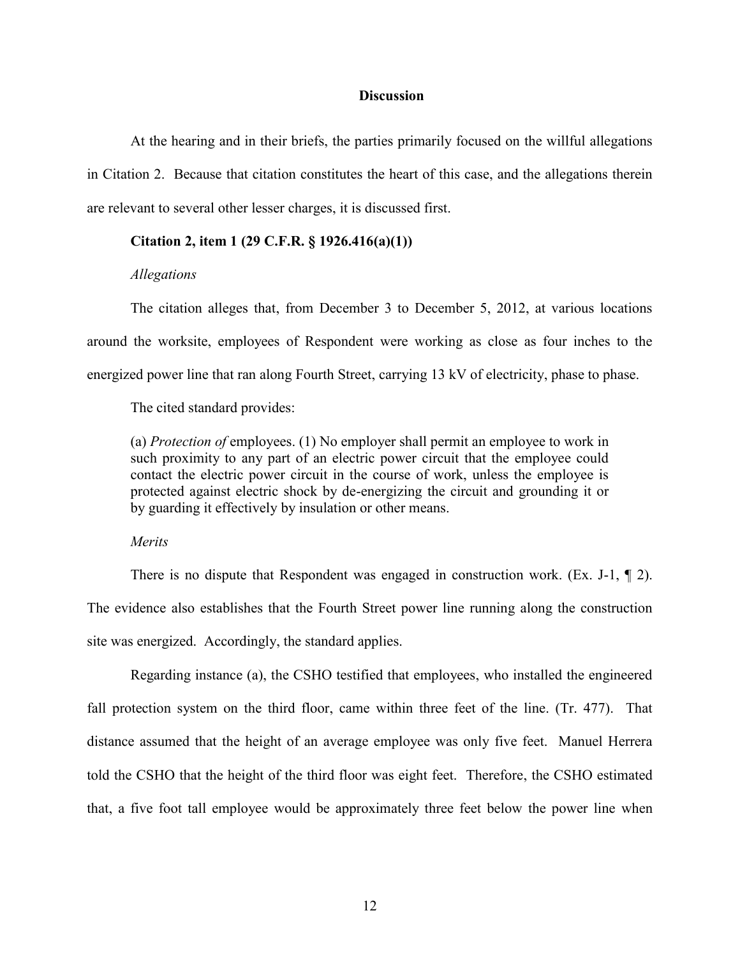# **Discussion**

At the hearing and in their briefs, the parties primarily focused on the willful allegations in Citation 2. Because that citation constitutes the heart of this case, and the allegations therein are relevant to several other lesser charges, it is discussed first.

# **Citation 2, item 1 (29 C.F.R. § 1926.416(a)(1))**

# *Allegations*

The citation alleges that, from December 3 to December 5, 2012, at various locations around the worksite, employees of Respondent were working as close as four inches to the energized power line that ran along Fourth Street, carrying 13 kV of electricity, phase to phase.

The cited standard provides:

(a) *Protection of* employees. (1) No employer shall permit an employee to work in such proximity to any part of an electric power circuit that the employee could contact the electric power circuit in the course of work, unless the employee is protected against electric shock by de-energizing the circuit and grounding it or by guarding it effectively by insulation or other means.

*Merits*

There is no dispute that Respondent was engaged in construction work. (Ex. J-1, ¶ 2). The evidence also establishes that the Fourth Street power line running along the construction site was energized. Accordingly, the standard applies.

Regarding instance (a), the CSHO testified that employees, who installed the engineered fall protection system on the third floor, came within three feet of the line. (Tr. 477). That distance assumed that the height of an average employee was only five feet. Manuel Herrera told the CSHO that the height of the third floor was eight feet. Therefore, the CSHO estimated that, a five foot tall employee would be approximately three feet below the power line when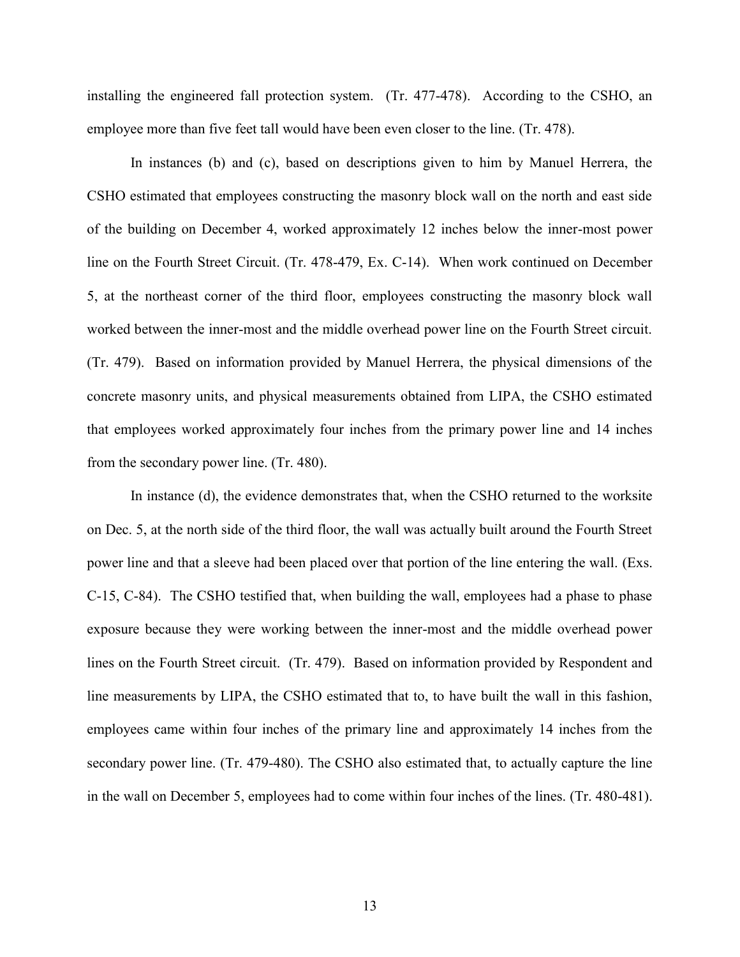installing the engineered fall protection system. (Tr. 477-478). According to the CSHO, an employee more than five feet tall would have been even closer to the line. (Tr. 478).

In instances (b) and (c), based on descriptions given to him by Manuel Herrera, the CSHO estimated that employees constructing the masonry block wall on the north and east side of the building on December 4, worked approximately 12 inches below the inner-most power line on the Fourth Street Circuit. (Tr. 478-479, Ex. C-14). When work continued on December 5, at the northeast corner of the third floor, employees constructing the masonry block wall worked between the inner-most and the middle overhead power line on the Fourth Street circuit. (Tr. 479). Based on information provided by Manuel Herrera, the physical dimensions of the concrete masonry units, and physical measurements obtained from LIPA, the CSHO estimated that employees worked approximately four inches from the primary power line and 14 inches from the secondary power line. (Tr. 480).

In instance (d), the evidence demonstrates that, when the CSHO returned to the worksite on Dec. 5, at the north side of the third floor, the wall was actually built around the Fourth Street power line and that a sleeve had been placed over that portion of the line entering the wall. (Exs. C-15, C-84). The CSHO testified that, when building the wall, employees had a phase to phase exposure because they were working between the inner-most and the middle overhead power lines on the Fourth Street circuit. (Tr. 479). Based on information provided by Respondent and line measurements by LIPA, the CSHO estimated that to, to have built the wall in this fashion, employees came within four inches of the primary line and approximately 14 inches from the secondary power line. (Tr. 479-480). The CSHO also estimated that, to actually capture the line in the wall on December 5, employees had to come within four inches of the lines. (Tr. 480-481).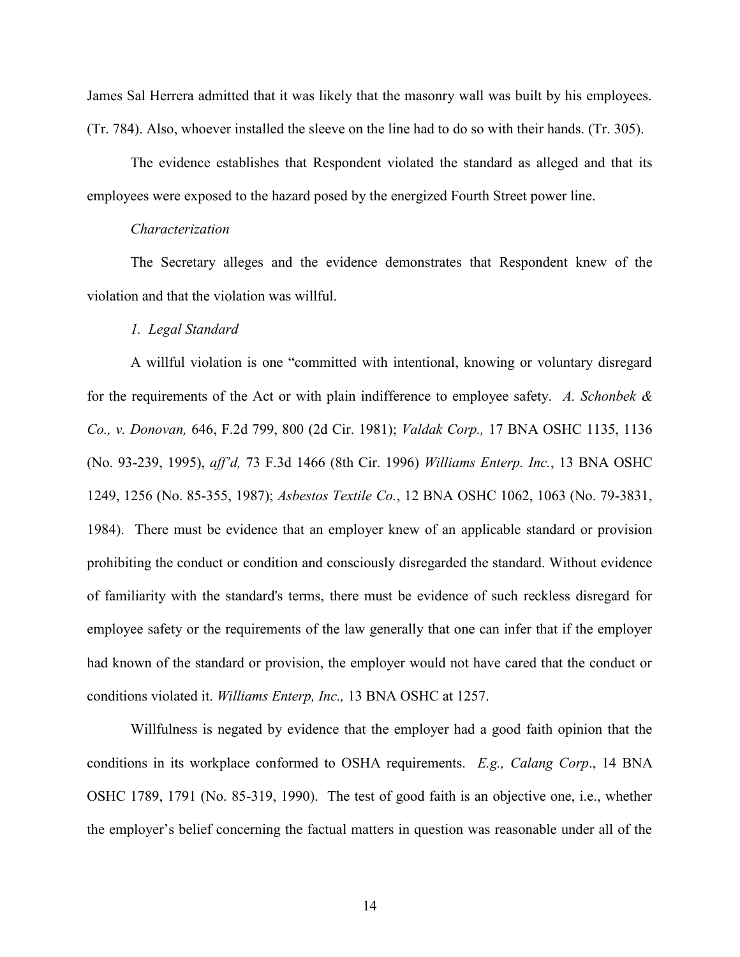James Sal Herrera admitted that it was likely that the masonry wall was built by his employees. (Tr. 784). Also, whoever installed the sleeve on the line had to do so with their hands. (Tr. 305).

The evidence establishes that Respondent violated the standard as alleged and that its employees were exposed to the hazard posed by the energized Fourth Street power line.

#### *Characterization*

The Secretary alleges and the evidence demonstrates that Respondent knew of the violation and that the violation was willful.

# *1. Legal Standard*

A willful violation is one "committed with intentional, knowing or voluntary disregard for the requirements of the Act or with plain indifference to employee safety. *A. Schonbek & Co., v. Donovan,* 646, F.2d 799, 800 (2d Cir. 1981); *Valdak Corp.,* 17 BNA OSHC 1135, 1136 (No. 93-239, 1995), *aff'd,* 73 F.3d 1466 (8th Cir. 1996) *Williams Enterp. Inc.*, 13 BNA OSHC 1249, 1256 (No. 85-355, 1987); *Asbestos Textile Co.*, 12 BNA OSHC 1062, 1063 (No. 79-3831, 1984). There must be evidence that an employer knew of an applicable standard or provision prohibiting the conduct or condition and consciously disregarded the standard. Without evidence of familiarity with the standard's terms, there must be evidence of such reckless disregard for employee safety or the requirements of the law generally that one can infer that if the employer had known of the standard or provision, the employer would not have cared that the conduct or conditions violated it. *Williams Enterp, Inc.,* 13 BNA OSHC at 1257.

Willfulness is negated by evidence that the employer had a good faith opinion that the conditions in its workplace conformed to OSHA requirements. *E.g., Calang Corp*., 14 BNA OSHC 1789, 1791 (No. 85-319, 1990). The test of good faith is an objective one, i.e., whether the employer's belief concerning the factual matters in question was reasonable under all of the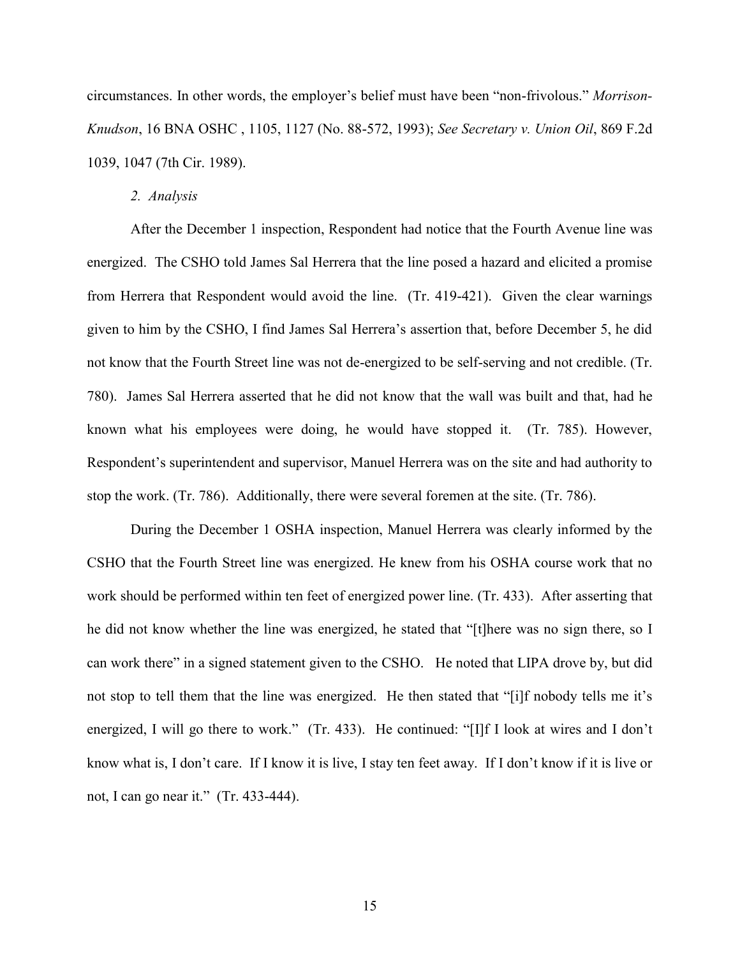circumstances. In other words, the employer's belief must have been "non-frivolous." *Morrison-Knudson*, 16 BNA OSHC , 1105, 1127 (No. 88-572, 1993); *See Secretary v. Union Oil*, 869 F.2d 1039, 1047 (7th Cir. 1989).

#### *2. Analysis*

After the December 1 inspection, Respondent had notice that the Fourth Avenue line was energized. The CSHO told James Sal Herrera that the line posed a hazard and elicited a promise from Herrera that Respondent would avoid the line. (Tr. 419-421). Given the clear warnings given to him by the CSHO, I find James Sal Herrera's assertion that, before December 5, he did not know that the Fourth Street line was not de-energized to be self-serving and not credible. (Tr. 780). James Sal Herrera asserted that he did not know that the wall was built and that, had he known what his employees were doing, he would have stopped it. (Tr. 785). However, Respondent's superintendent and supervisor, Manuel Herrera was on the site and had authority to stop the work. (Tr. 786). Additionally, there were several foremen at the site. (Tr. 786).

During the December 1 OSHA inspection, Manuel Herrera was clearly informed by the CSHO that the Fourth Street line was energized. He knew from his OSHA course work that no work should be performed within ten feet of energized power line. (Tr. 433). After asserting that he did not know whether the line was energized, he stated that "[t]here was no sign there, so I can work there" in a signed statement given to the CSHO. He noted that LIPA drove by, but did not stop to tell them that the line was energized. He then stated that "[i]f nobody tells me it's energized, I will go there to work." (Tr. 433). He continued: "[I]f I look at wires and I don't know what is, I don't care. If I know it is live, I stay ten feet away. If I don't know if it is live or not, I can go near it." (Tr. 433-444).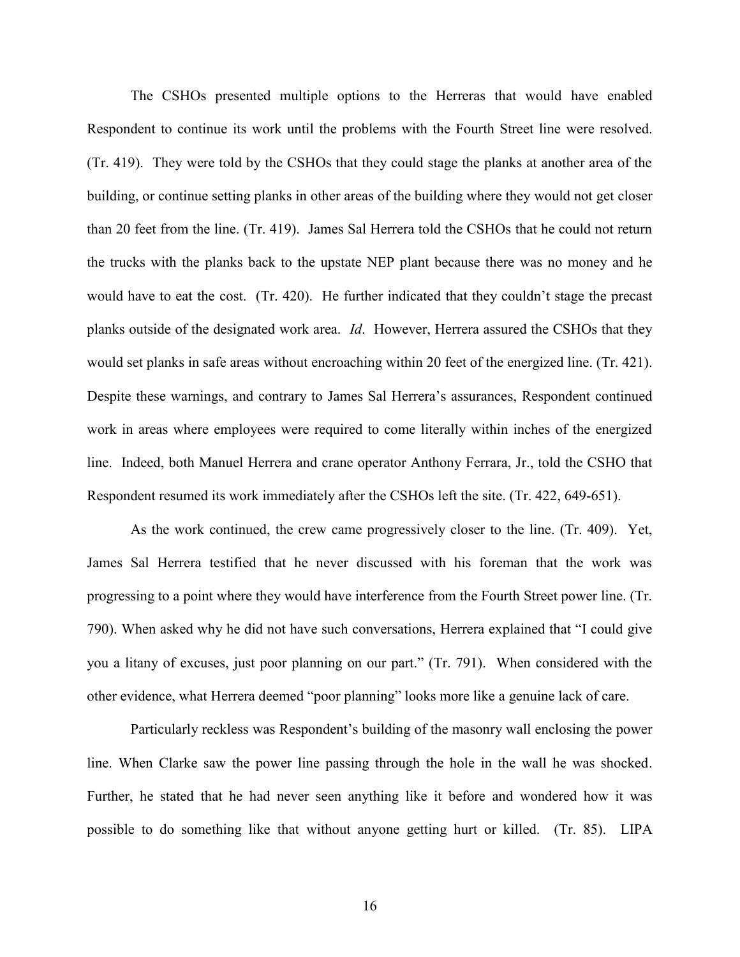The CSHOs presented multiple options to the Herreras that would have enabled Respondent to continue its work until the problems with the Fourth Street line were resolved. (Tr. 419). They were told by the CSHOs that they could stage the planks at another area of the building, or continue setting planks in other areas of the building where they would not get closer than 20 feet from the line. (Tr. 419). James Sal Herrera told the CSHOs that he could not return the trucks with the planks back to the upstate NEP plant because there was no money and he would have to eat the cost. (Tr. 420). He further indicated that they couldn't stage the precast planks outside of the designated work area. *Id*. However, Herrera assured the CSHOs that they would set planks in safe areas without encroaching within 20 feet of the energized line. (Tr. 421). Despite these warnings, and contrary to James Sal Herrera's assurances, Respondent continued work in areas where employees were required to come literally within inches of the energized line. Indeed, both Manuel Herrera and crane operator Anthony Ferrara, Jr., told the CSHO that Respondent resumed its work immediately after the CSHOs left the site. (Tr. 422, 649-651).

As the work continued, the crew came progressively closer to the line. (Tr. 409). Yet, James Sal Herrera testified that he never discussed with his foreman that the work was progressing to a point where they would have interference from the Fourth Street power line. (Tr. 790). When asked why he did not have such conversations, Herrera explained that "I could give you a litany of excuses, just poor planning on our part." (Tr. 791). When considered with the other evidence, what Herrera deemed "poor planning" looks more like a genuine lack of care.

Particularly reckless was Respondent's building of the masonry wall enclosing the power line. When Clarke saw the power line passing through the hole in the wall he was shocked. Further, he stated that he had never seen anything like it before and wondered how it was possible to do something like that without anyone getting hurt or killed. (Tr. 85). LIPA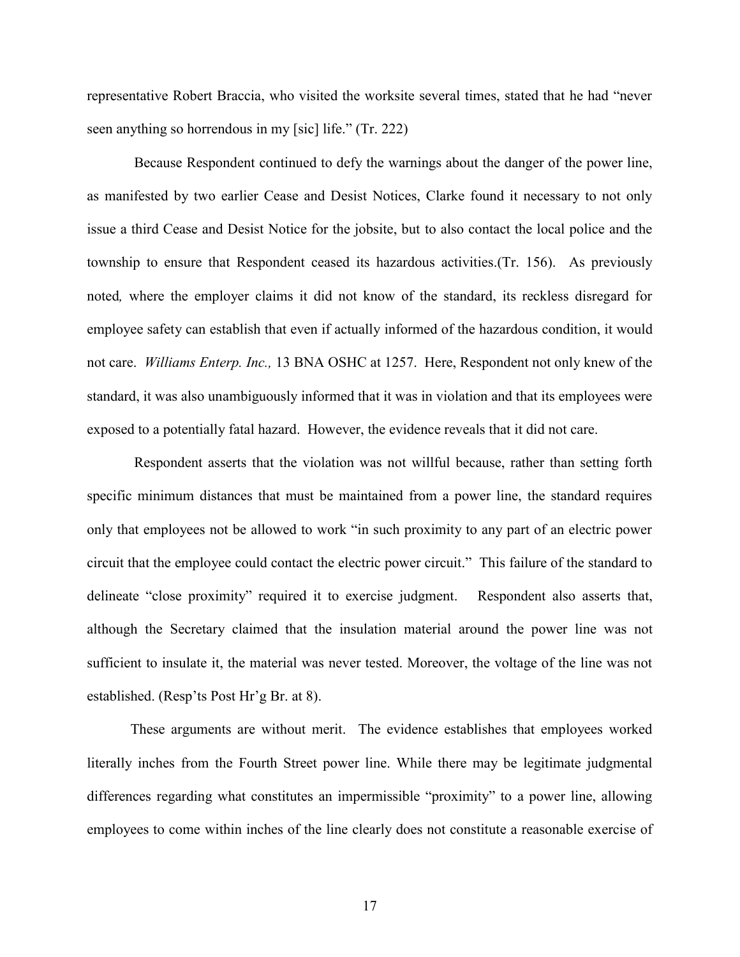representative Robert Braccia, who visited the worksite several times, stated that he had "never seen anything so horrendous in my [sic] life." (Tr. 222)

Because Respondent continued to defy the warnings about the danger of the power line, as manifested by two earlier Cease and Desist Notices, Clarke found it necessary to not only issue a third Cease and Desist Notice for the jobsite, but to also contact the local police and the township to ensure that Respondent ceased its hazardous activities.(Tr. 156). As previously noted*,* where the employer claims it did not know of the standard, its reckless disregard for employee safety can establish that even if actually informed of the hazardous condition, it would not care. *Williams Enterp. Inc.,* 13 BNA OSHC at 1257. Here, Respondent not only knew of the standard, it was also unambiguously informed that it was in violation and that its employees were exposed to a potentially fatal hazard. However, the evidence reveals that it did not care.

Respondent asserts that the violation was not willful because, rather than setting forth specific minimum distances that must be maintained from a power line, the standard requires only that employees not be allowed to work "in such proximity to any part of an electric power circuit that the employee could contact the electric power circuit." This failure of the standard to delineate "close proximity" required it to exercise judgment. Respondent also asserts that, although the Secretary claimed that the insulation material around the power line was not sufficient to insulate it, the material was never tested. Moreover, the voltage of the line was not established. (Resp'ts Post Hr'g Br. at 8).

These arguments are without merit. The evidence establishes that employees worked literally inches from the Fourth Street power line. While there may be legitimate judgmental differences regarding what constitutes an impermissible "proximity" to a power line, allowing employees to come within inches of the line clearly does not constitute a reasonable exercise of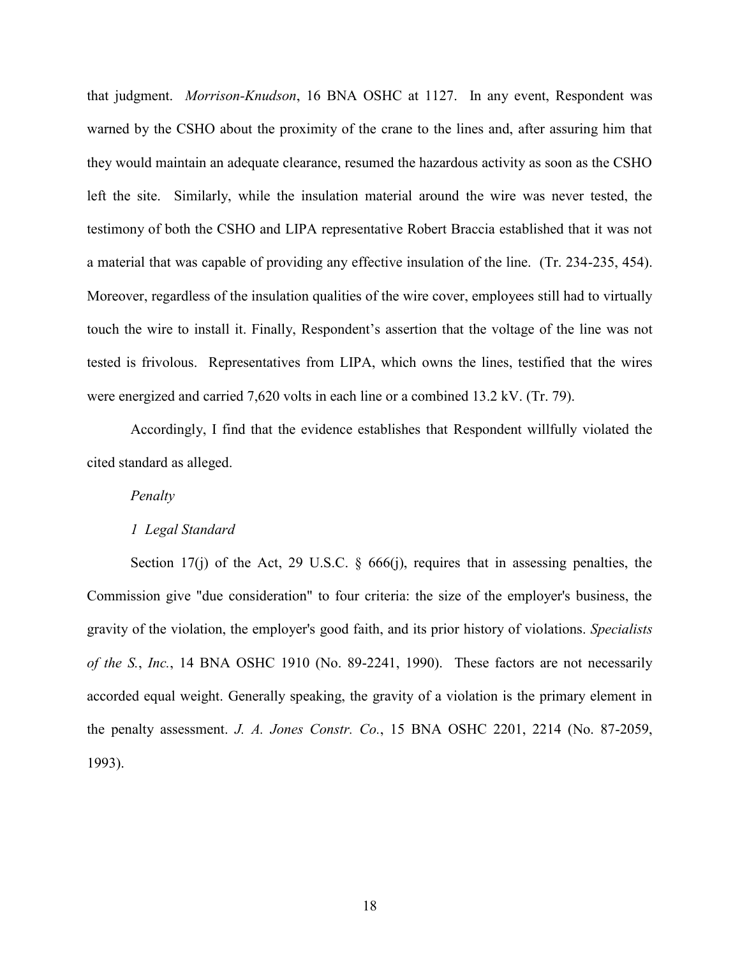that judgment. *Morrison-Knudson*, 16 BNA OSHC at 1127. In any event, Respondent was warned by the CSHO about the proximity of the crane to the lines and, after assuring him that they would maintain an adequate clearance, resumed the hazardous activity as soon as the CSHO left the site. Similarly, while the insulation material around the wire was never tested, the testimony of both the CSHO and LIPA representative Robert Braccia established that it was not a material that was capable of providing any effective insulation of the line. (Tr. 234-235, 454). Moreover, regardless of the insulation qualities of the wire cover, employees still had to virtually touch the wire to install it. Finally, Respondent's assertion that the voltage of the line was not tested is frivolous. Representatives from LIPA, which owns the lines, testified that the wires were energized and carried 7,620 volts in each line or a combined 13.2 kV. (Tr. 79).

Accordingly, I find that the evidence establishes that Respondent willfully violated the cited standard as alleged.

# *Penalty*

### *1 Legal Standard*

Section 17(j) of the Act, 29 U.S.C.  $\S$  666(j), requires that in assessing penalties, the Commission give "due consideration" to four criteria: the size of the employer's business, the gravity of the violation, the employer's good faith, and its prior history of violations. *Specialists of the S.*, *Inc.*, 14 BNA OSHC 1910 (No. 89-2241, 1990). These factors are not necessarily accorded equal weight. Generally speaking, the gravity of a violation is the primary element in the penalty assessment. *J. A. Jones Constr. Co.*, 15 BNA OSHC 2201, 2214 (No. 87-2059, 1993).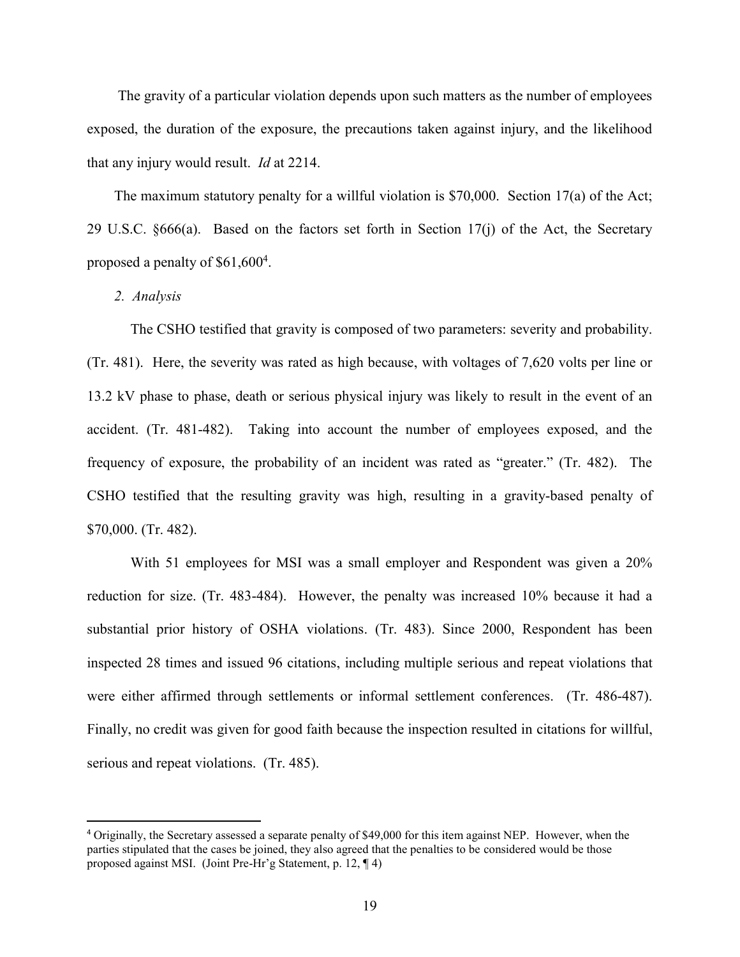The gravity of a particular violation depends upon such matters as the number of employees exposed, the duration of the exposure, the precautions taken against injury, and the likelihood that any injury would result. *Id* at 2214.

The maximum statutory penalty for a willful violation is \$70,000. Section 17(a) of the Act; 29 U.S.C. §666(a). Based on the factors set forth in Section 17(j) of the Act, the Secretary proposed a penalty of \$61,600<sup>4</sup>.

# *2. Analysis*

 $\overline{\phantom{a}}$ 

The CSHO testified that gravity is composed of two parameters: severity and probability. (Tr. 481). Here, the severity was rated as high because, with voltages of 7,620 volts per line or 13.2 kV phase to phase, death or serious physical injury was likely to result in the event of an accident. (Tr. 481-482). Taking into account the number of employees exposed, and the frequency of exposure, the probability of an incident was rated as "greater." (Tr. 482). The CSHO testified that the resulting gravity was high, resulting in a gravity-based penalty of \$70,000. (Tr. 482).

With 51 employees for MSI was a small employer and Respondent was given a 20% reduction for size. (Tr. 483-484). However, the penalty was increased 10% because it had a substantial prior history of OSHA violations. (Tr. 483). Since 2000, Respondent has been inspected 28 times and issued 96 citations, including multiple serious and repeat violations that were either affirmed through settlements or informal settlement conferences. (Tr. 486-487). Finally, no credit was given for good faith because the inspection resulted in citations for willful, serious and repeat violations. (Tr. 485).

<sup>4</sup> Originally, the Secretary assessed a separate penalty of \$49,000 for this item against NEP. However, when the parties stipulated that the cases be joined, they also agreed that the penalties to be considered would be those proposed against MSI. (Joint Pre-Hr'g Statement, p. 12, ¶ 4)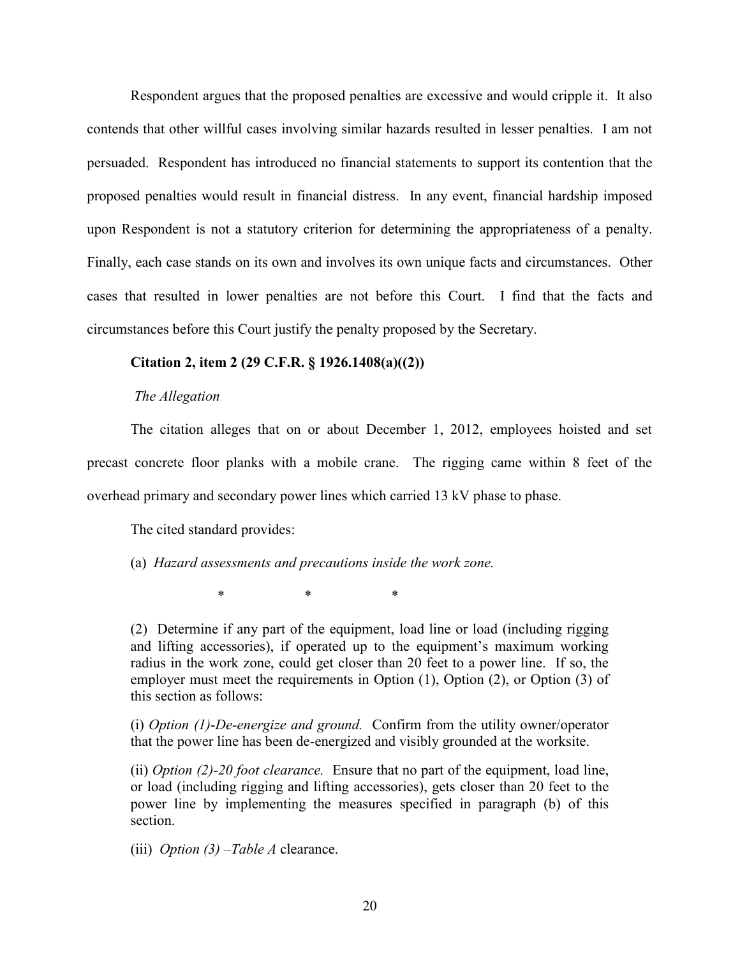Respondent argues that the proposed penalties are excessive and would cripple it. It also contends that other willful cases involving similar hazards resulted in lesser penalties. I am not persuaded. Respondent has introduced no financial statements to support its contention that the proposed penalties would result in financial distress. In any event, financial hardship imposed upon Respondent is not a statutory criterion for determining the appropriateness of a penalty. Finally, each case stands on its own and involves its own unique facts and circumstances. Other cases that resulted in lower penalties are not before this Court. I find that the facts and circumstances before this Court justify the penalty proposed by the Secretary.

# **Citation 2, item 2 (29 C.F.R. § 1926.1408(a)((2))**

#### *The Allegation*

The citation alleges that on or about December 1, 2012, employees hoisted and set precast concrete floor planks with a mobile crane. The rigging came within 8 feet of the overhead primary and secondary power lines which carried 13 kV phase to phase.

The cited standard provides:

(a) *Hazard assessments and precautions inside the work zone.*

\* \* \*

(2) Determine if any part of the equipment, load line or load (including rigging and lifting accessories), if operated up to the equipment's maximum working radius in the work zone, could get closer than 20 feet to a power line. If so, the employer must meet the requirements in Option (1), Option (2), or Option (3) of this section as follows:

(i) *Option (1)*-*De-energize and ground.* Confirm from the utility owner/operator that the power line has been de-energized and visibly grounded at the worksite.

(ii) *Option (2)-20 foot clearance.* Ensure that no part of the equipment, load line, or load (including rigging and lifting accessories), gets closer than 20 feet to the power line by implementing the measures specified in paragraph (b) of this section.

(iii) *Option (3)* –*Table A* clearance.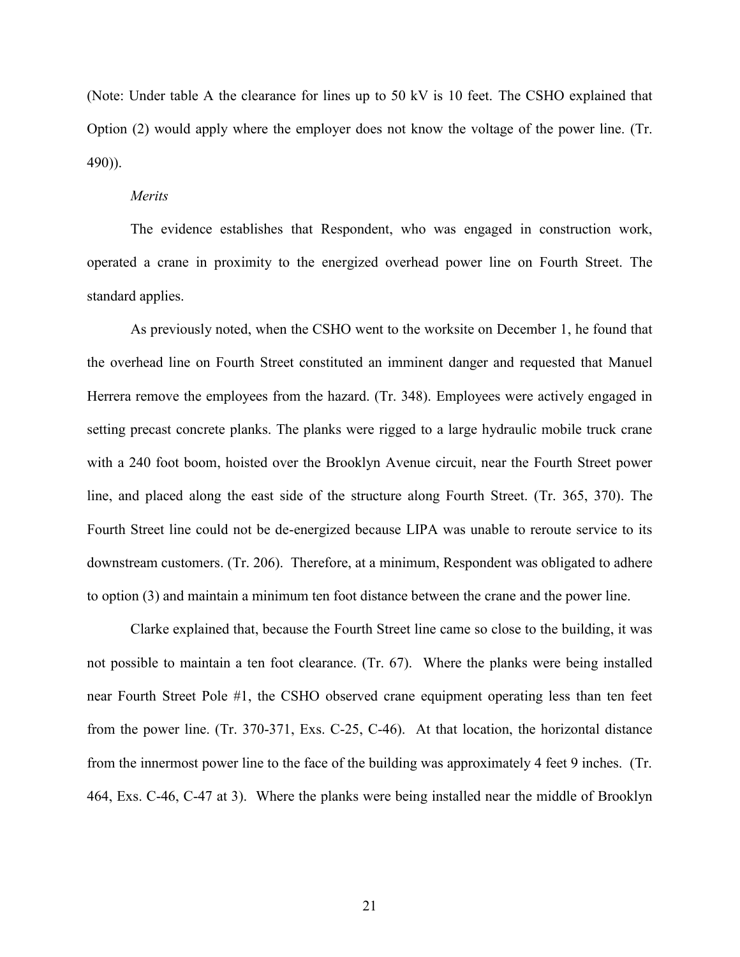(Note: Under table A the clearance for lines up to 50 kV is 10 feet. The CSHO explained that Option (2) would apply where the employer does not know the voltage of the power line. (Tr. 490)).

## *Merits*

The evidence establishes that Respondent, who was engaged in construction work, operated a crane in proximity to the energized overhead power line on Fourth Street. The standard applies.

As previously noted, when the CSHO went to the worksite on December 1, he found that the overhead line on Fourth Street constituted an imminent danger and requested that Manuel Herrera remove the employees from the hazard. (Tr. 348). Employees were actively engaged in setting precast concrete planks. The planks were rigged to a large hydraulic mobile truck crane with a 240 foot boom, hoisted over the Brooklyn Avenue circuit, near the Fourth Street power line, and placed along the east side of the structure along Fourth Street. (Tr. 365, 370). The Fourth Street line could not be de-energized because LIPA was unable to reroute service to its downstream customers. (Tr. 206). Therefore, at a minimum, Respondent was obligated to adhere to option (3) and maintain a minimum ten foot distance between the crane and the power line.

Clarke explained that, because the Fourth Street line came so close to the building, it was not possible to maintain a ten foot clearance. (Tr. 67). Where the planks were being installed near Fourth Street Pole #1, the CSHO observed crane equipment operating less than ten feet from the power line. (Tr. 370-371, Exs. C-25, C-46). At that location, the horizontal distance from the innermost power line to the face of the building was approximately 4 feet 9 inches. (Tr. 464, Exs. C-46, C-47 at 3). Where the planks were being installed near the middle of Brooklyn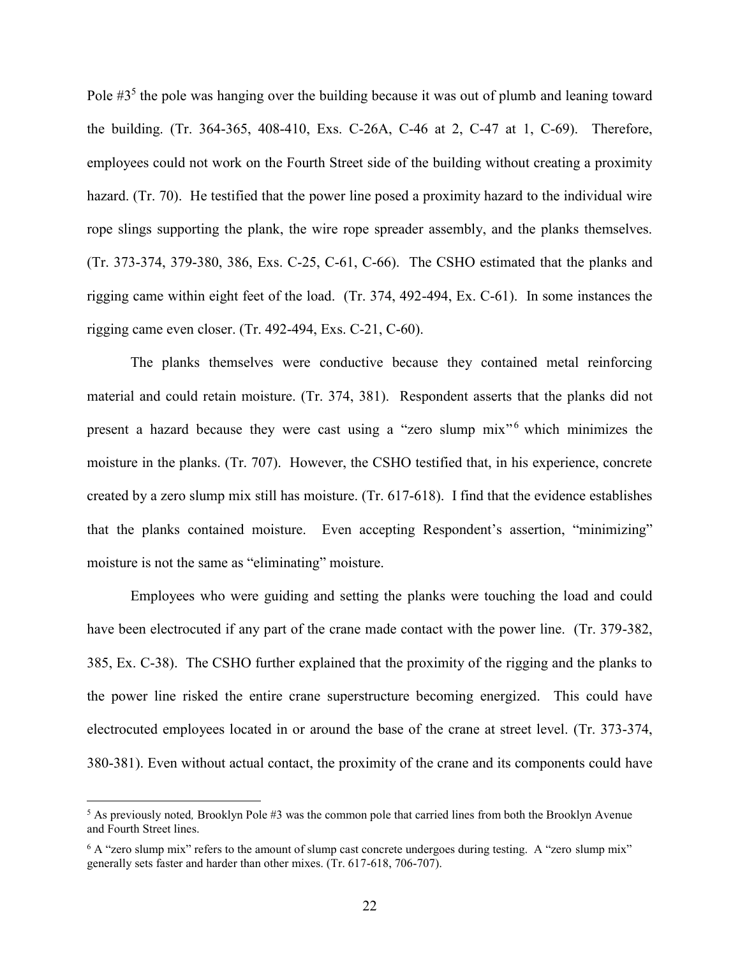Pole #3<sup>5</sup> the pole was hanging over the building because it was out of plumb and leaning toward the building. (Tr. 364-365, 408-410, Exs. C-26A, C-46 at 2, C-47 at 1, C-69). Therefore, employees could not work on the Fourth Street side of the building without creating a proximity hazard. (Tr. 70). He testified that the power line posed a proximity hazard to the individual wire rope slings supporting the plank, the wire rope spreader assembly, and the planks themselves. (Tr. 373-374, 379-380, 386, Exs. C-25, C-61, C-66). The CSHO estimated that the planks and rigging came within eight feet of the load. (Tr. 374, 492-494, Ex. C-61). In some instances the rigging came even closer. (Tr. 492-494, Exs. C-21, C-60).

The planks themselves were conductive because they contained metal reinforcing material and could retain moisture. (Tr. 374, 381). Respondent asserts that the planks did not present a hazard because they were cast using a "zero slump mix" which minimizes the moisture in the planks. (Tr. 707). However, the CSHO testified that, in his experience, concrete created by a zero slump mix still has moisture. (Tr. 617-618). I find that the evidence establishes that the planks contained moisture. Even accepting Respondent's assertion, "minimizing" moisture is not the same as "eliminating" moisture.

Employees who were guiding and setting the planks were touching the load and could have been electrocuted if any part of the crane made contact with the power line. (Tr. 379-382, 385, Ex. C-38). The CSHO further explained that the proximity of the rigging and the planks to the power line risked the entire crane superstructure becoming energized. This could have electrocuted employees located in or around the base of the crane at street level. (Tr. 373-374, 380-381). Even without actual contact, the proximity of the crane and its components could have

 $\overline{\phantom{a}}$ 

<sup>5</sup> As previously noted*,* Brooklyn Pole #3 was the common pole that carried lines from both the Brooklyn Avenue and Fourth Street lines.

<sup>&</sup>lt;sup>6</sup> A "zero slump mix" refers to the amount of slump cast concrete undergoes during testing. A "zero slump mix" generally sets faster and harder than other mixes. (Tr. 617-618, 706-707).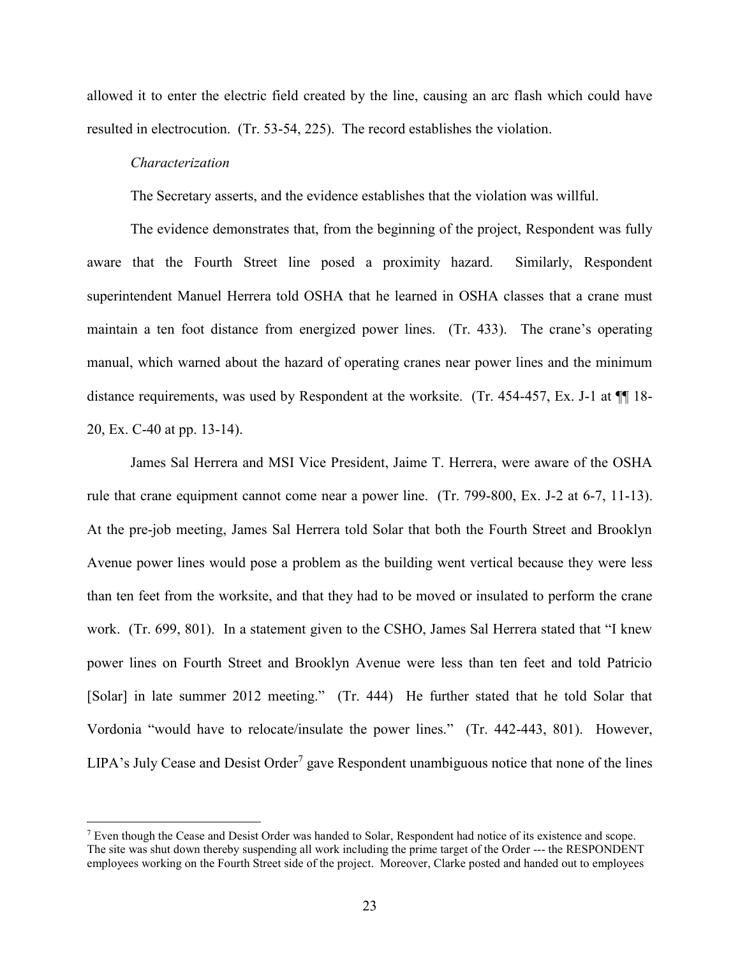allowed it to enter the electric field created by the line, causing an arc flash which could have resulted in electrocution. (Tr. 53-54, 225). The record establishes the violation.

#### *Characterization*

 $\overline{\phantom{a}}$ 

The Secretary asserts, and the evidence establishes that the violation was willful.

The evidence demonstrates that, from the beginning of the project, Respondent was fully aware that the Fourth Street line posed a proximity hazard. Similarly, Respondent superintendent Manuel Herrera told OSHA that he learned in OSHA classes that a crane must maintain a ten foot distance from energized power lines. (Tr. 433). The crane's operating manual, which warned about the hazard of operating cranes near power lines and the minimum distance requirements, was used by Respondent at the worksite. (Tr. 454-457, Ex. J-1 at ¶¶ 18- 20, Ex. C-40 at pp. 13-14).

James Sal Herrera and MSI Vice President, Jaime T. Herrera, were aware of the OSHA rule that crane equipment cannot come near a power line. (Tr. 799-800, Ex. J-2 at 6-7, 11-13). At the pre-job meeting, James Sal Herrera told Solar that both the Fourth Street and Brooklyn Avenue power lines would pose a problem as the building went vertical because they were less than ten feet from the worksite, and that they had to be moved or insulated to perform the crane work. (Tr. 699, 801). In a statement given to the CSHO, James Sal Herrera stated that "I knew power lines on Fourth Street and Brooklyn Avenue were less than ten feet and told Patricio [Solar] in late summer 2012 meeting." (Tr. 444) He further stated that he told Solar that Vordonia "would have to relocate/insulate the power lines." (Tr. 442-443, 801). However, LIPA's July Cease and Desist Order<sup>7</sup> gave Respondent unambiguous notice that none of the lines

 $7$  Even though the Cease and Desist Order was handed to Solar, Respondent had notice of its existence and scope. The site was shut down thereby suspending all work including the prime target of the Order --- the RESPONDENT employees working on the Fourth Street side of the project. Moreover, Clarke posted and handed out to employees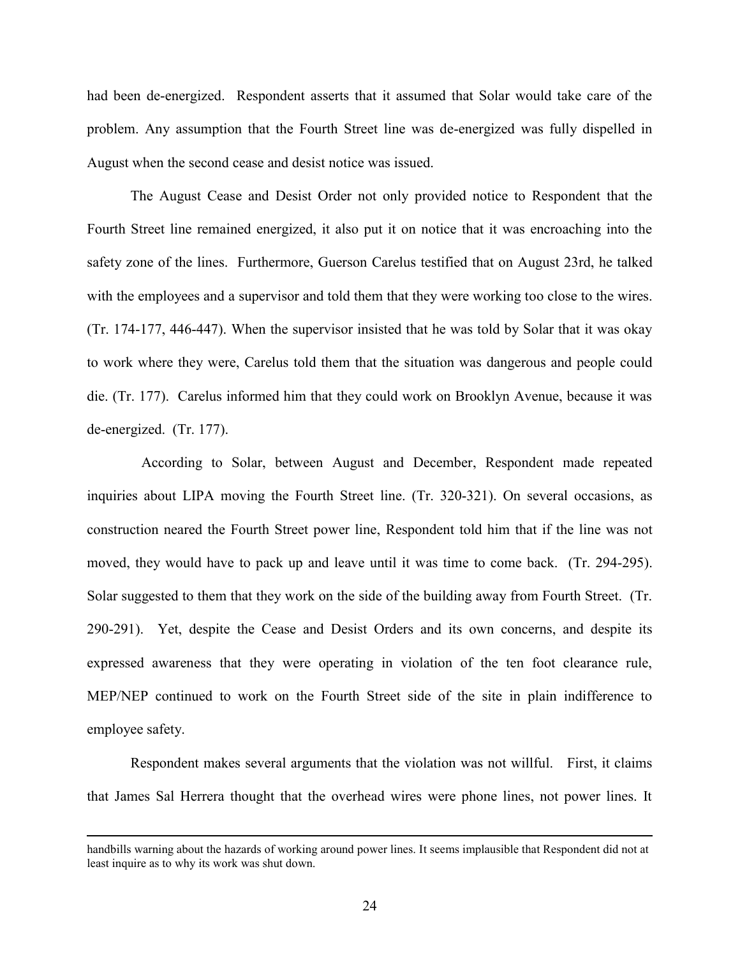had been de-energized. Respondent asserts that it assumed that Solar would take care of the problem. Any assumption that the Fourth Street line was de-energized was fully dispelled in August when the second cease and desist notice was issued.

The August Cease and Desist Order not only provided notice to Respondent that the Fourth Street line remained energized, it also put it on notice that it was encroaching into the safety zone of the lines. Furthermore, Guerson Carelus testified that on August 23rd, he talked with the employees and a supervisor and told them that they were working too close to the wires. (Tr. 174-177, 446-447). When the supervisor insisted that he was told by Solar that it was okay to work where they were, Carelus told them that the situation was dangerous and people could die. (Tr. 177). Carelus informed him that they could work on Brooklyn Avenue, because it was de-energized. (Tr. 177).

 According to Solar, between August and December, Respondent made repeated inquiries about LIPA moving the Fourth Street line. (Tr. 320-321). On several occasions, as construction neared the Fourth Street power line, Respondent told him that if the line was not moved, they would have to pack up and leave until it was time to come back. (Tr. 294-295). Solar suggested to them that they work on the side of the building away from Fourth Street. (Tr. 290-291). Yet, despite the Cease and Desist Orders and its own concerns, and despite its expressed awareness that they were operating in violation of the ten foot clearance rule, MEP/NEP continued to work on the Fourth Street side of the site in plain indifference to employee safety.

Respondent makes several arguments that the violation was not willful. First, it claims that James Sal Herrera thought that the overhead wires were phone lines, not power lines. It

 $\overline{a}$ 

handbills warning about the hazards of working around power lines. It seems implausible that Respondent did not at least inquire as to why its work was shut down.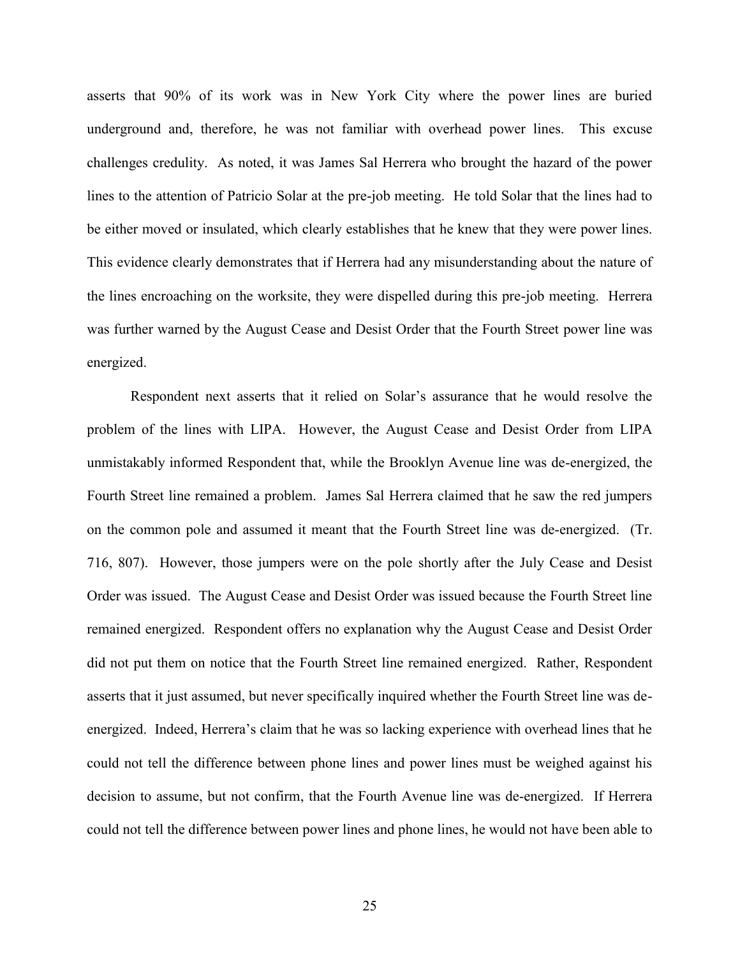asserts that 90% of its work was in New York City where the power lines are buried underground and, therefore, he was not familiar with overhead power lines. This excuse challenges credulity. As noted, it was James Sal Herrera who brought the hazard of the power lines to the attention of Patricio Solar at the pre-job meeting. He told Solar that the lines had to be either moved or insulated, which clearly establishes that he knew that they were power lines. This evidence clearly demonstrates that if Herrera had any misunderstanding about the nature of the lines encroaching on the worksite, they were dispelled during this pre-job meeting. Herrera was further warned by the August Cease and Desist Order that the Fourth Street power line was energized.

Respondent next asserts that it relied on Solar's assurance that he would resolve the problem of the lines with LIPA. However, the August Cease and Desist Order from LIPA unmistakably informed Respondent that, while the Brooklyn Avenue line was de-energized, the Fourth Street line remained a problem. James Sal Herrera claimed that he saw the red jumpers on the common pole and assumed it meant that the Fourth Street line was de-energized. (Tr. 716, 807). However, those jumpers were on the pole shortly after the July Cease and Desist Order was issued. The August Cease and Desist Order was issued because the Fourth Street line remained energized. Respondent offers no explanation why the August Cease and Desist Order did not put them on notice that the Fourth Street line remained energized. Rather, Respondent asserts that it just assumed, but never specifically inquired whether the Fourth Street line was deenergized. Indeed, Herrera's claim that he was so lacking experience with overhead lines that he could not tell the difference between phone lines and power lines must be weighed against his decision to assume, but not confirm, that the Fourth Avenue line was de-energized. If Herrera could not tell the difference between power lines and phone lines, he would not have been able to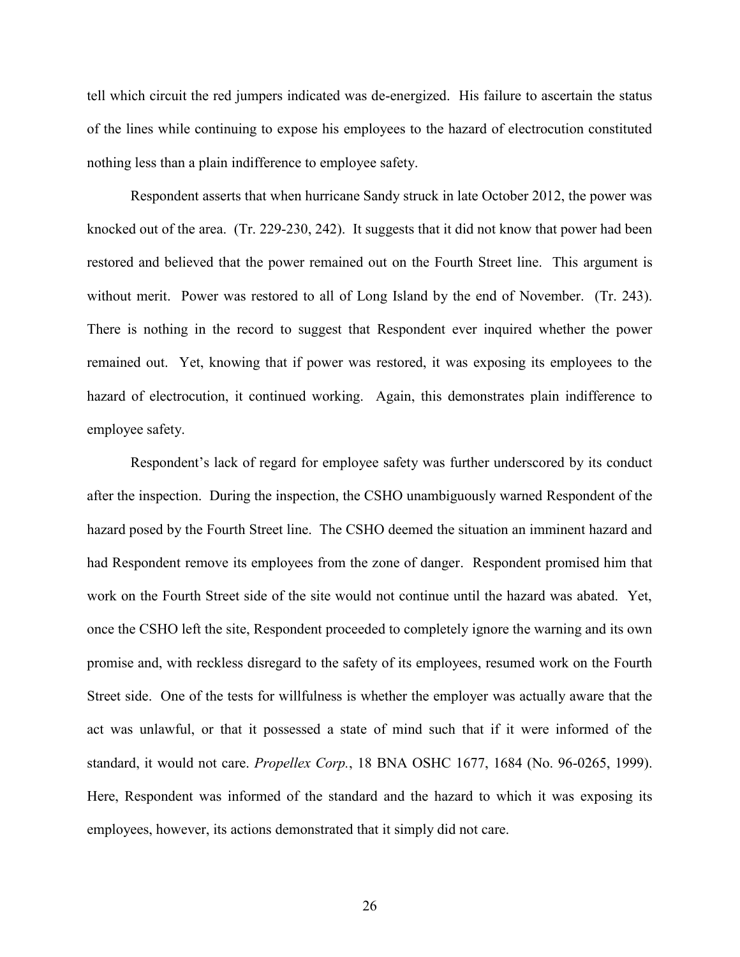tell which circuit the red jumpers indicated was de-energized. His failure to ascertain the status of the lines while continuing to expose his employees to the hazard of electrocution constituted nothing less than a plain indifference to employee safety.

Respondent asserts that when hurricane Sandy struck in late October 2012, the power was knocked out of the area. (Tr. 229-230, 242). It suggests that it did not know that power had been restored and believed that the power remained out on the Fourth Street line. This argument is without merit. Power was restored to all of Long Island by the end of November. (Tr. 243). There is nothing in the record to suggest that Respondent ever inquired whether the power remained out. Yet, knowing that if power was restored, it was exposing its employees to the hazard of electrocution, it continued working. Again, this demonstrates plain indifference to employee safety.

Respondent's lack of regard for employee safety was further underscored by its conduct after the inspection. During the inspection, the CSHO unambiguously warned Respondent of the hazard posed by the Fourth Street line. The CSHO deemed the situation an imminent hazard and had Respondent remove its employees from the zone of danger. Respondent promised him that work on the Fourth Street side of the site would not continue until the hazard was abated. Yet, once the CSHO left the site, Respondent proceeded to completely ignore the warning and its own promise and, with reckless disregard to the safety of its employees, resumed work on the Fourth Street side. One of the tests for willfulness is whether the employer was actually aware that the act was unlawful, or that it possessed a state of mind such that if it were informed of the standard, it would not care. *Propellex Corp.*, 18 BNA OSHC 1677, 1684 (No. 96-0265, 1999). Here, Respondent was informed of the standard and the hazard to which it was exposing its employees, however, its actions demonstrated that it simply did not care.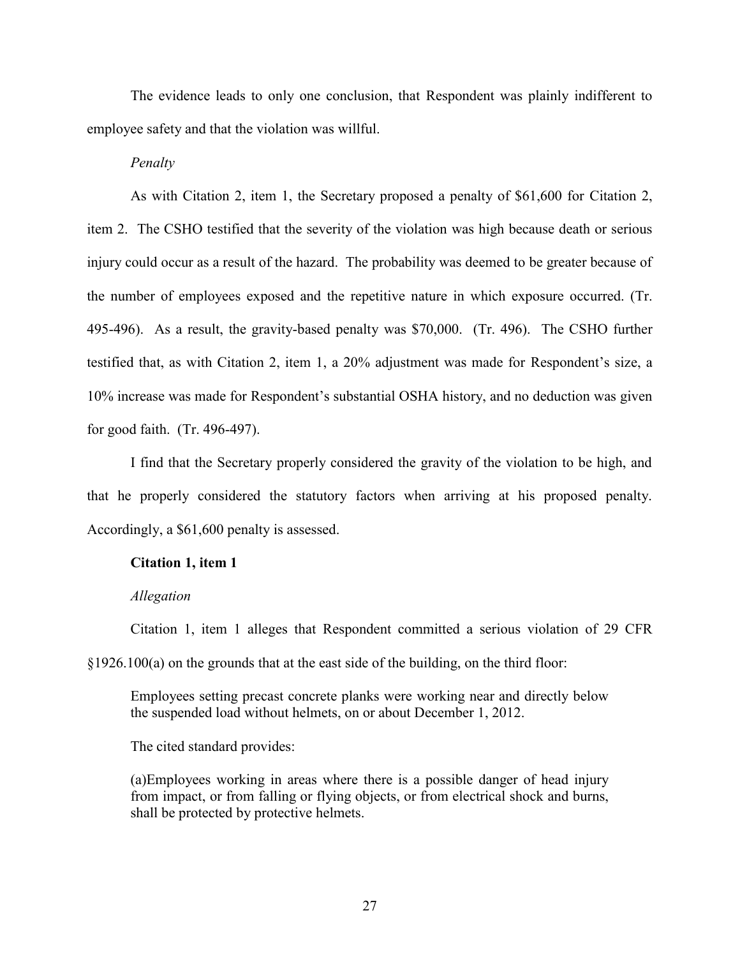The evidence leads to only one conclusion, that Respondent was plainly indifferent to employee safety and that the violation was willful.

*Penalty*

As with Citation 2, item 1, the Secretary proposed a penalty of \$61,600 for Citation 2, item 2. The CSHO testified that the severity of the violation was high because death or serious injury could occur as a result of the hazard. The probability was deemed to be greater because of the number of employees exposed and the repetitive nature in which exposure occurred. (Tr. 495-496). As a result, the gravity-based penalty was \$70,000. (Tr. 496). The CSHO further testified that, as with Citation 2, item 1, a 20% adjustment was made for Respondent's size, a 10% increase was made for Respondent's substantial OSHA history, and no deduction was given for good faith. (Tr. 496-497).

I find that the Secretary properly considered the gravity of the violation to be high, and that he properly considered the statutory factors when arriving at his proposed penalty. Accordingly, a \$61,600 penalty is assessed.

# **Citation 1, item 1**

#### *Allegation*

Citation 1, item 1 alleges that Respondent committed a serious violation of 29 CFR §1926.100(a) on the grounds that at the east side of the building, on the third floor:

Employees setting precast concrete planks were working near and directly below the suspended load without helmets, on or about December 1, 2012.

The cited standard provides:

(a)Employees working in areas where there is a possible danger of head injury from impact, or from falling or flying objects, or from electrical shock and burns, shall be protected by protective helmets.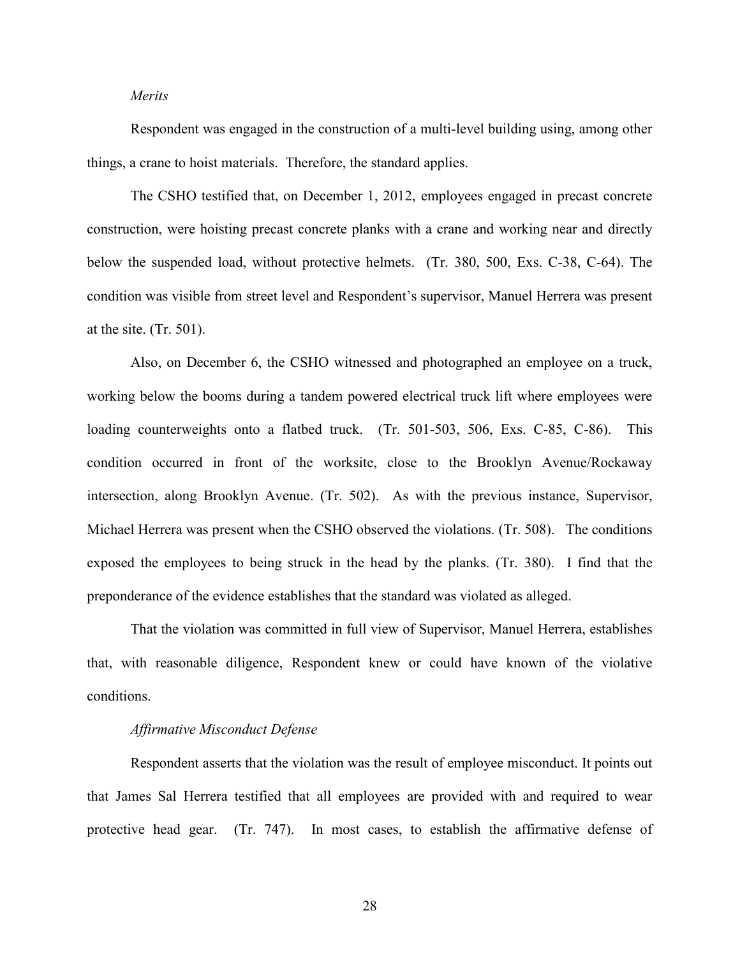# *Merits*

Respondent was engaged in the construction of a multi-level building using, among other things, a crane to hoist materials. Therefore, the standard applies.

The CSHO testified that, on December 1, 2012, employees engaged in precast concrete construction, were hoisting precast concrete planks with a crane and working near and directly below the suspended load, without protective helmets. (Tr. 380, 500, Exs. C-38, C-64). The condition was visible from street level and Respondent's supervisor, Manuel Herrera was present at the site. (Tr. 501).

Also, on December 6, the CSHO witnessed and photographed an employee on a truck, working below the booms during a tandem powered electrical truck lift where employees were loading counterweights onto a flatbed truck. (Tr. 501-503, 506, Exs. C-85, C-86). This condition occurred in front of the worksite, close to the Brooklyn Avenue/Rockaway intersection, along Brooklyn Avenue. (Tr. 502). As with the previous instance, Supervisor, Michael Herrera was present when the CSHO observed the violations. (Tr. 508). The conditions exposed the employees to being struck in the head by the planks. (Tr. 380). I find that the preponderance of the evidence establishes that the standard was violated as alleged.

That the violation was committed in full view of Supervisor, Manuel Herrera, establishes that, with reasonable diligence, Respondent knew or could have known of the violative conditions.

## *Affirmative Misconduct Defense*

Respondent asserts that the violation was the result of employee misconduct. It points out that James Sal Herrera testified that all employees are provided with and required to wear protective head gear. (Tr. 747). In most cases, to establish the affirmative defense of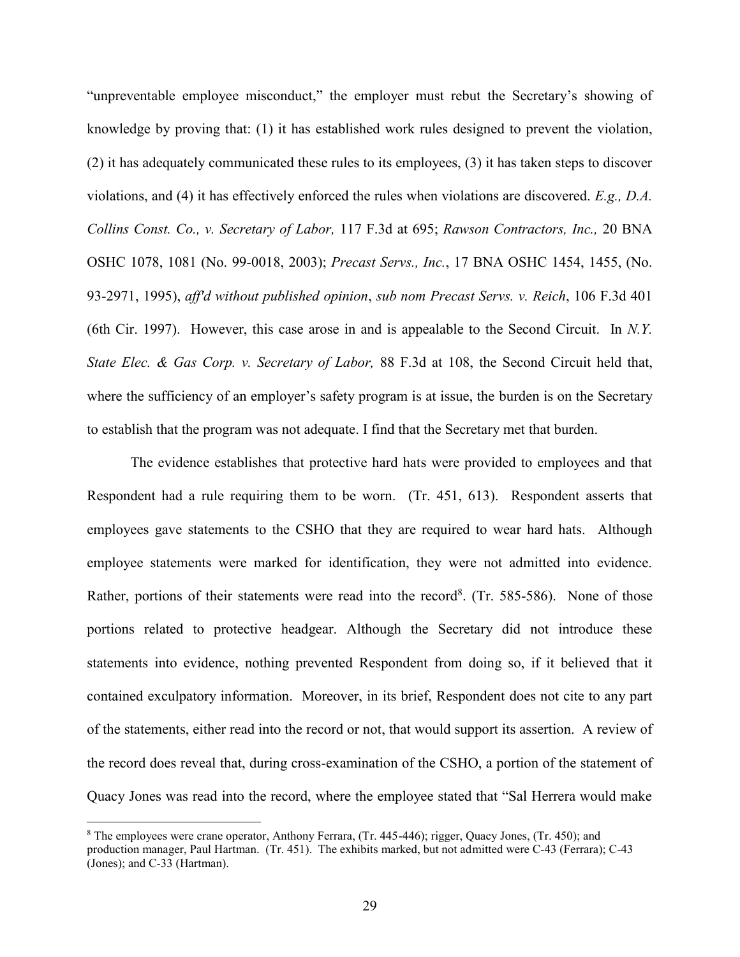"unpreventable employee misconduct," the employer must rebut the Secretary's showing of knowledge by proving that: (1) it has established work rules designed to prevent the violation, (2) it has adequately communicated these rules to its employees, (3) it has taken steps to discover violations, and (4) it has effectively enforced the rules when violations are discovered. *E.g., D.A. Collins Const. Co., v. Secretary of Labor,* 117 F.3d at 695; *Rawson Contractors, Inc.,* 20 BNA OSHC 1078, 1081 (No. 99-0018, 2003); *Precast Servs., Inc.*, 17 BNA OSHC 1454, 1455, (No. 93-2971, 1995), *aff'd without published opinion*, *sub nom Precast Servs. v. Reich*, 106 F.3d 401 (6th Cir. 1997). However, this case arose in and is appealable to the Second Circuit. In *N.Y. State Elec. & Gas Corp. v. Secretary of Labor,* 88 F.3d at 108, the Second Circuit held that, where the sufficiency of an employer's safety program is at issue, the burden is on the Secretary to establish that the program was not adequate. I find that the Secretary met that burden.

The evidence establishes that protective hard hats were provided to employees and that Respondent had a rule requiring them to be worn. (Tr. 451, 613). Respondent asserts that employees gave statements to the CSHO that they are required to wear hard hats. Although employee statements were marked for identification, they were not admitted into evidence. Rather, portions of their statements were read into the record<sup>8</sup>. (Tr. 585-586). None of those portions related to protective headgear. Although the Secretary did not introduce these statements into evidence, nothing prevented Respondent from doing so, if it believed that it contained exculpatory information. Moreover, in its brief, Respondent does not cite to any part of the statements, either read into the record or not, that would support its assertion. A review of the record does reveal that, during cross-examination of the CSHO, a portion of the statement of Quacy Jones was read into the record, where the employee stated that "Sal Herrera would make

 $\overline{\phantom{a}}$ 

<sup>8</sup> The employees were crane operator, Anthony Ferrara, (Tr. 445-446); rigger, Quacy Jones, (Tr. 450); and production manager, Paul Hartman. (Tr. 451). The exhibits marked, but not admitted were C-43 (Ferrara); C-43 (Jones); and C-33 (Hartman).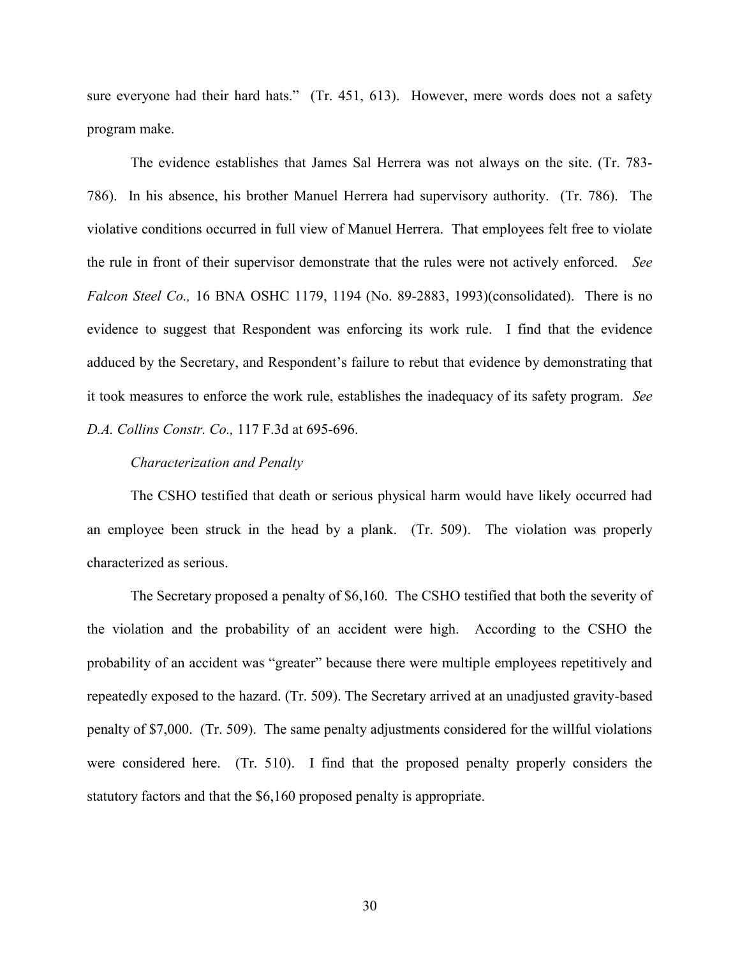sure everyone had their hard hats." (Tr. 451, 613). However, mere words does not a safety program make.

The evidence establishes that James Sal Herrera was not always on the site. (Tr. 783- 786). In his absence, his brother Manuel Herrera had supervisory authority. (Tr. 786). The violative conditions occurred in full view of Manuel Herrera. That employees felt free to violate the rule in front of their supervisor demonstrate that the rules were not actively enforced. *See Falcon Steel Co.,* 16 BNA OSHC 1179, 1194 (No. 89-2883, 1993)(consolidated). There is no evidence to suggest that Respondent was enforcing its work rule. I find that the evidence adduced by the Secretary, and Respondent's failure to rebut that evidence by demonstrating that it took measures to enforce the work rule, establishes the inadequacy of its safety program. *See D.A. Collins Constr. Co.,* 117 F.3d at 695-696.

### *Characterization and Penalty*

The CSHO testified that death or serious physical harm would have likely occurred had an employee been struck in the head by a plank. (Tr. 509). The violation was properly characterized as serious.

The Secretary proposed a penalty of \$6,160. The CSHO testified that both the severity of the violation and the probability of an accident were high. According to the CSHO the probability of an accident was "greater" because there were multiple employees repetitively and repeatedly exposed to the hazard. (Tr. 509). The Secretary arrived at an unadjusted gravity-based penalty of \$7,000. (Tr. 509). The same penalty adjustments considered for the willful violations were considered here. (Tr. 510). I find that the proposed penalty properly considers the statutory factors and that the \$6,160 proposed penalty is appropriate.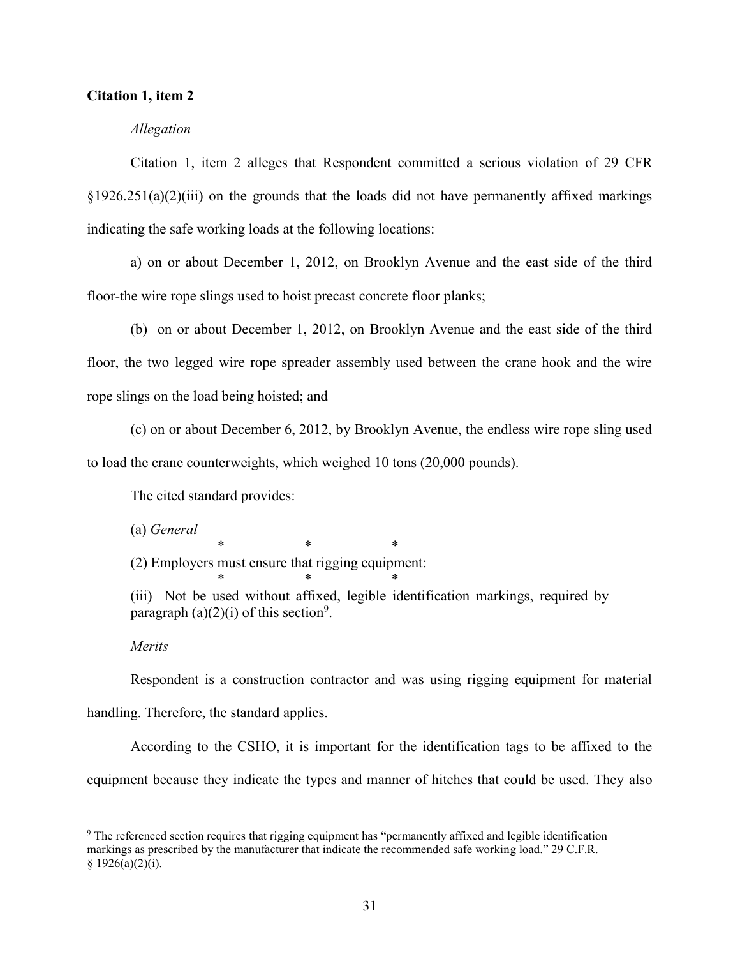## **Citation 1, item 2**

### *Allegation*

Citation 1, item 2 alleges that Respondent committed a serious violation of 29 CFR  $\S1926.251(a)(2)(iii)$  on the grounds that the loads did not have permanently affixed markings indicating the safe working loads at the following locations:

a) on or about December 1, 2012, on Brooklyn Avenue and the east side of the third floor-the wire rope slings used to hoist precast concrete floor planks;

(b) on or about December 1, 2012, on Brooklyn Avenue and the east side of the third floor, the two legged wire rope spreader assembly used between the crane hook and the wire rope slings on the load being hoisted; and

(c) on or about December 6, 2012, by Brooklyn Avenue, the endless wire rope sling used to load the crane counterweights, which weighed 10 tons (20,000 pounds).

The cited standard provides:

(a) *General*

(2) Employers must ensure that rigging equipment:

\* \* \*

\* \* \* (iii) Not be used without affixed, legible identification markings, required by paragraph  $(a)(2)(i)$  of this section<sup>9</sup>.

### *Merits*

 $\overline{\phantom{a}}$ 

Respondent is a construction contractor and was using rigging equipment for material handling. Therefore, the standard applies.

According to the CSHO, it is important for the identification tags to be affixed to the equipment because they indicate the types and manner of hitches that could be used. They also

<sup>9</sup> The referenced section requires that rigging equipment has "permanently affixed and legible identification markings as prescribed by the manufacturer that indicate the recommended safe working load." 29 C.F.R.  $§ 1926(a)(2)(i).$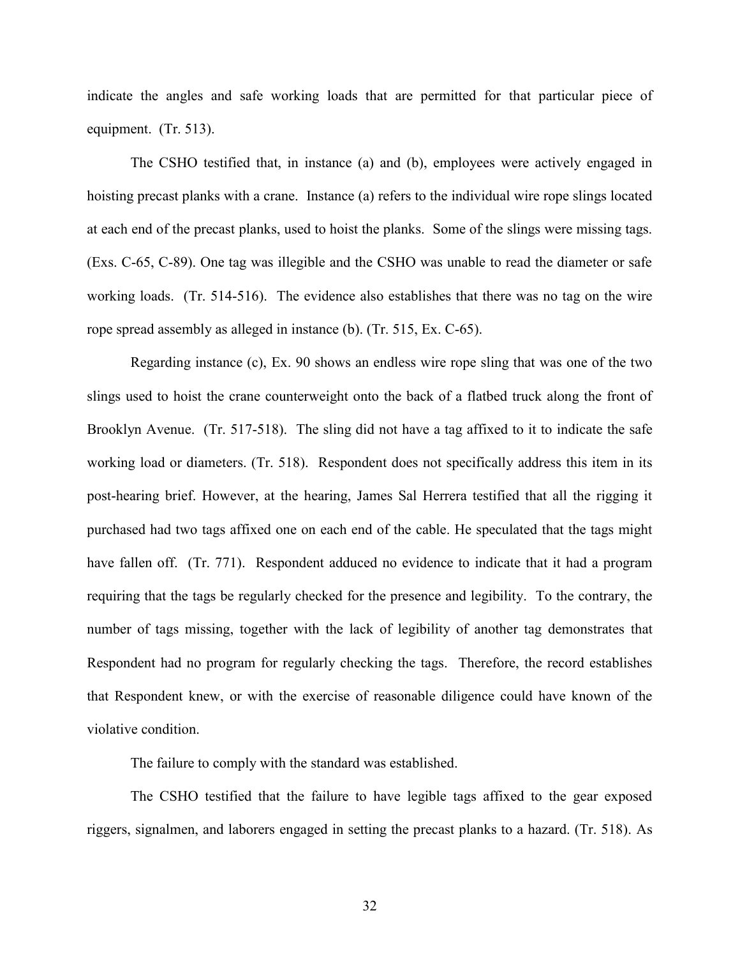indicate the angles and safe working loads that are permitted for that particular piece of equipment. (Tr. 513).

The CSHO testified that, in instance (a) and (b), employees were actively engaged in hoisting precast planks with a crane. Instance (a) refers to the individual wire rope slings located at each end of the precast planks, used to hoist the planks. Some of the slings were missing tags. (Exs. C-65, C-89). One tag was illegible and the CSHO was unable to read the diameter or safe working loads. (Tr. 514-516). The evidence also establishes that there was no tag on the wire rope spread assembly as alleged in instance (b). (Tr. 515, Ex. C-65).

Regarding instance (c), Ex. 90 shows an endless wire rope sling that was one of the two slings used to hoist the crane counterweight onto the back of a flatbed truck along the front of Brooklyn Avenue. (Tr. 517-518). The sling did not have a tag affixed to it to indicate the safe working load or diameters. (Tr. 518). Respondent does not specifically address this item in its post-hearing brief. However, at the hearing, James Sal Herrera testified that all the rigging it purchased had two tags affixed one on each end of the cable. He speculated that the tags might have fallen off. (Tr. 771). Respondent adduced no evidence to indicate that it had a program requiring that the tags be regularly checked for the presence and legibility. To the contrary, the number of tags missing, together with the lack of legibility of another tag demonstrates that Respondent had no program for regularly checking the tags. Therefore, the record establishes that Respondent knew, or with the exercise of reasonable diligence could have known of the violative condition.

The failure to comply with the standard was established.

The CSHO testified that the failure to have legible tags affixed to the gear exposed riggers, signalmen, and laborers engaged in setting the precast planks to a hazard. (Tr. 518). As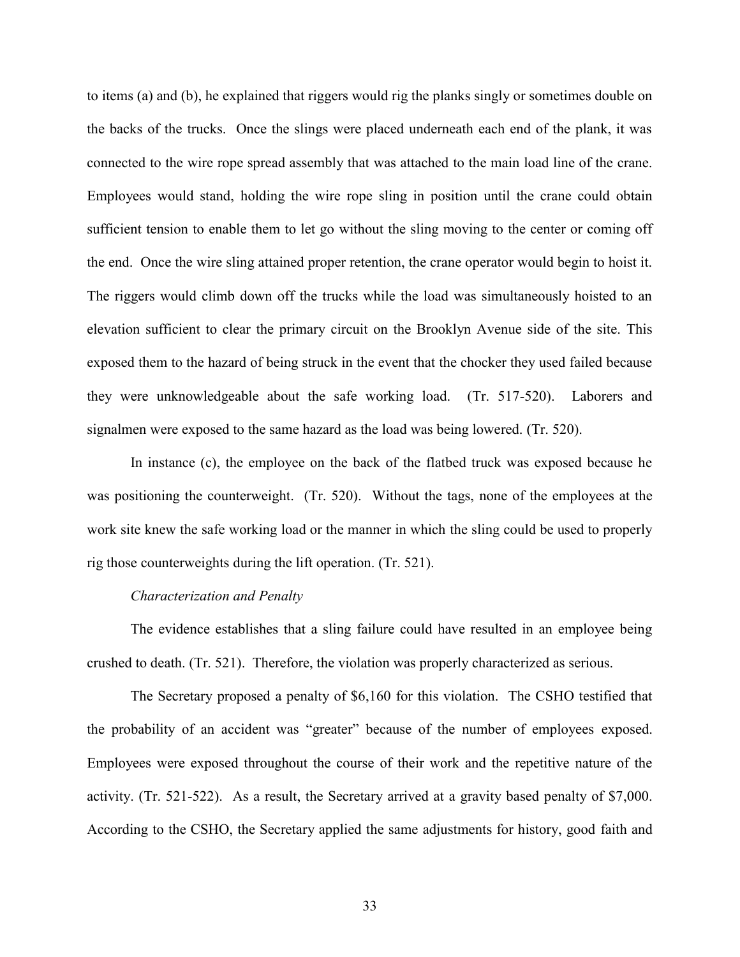to items (a) and (b), he explained that riggers would rig the planks singly or sometimes double on the backs of the trucks. Once the slings were placed underneath each end of the plank, it was connected to the wire rope spread assembly that was attached to the main load line of the crane. Employees would stand, holding the wire rope sling in position until the crane could obtain sufficient tension to enable them to let go without the sling moving to the center or coming off the end. Once the wire sling attained proper retention, the crane operator would begin to hoist it. The riggers would climb down off the trucks while the load was simultaneously hoisted to an elevation sufficient to clear the primary circuit on the Brooklyn Avenue side of the site. This exposed them to the hazard of being struck in the event that the chocker they used failed because they were unknowledgeable about the safe working load. (Tr. 517-520). Laborers and signalmen were exposed to the same hazard as the load was being lowered. (Tr. 520).

In instance (c), the employee on the back of the flatbed truck was exposed because he was positioning the counterweight. (Tr. 520). Without the tags, none of the employees at the work site knew the safe working load or the manner in which the sling could be used to properly rig those counterweights during the lift operation. (Tr. 521).

## *Characterization and Penalty*

The evidence establishes that a sling failure could have resulted in an employee being crushed to death. (Tr. 521). Therefore, the violation was properly characterized as serious.

The Secretary proposed a penalty of \$6,160 for this violation. The CSHO testified that the probability of an accident was "greater" because of the number of employees exposed. Employees were exposed throughout the course of their work and the repetitive nature of the activity. (Tr. 521-522). As a result, the Secretary arrived at a gravity based penalty of \$7,000. According to the CSHO, the Secretary applied the same adjustments for history, good faith and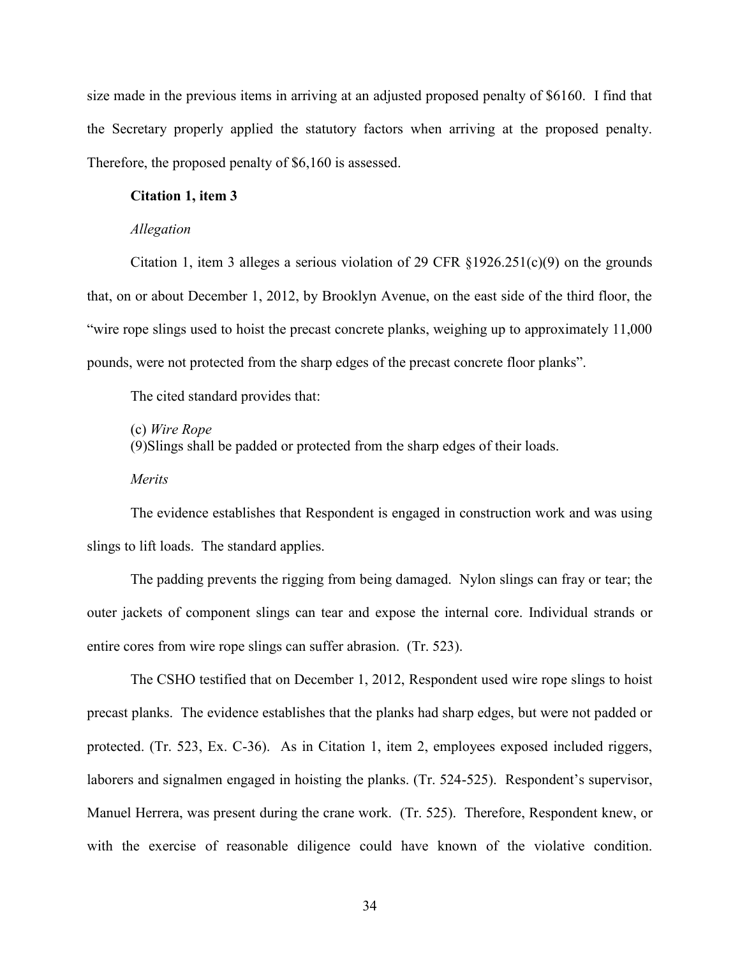size made in the previous items in arriving at an adjusted proposed penalty of \$6160. I find that the Secretary properly applied the statutory factors when arriving at the proposed penalty. Therefore, the proposed penalty of \$6,160 is assessed.

### **Citation 1, item 3**

#### *Allegation*

Citation 1, item 3 alleges a serious violation of 29 CFR  $\S 1926.251(c)(9)$  on the grounds that, on or about December 1, 2012, by Brooklyn Avenue, on the east side of the third floor, the "wire rope slings used to hoist the precast concrete planks, weighing up to approximately 11,000 pounds, were not protected from the sharp edges of the precast concrete floor planks".

The cited standard provides that:

(c) *Wire Rope*

(9)Slings shall be padded or protected from the sharp edges of their loads.

*Merits*

The evidence establishes that Respondent is engaged in construction work and was using slings to lift loads. The standard applies.

The padding prevents the rigging from being damaged. Nylon slings can fray or tear; the outer jackets of component slings can tear and expose the internal core. Individual strands or entire cores from wire rope slings can suffer abrasion. (Tr. 523).

The CSHO testified that on December 1, 2012, Respondent used wire rope slings to hoist precast planks. The evidence establishes that the planks had sharp edges, but were not padded or protected. (Tr. 523, Ex. C-36). As in Citation 1, item 2, employees exposed included riggers, laborers and signalmen engaged in hoisting the planks. (Tr. 524-525). Respondent's supervisor, Manuel Herrera, was present during the crane work. (Tr. 525). Therefore, Respondent knew, or with the exercise of reasonable diligence could have known of the violative condition.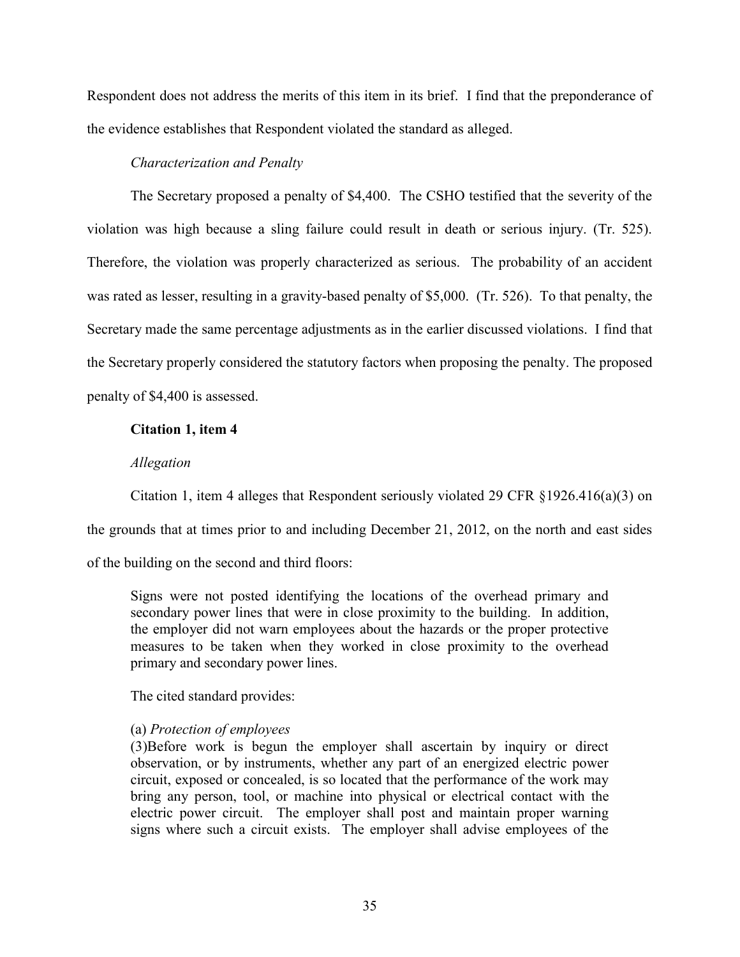Respondent does not address the merits of this item in its brief. I find that the preponderance of the evidence establishes that Respondent violated the standard as alleged.

## *Characterization and Penalty*

The Secretary proposed a penalty of \$4,400. The CSHO testified that the severity of the violation was high because a sling failure could result in death or serious injury. (Tr. 525). Therefore, the violation was properly characterized as serious. The probability of an accident was rated as lesser, resulting in a gravity-based penalty of \$5,000. (Tr. 526). To that penalty, the Secretary made the same percentage adjustments as in the earlier discussed violations. I find that the Secretary properly considered the statutory factors when proposing the penalty. The proposed penalty of \$4,400 is assessed.

## **Citation 1, item 4**

## *Allegation*

Citation 1, item 4 alleges that Respondent seriously violated 29 CFR §1926.416(a)(3) on the grounds that at times prior to and including December 21, 2012, on the north and east sides

of the building on the second and third floors:

Signs were not posted identifying the locations of the overhead primary and secondary power lines that were in close proximity to the building. In addition, the employer did not warn employees about the hazards or the proper protective measures to be taken when they worked in close proximity to the overhead primary and secondary power lines.

The cited standard provides:

## (a) *Protection of employees*

(3)Before work is begun the employer shall ascertain by inquiry or direct observation, or by instruments, whether any part of an energized electric power circuit, exposed or concealed, is so located that the performance of the work may bring any person, tool, or machine into physical or electrical contact with the electric power circuit. The employer shall post and maintain proper warning signs where such a circuit exists. The employer shall advise employees of the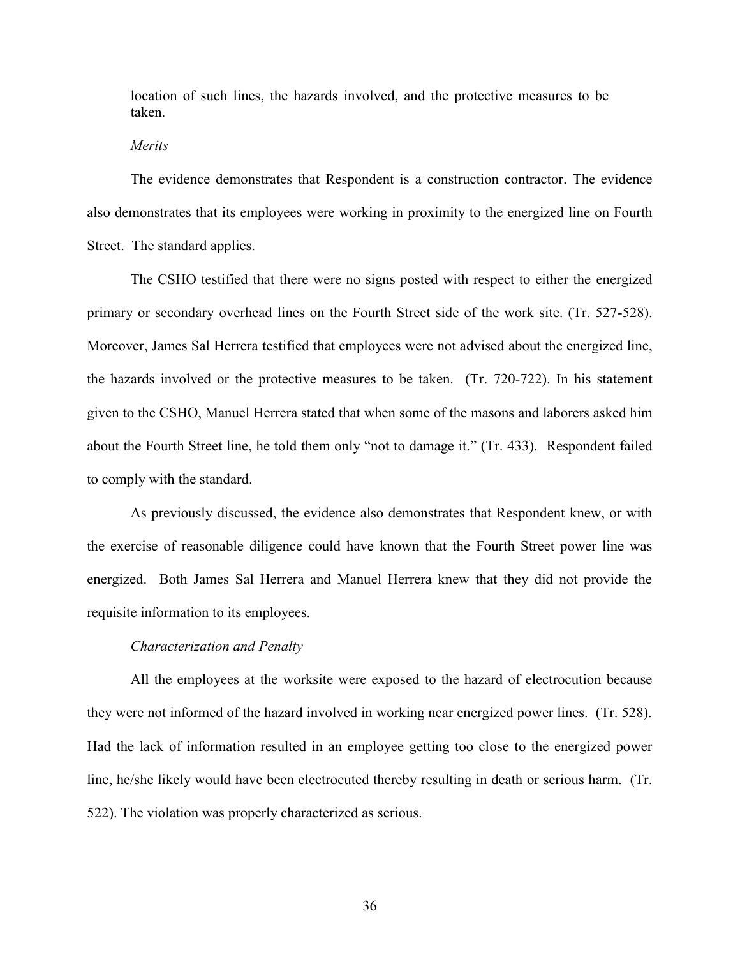location of such lines, the hazards involved, and the protective measures to be taken.

### *Merits*

The evidence demonstrates that Respondent is a construction contractor. The evidence also demonstrates that its employees were working in proximity to the energized line on Fourth Street. The standard applies.

The CSHO testified that there were no signs posted with respect to either the energized primary or secondary overhead lines on the Fourth Street side of the work site. (Tr. 527-528). Moreover, James Sal Herrera testified that employees were not advised about the energized line, the hazards involved or the protective measures to be taken. (Tr. 720-722). In his statement given to the CSHO, Manuel Herrera stated that when some of the masons and laborers asked him about the Fourth Street line, he told them only "not to damage it." (Tr. 433). Respondent failed to comply with the standard.

As previously discussed, the evidence also demonstrates that Respondent knew, or with the exercise of reasonable diligence could have known that the Fourth Street power line was energized. Both James Sal Herrera and Manuel Herrera knew that they did not provide the requisite information to its employees.

### *Characterization and Penalty*

All the employees at the worksite were exposed to the hazard of electrocution because they were not informed of the hazard involved in working near energized power lines. (Tr. 528). Had the lack of information resulted in an employee getting too close to the energized power line, he/she likely would have been electrocuted thereby resulting in death or serious harm. (Tr. 522). The violation was properly characterized as serious.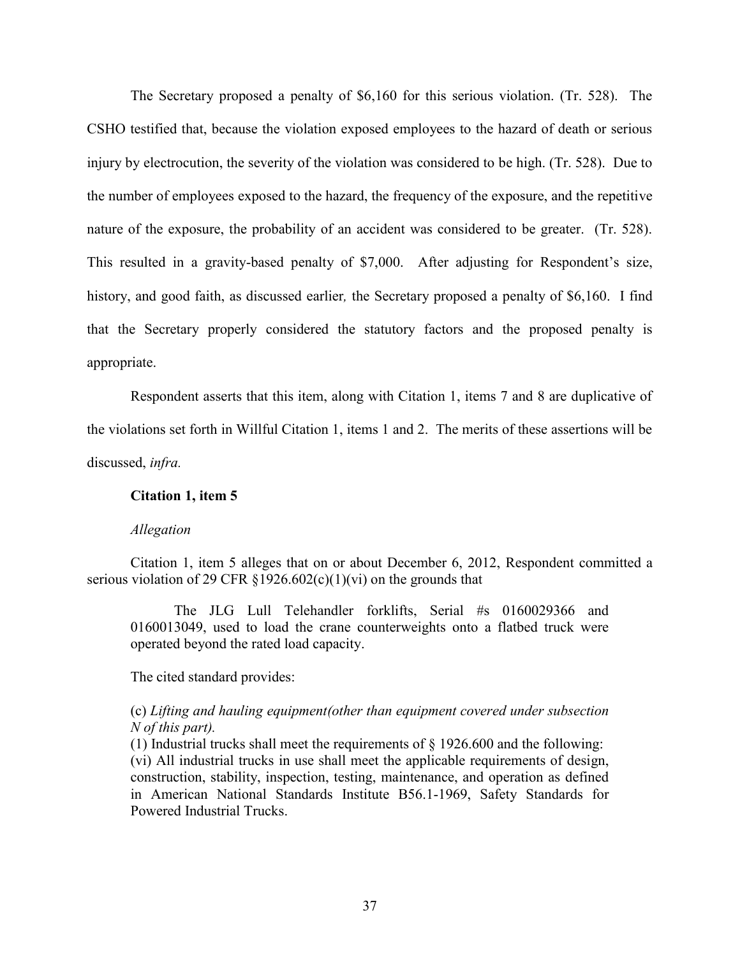The Secretary proposed a penalty of \$6,160 for this serious violation. (Tr. 528). The CSHO testified that, because the violation exposed employees to the hazard of death or serious injury by electrocution, the severity of the violation was considered to be high. (Tr. 528). Due to the number of employees exposed to the hazard, the frequency of the exposure, and the repetitive nature of the exposure, the probability of an accident was considered to be greater. (Tr. 528). This resulted in a gravity-based penalty of \$7,000. After adjusting for Respondent's size, history, and good faith, as discussed earlier*,* the Secretary proposed a penalty of \$6,160. I find that the Secretary properly considered the statutory factors and the proposed penalty is appropriate.

Respondent asserts that this item, along with Citation 1, items 7 and 8 are duplicative of the violations set forth in Willful Citation 1, items 1 and 2. The merits of these assertions will be discussed, *infra.*

## **Citation 1, item 5**

## *Allegation*

Citation 1, item 5 alleges that on or about December 6, 2012, Respondent committed a serious violation of 29 CFR  $\S 1926.602(c)(1)(vi)$  on the grounds that

The JLG Lull Telehandler forklifts, Serial #s 0160029366 and 0160013049, used to load the crane counterweights onto a flatbed truck were operated beyond the rated load capacity.

The cited standard provides:

## (c) *Lifting and hauling equipment(other than equipment covered under subsection N of this part).*

(1) Industrial trucks shall meet the requirements of  $\S$  1926.600 and the following: (vi) All industrial trucks in use shall meet the applicable requirements of design, construction, stability, inspection, testing, maintenance, and operation as defined in American National Standards Institute B56.1-1969, Safety Standards for Powered Industrial Trucks.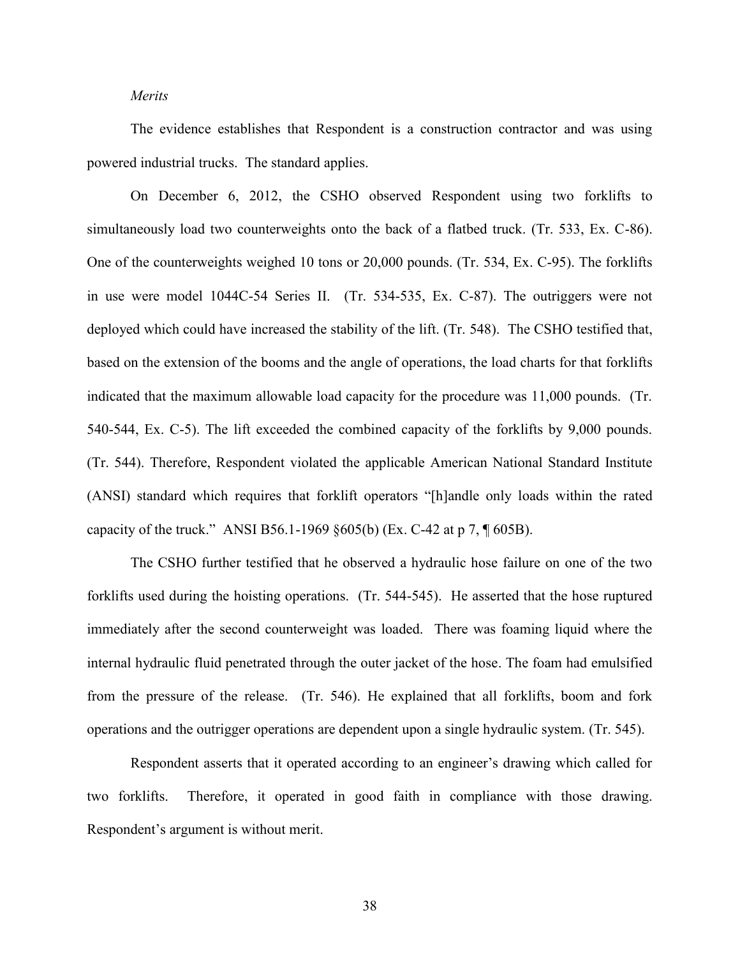## *Merits*

The evidence establishes that Respondent is a construction contractor and was using powered industrial trucks. The standard applies.

On December 6, 2012, the CSHO observed Respondent using two forklifts to simultaneously load two counterweights onto the back of a flatbed truck. (Tr. 533, Ex. C-86). One of the counterweights weighed 10 tons or 20,000 pounds. (Tr. 534, Ex. C-95). The forklifts in use were model 1044C-54 Series II. (Tr. 534-535, Ex. C-87). The outriggers were not deployed which could have increased the stability of the lift. (Tr. 548). The CSHO testified that, based on the extension of the booms and the angle of operations, the load charts for that forklifts indicated that the maximum allowable load capacity for the procedure was 11,000 pounds. (Tr. 540-544, Ex. C-5). The lift exceeded the combined capacity of the forklifts by 9,000 pounds. (Tr. 544). Therefore, Respondent violated the applicable American National Standard Institute (ANSI) standard which requires that forklift operators "[h]andle only loads within the rated capacity of the truck." ANSI B56.1-1969 §605(b) (Ex. C-42 at p 7, ¶ 605B).

The CSHO further testified that he observed a hydraulic hose failure on one of the two forklifts used during the hoisting operations. (Tr. 544-545). He asserted that the hose ruptured immediately after the second counterweight was loaded. There was foaming liquid where the internal hydraulic fluid penetrated through the outer jacket of the hose. The foam had emulsified from the pressure of the release. (Tr. 546). He explained that all forklifts, boom and fork operations and the outrigger operations are dependent upon a single hydraulic system. (Tr. 545).

Respondent asserts that it operated according to an engineer's drawing which called for two forklifts. Therefore, it operated in good faith in compliance with those drawing. Respondent's argument is without merit.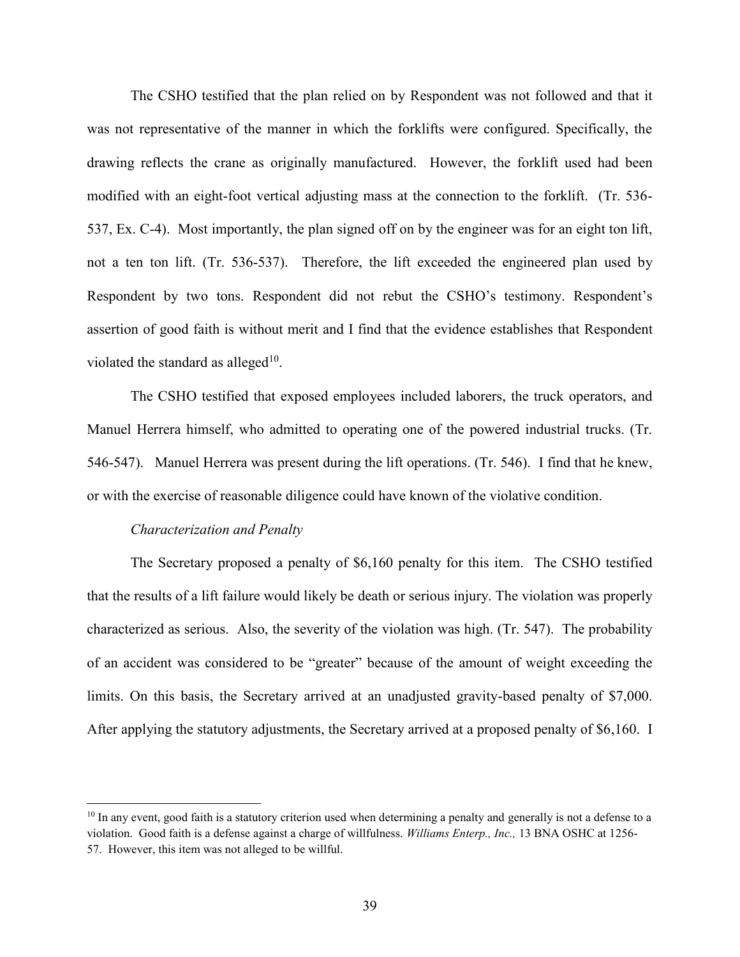The CSHO testified that the plan relied on by Respondent was not followed and that it was not representative of the manner in which the forklifts were configured. Specifically, the drawing reflects the crane as originally manufactured. However, the forklift used had been modified with an eight-foot vertical adjusting mass at the connection to the forklift. (Tr. 536- 537, Ex. C-4). Most importantly, the plan signed off on by the engineer was for an eight ton lift, not a ten ton lift. (Tr. 536-537). Therefore, the lift exceeded the engineered plan used by Respondent by two tons. Respondent did not rebut the CSHO's testimony. Respondent's assertion of good faith is without merit and I find that the evidence establishes that Respondent violated the standard as alleged $10$ .

The CSHO testified that exposed employees included laborers, the truck operators, and Manuel Herrera himself, who admitted to operating one of the powered industrial trucks. (Tr. 546-547). Manuel Herrera was present during the lift operations. (Tr. 546). I find that he knew, or with the exercise of reasonable diligence could have known of the violative condition.

### *Characterization and Penalty*

 $\overline{a}$ 

The Secretary proposed a penalty of \$6,160 penalty for this item. The CSHO testified that the results of a lift failure would likely be death or serious injury. The violation was properly characterized as serious. Also, the severity of the violation was high. (Tr. 547). The probability of an accident was considered to be "greater" because of the amount of weight exceeding the limits. On this basis, the Secretary arrived at an unadjusted gravity-based penalty of \$7,000. After applying the statutory adjustments, the Secretary arrived at a proposed penalty of \$6,160. I

 $10$  In any event, good faith is a statutory criterion used when determining a penalty and generally is not a defense to a violation. Good faith is a defense against a charge of willfulness. *Williams Enterp., Inc.,* 13 BNA OSHC at 1256- 57. However, this item was not alleged to be willful.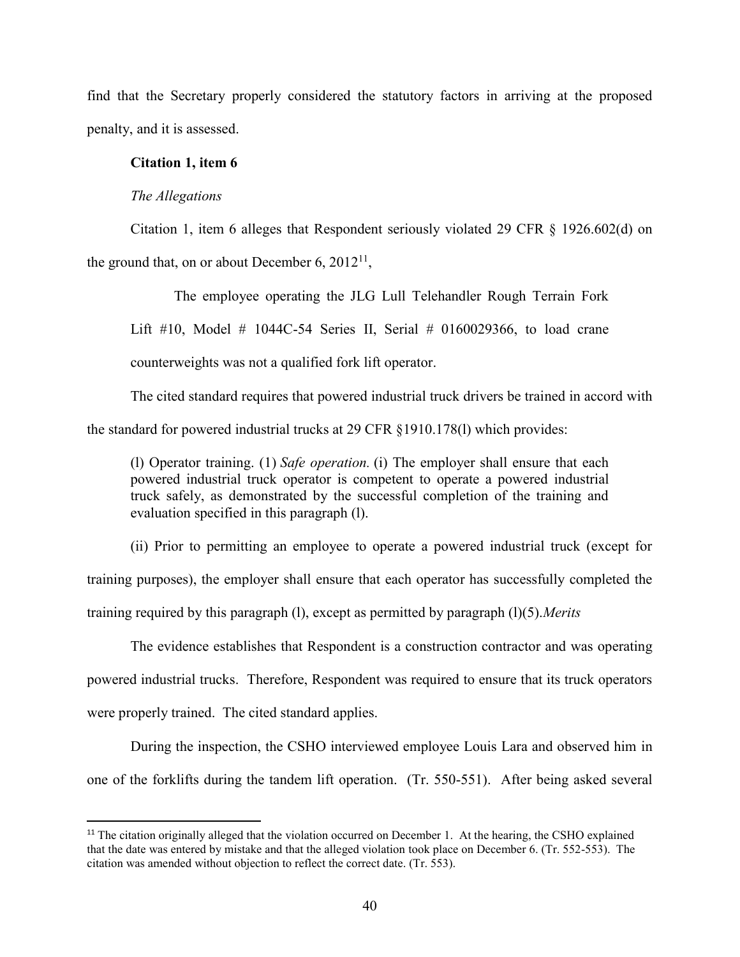find that the Secretary properly considered the statutory factors in arriving at the proposed penalty, and it is assessed.

## **Citation 1, item 6**

## *The Allegations*

 $\overline{\phantom{a}}$ 

Citation 1, item 6 alleges that Respondent seriously violated 29 CFR  $\S$  1926.602(d) on the ground that, on or about December 6,  $2012^{11}$ ,

The employee operating the JLG Lull Telehandler Rough Terrain Fork Lift  $\#10$ , Model  $\#$  1044C-54 Series II, Serial  $\#$  0160029366, to load crane counterweights was not a qualified fork lift operator.

The cited standard requires that powered industrial truck drivers be trained in accord with the standard for powered industrial trucks at 29 CFR §1910.178(l) which provides:

(l) Operator training. (1) *Safe operation.* (i) The employer shall ensure that each powered industrial truck operator is competent to operate a powered industrial truck safely, as demonstrated by the successful completion of the training and evaluation specified in this paragraph (l).

(ii) Prior to permitting an employee to operate a powered industrial truck (except for training purposes), the employer shall ensure that each operator has successfully completed the training required by this paragraph (l), except as permitted by paragraph (l)(5).*Merits*

The evidence establishes that Respondent is a construction contractor and was operating powered industrial trucks. Therefore, Respondent was required to ensure that its truck operators were properly trained. The cited standard applies.

During the inspection, the CSHO interviewed employee Louis Lara and observed him in one of the forklifts during the tandem lift operation. (Tr. 550-551). After being asked several

<sup>&</sup>lt;sup>11</sup> The citation originally alleged that the violation occurred on December 1. At the hearing, the CSHO explained that the date was entered by mistake and that the alleged violation took place on December 6. (Tr. 552-553). The citation was amended without objection to reflect the correct date. (Tr. 553).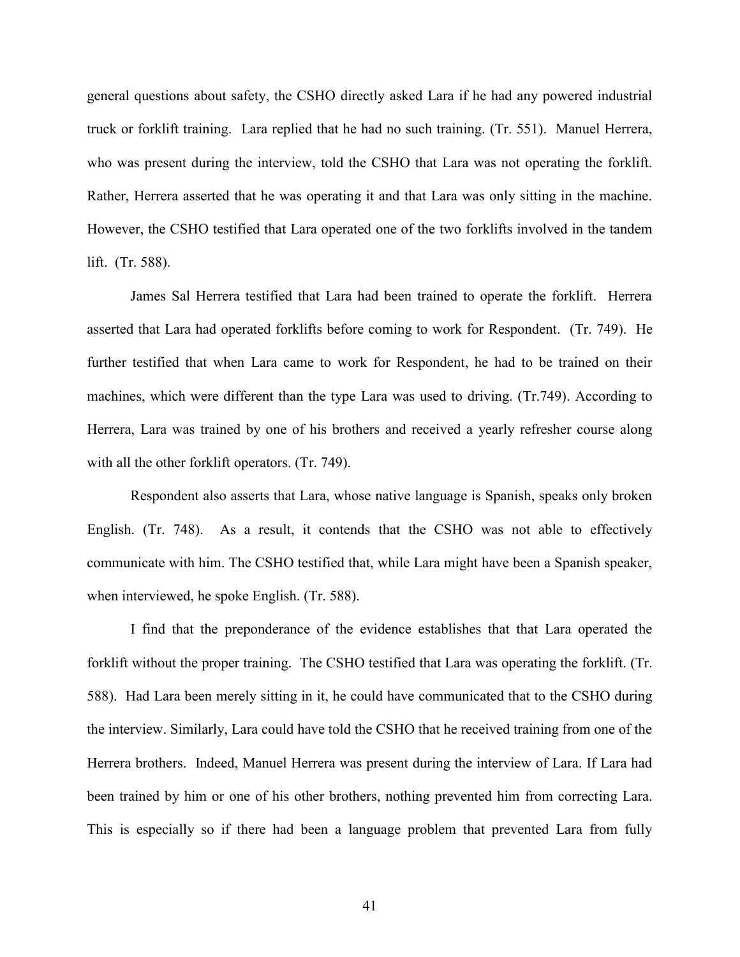general questions about safety, the CSHO directly asked Lara if he had any powered industrial truck or forklift training. Lara replied that he had no such training. (Tr. 551). Manuel Herrera, who was present during the interview, told the CSHO that Lara was not operating the forklift. Rather, Herrera asserted that he was operating it and that Lara was only sitting in the machine. However, the CSHO testified that Lara operated one of the two forklifts involved in the tandem lift. (Tr. 588).

James Sal Herrera testified that Lara had been trained to operate the forklift. Herrera asserted that Lara had operated forklifts before coming to work for Respondent. (Tr. 749). He further testified that when Lara came to work for Respondent, he had to be trained on their machines, which were different than the type Lara was used to driving. (Tr.749). According to Herrera, Lara was trained by one of his brothers and received a yearly refresher course along with all the other forklift operators. (Tr. 749).

Respondent also asserts that Lara, whose native language is Spanish, speaks only broken English. (Tr. 748). As a result, it contends that the CSHO was not able to effectively communicate with him. The CSHO testified that, while Lara might have been a Spanish speaker, when interviewed, he spoke English. (Tr. 588).

I find that the preponderance of the evidence establishes that that Lara operated the forklift without the proper training. The CSHO testified that Lara was operating the forklift. (Tr. 588). Had Lara been merely sitting in it, he could have communicated that to the CSHO during the interview. Similarly, Lara could have told the CSHO that he received training from one of the Herrera brothers. Indeed, Manuel Herrera was present during the interview of Lara. If Lara had been trained by him or one of his other brothers, nothing prevented him from correcting Lara. This is especially so if there had been a language problem that prevented Lara from fully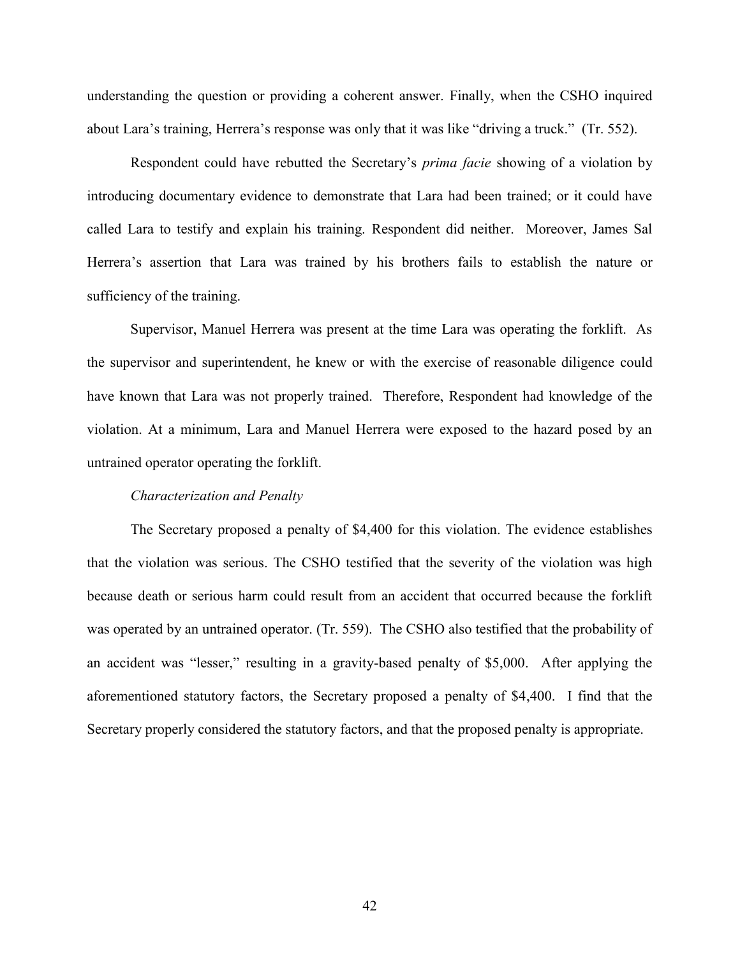understanding the question or providing a coherent answer. Finally, when the CSHO inquired about Lara's training, Herrera's response was only that it was like "driving a truck." (Tr. 552).

Respondent could have rebutted the Secretary's *prima facie* showing of a violation by introducing documentary evidence to demonstrate that Lara had been trained; or it could have called Lara to testify and explain his training. Respondent did neither. Moreover, James Sal Herrera's assertion that Lara was trained by his brothers fails to establish the nature or sufficiency of the training.

Supervisor, Manuel Herrera was present at the time Lara was operating the forklift. As the supervisor and superintendent, he knew or with the exercise of reasonable diligence could have known that Lara was not properly trained. Therefore, Respondent had knowledge of the violation. At a minimum, Lara and Manuel Herrera were exposed to the hazard posed by an untrained operator operating the forklift.

### *Characterization and Penalty*

The Secretary proposed a penalty of \$4,400 for this violation. The evidence establishes that the violation was serious. The CSHO testified that the severity of the violation was high because death or serious harm could result from an accident that occurred because the forklift was operated by an untrained operator. (Tr. 559). The CSHO also testified that the probability of an accident was "lesser," resulting in a gravity-based penalty of \$5,000. After applying the aforementioned statutory factors, the Secretary proposed a penalty of \$4,400. I find that the Secretary properly considered the statutory factors, and that the proposed penalty is appropriate.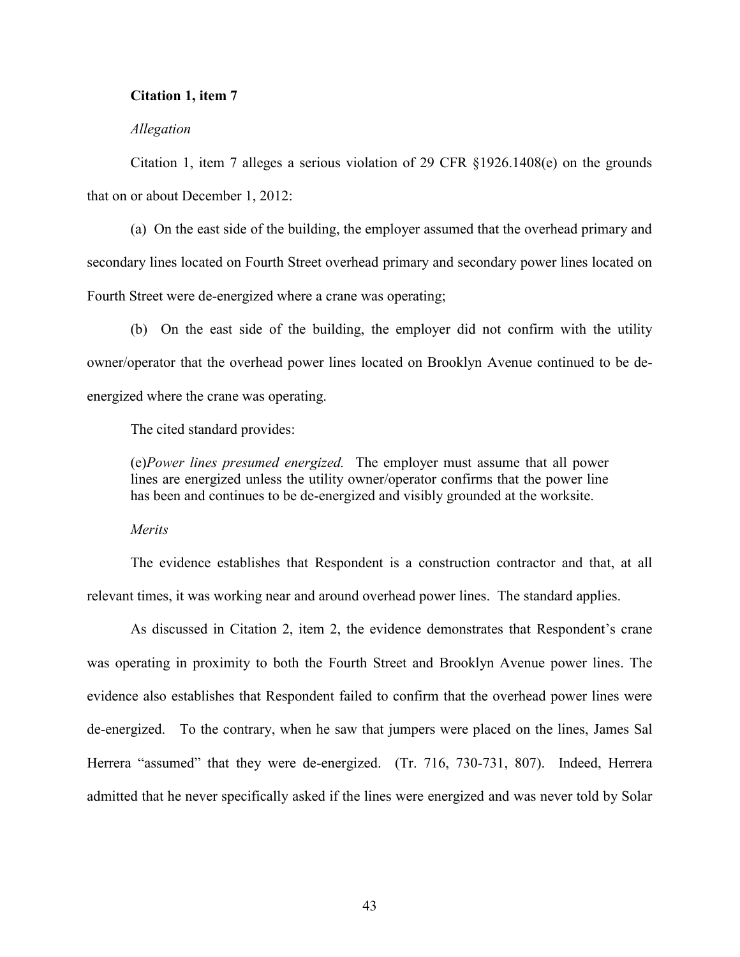## **Citation 1, item 7**

### *Allegation*

Citation 1, item 7 alleges a serious violation of 29 CFR §1926.1408(e) on the grounds that on or about December 1, 2012:

(a) On the east side of the building, the employer assumed that the overhead primary and secondary lines located on Fourth Street overhead primary and secondary power lines located on Fourth Street were de-energized where a crane was operating;

(b) On the east side of the building, the employer did not confirm with the utility owner/operator that the overhead power lines located on Brooklyn Avenue continued to be deenergized where the crane was operating.

The cited standard provides:

(e)*Power lines presumed energized.* The employer must assume that all power lines are energized unless the utility owner/operator confirms that the power line has been and continues to be de-energized and visibly grounded at the worksite.

*Merits*

The evidence establishes that Respondent is a construction contractor and that, at all relevant times, it was working near and around overhead power lines. The standard applies.

As discussed in Citation 2, item 2, the evidence demonstrates that Respondent's crane was operating in proximity to both the Fourth Street and Brooklyn Avenue power lines. The evidence also establishes that Respondent failed to confirm that the overhead power lines were de-energized. To the contrary, when he saw that jumpers were placed on the lines, James Sal Herrera "assumed" that they were de-energized. (Tr. 716, 730-731, 807). Indeed, Herrera admitted that he never specifically asked if the lines were energized and was never told by Solar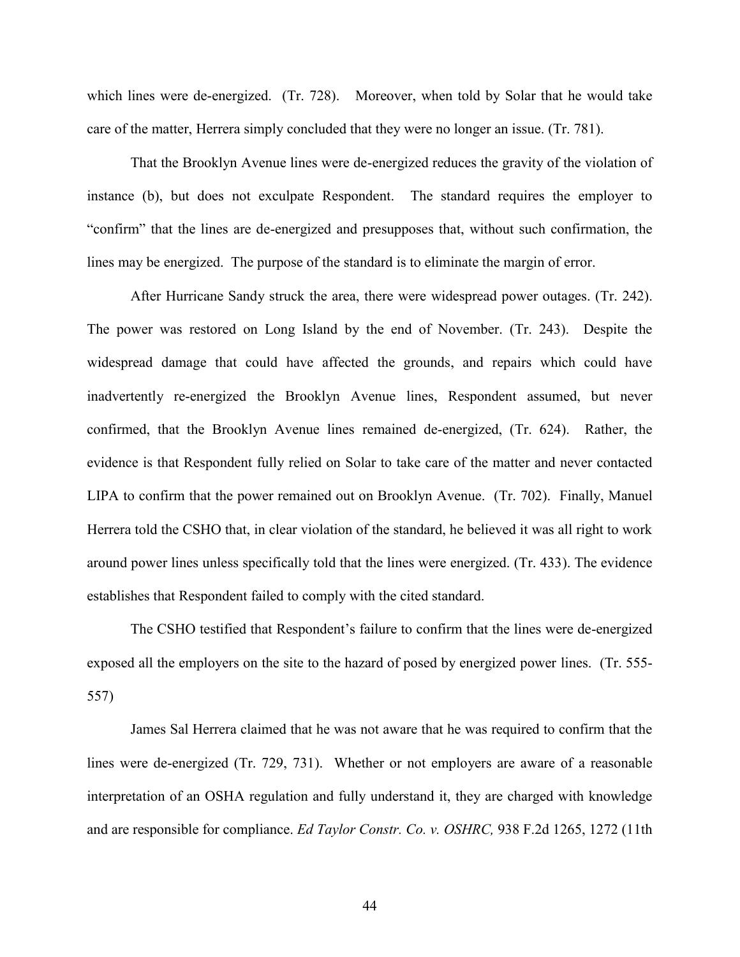which lines were de-energized. (Tr. 728). Moreover, when told by Solar that he would take care of the matter, Herrera simply concluded that they were no longer an issue. (Tr. 781).

That the Brooklyn Avenue lines were de-energized reduces the gravity of the violation of instance (b), but does not exculpate Respondent. The standard requires the employer to "confirm" that the lines are de-energized and presupposes that, without such confirmation, the lines may be energized. The purpose of the standard is to eliminate the margin of error.

After Hurricane Sandy struck the area, there were widespread power outages. (Tr. 242). The power was restored on Long Island by the end of November. (Tr. 243). Despite the widespread damage that could have affected the grounds, and repairs which could have inadvertently re-energized the Brooklyn Avenue lines, Respondent assumed, but never confirmed, that the Brooklyn Avenue lines remained de-energized, (Tr. 624). Rather, the evidence is that Respondent fully relied on Solar to take care of the matter and never contacted LIPA to confirm that the power remained out on Brooklyn Avenue. (Tr. 702). Finally, Manuel Herrera told the CSHO that, in clear violation of the standard, he believed it was all right to work around power lines unless specifically told that the lines were energized. (Tr. 433). The evidence establishes that Respondent failed to comply with the cited standard.

The CSHO testified that Respondent's failure to confirm that the lines were de-energized exposed all the employers on the site to the hazard of posed by energized power lines. (Tr. 555- 557)

James Sal Herrera claimed that he was not aware that he was required to confirm that the lines were de-energized (Tr. 729, 731). Whether or not employers are aware of a reasonable interpretation of an OSHA regulation and fully understand it, they are charged with knowledge and are responsible for compliance. *Ed Taylor Constr. Co. v. OSHRC,* 938 F.2d 1265, 1272 (11th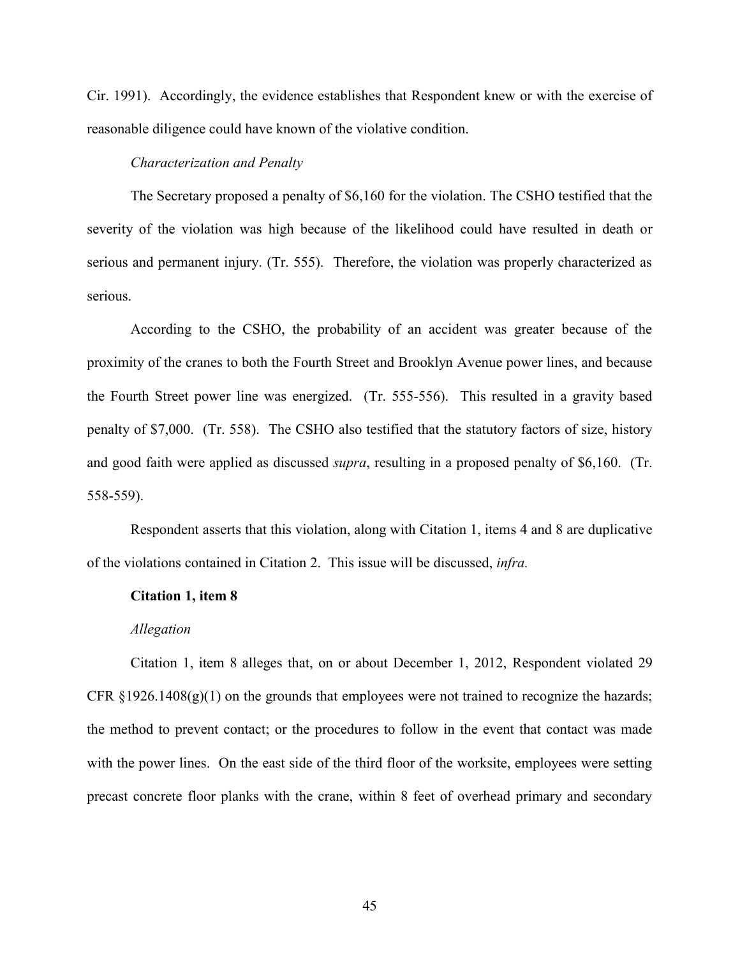Cir. 1991). Accordingly, the evidence establishes that Respondent knew or with the exercise of reasonable diligence could have known of the violative condition.

### *Characterization and Penalty*

The Secretary proposed a penalty of \$6,160 for the violation. The CSHO testified that the severity of the violation was high because of the likelihood could have resulted in death or serious and permanent injury. (Tr. 555). Therefore, the violation was properly characterized as serious.

According to the CSHO, the probability of an accident was greater because of the proximity of the cranes to both the Fourth Street and Brooklyn Avenue power lines, and because the Fourth Street power line was energized. (Tr. 555-556). This resulted in a gravity based penalty of \$7,000. (Tr. 558). The CSHO also testified that the statutory factors of size, history and good faith were applied as discussed *supra*, resulting in a proposed penalty of \$6,160. (Tr. 558-559).

Respondent asserts that this violation, along with Citation 1, items 4 and 8 are duplicative of the violations contained in Citation 2. This issue will be discussed, *infra.*

#### **Citation 1, item 8**

#### *Allegation*

Citation 1, item 8 alleges that, on or about December 1, 2012, Respondent violated 29 CFR  $\S 1926.1408(g)(1)$  on the grounds that employees were not trained to recognize the hazards; the method to prevent contact; or the procedures to follow in the event that contact was made with the power lines. On the east side of the third floor of the worksite, employees were setting precast concrete floor planks with the crane, within 8 feet of overhead primary and secondary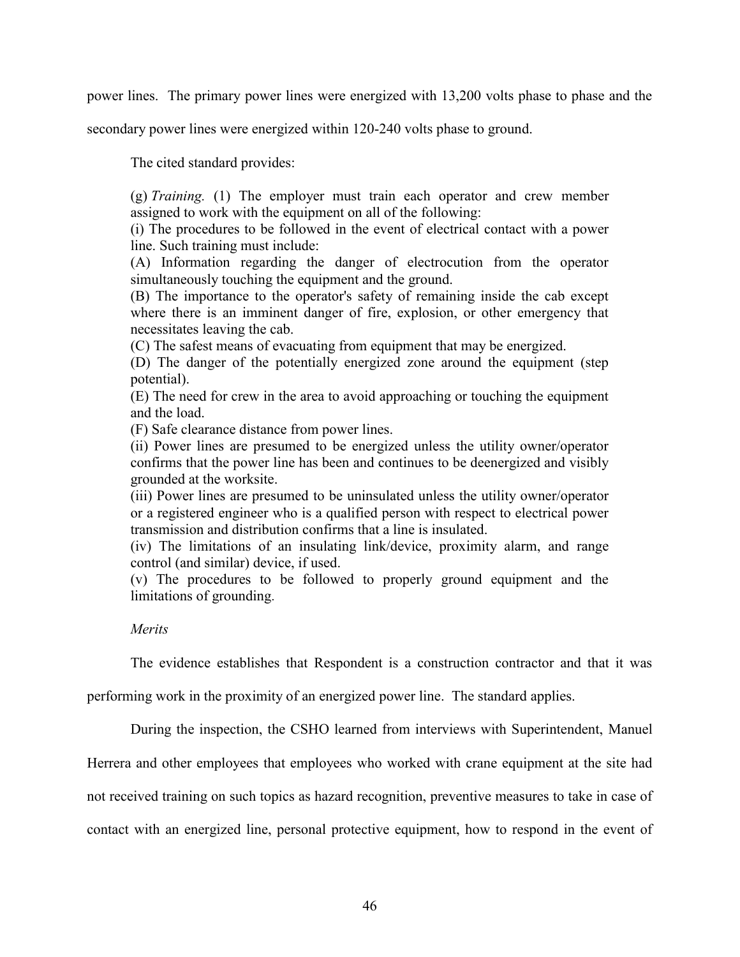power lines. The primary power lines were energized with 13,200 volts phase to phase and the

secondary power lines were energized within 120-240 volts phase to ground.

The cited standard provides:

(g) *Training.* (1) The employer must train each operator and crew member assigned to work with the equipment on all of the following:

(i) The procedures to be followed in the event of electrical contact with a power line. Such training must include:

(A) Information regarding the danger of electrocution from the operator simultaneously touching the equipment and the ground.

(B) The importance to the operator's safety of remaining inside the cab except where there is an imminent danger of fire, explosion, or other emergency that necessitates leaving the cab.

(C) The safest means of evacuating from equipment that may be energized.

(D) The danger of the potentially energized zone around the equipment (step potential).

(E) The need for crew in the area to avoid approaching or touching the equipment and the load.

(F) Safe clearance distance from power lines.

(ii) Power lines are presumed to be energized unless the utility owner/operator confirms that the power line has been and continues to be deenergized and visibly grounded at the worksite.

(iii) Power lines are presumed to be uninsulated unless the utility owner/operator or a registered engineer who is a qualified person with respect to electrical power transmission and distribution confirms that a line is insulated.

(iv) The limitations of an insulating link/device, proximity alarm, and range control (and similar) device, if used.

(v) The procedures to be followed to properly ground equipment and the limitations of grounding.

## *Merits*

The evidence establishes that Respondent is a construction contractor and that it was

performing work in the proximity of an energized power line. The standard applies.

During the inspection, the CSHO learned from interviews with Superintendent, Manuel

Herrera and other employees that employees who worked with crane equipment at the site had

not received training on such topics as hazard recognition, preventive measures to take in case of

contact with an energized line, personal protective equipment, how to respond in the event of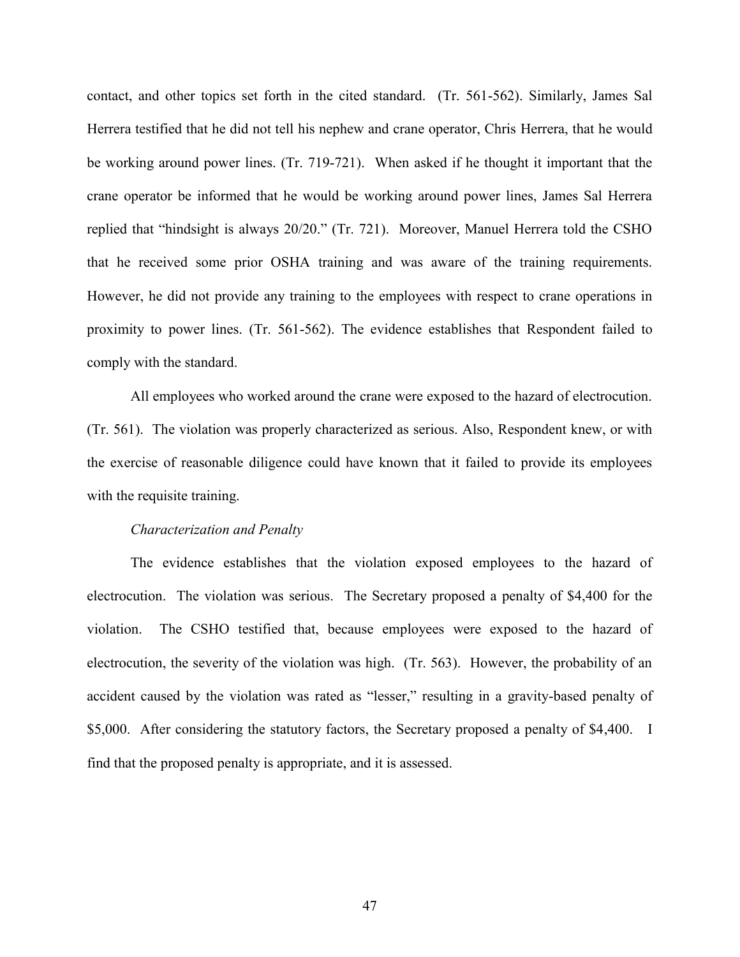contact, and other topics set forth in the cited standard. (Tr. 561-562). Similarly, James Sal Herrera testified that he did not tell his nephew and crane operator, Chris Herrera, that he would be working around power lines. (Tr. 719-721). When asked if he thought it important that the crane operator be informed that he would be working around power lines, James Sal Herrera replied that "hindsight is always 20/20." (Tr. 721). Moreover, Manuel Herrera told the CSHO that he received some prior OSHA training and was aware of the training requirements. However, he did not provide any training to the employees with respect to crane operations in proximity to power lines. (Tr. 561-562). The evidence establishes that Respondent failed to comply with the standard.

All employees who worked around the crane were exposed to the hazard of electrocution. (Tr. 561). The violation was properly characterized as serious. Also, Respondent knew, or with the exercise of reasonable diligence could have known that it failed to provide its employees with the requisite training.

#### *Characterization and Penalty*

The evidence establishes that the violation exposed employees to the hazard of electrocution. The violation was serious. The Secretary proposed a penalty of \$4,400 for the violation. The CSHO testified that, because employees were exposed to the hazard of electrocution, the severity of the violation was high. (Tr. 563). However, the probability of an accident caused by the violation was rated as "lesser," resulting in a gravity-based penalty of \$5,000. After considering the statutory factors, the Secretary proposed a penalty of \$4,400. I find that the proposed penalty is appropriate, and it is assessed.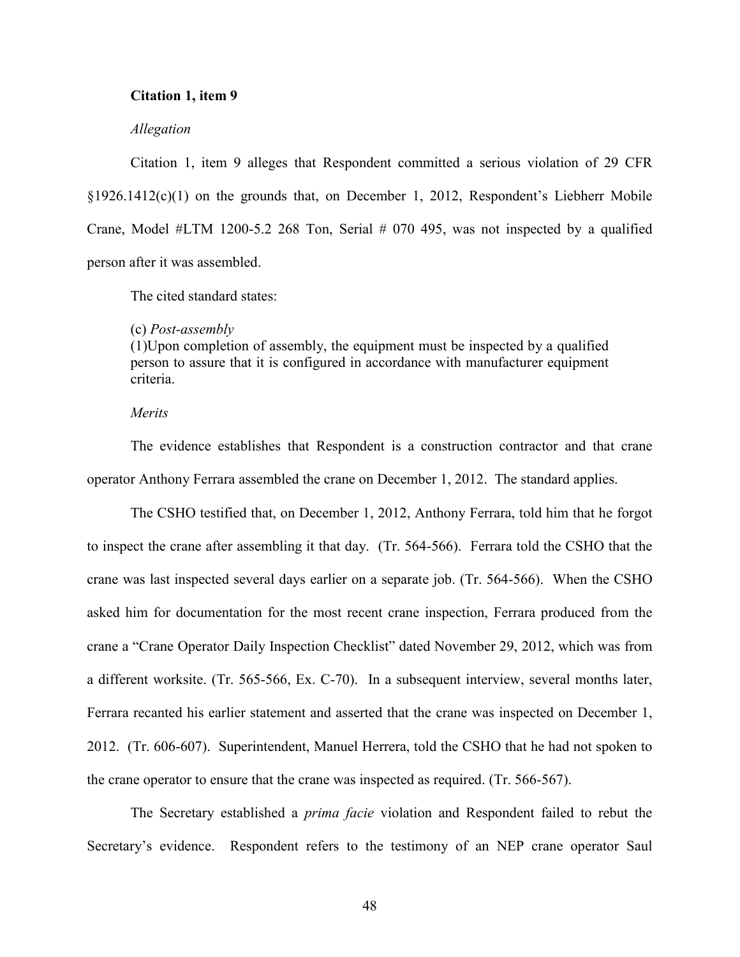### **Citation 1, item 9**

### *Allegation*

Citation 1, item 9 alleges that Respondent committed a serious violation of 29 CFR §1926.1412(c)(1) on the grounds that, on December 1, 2012, Respondent's Liebherr Mobile Crane, Model #LTM 1200-5.2 268 Ton, Serial # 070 495, was not inspected by a qualified person after it was assembled.

The cited standard states:

#### (c) *Post-assembly*

(1)Upon completion of assembly, the equipment must be inspected by a qualified person to assure that it is configured in accordance with manufacturer equipment criteria.

## *Merits*

The evidence establishes that Respondent is a construction contractor and that crane operator Anthony Ferrara assembled the crane on December 1, 2012. The standard applies.

The CSHO testified that, on December 1, 2012, Anthony Ferrara, told him that he forgot to inspect the crane after assembling it that day. (Tr. 564-566). Ferrara told the CSHO that the crane was last inspected several days earlier on a separate job. (Tr. 564-566). When the CSHO asked him for documentation for the most recent crane inspection, Ferrara produced from the crane a "Crane Operator Daily Inspection Checklist" dated November 29, 2012, which was from a different worksite. (Tr. 565-566, Ex. C-70). In a subsequent interview, several months later, Ferrara recanted his earlier statement and asserted that the crane was inspected on December 1, 2012. (Tr. 606-607). Superintendent, Manuel Herrera, told the CSHO that he had not spoken to the crane operator to ensure that the crane was inspected as required. (Tr. 566-567).

The Secretary established a *prima facie* violation and Respondent failed to rebut the Secretary's evidence. Respondent refers to the testimony of an NEP crane operator Saul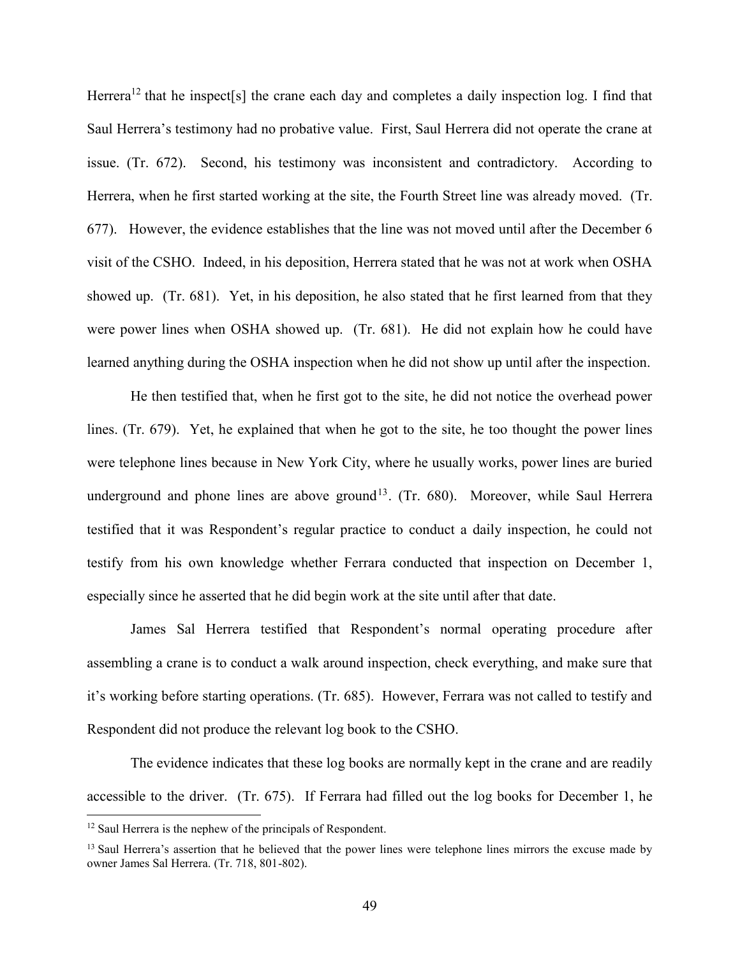Herrera<sup>12</sup> that he inspect[s] the crane each day and completes a daily inspection log. I find that Saul Herrera's testimony had no probative value. First, Saul Herrera did not operate the crane at issue. (Tr. 672). Second, his testimony was inconsistent and contradictory. According to Herrera, when he first started working at the site, the Fourth Street line was already moved. (Tr. 677). However, the evidence establishes that the line was not moved until after the December 6 visit of the CSHO. Indeed, in his deposition, Herrera stated that he was not at work when OSHA showed up. (Tr. 681). Yet, in his deposition, he also stated that he first learned from that they were power lines when OSHA showed up. (Tr. 681). He did not explain how he could have learned anything during the OSHA inspection when he did not show up until after the inspection.

He then testified that, when he first got to the site, he did not notice the overhead power lines. (Tr. 679). Yet, he explained that when he got to the site, he too thought the power lines were telephone lines because in New York City, where he usually works, power lines are buried underground and phone lines are above ground<sup>13</sup>. (Tr. 680). Moreover, while Saul Herrera testified that it was Respondent's regular practice to conduct a daily inspection, he could not testify from his own knowledge whether Ferrara conducted that inspection on December 1, especially since he asserted that he did begin work at the site until after that date.

James Sal Herrera testified that Respondent's normal operating procedure after assembling a crane is to conduct a walk around inspection, check everything, and make sure that it's working before starting operations. (Tr. 685). However, Ferrara was not called to testify and Respondent did not produce the relevant log book to the CSHO.

The evidence indicates that these log books are normally kept in the crane and are readily accessible to the driver. (Tr. 675). If Ferrara had filled out the log books for December 1, he

l

<sup>&</sup>lt;sup>12</sup> Saul Herrera is the nephew of the principals of Respondent.

<sup>&</sup>lt;sup>13</sup> Saul Herrera's assertion that he believed that the power lines were telephone lines mirrors the excuse made by owner James Sal Herrera. (Tr. 718, 801-802).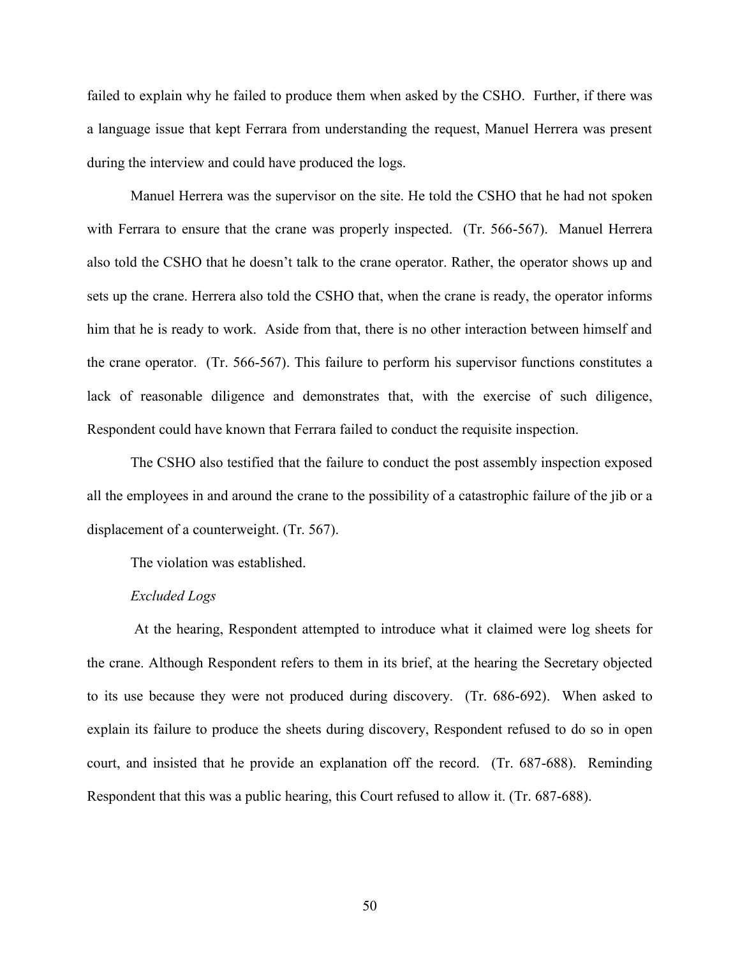failed to explain why he failed to produce them when asked by the CSHO. Further, if there was a language issue that kept Ferrara from understanding the request, Manuel Herrera was present during the interview and could have produced the logs.

Manuel Herrera was the supervisor on the site. He told the CSHO that he had not spoken with Ferrara to ensure that the crane was properly inspected. (Tr. 566-567). Manuel Herrera also told the CSHO that he doesn't talk to the crane operator. Rather, the operator shows up and sets up the crane. Herrera also told the CSHO that, when the crane is ready, the operator informs him that he is ready to work. Aside from that, there is no other interaction between himself and the crane operator. (Tr. 566-567). This failure to perform his supervisor functions constitutes a lack of reasonable diligence and demonstrates that, with the exercise of such diligence, Respondent could have known that Ferrara failed to conduct the requisite inspection.

The CSHO also testified that the failure to conduct the post assembly inspection exposed all the employees in and around the crane to the possibility of a catastrophic failure of the jib or a displacement of a counterweight. (Tr. 567).

The violation was established.

### *Excluded Logs*

At the hearing, Respondent attempted to introduce what it claimed were log sheets for the crane. Although Respondent refers to them in its brief, at the hearing the Secretary objected to its use because they were not produced during discovery. (Tr. 686-692). When asked to explain its failure to produce the sheets during discovery, Respondent refused to do so in open court, and insisted that he provide an explanation off the record. (Tr. 687-688). Reminding Respondent that this was a public hearing, this Court refused to allow it. (Tr. 687-688).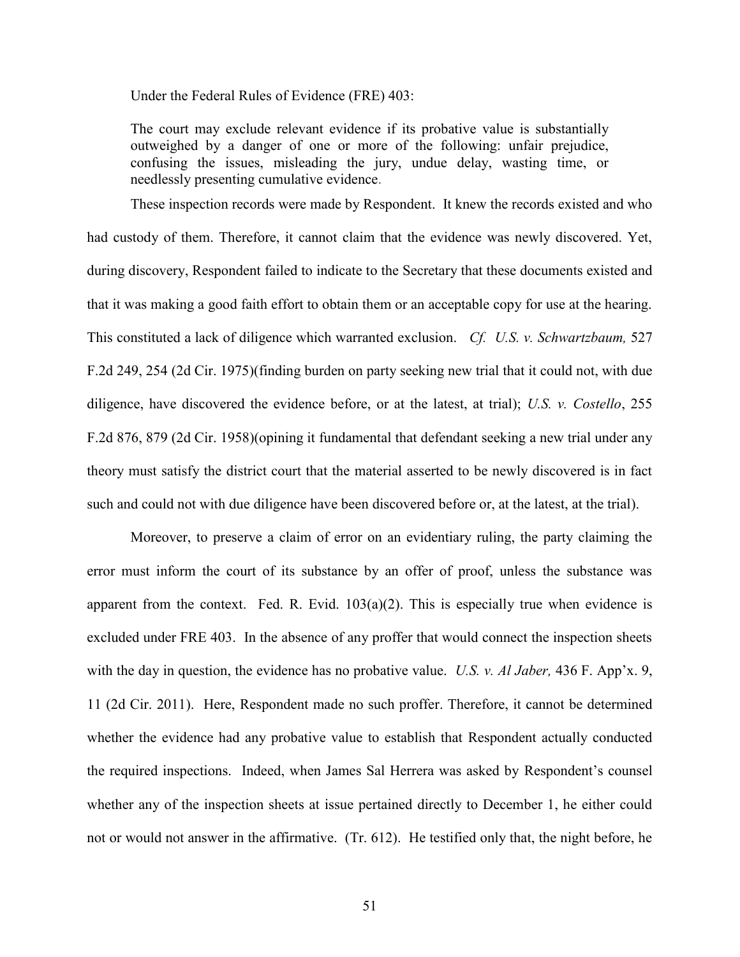Under the Federal Rules of Evidence (FRE) 403:

The court may exclude relevant evidence if its probative value is substantially outweighed by a danger of one or more of the following: unfair prejudice, confusing the issues, misleading the jury, undue delay, wasting time, or needlessly presenting cumulative evidence.

These inspection records were made by Respondent. It knew the records existed and who had custody of them. Therefore, it cannot claim that the evidence was newly discovered. Yet, during discovery, Respondent failed to indicate to the Secretary that these documents existed and that it was making a good faith effort to obtain them or an acceptable copy for use at the hearing. This constituted a lack of diligence which warranted exclusion. *Cf. U.S. v. Schwartzbaum,* 527 F.2d 249, 254 (2d Cir. 1975)(finding burden on party seeking new trial that it could not, with due diligence, have discovered the evidence before, or at the latest, at trial); *U.S. v. Costello*, 255 F.2d 876, 879 (2d Cir. 1958)(opining it fundamental that defendant seeking a new trial under any theory must satisfy the district court that the material asserted to be newly discovered is in fact such and could not with due diligence have been discovered before or, at the latest, at the trial).

Moreover, to preserve a claim of error on an evidentiary ruling, the party claiming the error must inform the court of its substance by an offer of proof, unless the substance was apparent from the context. Fed. R. Evid.  $103(a)(2)$ . This is especially true when evidence is excluded under FRE 403. In the absence of any proffer that would connect the inspection sheets with the day in question, the evidence has no probative value. *U.S. v. Al Jaber,* 436 F. App'x. 9, 11 (2d Cir. 2011). Here, Respondent made no such proffer. Therefore, it cannot be determined whether the evidence had any probative value to establish that Respondent actually conducted the required inspections. Indeed, when James Sal Herrera was asked by Respondent's counsel whether any of the inspection sheets at issue pertained directly to December 1, he either could not or would not answer in the affirmative. (Tr. 612). He testified only that, the night before, he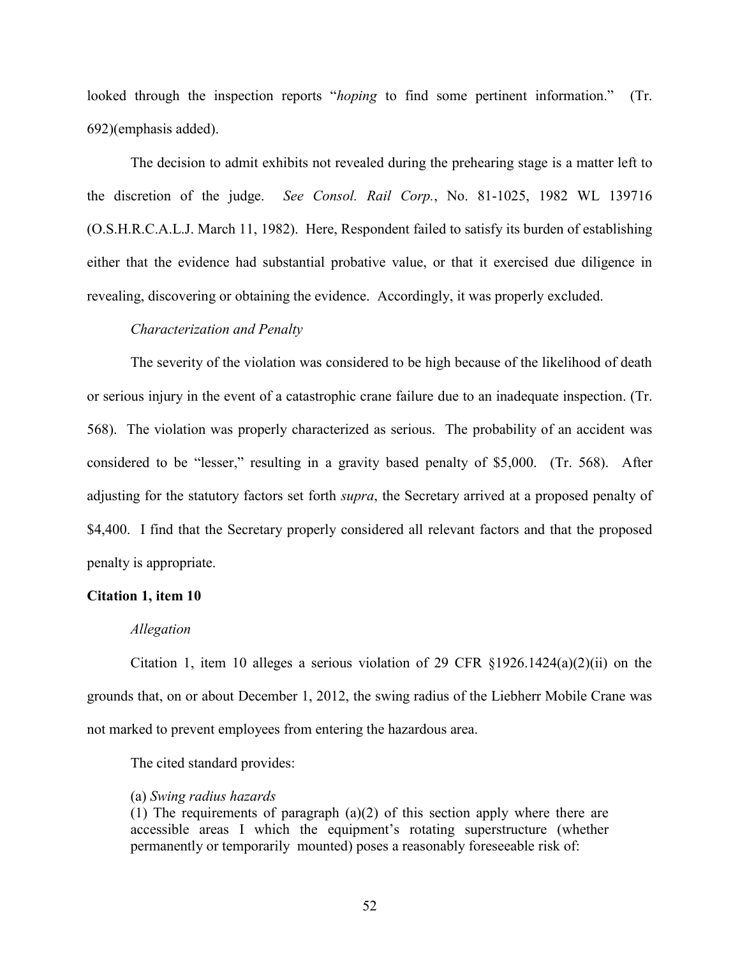looked through the inspection reports "*hoping* to find some pertinent information." (Tr. 692)(emphasis added).

The decision to admit exhibits not revealed during the prehearing stage is a matter left to the discretion of the judge. *See Consol. Rail Corp.*, No. 81-1025, 1982 WL 139716 (O.S.H.R.C.A.L.J. March 11, 1982). Here, Respondent failed to satisfy its burden of establishing either that the evidence had substantial probative value, or that it exercised due diligence in revealing, discovering or obtaining the evidence. Accordingly, it was properly excluded.

### *Characterization and Penalty*

The severity of the violation was considered to be high because of the likelihood of death or serious injury in the event of a catastrophic crane failure due to an inadequate inspection. (Tr. 568). The violation was properly characterized as serious. The probability of an accident was considered to be "lesser," resulting in a gravity based penalty of \$5,000. (Tr. 568). After adjusting for the statutory factors set forth *supra*, the Secretary arrived at a proposed penalty of \$4,400. I find that the Secretary properly considered all relevant factors and that the proposed penalty is appropriate.

#### **Citation 1, item 10**

#### *Allegation*

Citation 1, item 10 alleges a serious violation of 29 CFR  $\S 1926.1424(a)(2)(ii)$  on the grounds that, on or about December 1, 2012, the swing radius of the Liebherr Mobile Crane was not marked to prevent employees from entering the hazardous area.

The cited standard provides:

### (a) *Swing radius hazards*

(1) The requirements of paragraph (a)(2) of this section apply where there are accessible areas I which the equipment's rotating superstructure (whether permanently or temporarily mounted) poses a reasonably foreseeable risk of: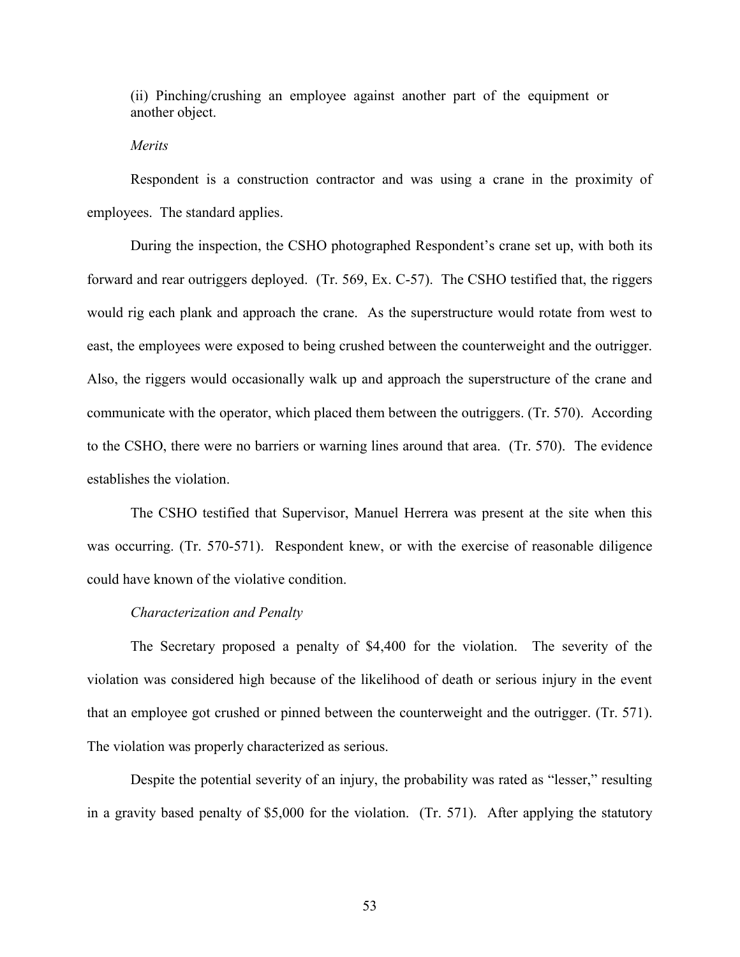(ii) Pinching/crushing an employee against another part of the equipment or another object.

## *Merits*

Respondent is a construction contractor and was using a crane in the proximity of employees. The standard applies.

During the inspection, the CSHO photographed Respondent's crane set up, with both its forward and rear outriggers deployed. (Tr. 569, Ex. C-57). The CSHO testified that, the riggers would rig each plank and approach the crane. As the superstructure would rotate from west to east, the employees were exposed to being crushed between the counterweight and the outrigger. Also, the riggers would occasionally walk up and approach the superstructure of the crane and communicate with the operator, which placed them between the outriggers. (Tr. 570). According to the CSHO, there were no barriers or warning lines around that area. (Tr. 570). The evidence establishes the violation.

The CSHO testified that Supervisor, Manuel Herrera was present at the site when this was occurring. (Tr. 570-571). Respondent knew, or with the exercise of reasonable diligence could have known of the violative condition.

### *Characterization and Penalty*

The Secretary proposed a penalty of \$4,400 for the violation. The severity of the violation was considered high because of the likelihood of death or serious injury in the event that an employee got crushed or pinned between the counterweight and the outrigger. (Tr. 571). The violation was properly characterized as serious.

Despite the potential severity of an injury, the probability was rated as "lesser," resulting in a gravity based penalty of \$5,000 for the violation. (Tr. 571). After applying the statutory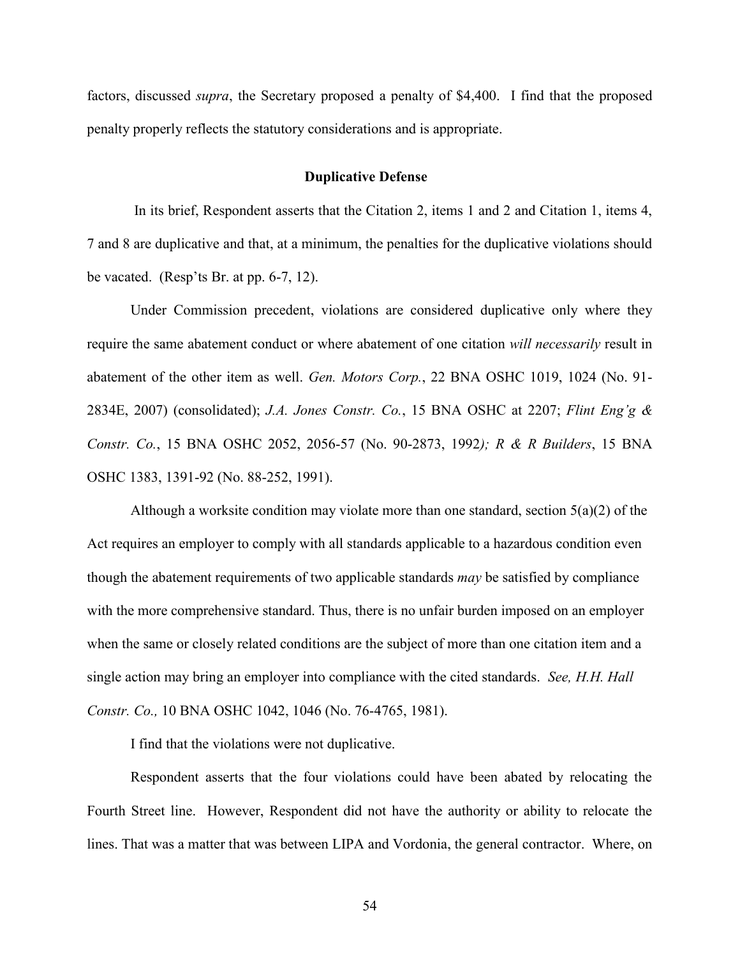factors, discussed *supra*, the Secretary proposed a penalty of \$4,400. I find that the proposed penalty properly reflects the statutory considerations and is appropriate.

## **Duplicative Defense**

In its brief, Respondent asserts that the Citation 2, items 1 and 2 and Citation 1, items 4, 7 and 8 are duplicative and that, at a minimum, the penalties for the duplicative violations should be vacated. (Resp'ts Br. at pp. 6-7, 12).

Under Commission precedent, violations are considered duplicative only where they require the same abatement conduct or where abatement of one citation *will necessarily* result in abatement of the other item as well. *Gen. Motors Corp.*, 22 BNA OSHC 1019, 1024 (No. 91- 2834E, 2007) (consolidated); *J.A. Jones Constr. Co.*, 15 BNA OSHC at 2207; *Flint Eng'g & Constr. Co.*, 15 BNA OSHC 2052, 2056-57 (No. 90-2873, 1992*); R & R Builders*, 15 BNA OSHC 1383, 1391-92 (No. 88-252, 1991).

 Although a worksite condition may violate more than one standard, section 5(a)(2) of the Act requires an employer to comply with all standards applicable to a hazardous condition even though the abatement requirements of two applicable standards *may* be satisfied by compliance with the more comprehensive standard. Thus, there is no unfair burden imposed on an employer when the same or closely related conditions are the subject of more than one citation item and a single action may bring an employer into compliance with the cited standards. *See, H.H. Hall Constr. Co.,* 10 BNA OSHC 1042, 1046 (No. 76-4765, 1981).

I find that the violations were not duplicative.

Respondent asserts that the four violations could have been abated by relocating the Fourth Street line. However, Respondent did not have the authority or ability to relocate the lines. That was a matter that was between LIPA and Vordonia, the general contractor. Where, on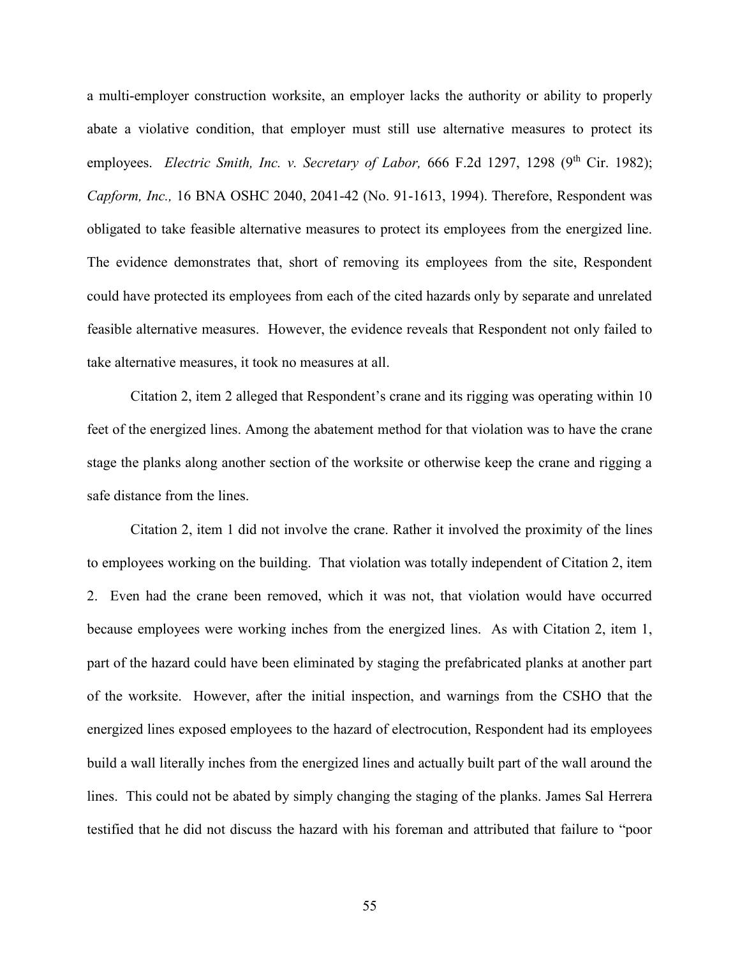a multi-employer construction worksite, an employer lacks the authority or ability to properly abate a violative condition, that employer must still use alternative measures to protect its employees. *Electric Smith, Inc. v. Secretary of Labor,* 666 F.2d 1297, 1298 (9<sup>th</sup> Cir. 1982); *Capform, Inc.,* 16 BNA OSHC 2040, 2041-42 (No. 91-1613, 1994). Therefore, Respondent was obligated to take feasible alternative measures to protect its employees from the energized line. The evidence demonstrates that, short of removing its employees from the site, Respondent could have protected its employees from each of the cited hazards only by separate and unrelated feasible alternative measures. However, the evidence reveals that Respondent not only failed to take alternative measures, it took no measures at all.

Citation 2, item 2 alleged that Respondent's crane and its rigging was operating within 10 feet of the energized lines. Among the abatement method for that violation was to have the crane stage the planks along another section of the worksite or otherwise keep the crane and rigging a safe distance from the lines.

Citation 2, item 1 did not involve the crane. Rather it involved the proximity of the lines to employees working on the building. That violation was totally independent of Citation 2, item 2. Even had the crane been removed, which it was not, that violation would have occurred because employees were working inches from the energized lines. As with Citation 2, item 1, part of the hazard could have been eliminated by staging the prefabricated planks at another part of the worksite. However, after the initial inspection, and warnings from the CSHO that the energized lines exposed employees to the hazard of electrocution, Respondent had its employees build a wall literally inches from the energized lines and actually built part of the wall around the lines. This could not be abated by simply changing the staging of the planks. James Sal Herrera testified that he did not discuss the hazard with his foreman and attributed that failure to "poor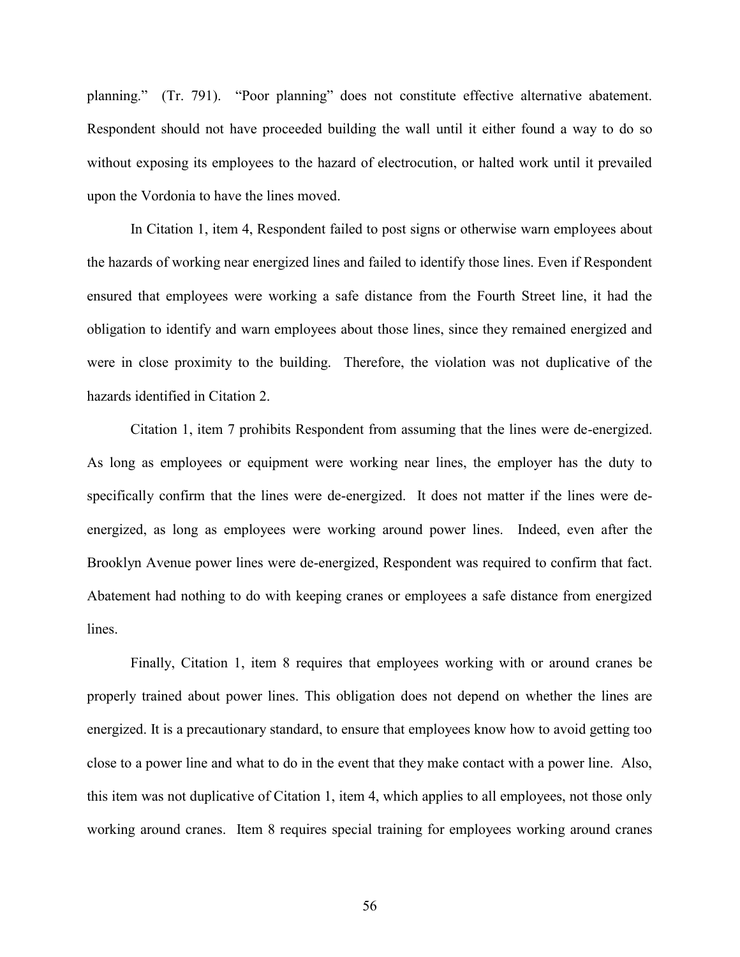planning." (Tr. 791). "Poor planning" does not constitute effective alternative abatement. Respondent should not have proceeded building the wall until it either found a way to do so without exposing its employees to the hazard of electrocution, or halted work until it prevailed upon the Vordonia to have the lines moved.

In Citation 1, item 4, Respondent failed to post signs or otherwise warn employees about the hazards of working near energized lines and failed to identify those lines. Even if Respondent ensured that employees were working a safe distance from the Fourth Street line, it had the obligation to identify and warn employees about those lines, since they remained energized and were in close proximity to the building. Therefore, the violation was not duplicative of the hazards identified in Citation 2.

Citation 1, item 7 prohibits Respondent from assuming that the lines were de-energized. As long as employees or equipment were working near lines, the employer has the duty to specifically confirm that the lines were de-energized. It does not matter if the lines were deenergized, as long as employees were working around power lines. Indeed, even after the Brooklyn Avenue power lines were de-energized, Respondent was required to confirm that fact. Abatement had nothing to do with keeping cranes or employees a safe distance from energized lines.

Finally, Citation 1, item 8 requires that employees working with or around cranes be properly trained about power lines. This obligation does not depend on whether the lines are energized. It is a precautionary standard, to ensure that employees know how to avoid getting too close to a power line and what to do in the event that they make contact with a power line. Also, this item was not duplicative of Citation 1, item 4, which applies to all employees, not those only working around cranes. Item 8 requires special training for employees working around cranes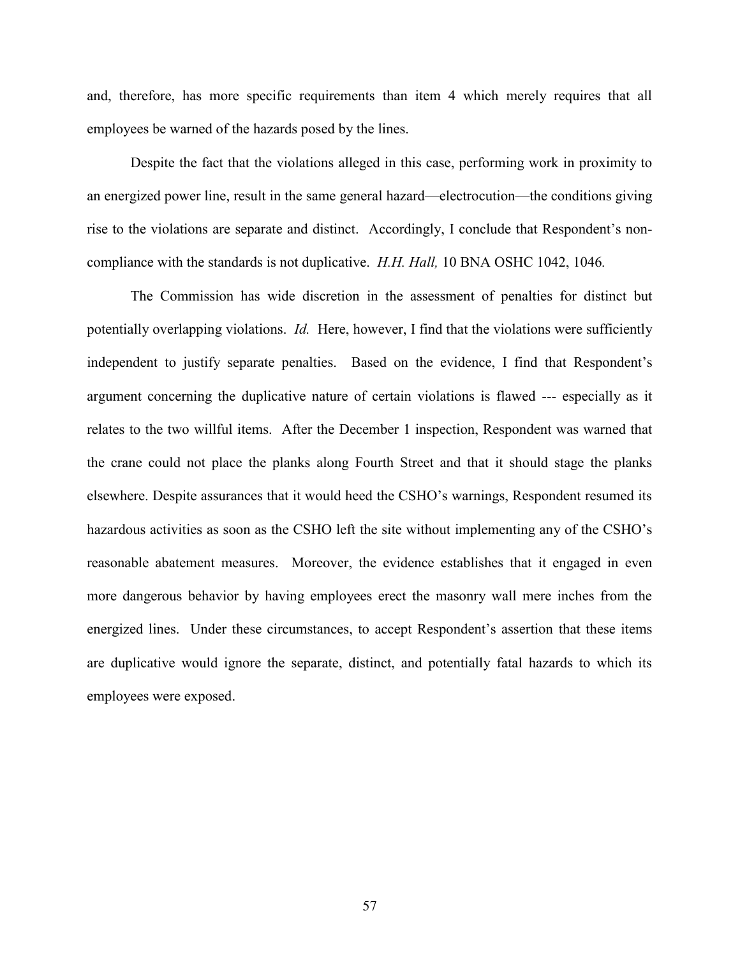and, therefore, has more specific requirements than item 4 which merely requires that all employees be warned of the hazards posed by the lines.

Despite the fact that the violations alleged in this case, performing work in proximity to an energized power line, result in the same general hazard—electrocution—the conditions giving rise to the violations are separate and distinct. Accordingly, I conclude that Respondent's noncompliance with the standards is not duplicative. *H.H. Hall,* 10 BNA OSHC 1042, 1046*.*

The Commission has wide discretion in the assessment of penalties for distinct but potentially overlapping violations. *Id.* Here, however, I find that the violations were sufficiently independent to justify separate penalties. Based on the evidence, I find that Respondent's argument concerning the duplicative nature of certain violations is flawed --- especially as it relates to the two willful items. After the December 1 inspection, Respondent was warned that the crane could not place the planks along Fourth Street and that it should stage the planks elsewhere. Despite assurances that it would heed the CSHO's warnings, Respondent resumed its hazardous activities as soon as the CSHO left the site without implementing any of the CSHO's reasonable abatement measures. Moreover, the evidence establishes that it engaged in even more dangerous behavior by having employees erect the masonry wall mere inches from the energized lines. Under these circumstances, to accept Respondent's assertion that these items are duplicative would ignore the separate, distinct, and potentially fatal hazards to which its employees were exposed.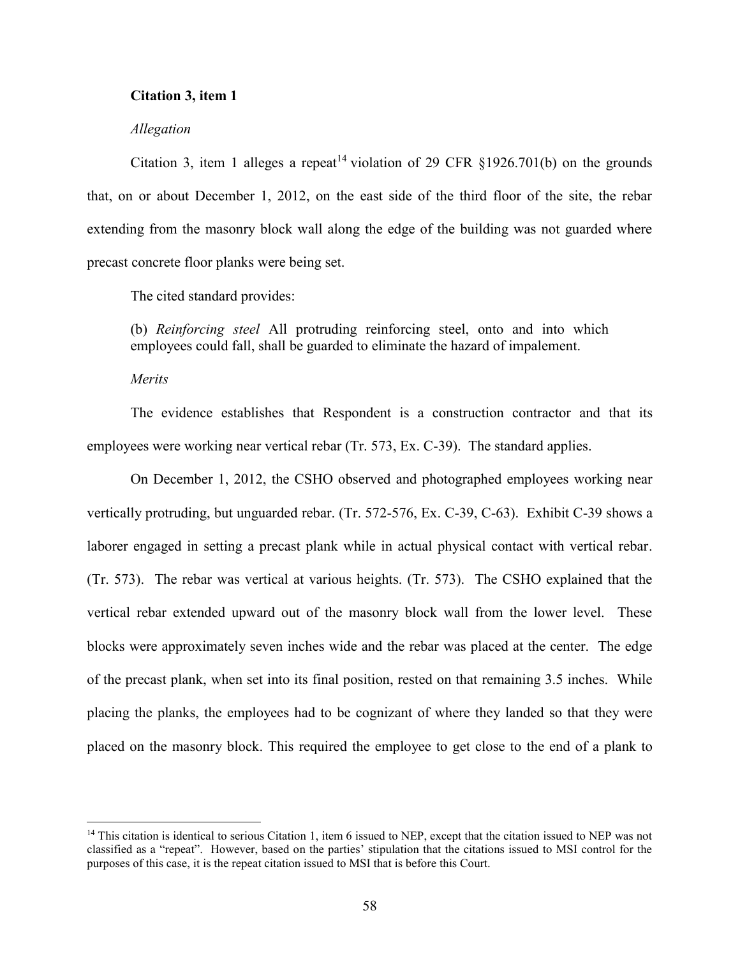## **Citation 3, item 1**

### *Allegation*

Citation 3, item 1 alleges a repeat<sup>14</sup> violation of 29 CFR §1926.701(b) on the grounds that, on or about December 1, 2012, on the east side of the third floor of the site, the rebar extending from the masonry block wall along the edge of the building was not guarded where precast concrete floor planks were being set.

The cited standard provides:

(b) *Reinforcing steel* All protruding reinforcing steel, onto and into which employees could fall, shall be guarded to eliminate the hazard of impalement.

*Merits*

 $\overline{\phantom{a}}$ 

The evidence establishes that Respondent is a construction contractor and that its employees were working near vertical rebar (Tr. 573, Ex. C-39). The standard applies.

On December 1, 2012, the CSHO observed and photographed employees working near vertically protruding, but unguarded rebar. (Tr. 572-576, Ex. C-39, C-63). Exhibit C-39 shows a laborer engaged in setting a precast plank while in actual physical contact with vertical rebar. (Tr. 573). The rebar was vertical at various heights. (Tr. 573). The CSHO explained that the vertical rebar extended upward out of the masonry block wall from the lower level. These blocks were approximately seven inches wide and the rebar was placed at the center. The edge of the precast plank, when set into its final position, rested on that remaining 3.5 inches. While placing the planks, the employees had to be cognizant of where they landed so that they were placed on the masonry block. This required the employee to get close to the end of a plank to

<sup>&</sup>lt;sup>14</sup> This citation is identical to serious Citation 1, item 6 issued to NEP, except that the citation issued to NEP was not classified as a "repeat". However, based on the parties' stipulation that the citations issued to MSI control for the purposes of this case, it is the repeat citation issued to MSI that is before this Court.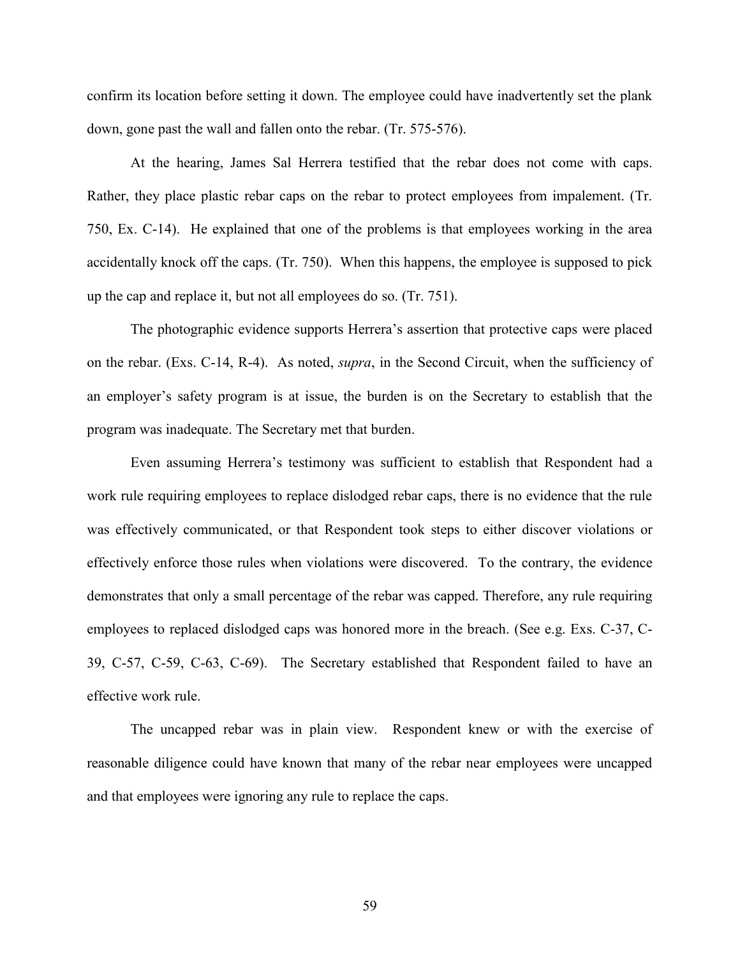confirm its location before setting it down. The employee could have inadvertently set the plank down, gone past the wall and fallen onto the rebar. (Tr. 575-576).

At the hearing, James Sal Herrera testified that the rebar does not come with caps. Rather, they place plastic rebar caps on the rebar to protect employees from impalement. (Tr. 750, Ex. C-14). He explained that one of the problems is that employees working in the area accidentally knock off the caps. (Tr. 750). When this happens, the employee is supposed to pick up the cap and replace it, but not all employees do so. (Tr. 751).

The photographic evidence supports Herrera's assertion that protective caps were placed on the rebar. (Exs. C-14, R-4). As noted, *supra*, in the Second Circuit, when the sufficiency of an employer's safety program is at issue, the burden is on the Secretary to establish that the program was inadequate. The Secretary met that burden.

Even assuming Herrera's testimony was sufficient to establish that Respondent had a work rule requiring employees to replace dislodged rebar caps, there is no evidence that the rule was effectively communicated, or that Respondent took steps to either discover violations or effectively enforce those rules when violations were discovered. To the contrary, the evidence demonstrates that only a small percentage of the rebar was capped. Therefore, any rule requiring employees to replaced dislodged caps was honored more in the breach. (See e.g. Exs. C-37, C-39, C-57, C-59, C-63, C-69). The Secretary established that Respondent failed to have an effective work rule.

The uncapped rebar was in plain view. Respondent knew or with the exercise of reasonable diligence could have known that many of the rebar near employees were uncapped and that employees were ignoring any rule to replace the caps.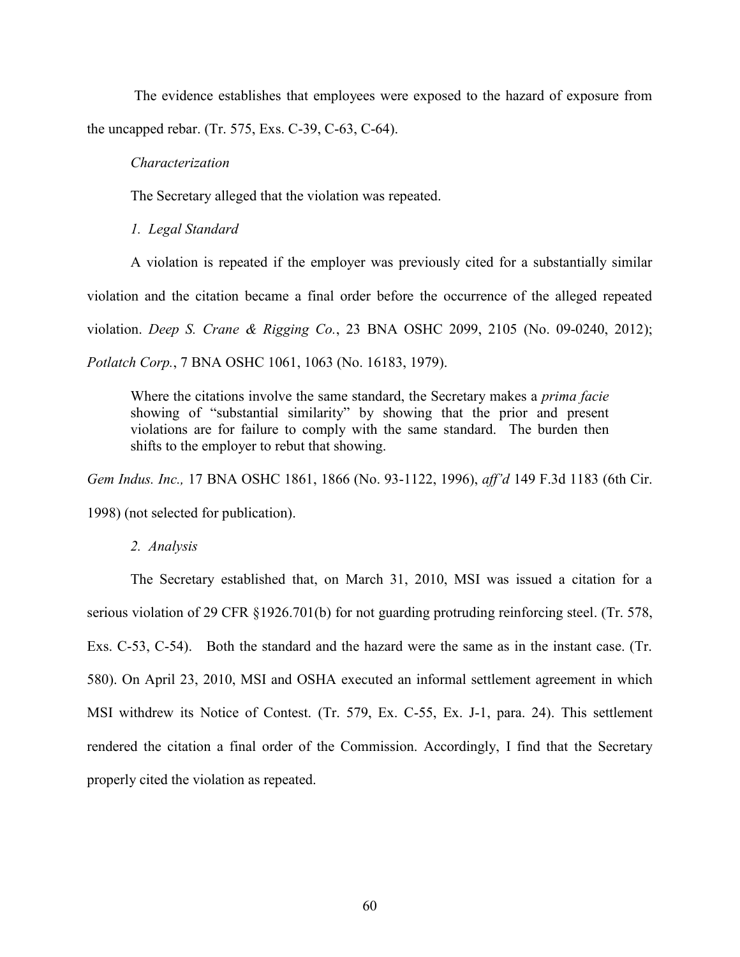The evidence establishes that employees were exposed to the hazard of exposure from the uncapped rebar. (Tr. 575, Exs. C-39, C-63, C-64).

### *Characterization*

The Secretary alleged that the violation was repeated.

*1. Legal Standard*

A violation is repeated if the employer was previously cited for a substantially similar violation and the citation became a final order before the occurrence of the alleged repeated violation. *Deep S. Crane & Rigging Co.*, 23 BNA OSHC 2099, 2105 (No. 09-0240, 2012); *Potlatch Corp.*, 7 BNA OSHC 1061, 1063 (No. 16183, 1979).

Where the citations involve the same standard, the Secretary makes a *prima facie* showing of "substantial similarity" by showing that the prior and present violations are for failure to comply with the same standard. The burden then shifts to the employer to rebut that showing.

*Gem Indus. Inc.,* 17 BNA OSHC 1861, 1866 (No. 93-1122, 1996), *aff'd* 149 F.3d 1183 (6th Cir.

1998) (not selected for publication).

*2. Analysis*

The Secretary established that, on March 31, 2010, MSI was issued a citation for a serious violation of 29 CFR §1926.701(b) for not guarding protruding reinforcing steel. (Tr. 578, Exs. C-53, C-54). Both the standard and the hazard were the same as in the instant case. (Tr. 580). On April 23, 2010, MSI and OSHA executed an informal settlement agreement in which MSI withdrew its Notice of Contest. (Tr. 579, Ex. C-55, Ex. J-1, para. 24). This settlement rendered the citation a final order of the Commission. Accordingly, I find that the Secretary properly cited the violation as repeated.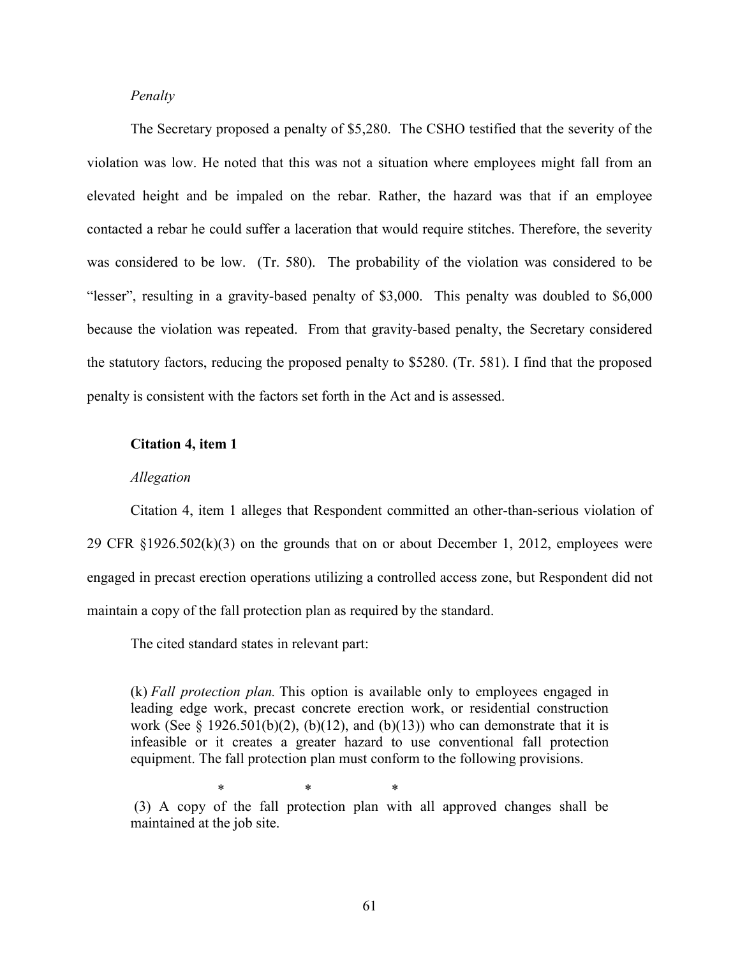## *Penalty*

The Secretary proposed a penalty of \$5,280. The CSHO testified that the severity of the violation was low. He noted that this was not a situation where employees might fall from an elevated height and be impaled on the rebar. Rather, the hazard was that if an employee contacted a rebar he could suffer a laceration that would require stitches. Therefore, the severity was considered to be low. (Tr. 580). The probability of the violation was considered to be "lesser", resulting in a gravity-based penalty of \$3,000. This penalty was doubled to \$6,000 because the violation was repeated. From that gravity-based penalty, the Secretary considered the statutory factors, reducing the proposed penalty to \$5280. (Tr. 581). I find that the proposed penalty is consistent with the factors set forth in the Act and is assessed.

#### **Citation 4, item 1**

### *Allegation*

Citation 4, item 1 alleges that Respondent committed an other-than-serious violation of 29 CFR §1926.502(k)(3) on the grounds that on or about December 1, 2012, employees were engaged in precast erection operations utilizing a controlled access zone, but Respondent did not maintain a copy of the fall protection plan as required by the standard.

The cited standard states in relevant part:

(k) *Fall protection plan.* This option is available only to employees engaged in leading edge work, precast concrete erection work, or residential construction work (See § 1926.501(b)(2), (b)(12), and (b)(13)) who can demonstrate that it is infeasible or it creates a greater hazard to use conventional fall protection equipment. The fall protection plan must conform to the following provisions.

\* \* \* (3) A copy of the fall protection plan with all approved changes shall be maintained at the job site.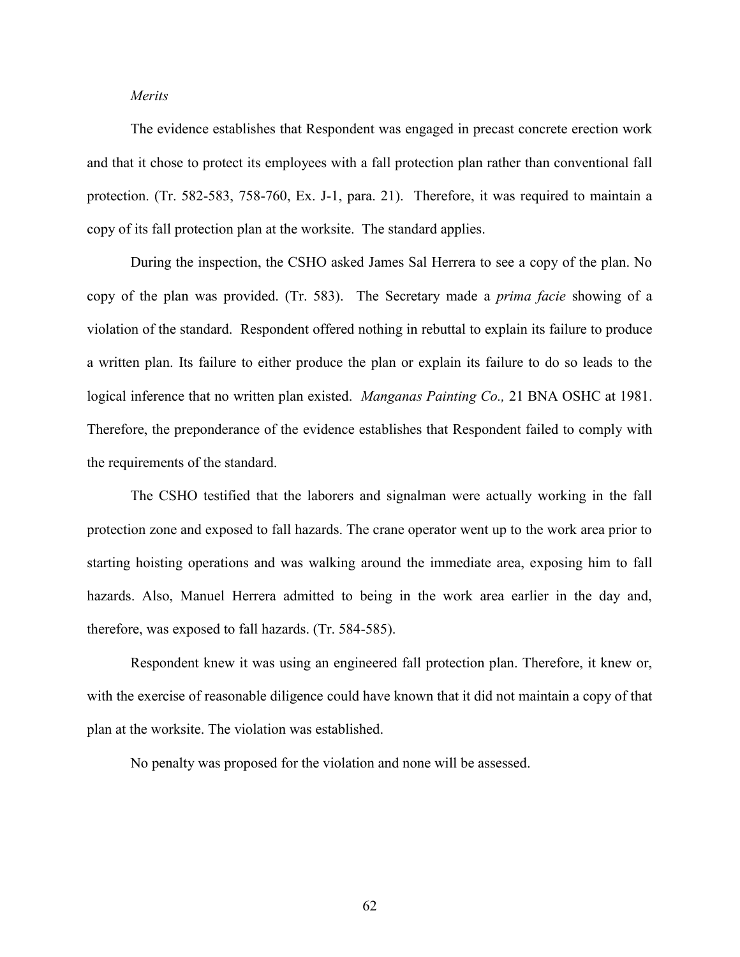## *Merits*

The evidence establishes that Respondent was engaged in precast concrete erection work and that it chose to protect its employees with a fall protection plan rather than conventional fall protection. (Tr. 582-583, 758-760, Ex. J-1, para. 21). Therefore, it was required to maintain a copy of its fall protection plan at the worksite. The standard applies.

During the inspection, the CSHO asked James Sal Herrera to see a copy of the plan. No copy of the plan was provided. (Tr. 583). The Secretary made a *prima facie* showing of a violation of the standard. Respondent offered nothing in rebuttal to explain its failure to produce a written plan. Its failure to either produce the plan or explain its failure to do so leads to the logical inference that no written plan existed. *Manganas Painting Co.,* 21 BNA OSHC at 1981. Therefore, the preponderance of the evidence establishes that Respondent failed to comply with the requirements of the standard.

The CSHO testified that the laborers and signalman were actually working in the fall protection zone and exposed to fall hazards. The crane operator went up to the work area prior to starting hoisting operations and was walking around the immediate area, exposing him to fall hazards. Also, Manuel Herrera admitted to being in the work area earlier in the day and, therefore, was exposed to fall hazards. (Tr. 584-585).

Respondent knew it was using an engineered fall protection plan. Therefore, it knew or, with the exercise of reasonable diligence could have known that it did not maintain a copy of that plan at the worksite. The violation was established.

No penalty was proposed for the violation and none will be assessed.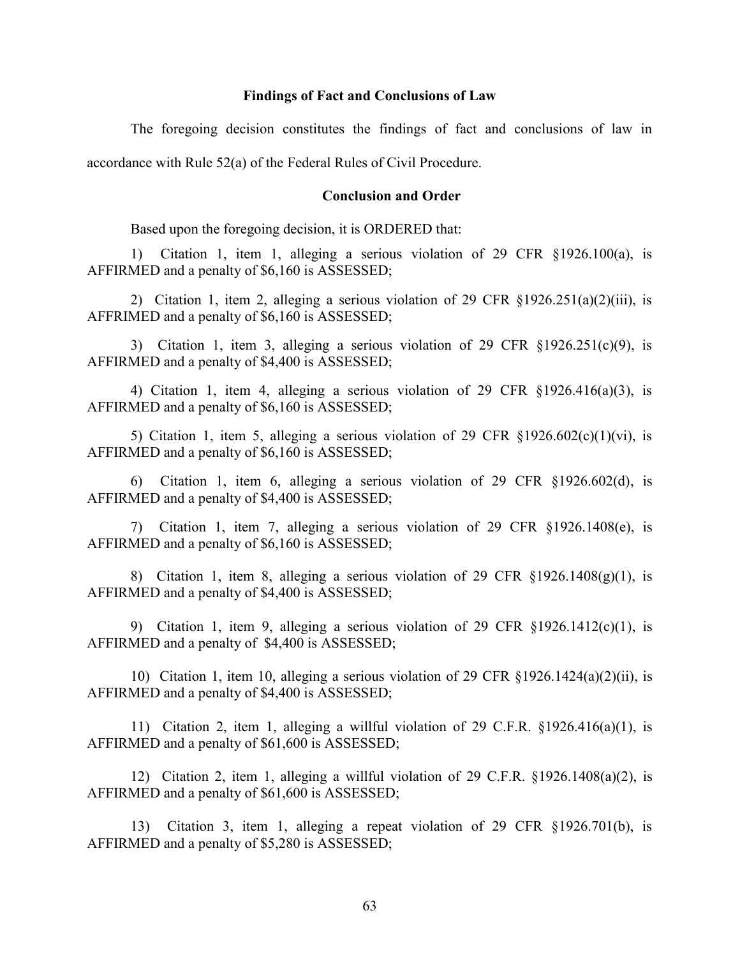### **Findings of Fact and Conclusions of Law**

The foregoing decision constitutes the findings of fact and conclusions of law in

accordance with Rule 52(a) of the Federal Rules of Civil Procedure.

### **Conclusion and Order**

Based upon the foregoing decision, it is ORDERED that:

1) Citation 1, item 1, alleging a serious violation of 29 CFR §1926.100(a), is AFFIRMED and a penalty of \$6,160 is ASSESSED;

2) Citation 1, item 2, alleging a serious violation of 29 CFR  $\S 1926.251(a)(2)(iii)$ , is AFFRIMED and a penalty of \$6,160 is ASSESSED;

3) Citation 1, item 3, alleging a serious violation of 29 CFR §1926.251(c)(9), is AFFIRMED and a penalty of \$4,400 is ASSESSED;

4) Citation 1, item 4, alleging a serious violation of 29 CFR §1926.416(a)(3), is AFFIRMED and a penalty of \$6,160 is ASSESSED;

5) Citation 1, item 5, alleging a serious violation of 29 CFR  $\S 1926.602(c)(1)(vi)$ , is AFFIRMED and a penalty of \$6,160 is ASSESSED;

6) Citation 1, item 6, alleging a serious violation of 29 CFR §1926.602(d), is AFFIRMED and a penalty of \$4,400 is ASSESSED;

7) Citation 1, item 7, alleging a serious violation of 29 CFR §1926.1408(e), is AFFIRMED and a penalty of \$6,160 is ASSESSED;

8) Citation 1, item 8, alleging a serious violation of 29 CFR  $\S 1926.1408(g)(1)$ , is AFFIRMED and a penalty of \$4,400 is ASSESSED;

9) Citation 1, item 9, alleging a serious violation of 29 CFR §1926.1412(c)(1), is AFFIRMED and a penalty of \$4,400 is ASSESSED;

10) Citation 1, item 10, alleging a serious violation of 29 CFR §1926.1424(a)(2)(ii), is AFFIRMED and a penalty of \$4,400 is ASSESSED;

11) Citation 2, item 1, alleging a willful violation of 29 C.F.R. §1926.416(a)(1), is AFFIRMED and a penalty of \$61,600 is ASSESSED;

12) Citation 2, item 1, alleging a willful violation of 29 C.F.R. §1926.1408(a)(2), is AFFIRMED and a penalty of \$61,600 is ASSESSED;

13) Citation 3, item 1, alleging a repeat violation of 29 CFR §1926.701(b), is AFFIRMED and a penalty of \$5,280 is ASSESSED;